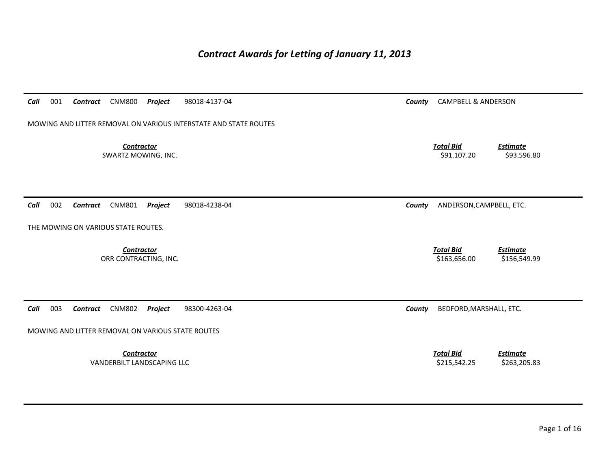# *Contract Awards for Letting of January 11, 2013*

| Call<br>001<br><b>CNM800</b><br>Project<br>Contract              | 98018-4137-04 | County | <b>CAMPBELL &amp; ANDERSON</b>                                      |
|------------------------------------------------------------------|---------------|--------|---------------------------------------------------------------------|
| MOWING AND LITTER REMOVAL ON VARIOUS INTERSTATE AND STATE ROUTES |               |        |                                                                     |
| <b>Contractor</b><br>SWARTZ MOWING, INC.                         |               |        | <b>Total Bid</b><br><b>Estimate</b><br>\$91,107.20<br>\$93,596.80   |
| 002<br><b>CNM801</b><br>Project<br>Call<br>Contract              | 98018-4238-04 | County | ANDERSON, CAMPBELL, ETC.                                            |
| THE MOWING ON VARIOUS STATE ROUTES.                              |               |        |                                                                     |
| <b>Contractor</b><br>ORR CONTRACTING, INC.                       |               |        | <b>Total Bid</b><br><b>Estimate</b><br>\$163,656.00<br>\$156,549.99 |
| Call<br>003<br><b>CNM802</b><br>Project<br>Contract              | 98300-4263-04 | County | BEDFORD, MARSHALL, ETC.                                             |
| MOWING AND LITTER REMOVAL ON VARIOUS STATE ROUTES                |               |        |                                                                     |
| <b>Contractor</b><br>VANDERBILT LANDSCAPING LLC                  |               |        | <b>Total Bid</b><br><b>Estimate</b><br>\$215,542.25<br>\$263,205.83 |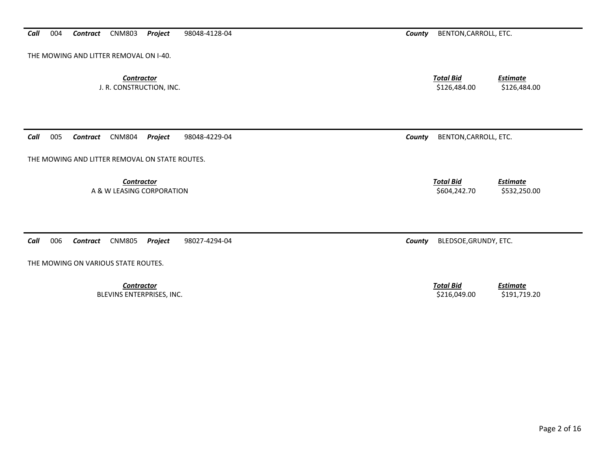*Call*004 *Contract* CNM803 *Project* 98048-4128-04 *County* BENTON,CARROLL, ETC.

THE MOWING AND LITTER REMOVAL ON I-40.

**Contractor** Total Bid

J. R. CONSTRUCTION, INC. \$126,484.00 \$126,484.00

*Call*005 *Contract* CNM804 *Project* 98048-4229-04 *County* BENTON,CARROLL, ETC.

THE MOWING AND LITTER REMOVAL ON STATE ROUTES.

*Contractor Total Bid*

*Call*006 *Contract* CNM805 *Project* 98027-4294-04 *County* BLEDSOE,GRUNDY, ETC.

THE MOWING ON VARIOUS STATE ROUTES.

**Contractor** 

*Estimate*

*Estimate*

A & W LEASING CORPORATION **\$502,250.00** \$532,250.00

**Total Bid**  *Estimate* BLEVINS ENTERPRISES, INC. 6. 216,049.00 \$191,719.20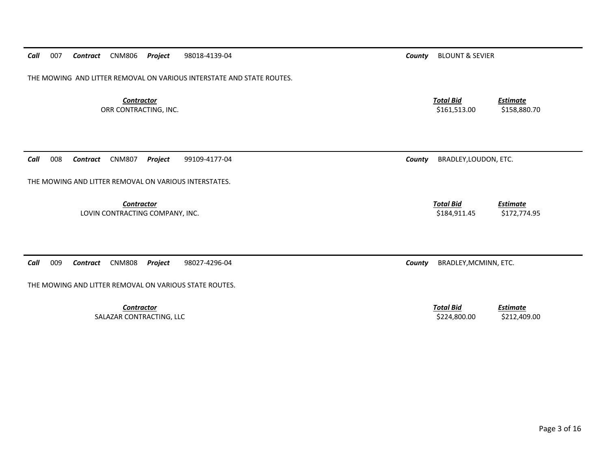THE MOWING AND LITTER REMOVAL ON VARIOUS INTERSTATE AND STATE ROUTES.

**Contractor** Total Bid

*Call*

 *Estimate* ORR CONTRACTING, INC. 6. 2012 12:30 12:30 12:30 12:30 12:30 12:30 12:30 12:30 12:30 12:30 12:30 12:30 12:30 12:30 12:30 12:30 12:30 12:30 12:30 12:30 12:30 12:30 12:30 12:30 12:30 12:30 12:30 12:30 12:30 12:30 12:30 12:30

008 *Contract* CNM807 *Project* 99109-4177-04 *County* BRADLEY,LOUDON, ETC.

*Contractor Total Bid*LOVIN CONTRACTING COMPANY, INC. THE SECOND OF STRAINING SALE AND STRAINING STRAINING STRAINING STRAINING SALE STRAINING STRAINING SALE STRAINING STRAINING STRAINING STRAINING STRAINING STRAINING STRAINING STRAINING STRAINI

*Estimate*

*Estimate*

*Call*009 *Contract* CNM808 *Project* 98027-4296-04 *County* BRADLEY,MCMINN, ETC.

THE MOWING AND LITTER REMOVAL ON VARIOUS INTERSTATES.

THE MOWING AND LITTER REMOVAL ON VARIOUS STATE ROUTES.

**Contractor** Total Bid SALAZAR CONTRACTING, LLC \$224,800.00 \$212,409.00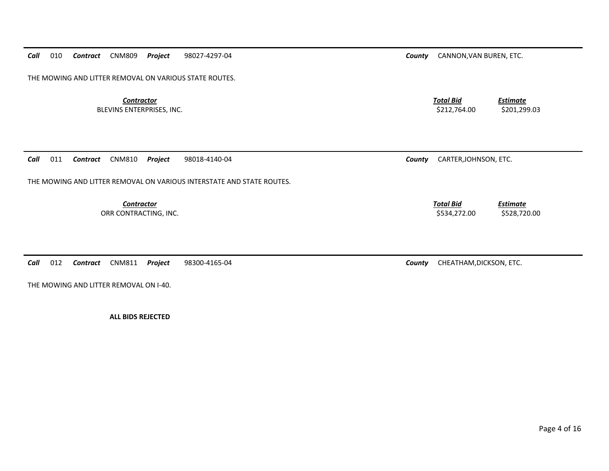*Call*010 *Contract* CNM809 *Project* 98027-4297-04 *County* CANNON,VAN BUREN, ETC.

THE MOWING AND LITTER REMOVAL ON VARIOUS STATE ROUTES.

**Contractor** Total Bid BLEVINS ENTERPRISES, INC. 6201,299.03

*Estimate*

*Call*011 *Contract* CNM810 *Project* 98018-4140-04 *County* CARTER,JOHNSON, ETC.

THE MOWING AND LITTER REMOVAL ON VARIOUS INTERSTATE AND STATE ROUTES.

**Contractor** Total Bid ORR CONTRACTING, INC. \$534,272.00 \$528,720.00

*Call*012 *Contract* CNM811 *Project* 98300-4165-04 *County* CHEATHAM,DICKSON, ETC.

THE MOWING AND LITTER REMOVAL ON I-40.

**ALL BIDS REJECTED**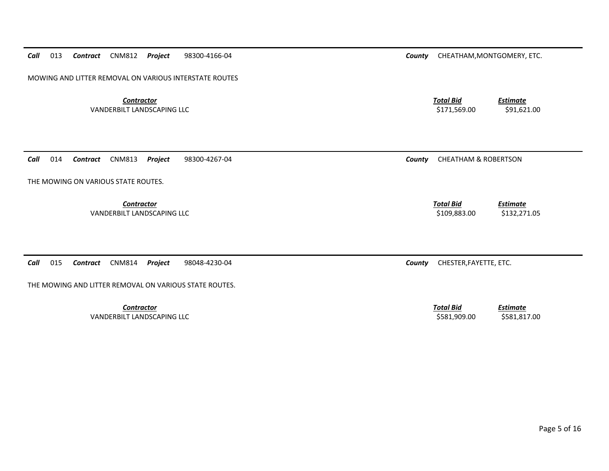*Call*013 *Contract* CNM812 *Project* 98300-4166-04 *County* CHEATHAM,MONTGOMERY, ETC.

MOWING AND LITTER REMOVAL ON VARIOUS INTERSTATE ROUTES

**Contractor** Total Bid VANDERBILT LANDSCAPING LLC **Example 2011, 1991, 621,621.00** \$171,569.00 \$91,621.00

*Call*014 *Contract* CNM813 *Project* 98300-4267-04 *County* CHEATHAM & ROBERTSON

THE MOWING ON VARIOUS STATE ROUTES.

*Contractor Total Bid*VANDERBILT LANDSCAPING LLC **Example 2008 12:00 12:00 1312.271.05** 

*Call*015 *Contract* CNM814 *Project* 98048-4230-04 *County* CHESTER,FAYETTE, ETC.

THE MOWING AND LITTER REMOVAL ON VARIOUS STATE ROUTES.

**Contractor** Total Bid VANDERBILT LANDSCAPING LLC **Example 2018 12:00 SSS1,909.00** \$581,817.00

*Estimate*

*Estimate*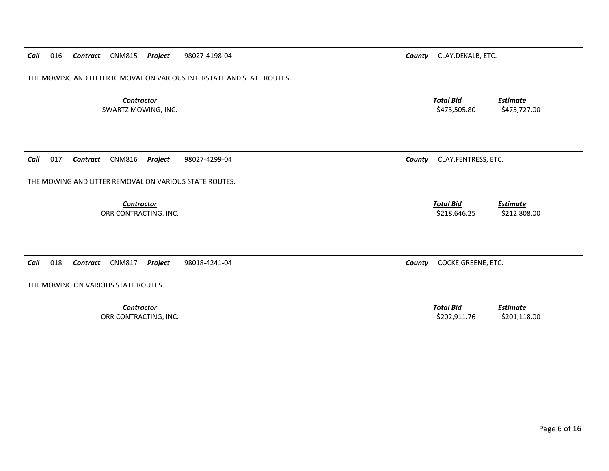THE MOWING AND LITTER REMOVAL ON VARIOUS INTERSTATE AND STATE ROUTES.

**Contractor** Total Bid

SWARTZ MOWING, INC. \$475,727.00 \$475,727.00 \$475,727.00

*Estimate*

*Estimate*

 *Estimate* ORR CONTRACTING, INC. \$201,118.00 \$202,911.76 \$201,118.00

*Call*017 *Contract* CNM816 *Project* 98027-4299-04 *County* CLAY,FENTRESS, ETC.

THE MOWING AND LITTER REMOVAL ON VARIOUS STATE ROUTES.

*Contractor Total Bid*

ORR CONTRACTING, INC. \$212,808.00 \$218,646.25 \$212,808.00

*Call*018 *Contract* CNM817 *Project* 98018-4241-04 *County* COCKE,GREENE, ETC.

THE MOWING ON VARIOUS STATE ROUTES.

*Contractor Total Bid*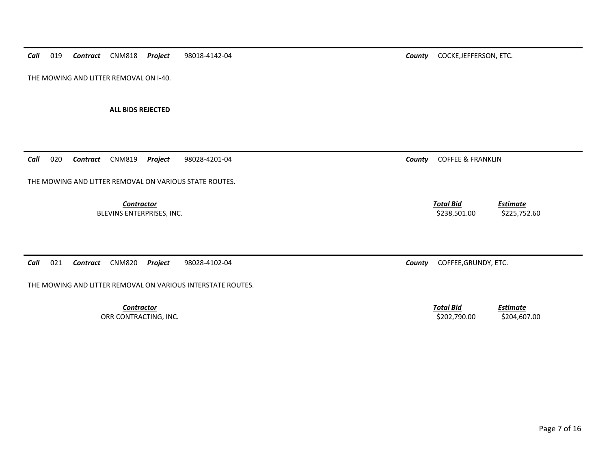*Call*019 *Contract* CNM818 *Project* 98018-4142-04 *County* COCKE,JEFFERSON, ETC.

THE MOWING AND LITTER REMOVAL ON I-40.

**ALL BIDS REJECTED** 

*Call*020 *Contract* CNM819 *Project* 98028-4201-04 *County* COFFEE & FRANKLIN

THE MOWING AND LITTER REMOVAL ON VARIOUS STATE ROUTES.

**Contractor** Total Bid

BLEVINS ENTERPRISES, INC. 6. 225,752.60 \$238,501.00 \$225,752.60

*Call*021 *Contract* CNM820 *Project* 98028-4102-04 *County* COFFEE,GRUNDY, ETC.

THE MOWING AND LITTER REMOVAL ON VARIOUS INTERSTATE ROUTES.

*Contractor Total Bid*

 *Estimate* ORR CONTRACTING, INC. \$202,790.00 \$204,607.00 \$204,607.00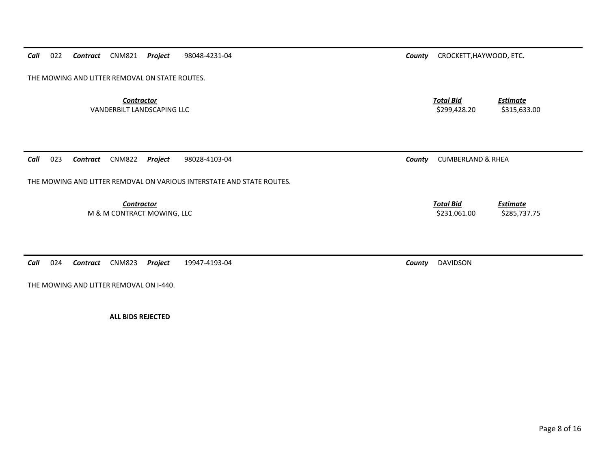*Call*022 *Contract* CNM821 *Project* 98048-4231-04 *County* CROCKETT,HAYWOOD, ETC.

THE MOWING AND LITTER REMOVAL ON STATE ROUTES.

*Contractor Total Bid*VANDERBILT LANDSCAPING LLC **1999,428.20** \$315,633.00

*Call*023 *Contract* CNM822 *Project* 98028-4103-04 *County* CUMBERLAND & RHEA

THE MOWING AND LITTER REMOVAL ON VARIOUS INTERSTATE AND STATE ROUTES.

**Contractor** Total Bid

THE MOWING AND LITTER REMOVAL ON I-440.

*Call*

**ALL BIDS REJECTED** 

*Estimate*

M & M CONTRACT MOWING, LLC 8 285,737.75

*Estimate*

024 *Contract* CNM823 *Project* 19947-4193-04 *County* DAVIDSON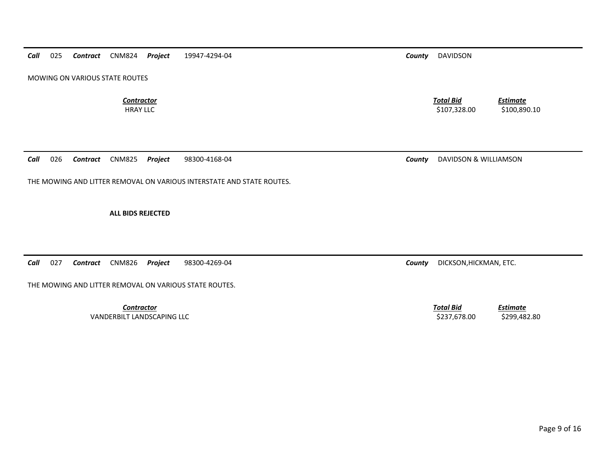*Call*025 *Contract* CNM824 *Project* 19947-4294-04 *County* DAVIDSON

MOWING ON VARIOUS STATE ROUTES

**Contractor** Total Bid

*Call*026 *Contract* CNM825 *Project* 98300-4168-04 *County* DAVIDSON & WILLIAMSON

THE MOWING AND LITTER REMOVAL ON VARIOUS INTERSTATE AND STATE ROUTES.

**ALL BIDS REJECTED** 

*Call*027 *Contract* CNM826 *Project* 98300-4269-04 *County* DICKSON,HICKMAN, ETC.

THE MOWING AND LITTER REMOVAL ON VARIOUS STATE ROUTES.

*Contractor Total Bid*VANDERBILT LANDSCAPING LLC **Example 2008 1237,678.00** \$299,482.80

HRAY LLC \$107,328.00 \$100,890.10

*Estimate*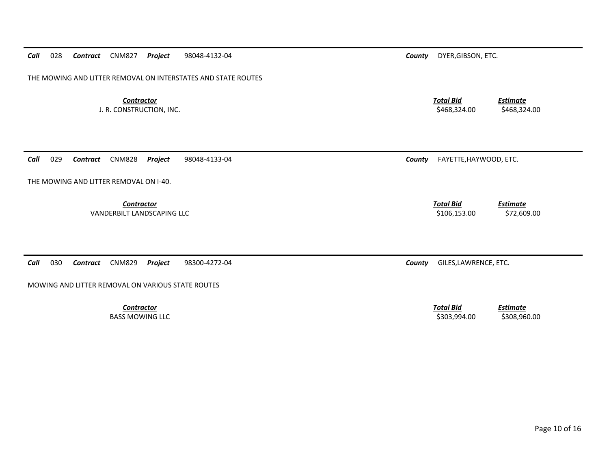THE MOWING AND LITTER REMOVAL ON INTERSTATES AND STATE ROUTES

**Contractor** Total Bid

J. R. CONSTRUCTION, INC. \$468,324.00 \$468,324.00

*Estimate*

*Estimate*

 *Estimate* PASS MOWING LLC AND RESOLUTION OF STREET AND RELEASED AND RELEASED AND RELEASED AND RELEASED AND RELEASED AND RELEASED AND RELEASED AND RELEASED AND RELEASED AND RELEASED AND RELEASED AND RELEASED AND RELEASED AND RELEASED

*Call*029 *Contract* CNM828 *Project* 98048-4133-04 *County* FAYETTE,HAYWOOD, ETC.

THE MOWING AND LITTER REMOVAL ON I-40.

**Contractor** Total Bid

VANDERBILT LANDSCAPING LLC **Example 2006,153.00** \$106,153.00 \$72,609.00

*Call*030 *Contract* CNM829 *Project* 98300-4272-04 *County* GILES,LAWRENCE, ETC.

MOWING AND LITTER REMOVAL ON VARIOUS STATE ROUTES

**Contractor** Total Bid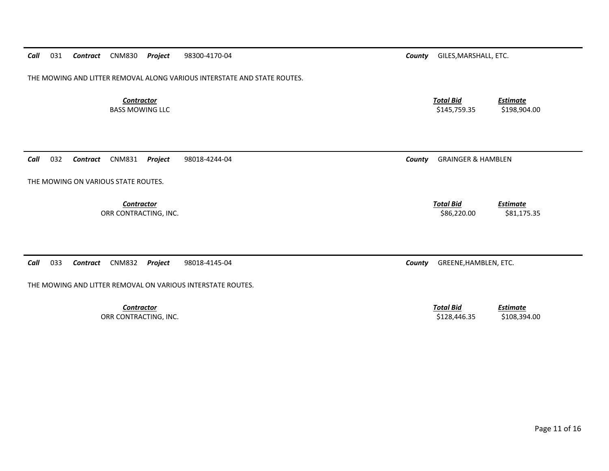*Call*031 *Contract* CNM830 *Project* 98300-4170-04 *County* GILES,MARSHALL, ETC.

THE MOWING AND LITTER REMOVAL ALONG VARIOUS INTERSTATE AND STATE ROUTES.

**Contractor** Total Bid

*Call*032 *Contract* CNM831 *Project* 98018-4244-04 *County* GRAINGER & HAMBLEN

THE MOWING ON VARIOUS STATE ROUTES.

**Contractor** Total Bid

*Call*033 *Contract* CNM832 *Project* 98018-4145-04 *County* GREENE,HAMBLEN, ETC.

THE MOWING AND LITTER REMOVAL ON VARIOUS INTERSTATE ROUTES.

*Contractor Total Bid*

 *Estimate* BASS MOWING LLC 6 2198,904.00

ORR CONTRACTING, INC. \$81,175.35

*Estimate*

 *Estimate* ORR CONTRACTING, INC. \$108,394.00 \$128,446.35 \$108,394.00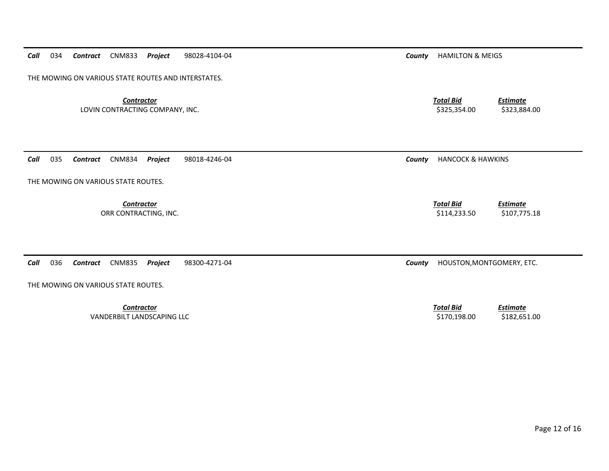*Call*034 *Contract* CNM833 *Project* 98028-4104-04 *County* HAMILTON & MEIGS

THE MOWING ON VARIOUS STATE ROUTES AND INTERSTATES.

*Contractor Total Bid*LOVIN CONTRACTING COMPANY, INC. THE SECRET OF SALE AND STRUCK AND STRUCK AND STRUCK AND STRUCK AND STRUCK AND STRUCK AND STRUCK AND STRUCK AND STRUCK AND STRUCK AND STRUCK AND STRUCK AND STRUCK AND STRUCK AND STRUCK AND ST

*Call*035 *Contract* CNM834 *Project* 98018-4246-04 *County* HANCOCK & HAWKINS

THE MOWING ON VARIOUS STATE ROUTES.

*Contractor Total Bid*

*Call*036 *Contract* CNM835 *Project* 98300-4271-04 *County* HOUSTON,MONTGOMERY, ETC.

THE MOWING ON VARIOUS STATE ROUTES.

*Contractor Total Bid*VANDERBILT LANDSCAPING LLC **Example 2008 120,000 S182,651.00** \$170,198.00 \$182,651.00

ORR CONTRACTING, INC. 6. 2007, 2008 12:30 \$107,775.18 \$114,233.50 \$107,775.18

*Estimate*

*Estimate*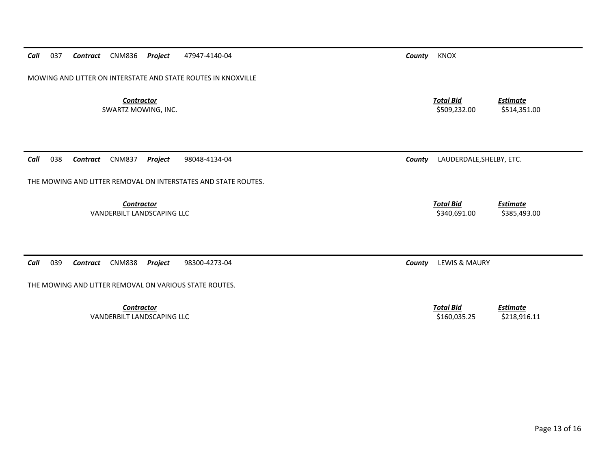*Call*037 *Contract* CNM836 *Project* 47947-4140-04 *County* KNOX

MOWING AND LITTER ON INTERSTATE AND STATE ROUTES IN KNOXVILLE

**Contractor** Total Bid

*Call*038 *Contract* CNM837 *Project* 98048-4134-04 *County* LAUDERDALE,SHELBY, ETC.

THE MOWING AND LITTER REMOVAL ON INTERSTATES AND STATE ROUTES.

*Contractor Total Bid*

VANDERBILT LANDSCAPING LLC **Example 2008 120 and 2008 1340,691.00** \$385,493.00

*Call*039 *Contract* CNM838 *Project* 98300-4273-04 *County* LEWIS & MAURY

THE MOWING AND LITTER REMOVAL ON VARIOUS STATE ROUTES.

**Contractor** Total Bid VANDERBILT LANDSCAPING LLC **Example 2018 12:00 12:00 12:00 12:00 12:00 13:00 14:00 14:00 14:00 14:00 14:00 14:00** 

 *Estimate* SWARTZ MOWING, INC. \$514,351.00 \$514,351.00 \$514,351.00

*Estimate*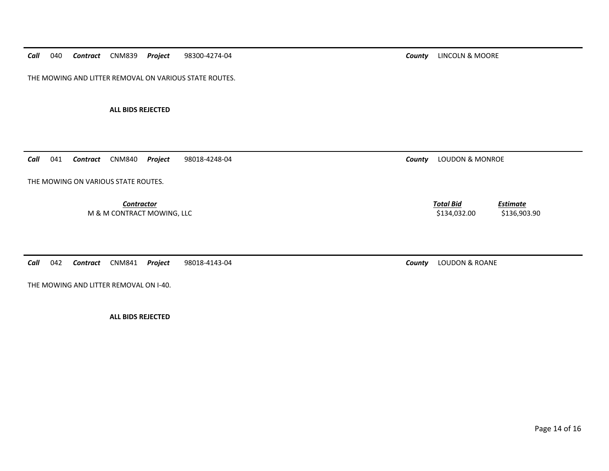*Call*040 *Contract* CNM839 *Project* 98300-4274-04 *County* LINCOLN & MOORE

THE MOWING AND LITTER REMOVAL ON VARIOUS STATE ROUTES.

**ALL BIDS REJECTED** 

*Call*041 *Contract* CNM840 *Project* 98018-4248-04 *County* LOUDON & MONROE

THE MOWING ON VARIOUS STATE ROUTES.

*Contractor Total Bid*M & M CONTRACT MOWING, LLC 6. 2010 12:00 \$134,032.00 \$136,903.90

*Call*042 *Contract* CNM841 *Project* 98018-4143-04 *County* LOUDON & ROANE

THE MOWING AND LITTER REMOVAL ON I-40.

**ALL BIDS REJECTED** 

*Estimate*

Page 14 of 16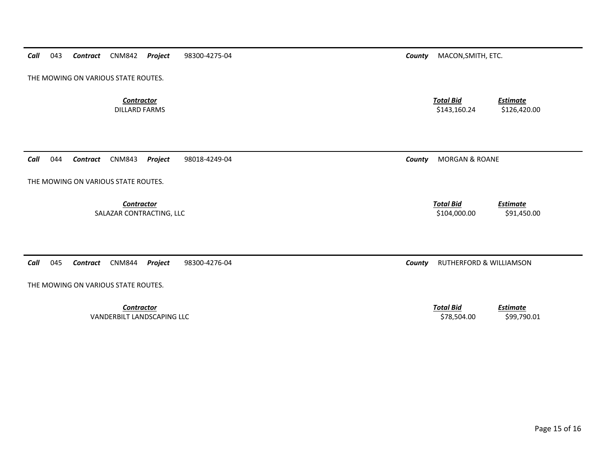| <b>Contractor</b><br><b>DILLARD FARMS</b>                                   | <b>Total Bid</b><br><b>Estimate</b><br>\$143,160.24<br>\$126,420.00 |
|-----------------------------------------------------------------------------|---------------------------------------------------------------------|
|                                                                             |                                                                     |
| Call<br>Project<br>044<br><b>CNM843</b><br>98018-4249-04<br><b>Contract</b> | <b>MORGAN &amp; ROANE</b><br>County                                 |
| THE MOWING ON VARIOUS STATE ROUTES.                                         |                                                                     |
| <b>Contractor</b><br>SALAZAR CONTRACTING, LLC                               | <b>Total Bid</b><br><b>Estimate</b><br>\$104,000.00<br>\$91,450.00  |
|                                                                             |                                                                     |
| Call<br>045<br><b>CNM844</b><br>Project<br>98300-4276-04<br>Contract        | RUTHERFORD & WILLIAMSON<br>County                                   |
| THE MOWING ON VARIOUS STATE ROUTES.                                         |                                                                     |
| <b>Contractor</b>                                                           | <b>Total Bid</b><br><b>Estimate</b>                                 |

*Call* 043 *Contract* CNM842 *Project* 98300-4275-04 *County* MACON,SMITH, ETC.

THE MOWING ON VARIOUS STATE ROUTES.

VANDERBILT LANDSCAPING LLC \$78,504.00 \$99,790.01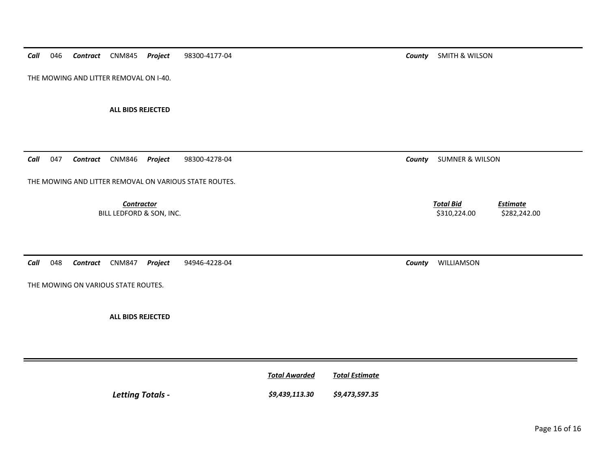*Call*046 *Contract* CNM845 *Project* 98300-4177-04 *County* SMITH & WILSON

THE MOWING AND LITTER REMOVAL ON I-40.

**ALL BIDS REJECTED** 

*Call*047 *Contract* CNM846 *Project* 98300-4278-04 *County* SUMNER & WILSON

THE MOWING AND LITTER REMOVAL ON VARIOUS STATE ROUTES.

**Contractor** Total Bid

BILL LEDFORD & SON, INC. 6 (1992) 1999 12: 100 (1993) 1310,224.00 \$282,242.00 \$282,242.00

*Call*048 *Contract* CNM847 *Project* 94946-4228-04 *County* WILLIAMSON

THE MOWING ON VARIOUS STATE ROUTES.

**ALL BIDS REJECTED** 

|                  | <b>Total Awarded</b> | Total Estimate |
|------------------|----------------------|----------------|
| Letting Totals - | \$9,439,113.30       | \$9,473,597.35 |

*Estimate*

Page 16 of 16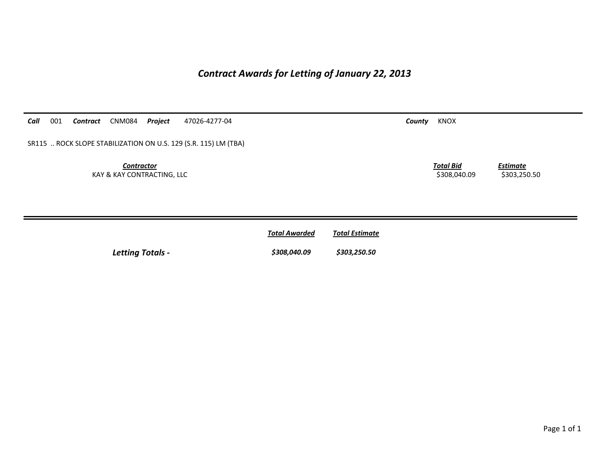## *Contract Awards for Letting of January 22, 2013*

*Call*001 *Contract* CNM084 *Project* 47026-4277-04 *County* KNOX

SR115 .. ROCK SLOPE STABILIZATION ON U.S. 129 (S.R. 115) LM (TBA)

*Contractor Total Bid*KAY & KAY CONTRACTING, LLC 6. 2008,040.09 \$308,040.09 \$303,250.50

*Estimate*

| <b>Total Awarded</b> | <b>Total Estimate</b> |
|----------------------|-----------------------|
| $\blacksquare$       |                       |

*Letting Totals - \$308,040.09 \$303,250.50*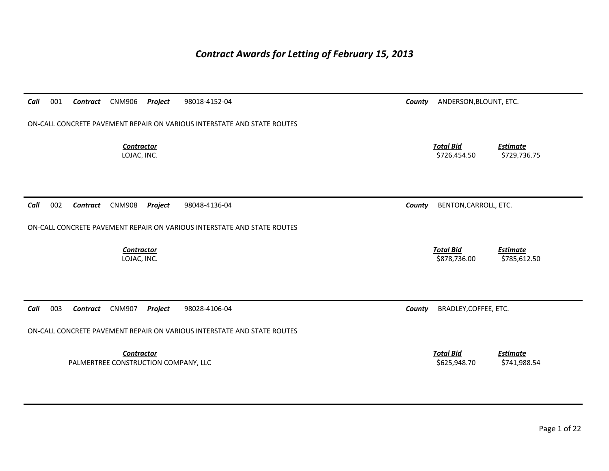## *Contract Awards for Letting of February 15, 2013*

| Call | 001 | Contract | <b>CNM906</b>                                             | Project | 98018-4152-04                                                           | County | ANDERSON, BLOUNT, ETC.           |                                 |
|------|-----|----------|-----------------------------------------------------------|---------|-------------------------------------------------------------------------|--------|----------------------------------|---------------------------------|
|      |     |          |                                                           |         | ON-CALL CONCRETE PAVEMENT REPAIR ON VARIOUS INTERSTATE AND STATE ROUTES |        |                                  |                                 |
|      |     |          | <b>Contractor</b><br>LOJAC, INC.                          |         |                                                                         |        | <b>Total Bid</b><br>\$726,454.50 | <b>Estimate</b><br>\$729,736.75 |
| Call | 002 | Contract | <b>CNM908</b>                                             | Project | 98048-4136-04                                                           | County | BENTON, CARROLL, ETC.            |                                 |
|      |     |          |                                                           |         | ON-CALL CONCRETE PAVEMENT REPAIR ON VARIOUS INTERSTATE AND STATE ROUTES |        |                                  |                                 |
|      |     |          | <b>Contractor</b><br>LOJAC, INC.                          |         |                                                                         |        | <b>Total Bid</b><br>\$878,736.00 | <b>Estimate</b><br>\$785,612.50 |
| Call | 003 | Contract | <b>CNM907</b>                                             | Project | 98028-4106-04                                                           | County | BRADLEY, COFFEE, ETC.            |                                 |
|      |     |          |                                                           |         | ON-CALL CONCRETE PAVEMENT REPAIR ON VARIOUS INTERSTATE AND STATE ROUTES |        |                                  |                                 |
|      |     |          | <b>Contractor</b><br>PALMERTREE CONSTRUCTION COMPANY, LLC |         |                                                                         |        | <b>Total Bid</b><br>\$625,948.70 | <b>Estimate</b><br>\$741,988.54 |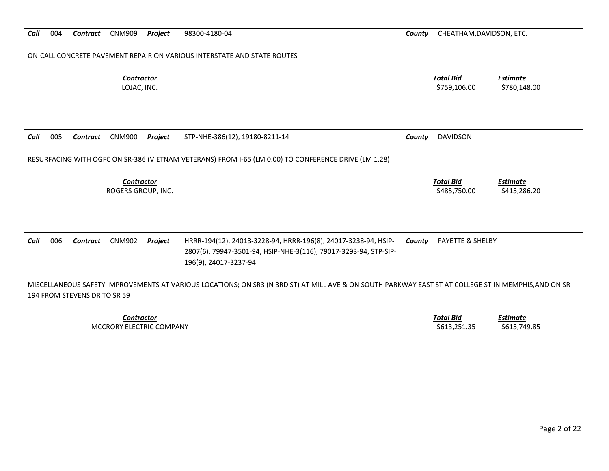### ON‐CALL CONCRETE PAVEMENT REPAIR ON VARIOUS INTERSTATE AND STATE ROUTES

*Contractor*

 *Total Bid Estimate* LOJAC, INC. \$759,106.00 \$780,148.00

*Call* 005*Contract* CNM900 *Project* STP‐NHE‐386(12), 19180‐8211‐14 *County* DAVIDSON

RESURFACING WITH OGFC ON SR‐386 (VIETNAM VETERANS) FROM I‐65 (LM 0.00) TO CONFERENCE DRIVE (LM 1.28)

*Contractor*

 *Total Bid Estimate* ROGERS GROUP, INC. \$485,750.00 \$415,286.20

### *Call* 006 *Contract* CNM902 *Project* HRRR‐194(12), 24013‐3228‐94, HRRR‐196(8), 24017‐3238‐94, HSIP‐ 2807(6), 79947‐3501‐94, HSIP‐NHE‐3(116), 79017‐3293‐94, STP‐SIP‐ 196(9), 24017‐3237‐94 *County* FAYETTE & SHELBY

MISCELLANEOUS SAFETY IMPROVEMENTS AT VARIOUS LOCATIONS; ON SR3 (N 3RD ST) AT MILL AVE & ON SOUTH PARKWAY EAST ST AT COLLEGE ST IN MEMPHIS,AND ON SR 194 FROM STEVENS DR TO SR 59

> *Contractor Total Bid*MCCRORY ELECTRIC

 *Estimate* COMPANY \$613,251.35 \$615,749.85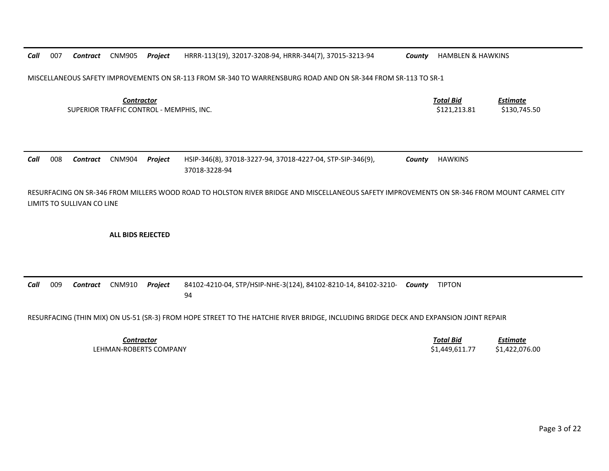*Call* 007 *Contract* CNM905 *Project* HRRR‐113(19), 32017‐3208‐94, HRRR‐344(7), 37015‐3213‐94 *County* HAMBLEN & HAWKINS MISCELLANEOUS SAFETY IMPROVEMENTS ON SR‐113 FROM SR‐340 TO WARRENSBURG ROAD AND ON SR‐344 FROM SR‐113 TO SR‐1 *Contractor Total Bid Estimate* SUPERIOR TRAFFIC CONTROL ‐ MEMPHIS, INC. \$121,213.81 \$130,745.50 *Call* 008 *Contract* CNM904 *Project* HSIP‐346(8), 37018‐3227‐94, 37018‐4227‐04, STP‐SIP‐346(9), 37018‐3228‐94*County* HAWKINS RESURFACING ON SR‐346 FROM MILLERS WOOD ROAD TO HOLSTON RIVER BRIDGE AND MISCELLANEOUS SAFETY IMPROVEMENTS ON SR‐346 FROM MOUNT CARMEL CITY LIMITS TO SULLIVAN CO LINE

**ALL BIDS REJECTED**

*Call* 009 *Contract* CNM910 *Project* 84102‐4210‐04, STP/HSIP‐NHE‐3(124), 84102‐8210‐14, 84102‐3210‐ *County* TIPTON 94

RESURFACING (THIN MIX) ON US‐51 (SR‐3) FROM HOPE STREET TO THE HATCHIE RIVER BRIDGE, INCLUDING BRIDGE DECK AND EXPANSION JOINT REPAIR

*Contractor Total Bid Estimate* LEHMAN‐ROBERTS COMPANY\$1,449,611.77 \$1,422,076.00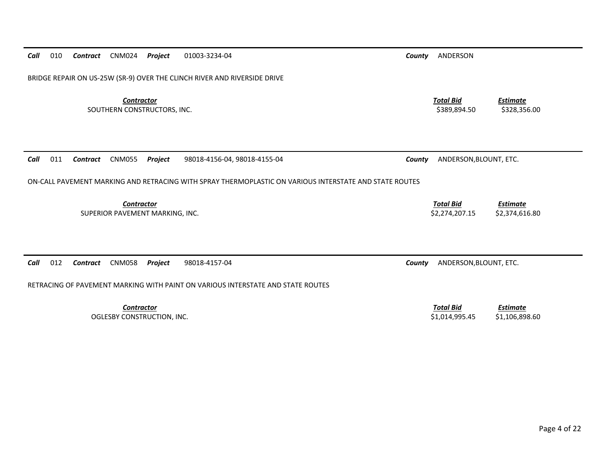| Call<br>010<br><b>CNM024</b><br>Project<br>Contract                      | 01003-3234-04                                                                                          | County | ANDERSON                           |                                   |
|--------------------------------------------------------------------------|--------------------------------------------------------------------------------------------------------|--------|------------------------------------|-----------------------------------|
| BRIDGE REPAIR ON US-25W (SR-9) OVER THE CLINCH RIVER AND RIVERSIDE DRIVE |                                                                                                        |        |                                    |                                   |
| <b>Contractor</b><br>SOUTHERN CONSTRUCTORS, INC.                         |                                                                                                        |        | <b>Total Bid</b><br>\$389,894.50   | <b>Estimate</b><br>\$328,356.00   |
| <b>CNM055</b><br>011<br>Project<br>Call<br>Contract                      | 98018-4156-04, 98018-4155-04                                                                           | County | ANDERSON, BLOUNT, ETC.             |                                   |
|                                                                          | ON-CALL PAVEMENT MARKING AND RETRACING WITH SPRAY THERMOPLASTIC ON VARIOUS INTERSTATE AND STATE ROUTES |        |                                    |                                   |
| Contractor<br>SUPERIOR PAVEMENT MARKING, INC.                            |                                                                                                        |        | <b>Total Bid</b><br>\$2,274,207.15 | <b>Estimate</b><br>\$2,374,616.80 |
| 012<br>Call<br><b>CNM058</b><br>Contract<br>Project                      | 98018-4157-04<br>RETRACING OF PAVEMENT MARKING WITH PAINT ON VARIOUS INTERSTATE AND STATE ROUTES       | County | ANDERSON, BLOUNT, ETC.             |                                   |
|                                                                          |                                                                                                        |        |                                    |                                   |
| <b>Contractor</b><br>OGLESBY CONSTRUCTION, INC.                          |                                                                                                        |        | <b>Total Bid</b><br>\$1,014,995.45 | <b>Estimate</b><br>\$1,106,898.60 |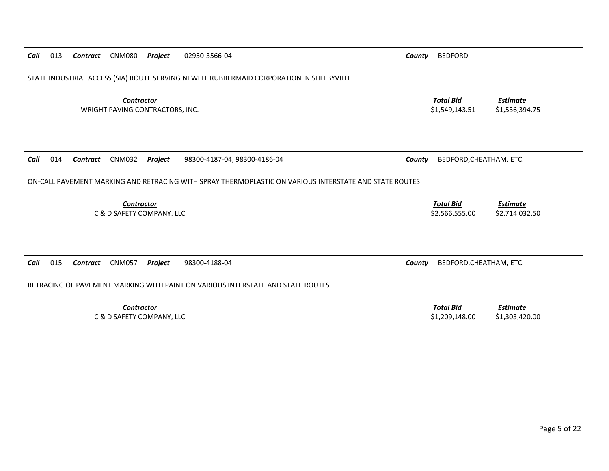| Call | 013 | Contract        | <b>CNM080</b>                                        | Project | 02950-3566-04                                                                                          | County | <b>BEDFORD</b>                     |                                   |
|------|-----|-----------------|------------------------------------------------------|---------|--------------------------------------------------------------------------------------------------------|--------|------------------------------------|-----------------------------------|
|      |     |                 |                                                      |         | STATE INDUSTRIAL ACCESS (SIA) ROUTE SERVING NEWELL RUBBERMAID CORPORATION IN SHELBYVILLE               |        |                                    |                                   |
|      |     |                 | <b>Contractor</b><br>WRIGHT PAVING CONTRACTORS, INC. |         |                                                                                                        |        | <b>Total Bid</b><br>\$1,549,143.51 | <b>Estimate</b><br>\$1,536,394.75 |
| Call | 014 | <b>Contract</b> | <b>CNM032</b>                                        | Project | 98300-4187-04, 98300-4186-04                                                                           | County | BEDFORD, CHEATHAM, ETC.            |                                   |
|      |     |                 |                                                      |         | ON-CALL PAVEMENT MARKING AND RETRACING WITH SPRAY THERMOPLASTIC ON VARIOUS INTERSTATE AND STATE ROUTES |        |                                    |                                   |
|      |     |                 | <b>Contractor</b><br>C & D SAFETY COMPANY, LLC       |         |                                                                                                        |        | <b>Total Bid</b><br>\$2,566,555.00 | <b>Estimate</b><br>\$2,714,032.50 |
| Call | 015 | Contract        | <b>CNM057</b>                                        | Project | 98300-4188-04                                                                                          | County | BEDFORD, CHEATHAM, ETC.            |                                   |
|      |     |                 |                                                      |         | RETRACING OF PAVEMENT MARKING WITH PAINT ON VARIOUS INTERSTATE AND STATE ROUTES                        |        |                                    |                                   |
|      |     |                 | <b>Contractor</b><br>C & D SAFETY COMPANY, LLC       |         |                                                                                                        |        | <b>Total Bid</b><br>\$1,209,148.00 | <b>Estimate</b><br>\$1,303,420.00 |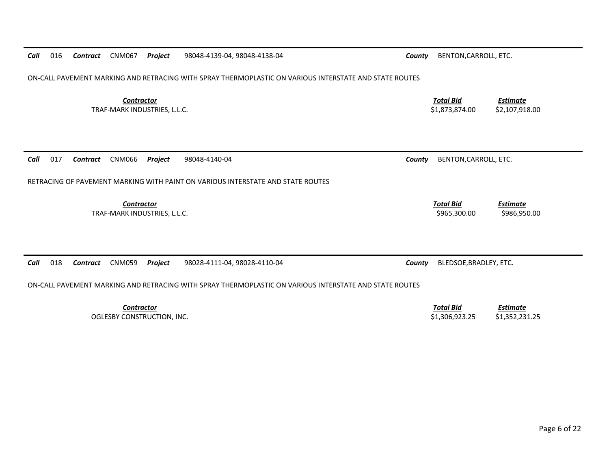| Call | 016 | Contract | <b>CNM067</b>                                     | Project | 98048-4139-04, 98048-4138-04                                                                           | County | BENTON, CARROLL, ETC.              |                                   |
|------|-----|----------|---------------------------------------------------|---------|--------------------------------------------------------------------------------------------------------|--------|------------------------------------|-----------------------------------|
|      |     |          |                                                   |         | ON-CALL PAVEMENT MARKING AND RETRACING WITH SPRAY THERMOPLASTIC ON VARIOUS INTERSTATE AND STATE ROUTES |        |                                    |                                   |
|      |     |          | <b>Contractor</b><br>TRAF-MARK INDUSTRIES, L.L.C. |         |                                                                                                        |        | <b>Total Bid</b><br>\$1,873,874.00 | <b>Estimate</b><br>\$2,107,918.00 |
| Call | 017 | Contract | <b>CNM066</b>                                     | Project | 98048-4140-04                                                                                          | County | BENTON, CARROLL, ETC.              |                                   |
|      |     |          |                                                   |         | RETRACING OF PAVEMENT MARKING WITH PAINT ON VARIOUS INTERSTATE AND STATE ROUTES                        |        |                                    |                                   |
|      |     |          | <b>Contractor</b><br>TRAF-MARK INDUSTRIES, L.L.C. |         |                                                                                                        |        | <b>Total Bid</b><br>\$965,300.00   | <b>Estimate</b><br>\$986,950.00   |
|      |     |          |                                                   |         |                                                                                                        |        |                                    |                                   |
| Call | 018 | Contract | <b>CNM059</b>                                     | Project | 98028-4111-04, 98028-4110-04                                                                           | County | BLEDSOE, BRADLEY, ETC.             |                                   |
|      |     |          |                                                   |         | ON-CALL PAVEMENT MARKING AND RETRACING WITH SPRAY THERMOPLASTIC ON VARIOUS INTERSTATE AND STATE ROUTES |        |                                    |                                   |
|      |     |          | <b>Contractor</b>                                 |         |                                                                                                        |        | <b>Total Bid</b>                   | <b>Estimate</b>                   |

*Contractor*OGLESBY CONSTRUCTION, INC. \$1,306,923.25 \$1,352,231.25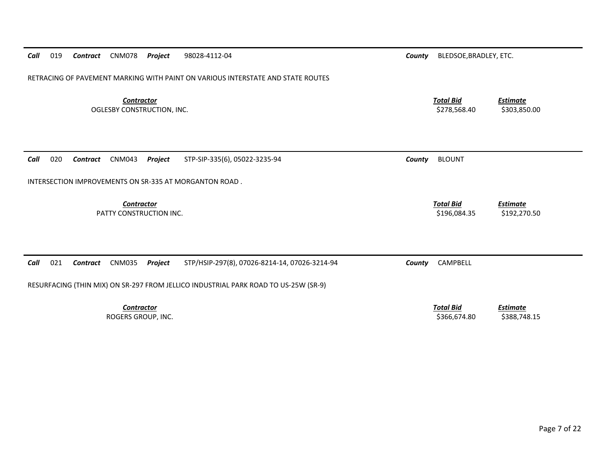| Call<br>019 | <b>Contract</b> CNM078 |                   | Project                    | 98028-4112-04                                                                       | County | BLEDSOE, BRADLEY, ETC.           |                                 |
|-------------|------------------------|-------------------|----------------------------|-------------------------------------------------------------------------------------|--------|----------------------------------|---------------------------------|
|             |                        |                   |                            | RETRACING OF PAVEMENT MARKING WITH PAINT ON VARIOUS INTERSTATE AND STATE ROUTES     |        |                                  |                                 |
|             |                        | <b>Contractor</b> | OGLESBY CONSTRUCTION, INC. |                                                                                     |        | <b>Total Bid</b><br>\$278,568.40 | <b>Estimate</b><br>\$303,850.00 |
| 020<br>Call | Contract               | CNM043            |                            | STP-SIP-335(6), 05022-3235-94                                                       |        | <b>BLOUNT</b>                    |                                 |
|             |                        |                   | Project                    |                                                                                     | County |                                  |                                 |
|             |                        |                   |                            | INTERSECTION IMPROVEMENTS ON SR-335 AT MORGANTON ROAD.                              |        |                                  |                                 |
|             |                        |                   |                            |                                                                                     |        |                                  |                                 |
|             |                        |                   |                            |                                                                                     |        |                                  |                                 |
|             |                        | <b>Contractor</b> | PATTY CONSTRUCTION INC.    |                                                                                     |        | <b>Total Bid</b><br>\$196,084.35 | <b>Estimate</b><br>\$192,270.50 |
|             |                        |                   |                            |                                                                                     |        |                                  |                                 |
|             |                        |                   |                            |                                                                                     |        |                                  |                                 |
| 021<br>Call | Contract               | <b>CNM035</b>     | Project                    | STP/HSIP-297(8), 07026-8214-14, 07026-3214-94                                       | County | CAMPBELL                         |                                 |
|             |                        |                   |                            | RESURFACING (THIN MIX) ON SR-297 FROM JELLICO INDUSTRIAL PARK ROAD TO US-25W (SR-9) |        |                                  |                                 |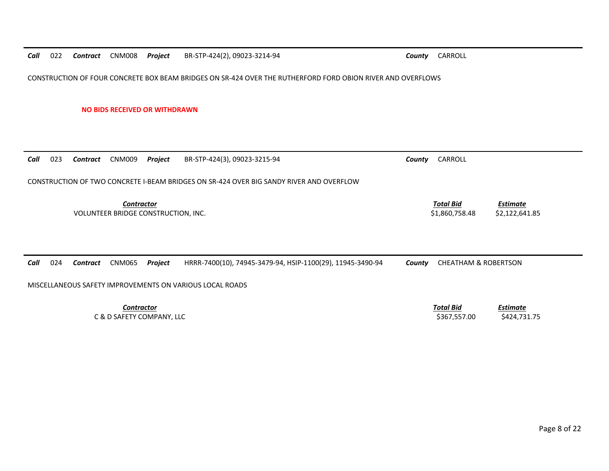*Call*022 *Contract* CNM008 *Project* BR‐STP‐424(2), 09023‐3214‐94 *County* CARROLL

CONSTRUCTION OF FOUR CONCRETE BOX BEAM BRIDGES ON SR‐424 OVER THE RUTHERFORD FORD OBION RIVER AND OVERFLOWS

**NO BIDS RECEIVED OR WITHDRAWN**

| 023<br>Call<br>Contract                                  | CNM009<br>Project                                        | BR-STP-424(3), 09023-3215-94                                                            | County | CARROLL                            |                                 |
|----------------------------------------------------------|----------------------------------------------------------|-----------------------------------------------------------------------------------------|--------|------------------------------------|---------------------------------|
|                                                          |                                                          | CONSTRUCTION OF TWO CONCRETE I-BEAM BRIDGES ON SR-424 OVER BIG SANDY RIVER AND OVERFLOW |        |                                    |                                 |
|                                                          | <b>Contractor</b><br>VOLUNTEER BRIDGE CONSTRUCTION, INC. |                                                                                         |        | <b>Total Bid</b><br>\$1,860,758.48 | Estimate<br>\$2,122,641.85      |
| Call<br>024<br>Contract                                  | <b>CNM065</b><br>Project                                 | HRRR-7400(10), 74945-3479-94, HSIP-1100(29), 11945-3490-94                              | County | <b>CHEATHAM &amp; ROBERTSON</b>    |                                 |
| MISCELLANEOUS SAFETY IMPROVEMENTS ON VARIOUS LOCAL ROADS |                                                          |                                                                                         |        |                                    |                                 |
|                                                          | <b>Contractor</b><br>C & D SAFETY COMPANY, LLC           |                                                                                         |        | <b>Total Bid</b><br>\$367,557.00   | <b>Estimate</b><br>\$424,731.75 |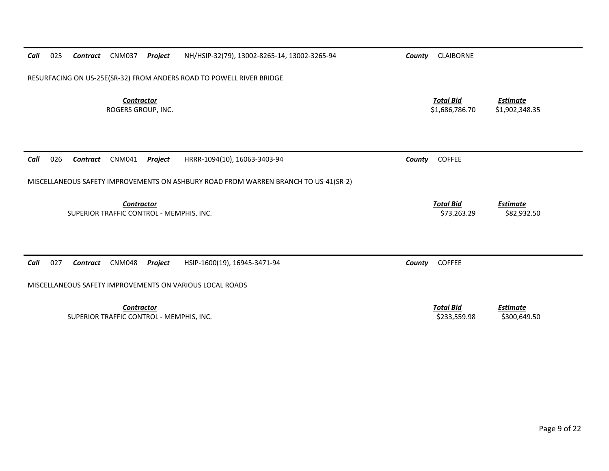| Call | 025 | Contract        | <b>CNM037</b>                                                 | Project | NH/HSIP-32(79), 13002-8265-14, 13002-3265-94                                        | County | <b>CLAIBORNE</b>                   |                                   |
|------|-----|-----------------|---------------------------------------------------------------|---------|-------------------------------------------------------------------------------------|--------|------------------------------------|-----------------------------------|
|      |     |                 |                                                               |         | RESURFACING ON US-25E(SR-32) FROM ANDERS ROAD TO POWELL RIVER BRIDGE                |        |                                    |                                   |
|      |     |                 | <b>Contractor</b><br>ROGERS GROUP, INC.                       |         |                                                                                     |        | <b>Total Bid</b><br>\$1,686,786.70 | <b>Estimate</b><br>\$1,902,348.35 |
| Call | 026 | <b>Contract</b> | CNM041                                                        | Project | HRRR-1094(10), 16063-3403-94                                                        | County | <b>COFFEE</b>                      |                                   |
|      |     |                 |                                                               |         | MISCELLANEOUS SAFETY IMPROVEMENTS ON ASHBURY ROAD FROM WARREN BRANCH TO US-41(SR-2) |        |                                    |                                   |
|      |     |                 | <b>Contractor</b><br>SUPERIOR TRAFFIC CONTROL - MEMPHIS, INC. |         |                                                                                     |        | <b>Total Bid</b><br>\$73,263.29    | <b>Estimate</b><br>\$82,932.50    |
|      |     |                 |                                                               |         |                                                                                     |        |                                    |                                   |
| Call | 027 | <b>Contract</b> | <b>CNM048</b>                                                 | Project | HSIP-1600(19), 16945-3471-94                                                        | County | <b>COFFEE</b>                      |                                   |
|      |     |                 |                                                               |         | MISCELLANEOUS SAFETY IMPROVEMENTS ON VARIOUS LOCAL ROADS                            |        |                                    |                                   |
|      |     |                 | <b>Contractor</b><br>SUPERIOR TRAFFIC CONTROL - MEMPHIS, INC. |         |                                                                                     |        | <b>Total Bid</b><br>\$233,559.98   | <b>Estimate</b><br>\$300,649.50   |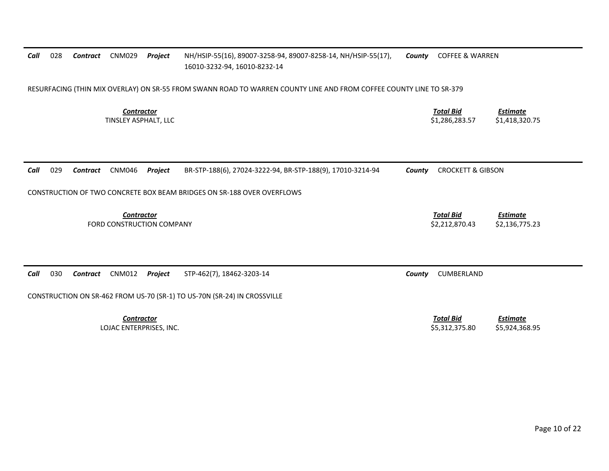| Call | 028 | Contract        | <b>CNM029</b>                                  | Project | NH/HSIP-55(16), 89007-3258-94, 89007-8258-14, NH/HSIP-55(17),<br>16010-3232-94, 16010-8232-14                       | County | <b>COFFEE &amp; WARREN</b>         |                                   |
|------|-----|-----------------|------------------------------------------------|---------|---------------------------------------------------------------------------------------------------------------------|--------|------------------------------------|-----------------------------------|
|      |     |                 |                                                |         | RESURFACING (THIN MIX OVERLAY) ON SR-55 FROM SWANN ROAD TO WARREN COUNTY LINE AND FROM COFFEE COUNTY LINE TO SR-379 |        |                                    |                                   |
|      |     |                 | <b>Contractor</b><br>TINSLEY ASPHALT, LLC      |         |                                                                                                                     |        | <b>Total Bid</b><br>\$1,286,283.57 | <b>Estimate</b><br>\$1,418,320.75 |
|      |     |                 |                                                |         |                                                                                                                     |        |                                    |                                   |
| Call | 029 | <b>Contract</b> | CNM046                                         | Project | BR-STP-188(6), 27024-3222-94, BR-STP-188(9), 17010-3214-94                                                          | County | <b>CROCKETT &amp; GIBSON</b>       |                                   |
|      |     |                 |                                                |         | CONSTRUCTION OF TWO CONCRETE BOX BEAM BRIDGES ON SR-188 OVER OVERFLOWS                                              |        |                                    |                                   |
|      |     |                 | <b>Contractor</b><br>FORD CONSTRUCTION COMPANY |         |                                                                                                                     |        | <b>Total Bid</b><br>\$2,212,870.43 | <b>Estimate</b><br>\$2,136,775.23 |
| Call | 030 | <b>Contract</b> | <b>CNM012</b>                                  | Project | STP-462(7), 18462-3203-14                                                                                           | County | CUMBERLAND                         |                                   |
|      |     |                 |                                                |         | CONSTRUCTION ON SR-462 FROM US-70 (SR-1) TO US-70N (SR-24) IN CROSSVILLE                                            |        |                                    |                                   |
|      |     |                 | <b>Contractor</b><br>LOJAC ENTERPRISES, INC.   |         |                                                                                                                     |        | <b>Total Bid</b><br>\$5,312,375.80 | <b>Estimate</b><br>\$5,924,368.95 |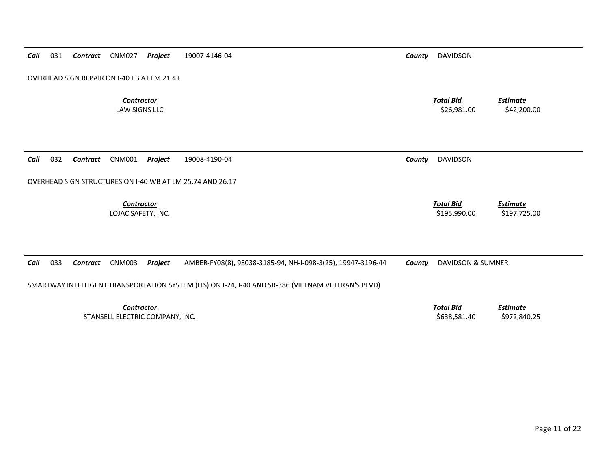| Call | 031 | Contract        | <b>CNM027</b>                      | Project                                     | 19007-4146-04                                                                                      | County | <b>DAVIDSON</b>                  |                                 |
|------|-----|-----------------|------------------------------------|---------------------------------------------|----------------------------------------------------------------------------------------------------|--------|----------------------------------|---------------------------------|
|      |     |                 |                                    | OVERHEAD SIGN REPAIR ON I-40 EB AT LM 21.41 |                                                                                                    |        |                                  |                                 |
|      |     |                 | <b>Contractor</b><br>LAW SIGNS LLC |                                             |                                                                                                    |        | <b>Total Bid</b><br>\$26,981.00  | Estimate<br>\$42,200.00         |
| Call | 032 | <b>Contract</b> | CNM001                             | Project                                     | 19008-4190-04                                                                                      | County | <b>DAVIDSON</b>                  |                                 |
|      |     |                 |                                    |                                             | OVERHEAD SIGN STRUCTURES ON I-40 WB AT LM 25.74 AND 26.17                                          |        |                                  |                                 |
|      |     |                 | Contractor<br>LOJAC SAFETY, INC.   |                                             |                                                                                                    |        | <b>Total Bid</b><br>\$195,990.00 | <b>Estimate</b><br>\$197,725.00 |
|      |     |                 |                                    |                                             |                                                                                                    |        |                                  |                                 |
| Call | 033 | Contract        | <b>CNM003</b>                      | Project                                     | AMBER-FY08(8), 98038-3185-94, NH-I-098-3(25), 19947-3196-44                                        | County | <b>DAVIDSON &amp; SUMNER</b>     |                                 |
|      |     |                 |                                    |                                             | SMARTWAY INTELLIGENT TRANSPORTATION SYSTEM (ITS) ON I-24, I-40 AND SR-386 (VIETNAM VETERAN'S BLVD) |        |                                  |                                 |
|      |     |                 | <b>Contractor</b>                  | STANSELL ELECTRIC COMPANY, INC.             |                                                                                                    |        | <b>Total Bid</b><br>\$638,581.40 | <b>Estimate</b><br>\$972,840.25 |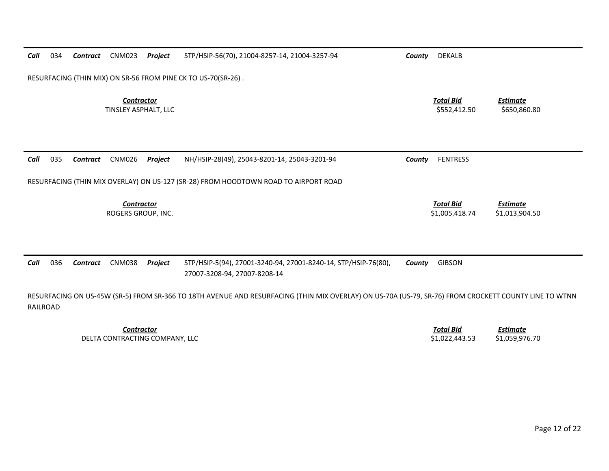| Call     | 034 | <b>Contract</b> | <b>CNM023</b>                             | Project | STP/HSIP-56(70), 21004-8257-14, 21004-3257-94                                                                                                         | County | DEKALB                             |                                   |
|----------|-----|-----------------|-------------------------------------------|---------|-------------------------------------------------------------------------------------------------------------------------------------------------------|--------|------------------------------------|-----------------------------------|
|          |     |                 |                                           |         | RESURFACING (THIN MIX) ON SR-56 FROM PINE CK TO US-70(SR-26).                                                                                         |        |                                    |                                   |
|          |     |                 | <b>Contractor</b><br>TINSLEY ASPHALT, LLC |         |                                                                                                                                                       |        | <b>Total Bid</b><br>\$552,412.50   | Estimate<br>\$650,860.80          |
| Call     | 035 | <b>Contract</b> | <b>CNM026</b>                             | Project | NH/HSIP-28(49), 25043-8201-14, 25043-3201-94                                                                                                          | County | <b>FENTRESS</b>                    |                                   |
|          |     |                 |                                           |         | RESURFACING (THIN MIX OVERLAY) ON US-127 (SR-28) FROM HOODTOWN ROAD TO AIRPORT ROAD                                                                   |        |                                    |                                   |
|          |     |                 | Contractor<br>ROGERS GROUP, INC.          |         |                                                                                                                                                       |        | <b>Total Bid</b><br>\$1,005,418.74 | <b>Estimate</b><br>\$1,013,904.50 |
| Call     | 036 | <b>Contract</b> | <b>CNM038</b>                             | Project | STP/HSIP-5(94), 27001-3240-94, 27001-8240-14, STP/HSIP-76(80),<br>27007-3208-94, 27007-8208-14                                                        | County | <b>GIBSON</b>                      |                                   |
| RAILROAD |     |                 |                                           |         | RESURFACING ON US-45W (SR-5) FROM SR-366 TO 18TH AVENUE AND RESURFACING (THIN MIX OVERLAY) ON US-70A (US-79, SR-76) FROM CROCKETT COUNTY LINE TO WTNN |        |                                    |                                   |

*Contractor Total Bid*DELTA CONTRACTING COMPANY, LLC \$1,022,443.53 \$1,059,976.70

*<u>Total Bid</u> <u>Estimate</u><br>\$1,022,443.53 \$1,059,976.70*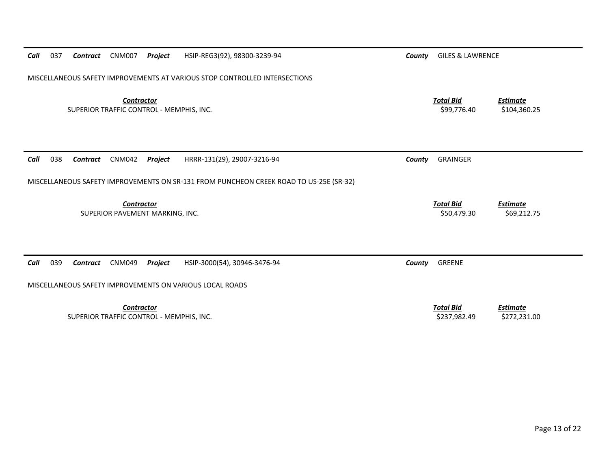| 037<br>Call | Contract        | <b>CNM007</b>                                                 | Project | HSIP-REG3(92), 98300-3239-94                                                           | County | <b>GILES &amp; LAWRENCE</b>      |                                 |
|-------------|-----------------|---------------------------------------------------------------|---------|----------------------------------------------------------------------------------------|--------|----------------------------------|---------------------------------|
|             |                 |                                                               |         | MISCELLANEOUS SAFETY IMPROVEMENTS AT VARIOUS STOP CONTROLLED INTERSECTIONS             |        |                                  |                                 |
|             |                 | <b>Contractor</b><br>SUPERIOR TRAFFIC CONTROL - MEMPHIS, INC. |         |                                                                                        |        | <b>Total Bid</b><br>\$99,776.40  | <b>Estimate</b><br>\$104,360.25 |
| Call<br>038 | <b>Contract</b> | <b>CNM042</b>                                                 | Project | HRRR-131(29), 29007-3216-94                                                            | County | <b>GRAINGER</b>                  |                                 |
|             |                 |                                                               |         | MISCELLANEOUS SAFETY IMPROVEMENTS ON SR-131 FROM PUNCHEON CREEK ROAD TO US-25E (SR-32) |        |                                  |                                 |
|             |                 | <b>Contractor</b><br>SUPERIOR PAVEMENT MARKING, INC.          |         |                                                                                        |        | <b>Total Bid</b><br>\$50,479.30  | <b>Estimate</b><br>\$69,212.75  |
|             |                 |                                                               |         |                                                                                        |        |                                  |                                 |
| Call<br>039 | <b>Contract</b> | <b>CNM049</b>                                                 | Project | HSIP-3000(54), 30946-3476-94                                                           | County | <b>GREENE</b>                    |                                 |
|             |                 |                                                               |         | MISCELLANEOUS SAFETY IMPROVEMENTS ON VARIOUS LOCAL ROADS                               |        |                                  |                                 |
|             |                 | <b>Contractor</b><br>SUPERIOR TRAFFIC CONTROL - MEMPHIS, INC. |         |                                                                                        |        | <b>Total Bid</b><br>\$237,982.49 | <b>Estimate</b><br>\$272,231.00 |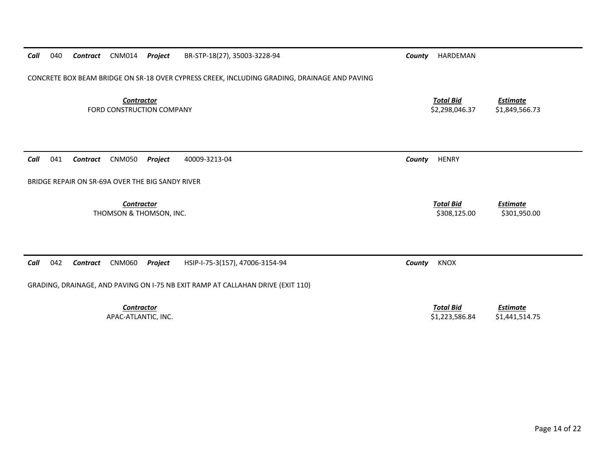| Call<br>040 | Contract | CNM014<br>Project                                | BR-STP-18(27), 35003-3228-94                                                                 | County | HARDEMAN                           |                                   |
|-------------|----------|--------------------------------------------------|----------------------------------------------------------------------------------------------|--------|------------------------------------|-----------------------------------|
|             |          |                                                  | CONCRETE BOX BEAM BRIDGE ON SR-18 OVER CYPRESS CREEK, INCLUDING GRADING, DRAINAGE AND PAVING |        |                                    |                                   |
|             |          | <b>Contractor</b><br>FORD CONSTRUCTION COMPANY   |                                                                                              |        | <b>Total Bid</b><br>\$2,298,046.37 | <b>Estimate</b><br>\$1,849,566.73 |
| Call<br>041 | Contract | <b>CNM050</b><br>Project                         | 40009-3213-04                                                                                | County | <b>HENRY</b>                       |                                   |
|             |          | BRIDGE REPAIR ON SR-69A OVER THE BIG SANDY RIVER |                                                                                              |        |                                    |                                   |
|             |          | <b>Contractor</b><br>THOMSON & THOMSON, INC.     |                                                                                              |        | <b>Total Bid</b><br>\$308,125.00   | <b>Estimate</b><br>\$301,950.00   |
| 042<br>Call | Contract | <b>CNM060</b><br>Project                         | HSIP-I-75-3(157), 47006-3154-94                                                              | County | <b>KNOX</b>                        |                                   |
|             |          |                                                  | GRADING, DRAINAGE, AND PAVING ON I-75 NB EXIT RAMP AT CALLAHAN DRIVE (EXIT 110)              |        |                                    |                                   |
|             |          | <b>Contractor</b><br>APAC-ATLANTIC, INC.         |                                                                                              |        | <b>Total Bid</b><br>\$1,223,586.84 | <b>Estimate</b><br>\$1,441,514.75 |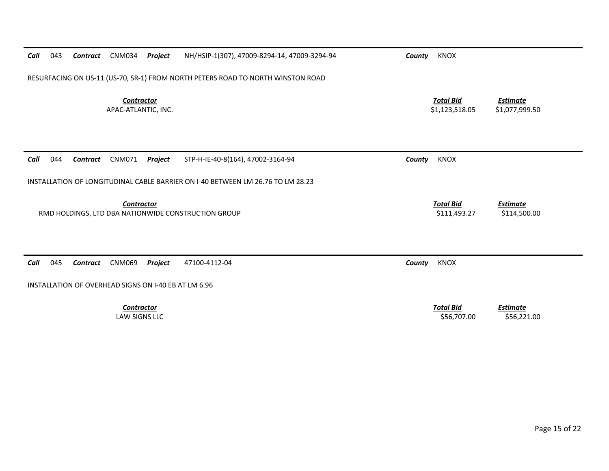| Call | 043 | Contract                                             | <b>CNM034</b>                            | Project | NH/HSIP-1(307), 47009-8294-14, 47009-3294-94                                    | County | KNOX                               |                                   |
|------|-----|------------------------------------------------------|------------------------------------------|---------|---------------------------------------------------------------------------------|--------|------------------------------------|-----------------------------------|
|      |     |                                                      |                                          |         | RESURFACING ON US-11 (US-70, SR-1) FROM NORTH PETERS ROAD TO NORTH WINSTON ROAD |        |                                    |                                   |
|      |     |                                                      | <b>Contractor</b><br>APAC-ATLANTIC, INC. |         |                                                                                 |        | <b>Total Bid</b><br>\$1,123,518.05 | <b>Estimate</b><br>\$1,077,999.50 |
| Call | 044 | Contract                                             | <b>CNM071</b>                            | Project | STP-H-IE-40-8(164), 47002-3164-94                                               | County | <b>KNOX</b>                        |                                   |
|      |     |                                                      |                                          |         | INSTALLATION OF LONGITUDINAL CABLE BARRIER ON I-40 BETWEEN LM 26.76 TO LM 28.23 |        |                                    |                                   |
|      |     |                                                      | Contractor                               |         | RMD HOLDINGS, LTD DBA NATIONWIDE CONSTRUCTION GROUP                             |        | <b>Total Bid</b><br>\$111,493.27   | <b>Estimate</b><br>\$114,500.00   |
| Call | 045 | Contract                                             | <b>CNM069</b>                            | Project | 47100-4112-04                                                                   | County | <b>KNOX</b>                        |                                   |
|      |     | INSTALLATION OF OVERHEAD SIGNS ON I-40 EB AT LM 6.96 |                                          |         |                                                                                 |        |                                    |                                   |
|      |     |                                                      | <b>Contractor</b><br>LAW SIGNS LLC       |         |                                                                                 |        | <b>Total Bid</b><br>\$56,707.00    | <b>Estimate</b><br>\$56,221.00    |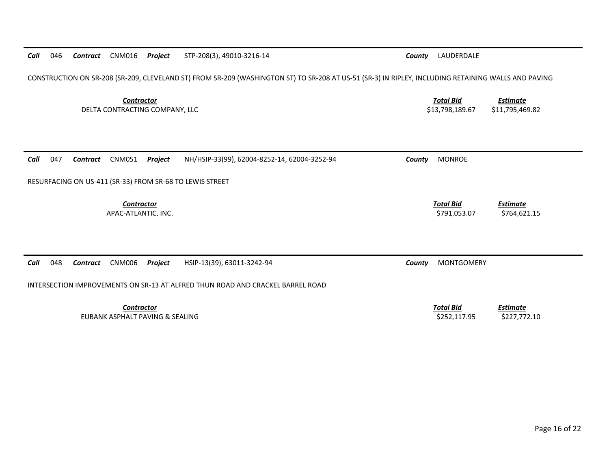| Call | 046 | Contract | <b>CNM016</b>                     | Project                         | STP-208(3), 49010-3216-14                                                                                                                           | County | LAUDERDALE                          |                                    |
|------|-----|----------|-----------------------------------|---------------------------------|-----------------------------------------------------------------------------------------------------------------------------------------------------|--------|-------------------------------------|------------------------------------|
|      |     |          |                                   |                                 | CONSTRUCTION ON SR-208 (SR-209, CLEVELAND ST) FROM SR-209 (WASHINGTON ST) TO SR-208 AT US-51 (SR-3) IN RIPLEY, INCLUDING RETAINING WALLS AND PAVING |        |                                     |                                    |
|      |     |          | <b>Contractor</b>                 | DELTA CONTRACTING COMPANY, LLC  |                                                                                                                                                     |        | <b>Total Bid</b><br>\$13.798.189.67 | <b>Estimate</b><br>\$11,795,469.82 |
| Call | 047 | Contract | CNM051                            | Project                         | NH/HSIP-33(99), 62004-8252-14, 62004-3252-94                                                                                                        | County | <b>MONROE</b>                       |                                    |
|      |     |          |                                   |                                 | RESURFACING ON US-411 (SR-33) FROM SR-68 TO LEWIS STREET                                                                                            |        |                                     |                                    |
|      |     |          | Contractor<br>APAC-ATLANTIC, INC. |                                 |                                                                                                                                                     |        | <b>Total Bid</b><br>\$791,053.07    | Estimate<br>\$764,621.15           |
| Call | 048 | Contract | <b>CNM006</b>                     | Project                         | HSIP-13(39), 63011-3242-94                                                                                                                          | County | <b>MONTGOMERY</b>                   |                                    |
|      |     |          |                                   |                                 | INTERSECTION IMPROVEMENTS ON SR-13 AT ALFRED THUN ROAD AND CRACKEL BARREL ROAD                                                                      |        |                                     |                                    |
|      |     |          | <b>Contractor</b>                 | EUBANK ASPHALT PAVING & SEALING |                                                                                                                                                     |        | <b>Total Bid</b><br>\$252,117.95    | <b>Estimate</b><br>\$227,772.10    |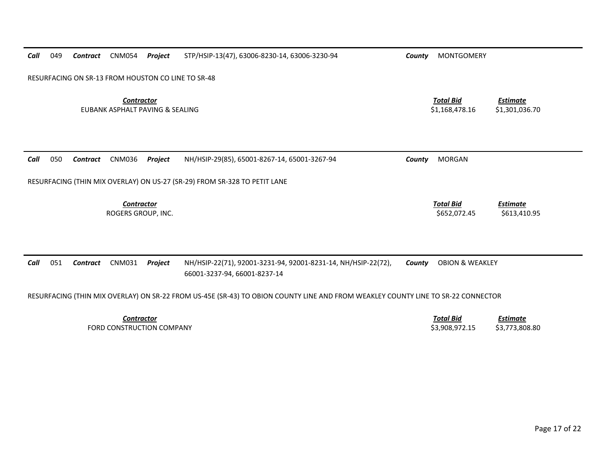| Call | 049 | Contract | <b>CNM054</b>                                        | Project | STP/HSIP-13(47), 63006-8230-14, 63006-3230-94                                                                                    | County | <b>MONTGOMERY</b>                  |                                   |
|------|-----|----------|------------------------------------------------------|---------|----------------------------------------------------------------------------------------------------------------------------------|--------|------------------------------------|-----------------------------------|
|      |     |          |                                                      |         | RESURFACING ON SR-13 FROM HOUSTON CO LINE TO SR-48                                                                               |        |                                    |                                   |
|      |     |          | <b>Contractor</b><br>EUBANK ASPHALT PAVING & SEALING |         |                                                                                                                                  |        | <b>Total Bid</b><br>\$1,168,478.16 | <b>Estimate</b><br>\$1,301,036.70 |
| Call | 050 | Contract | <b>CNM036</b>                                        | Project | NH/HSIP-29(85), 65001-8267-14, 65001-3267-94<br>RESURFACING (THIN MIX OVERLAY) ON US-27 (SR-29) FROM SR-328 TO PETIT LANE        | County | <b>MORGAN</b>                      |                                   |
|      |     |          |                                                      |         |                                                                                                                                  |        |                                    |                                   |
|      |     |          | <b>Contractor</b><br>ROGERS GROUP, INC.              |         |                                                                                                                                  |        | <b>Total Bid</b><br>\$652,072.45   | <b>Estimate</b><br>\$613,410.95   |
| Call | 051 | Contract | <b>CNM031</b>                                        | Project | NH/HSIP-22(71), 92001-3231-94, 92001-8231-14, NH/HSIP-22(72),<br>66001-3237-94, 66001-8237-14                                    | County | <b>OBION &amp; WEAKLEY</b>         |                                   |
|      |     |          |                                                      |         | RESURFACING (THIN MIX OVERLAY) ON SR-22 FROM US-45E (SR-43) TO OBION COUNTY LINE AND FROM WEAKLEY COUNTY LINE TO SR-22 CONNECTOR |        |                                    |                                   |
|      |     |          | <b>Contractor</b>                                    |         |                                                                                                                                  |        | <b>Total Bid</b>                   | <b>Estimate</b>                   |
|      |     |          | FORD CONSTRUCTION COMPANY                            |         |                                                                                                                                  |        | \$3,908,972.15                     | \$3,773,808.80                    |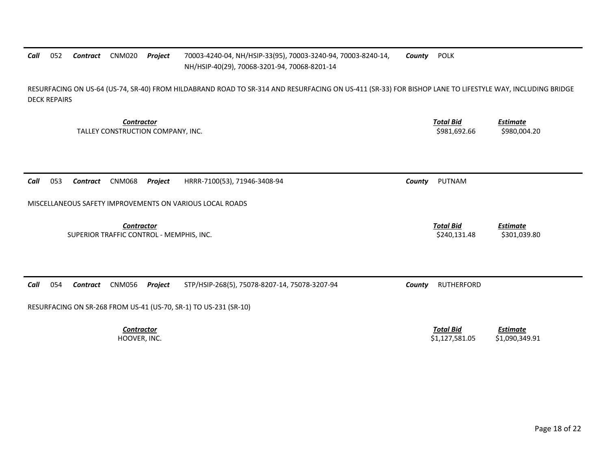#### *Call*052 **Contract** CNM020 *Contract* CNM020 *Project* 70003‐4240‐04, NH/HSIP‐33(95), 70003‐3240‐94, 70003‐8240‐14, NH/HSIP‐40(29), 70068‐3201‐94, 70068‐8201‐14 *County* POLK

RESURFACING ON US‐64 (US‐74, SR‐40) FROM HILDABRAND ROAD TO SR‐314 AND RESURFACING ON US‐411 (SR‐33) FOR BISHOP LANE TO LIFESTYLE WAY, INCLUDING BRIDGE DECK REPAIRS

*Contractor Total Bid*TALLEY CONSTRUCTION COMPANY, INC. \$981,692.66 \$980,004.20

*Call* 053*Contract* CNM068 *Project* HRRR‐7100(53), 71946‐3408‐94 *County* PUTNAM

MISCELLANEOUS SAFETY IMPROVEMENTS ON VARIOUS LOCAL ROADS

*Contractor Total Bid*SUPERIOR TRAFFIC CONTROL ‐ MEMPHIS, INC. \$240,131.48 \$301,039.80

*Call* 054*Contract* CNM056 *Project* STP/HSIP‐268(5), 75078‐8207‐14, 75078‐3207‐94 *County* RUTHERFORD

RESURFACING ON SR‐268 FROM US‐41 (US‐70, SR‐1) TO US‐231 (SR‐10)

*Contractor*

 *Total Bid Estimate* HOOVER, INC. \$1,127,581.05 \$1,090,349.91

*Estimate*

*Estimate*

Page 18 of 22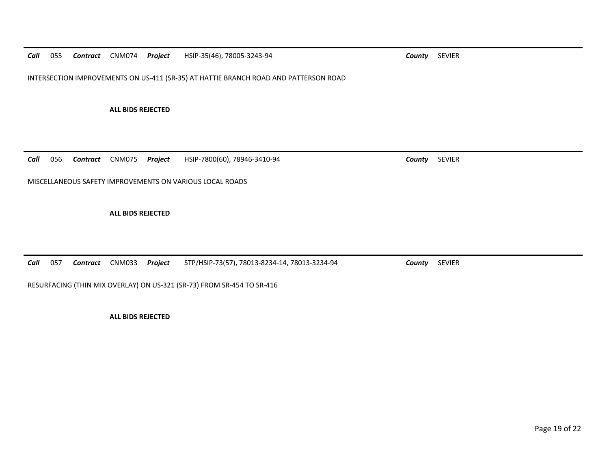*Call*055 *Contract* CNM074 *Project* HSIP‐35(46), 78005‐3243‐94 *County* SEVIER

INTERSECTION IMPROVEMENTS ON US‐411 (SR‐35) AT HATTIE BRANCH ROAD AND PATTERSON ROAD

**ALL BIDS REJECTED**

*Call* 056*Contract* CNM075 *Project* HSIP‐7800(60), 78946‐3410‐94 *County* SEVIER

MISCELLANEOUS SAFETY IMPROVEMENTS ON VARIOUS LOCAL ROADS

**ALL BIDS REJECTED**

*Call* 057*Contract* CNM033 *Project* STP/HSIP‐73(57), 78013‐8234‐14, 78013‐3234‐94 *County* SEVIER

RESURFACING (THIN MIX OVERLAY) ON US‐321 (SR‐73) FROM SR‐454 TO SR‐416

**ALL BIDS REJECTED**

Page 19 of 22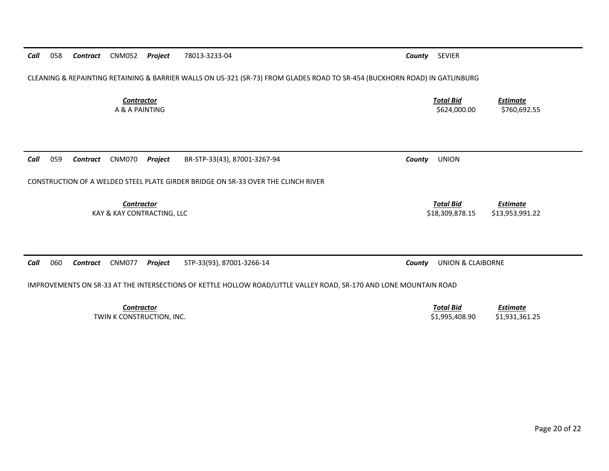| CLEANING & REPAINTING RETAINING & BARRIER WALLS ON US-321 (SR-73) FROM GLADES ROAD TO SR-454 (BUCKHORN ROAD) IN GATLINBURG |                                                                           |  |  |  |  |
|----------------------------------------------------------------------------------------------------------------------------|---------------------------------------------------------------------------|--|--|--|--|
| <b>Contractor</b><br>A & A PAINTING                                                                                        | <b>Total Bid</b><br><u>Estimate</u><br>\$624,000.00<br>\$760,692.55       |  |  |  |  |
|                                                                                                                            |                                                                           |  |  |  |  |
| BR-STP-33(43), 87001-3267-94<br>059<br>CNM070<br>Project<br>Call<br>Contract                                               | <b>UNION</b><br>County                                                    |  |  |  |  |
| CONSTRUCTION OF A WELDED STEEL PLATE GIRDER BRIDGE ON SR-33 OVER THE CLINCH RIVER                                          |                                                                           |  |  |  |  |
| <b>Contractor</b><br>KAY & KAY CONTRACTING, LLC                                                                            | <b>Total Bid</b><br><b>Estimate</b><br>\$18,309,878.15<br>\$13,953,991.22 |  |  |  |  |
|                                                                                                                            |                                                                           |  |  |  |  |
| 060<br><b>CNM077</b><br>STP-33(93), 87001-3266-14<br>Call<br>Contract<br>Project                                           | <b>UNION &amp; CLAIBORNE</b><br>County                                    |  |  |  |  |
| IMPROVEMENTS ON SR-33 AT THE INTERSECTIONS OF KETTLE HOLLOW ROAD/LITTLE VALLEY ROAD, SR-170 AND LONE MOUNTAIN ROAD         |                                                                           |  |  |  |  |
| <b>Contractor</b>                                                                                                          | <b>Total Bid</b><br><b>Estimate</b>                                       |  |  |  |  |

*Call* 058 *Contract* CNM052 *Project* 78013‐3233‐04 *County* SEVIER

TWIN K CONSTRUCTION, INC. \$1,995,408.90 \$1,931,361.25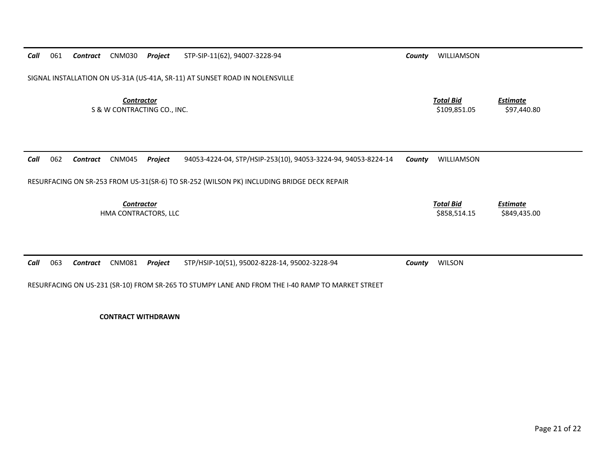| Call | 061                                                                         | Contract        | <b>CNM030</b>                                    | Project | STP-SIP-11(62), 94007-3228-94                                                                                                                     | County | WILLIAMSON                       |                                 |
|------|-----------------------------------------------------------------------------|-----------------|--------------------------------------------------|---------|---------------------------------------------------------------------------------------------------------------------------------------------------|--------|----------------------------------|---------------------------------|
|      | SIGNAL INSTALLATION ON US-31A (US-41A, SR-11) AT SUNSET ROAD IN NOLENSVILLE |                 |                                                  |         |                                                                                                                                                   |        |                                  |                                 |
|      |                                                                             |                 | <b>Contractor</b><br>S & W CONTRACTING CO., INC. |         |                                                                                                                                                   |        | <b>Total Bid</b><br>\$109,851.05 | <b>Estimate</b><br>\$97,440.80  |
| Call | 062                                                                         | Contract        | <b>CNM045</b>                                    | Project | 94053-4224-04, STP/HSIP-253(10), 94053-3224-94, 94053-8224-14                                                                                     | County | WILLIAMSON                       |                                 |
|      |                                                                             |                 |                                                  |         | RESURFACING ON SR-253 FROM US-31(SR-6) TO SR-252 (WILSON PK) INCLUDING BRIDGE DECK REPAIR                                                         |        |                                  |                                 |
|      |                                                                             |                 | <b>Contractor</b><br>HMA CONTRACTORS, LLC        |         |                                                                                                                                                   |        | <b>Total Bid</b><br>\$858,514.15 | <b>Estimate</b><br>\$849,435.00 |
|      |                                                                             |                 |                                                  |         |                                                                                                                                                   |        |                                  |                                 |
| Call | 063                                                                         | <b>Contract</b> | <b>CNM081</b>                                    | Project | STP/HSIP-10(51), 95002-8228-14, 95002-3228-94<br>RESURFACING ON US-231 (SR-10) FROM SR-265 TO STUMPY LANE AND FROM THE I-40 RAMP TO MARKET STREET | County | <b>WILSON</b>                    |                                 |

**CONTRACT WITHDRAWN**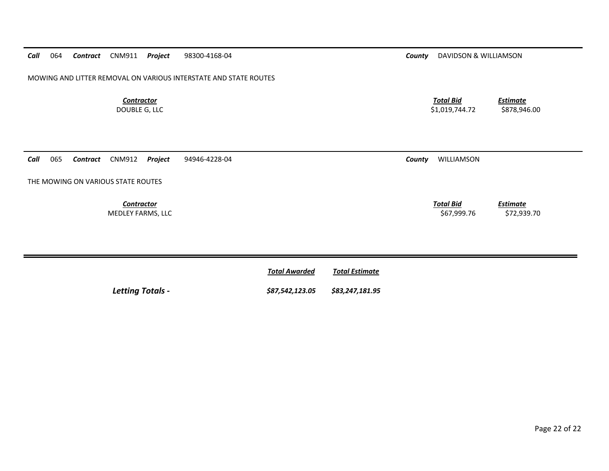*Call*065 *Contract* CNM912 *Project* 94946‐4228‐04 *County* WILLIAMSON

THE MOWING ON VARIOUS STATE ROUTES

*Contractor*MEDLEY FARMS, LLC \$67,999.76 \$72,939.70

*Call*064 Contract CNM911 Project

MOWING AND LITTER REMOVAL ON VARIOUS INTERSTATE AND STATE ROUTES

*Contractor*DOUBLE G, LLC

*Total Bid*

*Estimate*

|                         | <b>Total Awarded</b>            | Total Estimate |
|-------------------------|---------------------------------|----------------|
| <b>Letting Totals -</b> | \$87,542,123.05 \$83,247,181.95 |                |

**PERIODE 28300-4168-04 Projection Contract County** DAVIDSON & WILLIAMSON

 *Total BidEstimate*

\$1,019,744.72 \$878,946.00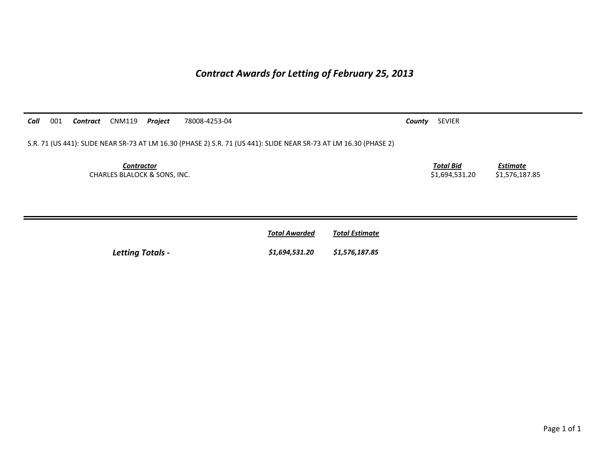## *Contract Awards for Letting of February 25, 2013*

| Call<br>001<br><b>CNM119</b><br>Project<br>Contract          | 78008-4253-04                                                                                                     | County | SEVIER                             |                                   |
|--------------------------------------------------------------|-------------------------------------------------------------------------------------------------------------------|--------|------------------------------------|-----------------------------------|
|                                                              | S.R. 71 (US 441): SLIDE NEAR SR-73 AT LM 16.30 (PHASE 2) S.R. 71 (US 441): SLIDE NEAR SR-73 AT LM 16.30 (PHASE 2) |        |                                    |                                   |
| <b>Contractor</b><br><b>CHARLES BLALOCK &amp; SONS, INC.</b> |                                                                                                                   |        | <b>Total Bid</b><br>\$1,694,531.20 | <b>Estimate</b><br>\$1,576,187.85 |
|                                                              | <b>Total Estimate</b><br><b>Total Awarded</b>                                                                     |        |                                    |                                   |

*Letting Totals - \$1,694,531.20 \$1,576,187.85*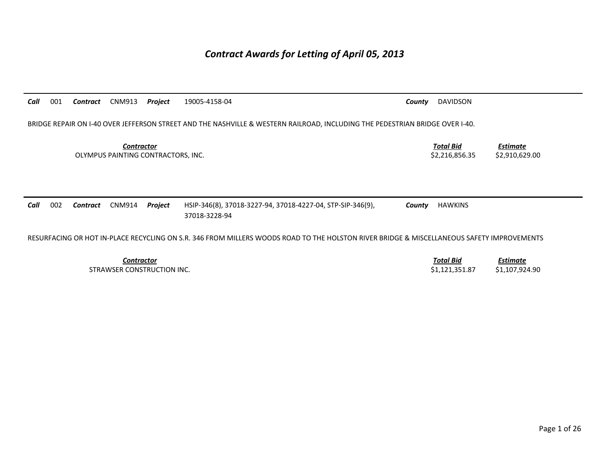## *Contract Awards for Letting of April 05, 2013*

*Call* 001 *Contract* CNM913 *Project* 19005‐4158‐04 *County* DAVIDSON BRIDGE REPAIR ON I‐40 OVER JEFFERSON STREET AND THE NASHVILLE & WESTERN RAILROAD, INCLUDING THE PEDESTRIAN BRIDGE OVER I‐40. *Contractor Total Bid Estimate* OLYMPUS PAINTING CONTRACTORS, INC. \$2,216,856.35 \$2,910,629.00 *Call* 002 *Contract* CNM914 *Project* HSIP‐346(8), 37018‐3227‐94, 37018‐4227‐04, STP‐SIP‐346(9), 37018‐3228‐94 *County* HAWKINS RESURFACING OR HOT IN‐PLACE RECYCLING ON S.R. 346 FROM MILLERS WOODS ROAD TO THE HOLSTON RIVER BRIDGE & MISCELLANEOUS SAFETY IMPROVEMENTS *Contractor Total Bid Estimate* STRAWSER CONSTRUCTION\$1,121,351.87 \$1,107,924.90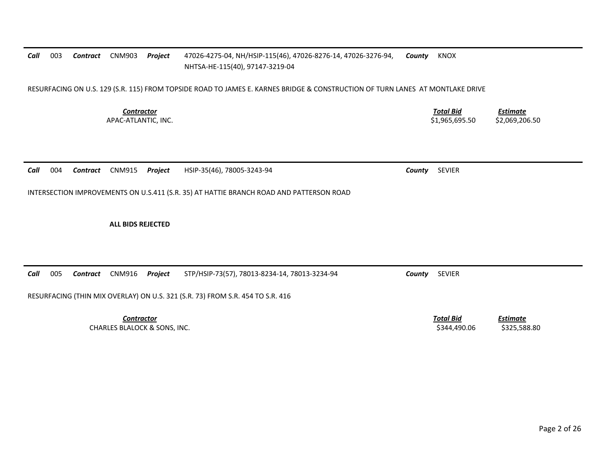## *Call* 003 *Contract* CNM903 *Project* 47026‐4275‐04, NH/HSIP‐115(46), 47026‐8276‐14, 47026‐3276‐94, NHTSA‐HE‐115(40), 97147‐3219‐04 *County* KNOX

RESURFACING ON U.S. 129 (S.R. 115) FROM TOPSIDE ROAD TO JAMES E. KARNES BRIDGE & CONSTRUCTION OF TURN LANES AT MONTLAKE DRIVE

*Contractor*

 *Total Bid Estimate* APAC‐ATLANTIC, INC. \$1,965,695.50 \$2,069,206.50 \$2,069,206.50 \$2,069,206.50 \$2,069,206.50 \$2,069,206.50 \$2,069,206.50 \$2,069,206.50 \$2,069,206.50 \$2,069,206.50 \$2,069,206.50 \$2,069,206.50 \$2,069,206.50 \$2,069,206.50 \$2,069

*Call* 004*Contract* CNM915 *Project* HSIP‐35(46), 78005‐3243‐94 *County* SEVIER

INTERSECTION IMPROVEMENTS ON U.S.411 (S.R. 35) AT HATTIE BRANCH ROAD AND PATTERSON ROAD

**ALL BIDS REJECTED**

*Call* 005*Contract* CNM916 *Project* STP/HSIP‐73(57), 78013‐8234‐14, 78013‐3234‐94 *County* SEVIER

RESURFACING (THIN MIX OVERLAY) ON U.S. 321 (S.R. 73) FROM S.R. 454 TO S.R. 416

*Contractor Total Bid*CHARLES BLALOCK &

 *Estimate* SONS, INC. \$344,490.06 \$325,588.80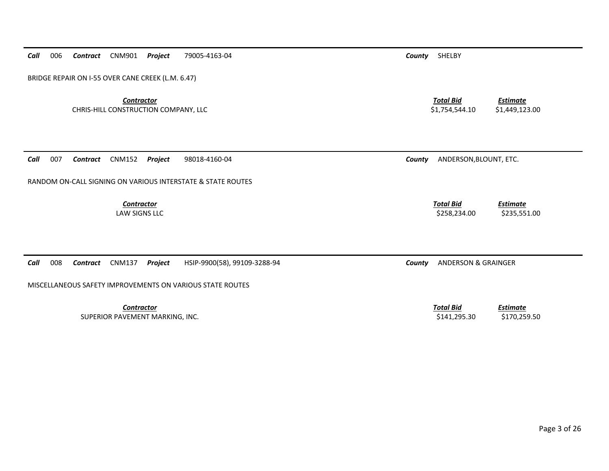*Contractor Total Bid Estimate* CHRIS‐HILL CONSTRUCTION COMPANY, LLC \$1,754,544.10 \$1,449,123.00 *Call* 007 *Contract* CNM152 *Project* 98018‐4160‐04 *County* ANDERSON,BLOUNT, ETC. RANDOM ON‐CALL SIGNING ON VARIOUS INTERSTATE & STATE ROUTES *Contractor Total Bid Estimate* **LAW SIGNS LLC**  SIGNS LLC \$258,234.00 \$235,551.00 *Call* 008 *Contract* CNM137 *Project* HSIP‐9900(58), 99109‐3288‐94 *County* ANDERSON & GRAINGER MISCELLANEOUS SAFETY IMPROVEMENTS ON VARIOUS STATE ROUTES *Contractor Total Bid Estimate* SUPERIOR PAVEMENT MARKING, INC. \$141,295.30 \$170,259.50

*Contract* CNM901 *Project* 79005‐4163‐04 *County* SHELBY

*Call*

006

BRIDGE REPAIR ON I‐55 OVER CANE CREEK (L.M. 6.47)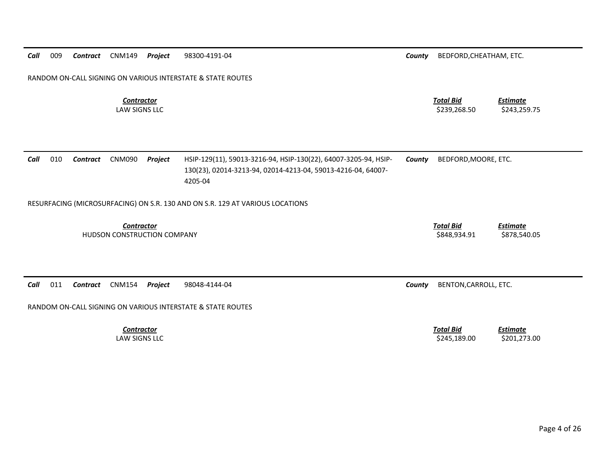*Call* 009*Contract* CNM149 *Project* 98300‐4191‐04 *County* BEDFORD,CHEATHAM, ETC.

RANDOM ON‐CALL SIGNING ON VARIOUS INTERSTATE & STATE ROUTES

*ContractorTotal Bid*

**LAW SIGNS LLC** 

*Call* 010 *Contract* CNM090 *Project* HSIP‐129(11), 59013‐3216‐94, HSIP‐130(22), 64007‐3205‐94, HSIP‐ 130(23), 02014‐3213‐94, 02014‐4213‐04, 59013‐4216‐04, 64007‐ 4205‐04*County* BEDFORD,MOORE, ETC.

RESURFACING (MICROSURFACING) ON S.R. 130 AND ON S.R. 129 AT VARIOUS LOCATIONS

*Contractor Total Bid*HUDSON CONSTRUCTION COMPANY \$848,934.91 \$878,540.05

*Call* 011*Contract* CNM154 *Project* 98048‐4144‐04 *County* BENTON,CARROLL, ETC.

RANDOM ON‐CALL SIGNING ON VARIOUS INTERSTATE & STATE ROUTES

*Contractor***LAW SIGNS LLC** 

 *Total Bid Estimate* SIGNS LLC \$245,189.00 \$201,273.00

*Estimate*

 *Estimate* SIGNS LLC \$239,268.50 \$243,259.75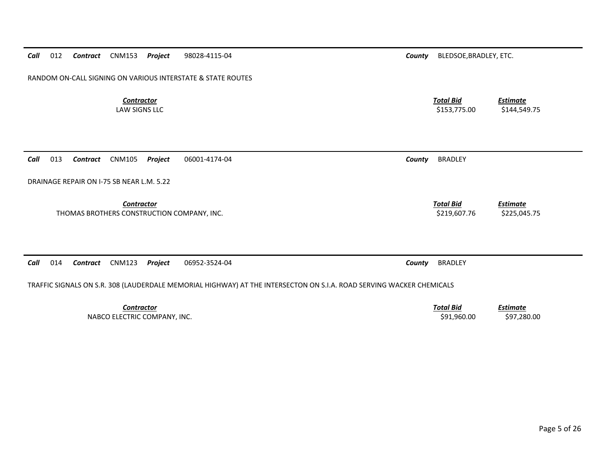*Call*012 *Contract* CNM153 *Project* 98028‐4115‐04 *County* BLEDSOE,BRADLEY, ETC.

RANDOM ON‐CALL SIGNING ON VARIOUS INTERSTATE & STATE ROUTES

*Contractor***LAW SIGNS LLC** 

*Call*013 *Contract* CNM105 *Project* 06001‐4174‐04 *County* BRADLEY

DRAINAGE REPAIR ON I‐75 SB NEAR L.M. 5.22

*Contractor*

THOMAS BROTHERS CONSTRUCTION COMPANY, INC. \$219,607.76 \$225,045.75 \$225,045.75

*Call* 014*Contract* CNM123 *Project* 06952‐3524‐04 *County* BRADLEY

TRAFFIC SIGNALS ON S.R. 308 (LAUDERDALE MEMORIAL HIGHWAY) AT THE INTERSECTON ON S.I.A. ROAD SERVING WACKER CHEMICALS

*Contractor Total Bid*NABCO ELECTRIC COMPANY, INC. \$91,960.00 \$97,280.00

 *Total Bid Estimate* SIGNS LLC \$153,775.00 \$144,549.75

*Total Bid*

*Estimate*

*Estimate*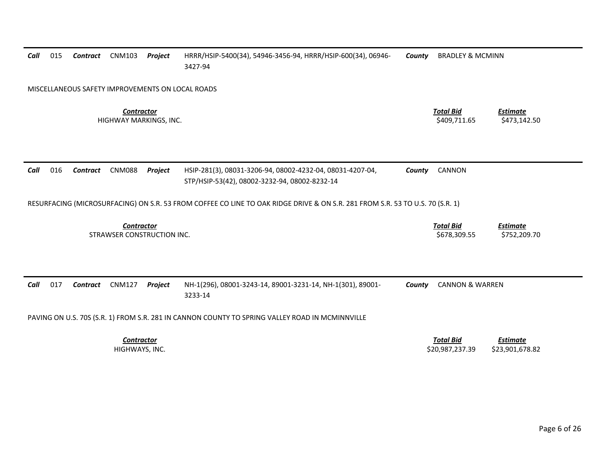| Call | 015 | Contract        | <b>CNM103</b>                                   | Project | HRRR/HSIP-5400(34), 54946-3456-94, HRRR/HSIP-600(34), 06946-<br>3427-94                                                       | County | <b>BRADLEY &amp; MCMINN</b>      |                                 |
|------|-----|-----------------|-------------------------------------------------|---------|-------------------------------------------------------------------------------------------------------------------------------|--------|----------------------------------|---------------------------------|
|      |     |                 |                                                 |         | MISCELLANEOUS SAFETY IMPROVEMENTS ON LOCAL ROADS                                                                              |        |                                  |                                 |
|      |     |                 | <b>Contractor</b><br>HIGHWAY MARKINGS, INC.     |         |                                                                                                                               |        | <b>Total Bid</b><br>\$409,711.65 | <b>Estimate</b><br>\$473,142.50 |
| Call | 016 | Contract        | <b>CNM088</b>                                   | Project | HSIP-281(3), 08031-3206-94, 08002-4232-04, 08031-4207-04,<br>STP/HSIP-53(42), 08002-3232-94, 08002-8232-14                    | County | CANNON                           |                                 |
|      |     |                 |                                                 |         | RESURFACING (MICROSURFACING) ON S.R. 53 FROM COFFEE CO LINE TO OAK RIDGE DRIVE & ON S.R. 281 FROM S.R. 53 TO U.S. 70 (S.R. 1) |        |                                  |                                 |
|      |     |                 |                                                 |         |                                                                                                                               |        |                                  |                                 |
|      |     |                 | <b>Contractor</b><br>STRAWSER CONSTRUCTION INC. |         |                                                                                                                               |        | <b>Total Bid</b><br>\$678,309.55 | <b>Estimate</b><br>\$752,209.70 |
|      | 017 | <b>Contract</b> | <b>CNM127</b>                                   | Project | NH-1(296), 08001-3243-14, 89001-3231-14, NH-1(301), 89001-<br>3233-14                                                         | County | <b>CANNON &amp; WARREN</b>       |                                 |
| Call |     |                 |                                                 |         | PAVING ON U.S. 70S (S.R. 1) FROM S.R. 281 IN CANNON COUNTY TO SPRING VALLEY ROAD IN MCMINNVILLE                               |        |                                  |                                 |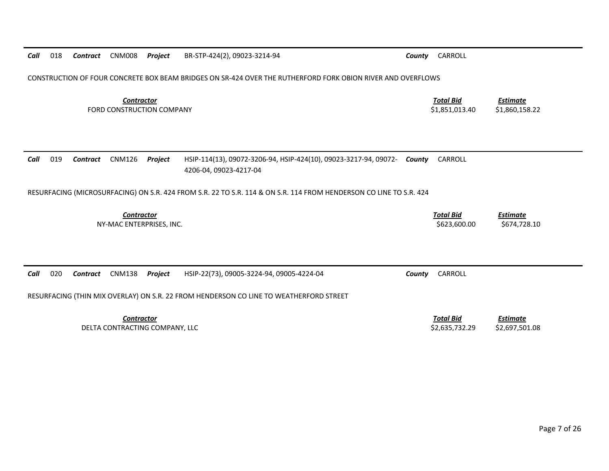| Call<br>018 | Contract        | <b>CNM008</b><br>Project                              | BR-STP-424(2), 09023-3214-94                                                                                                        | County | CARROLL                            |                                   |
|-------------|-----------------|-------------------------------------------------------|-------------------------------------------------------------------------------------------------------------------------------------|--------|------------------------------------|-----------------------------------|
|             |                 |                                                       | CONSTRUCTION OF FOUR CONCRETE BOX BEAM BRIDGES ON SR-424 OVER THE RUTHERFORD FORK OBION RIVER AND OVERFLOWS                         |        |                                    |                                   |
|             |                 | <b>Contractor</b><br><b>FORD CONSTRUCTION COMPANY</b> |                                                                                                                                     |        | <b>Total Bid</b><br>\$1,851,013.40 | <b>Estimate</b><br>\$1,860,158.22 |
| Call<br>019 | <b>Contract</b> | <b>CNM126</b><br>Project                              | HSIP-114(13), 09072-3206-94, HSIP-424(10), 09023-3217-94, 09072-<br>4206-04, 09023-4217-04                                          | County | CARROLL                            |                                   |
|             |                 |                                                       | RESURFACING (MICROSURFACING) ON S.R. 424 FROM S.R. 22 TO S.R. 114 & ON S.R. 114 FROM HENDERSON CO LINE TO S.R. 424                  |        |                                    |                                   |
|             |                 | <b>Contractor</b><br>NY-MAC ENTERPRISES, INC.         |                                                                                                                                     |        | <b>Total Bid</b><br>\$623,600.00   | <b>Estimate</b><br>\$674,728.10   |
| Call<br>020 | <b>Contract</b> | <b>CNM138</b><br>Project                              | HSIP-22(73), 09005-3224-94, 09005-4224-04<br>RESURFACING (THIN MIX OVERLAY) ON S.R. 22 FROM HENDERSON CO LINE TO WEATHERFORD STREET | County | CARROLL                            |                                   |
|             |                 | <b>Contractor</b><br>DELTA CONTRACTING COMPANY, LLC   |                                                                                                                                     |        | <b>Total Bid</b><br>\$2,635,732.29 | <b>Estimate</b><br>\$2,697,501.08 |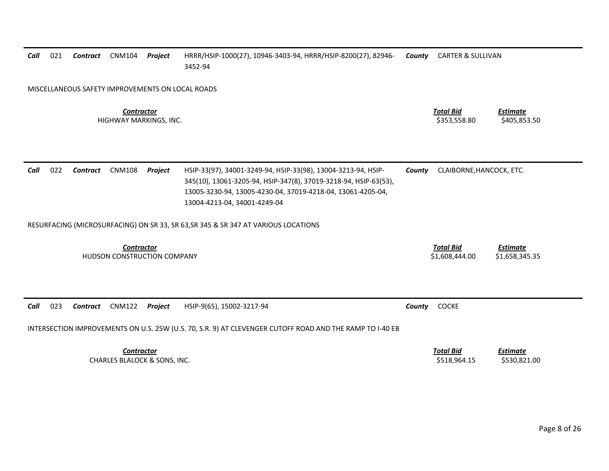| Call                                                    | 021 | <b>Contract</b> | <b>CNM104</b> | Project                      | HRRR/HSIP-1000(27), 10946-3403-94, HRRR/HSIP-8200(27), 82946-<br>3452-94                                                                                                                                                         | County                             | <b>CARTER &amp; SULLIVAN</b>      |                                 |
|---------------------------------------------------------|-----|-----------------|---------------|------------------------------|----------------------------------------------------------------------------------------------------------------------------------------------------------------------------------------------------------------------------------|------------------------------------|-----------------------------------|---------------------------------|
|                                                         |     |                 |               |                              | MISCELLANEOUS SAFETY IMPROVEMENTS ON LOCAL ROADS                                                                                                                                                                                 |                                    |                                   |                                 |
| <b>Contractor</b><br>HIGHWAY MARKINGS, INC.             |     |                 |               |                              |                                                                                                                                                                                                                                  | <b>Total Bid</b><br>\$353,558.80   | <b>Estimate</b><br>\$405,853.50   |                                 |
| Call                                                    | 022 | <b>Contract</b> | <b>CNM108</b> | Project                      | HSIP-33(97), 34001-3249-94, HSIP-33(98), 13004-3213-94, HSIP-<br>345(10), 13061-3205-94, HSIP-347(8), 37019-3218-94, HSIP-63(53),<br>13005-3230-94, 13005-4230-04, 37019-4218-04, 13061-4205-04,<br>13004-4213-04, 34001-4249-04 | County                             | CLAIBORNE, HANCOCK, ETC.          |                                 |
|                                                         |     |                 |               |                              | RESURFACING (MICROSURFACING) ON SR 33, SR 63, SR 345 & SR 347 AT VARIOUS LOCATIONS                                                                                                                                               |                                    |                                   |                                 |
| <b>Contractor</b><br><b>HUDSON CONSTRUCTION COMPANY</b> |     |                 |               |                              |                                                                                                                                                                                                                                  | <b>Total Bid</b><br>\$1,608,444.00 | <b>Estimate</b><br>\$1,658,345.35 |                                 |
| Call                                                    | 023 | <b>Contract</b> | <b>CNM122</b> | Project                      | HSIP-9(65), 15002-3217-94                                                                                                                                                                                                        | County                             | COCKE                             |                                 |
|                                                         |     |                 |               |                              | INTERSECTION IMPROVEMENTS ON U.S. 25W (U.S. 70, S.R. 9) AT CLEVENGER CUTOFF ROAD AND THE RAMP TO I-40 EB                                                                                                                         |                                    |                                   |                                 |
|                                                         |     |                 | Contractor    | CHARLES BLALOCK & SONS, INC. |                                                                                                                                                                                                                                  |                                    | <b>Total Bid</b><br>\$518,964.15  | <b>Estimate</b><br>\$530,821.00 |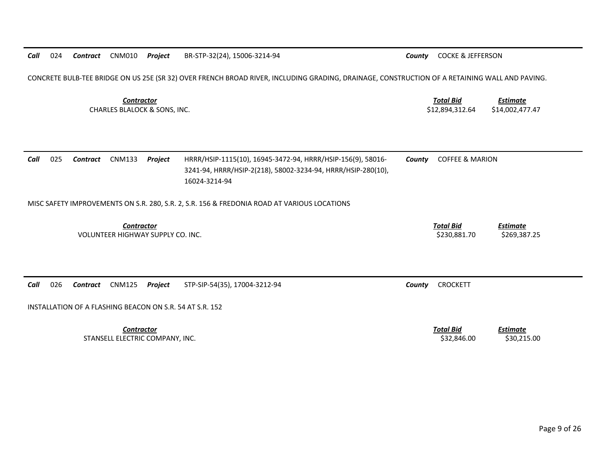CONCRETE BULB‐TEE BRIDGE ON US 25E (SR 32) OVER FRENCH BROAD RIVER, INCLUDING GRADING, DRAINAGE, CONSTRUCTION OF A RETAINING WALL AND PAVING.

*Contractor Total Bid*CHARLES BLALOCK &

 *Estimate* \$12,894,312.64 \$14,002,477.47

*Estimate*

| Call | 025 | Contract | CNM133 | Proiect | HRRR/HSIP-1115(10), 16945-3472-94, HRRR/HSIP-156(9), 58016-  | County | COFFEE & MARION |
|------|-----|----------|--------|---------|--------------------------------------------------------------|--------|-----------------|
|      |     |          |        |         | 3241-94, HRRR/HSIP-2(218), 58002-3234-94, HRRR/HSIP-280(10), |        |                 |
|      |     |          |        |         | 16024-3214-94                                                |        |                 |

MISC SAFETY IMPROVEMENTS ON S.R. 280, S.R. 2, S.R. 156 & FREDONIA ROAD AT VARIOUS LOCATIONS

*Contractor Total Bid*VOLUNTEER HIGHWAY SUPPLY CO. INC. \$230,881.70 \$269,387.25

*Call* 026**Contract** CNM125 *Project* STP‐SIP‐S4(35), 17004‐3212‐94 **Caunty** CROCKETT

INSTALLATION OF A FLASHING BEACON ON S.R. 54 AT S.R. 152

*Contractor Total Bid*STANSELL ELECTRIC COMPANY, INC. \$32,846.00 \$30,215.00

*Estimate*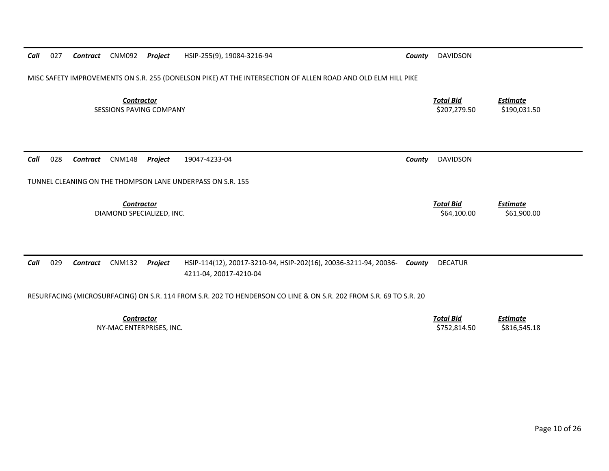*Call* 027*Contract* CNM092 *Project* HSIP‐255(9), 19084‐3216‐94 *County* DAVIDSON

MISC SAFETY IMPROVEMENTS ON S.R. 255 (DONELSON PIKE) AT THE INTERSECTION OF ALLEN ROAD AND OLD ELM HILL PIKE

*Contractor Total Bid*SESSIONS PAVINGCOMPANY \$207,279.50 \$190,031.50

*Call* 028*Contract* CNM148 *Project* 19047‐4233‐04 *County* DAVIDSON

TUNNEL CLEANING ON THE THOMPSON LANE UNDERPASS ON S.R. 155

*Contractor*

DIAMOND SPECIALIZED, INC. \$64,100.00 \$61,900.00

*Call* 029 *Contract* CNM132 *Project* HSIP‐114(12), 20017‐3210‐94, HSIP‐202(16), 20036‐3211‐94, 20036‐ 4211‐04, 20017‐4210‐04 **DECATUR** 

RESURFACING (MICROSURFACING) ON S.R. 114 FROM S.R. 202 TO HENDERSON CO LINE & ON S.R. 202 FROM S.R. 69 TO S.R. 20

*Contractor Total Bid Estimate* NY‐MAC ENTERPRISES, INC. \$752,814.50 \$816,545.18

*Estimate*

 *Total BidEstimate*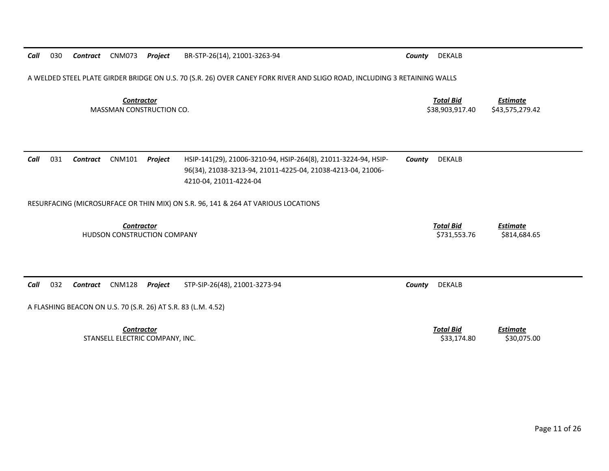A WELDED STEEL PLATE GIRDER BRIDGE ON U.S. 70 (S.R. 26) OVER CANEY FORK RIVER AND SLIGO ROAD, INCLUDING 3 RETAINING WALLS

*ContractorTotal Bid*

 *Estimate* MASSMAN CONSTRUCTION CO. \$38,903,917.40 \$43,575,279.42

| Call | 031 | Contract | CNM101 | Proiect | HSIP-141(29), 21006-3210-94, HSIP-264(8), 21011-3224-94, HSIP- | County | DEKALB |
|------|-----|----------|--------|---------|----------------------------------------------------------------|--------|--------|
|      |     |          |        |         | 96(34), 21038-3213-94, 21011-4225-04, 21038-4213-04, 21006-    |        |        |
|      |     |          |        |         | 4210-04.21011-4224-04                                          |        |        |

RESURFACING (MICROSURFACE OR THIN MIX) ON S.R. 96, 141 & 264 AT VARIOUS LOCATIONS

| _ontractor                         | Total Bid    | cstimate     |
|------------------------------------|--------------|--------------|
| <b>HUDSON CONSTRUCTION COMPANY</b> | \$731,553.76 | \$814,684.65 |

*Call*032 *Contract* CNM128 *Project* STP‐SIP‐26(48), 21001‐3273‐94 *County* DEKALB

A FLASHING BEACON ON U.S. 70 (S.R. 26) AT S.R. 83 (L.M. 4.52)

*Contractor*STANSELL ELECTRIC COMPANY, INC. \$33,174.80 \$30,075.00

*Total Bid*

*Estimate*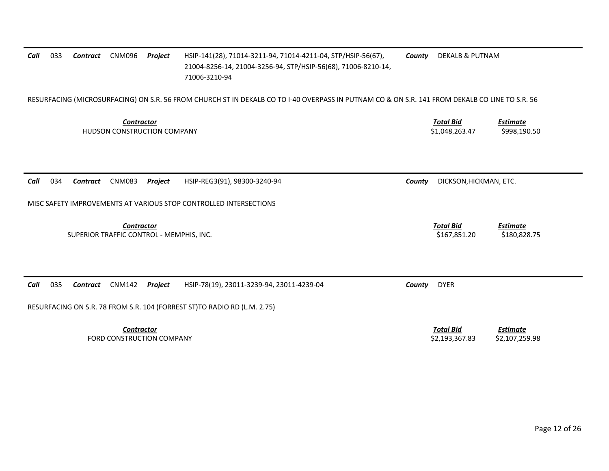| 033<br>Call<br><b>CNM096</b><br><b>Contract</b>               | HSIP-141(28), 71014-3211-94, 71014-4211-04, STP/HSIP-56(67),<br>Project<br>21004-8256-14, 21004-3256-94, STP/HSIP-56(68), 71006-8210-14,<br>71006-3210-94 | <b>DEKALB &amp; PUTNAM</b><br>County                                  |
|---------------------------------------------------------------|-----------------------------------------------------------------------------------------------------------------------------------------------------------|-----------------------------------------------------------------------|
|                                                               | RESURFACING (MICROSURFACING) ON S.R. 56 FROM CHURCH ST IN DEKALB CO TO I-40 OVERPASS IN PUTNAM CO & ON S.R. 141 FROM DEKALB CO LINE TO S.R. 56            |                                                                       |
| <b>Contractor</b><br>HUDSON CONSTRUCTION COMPANY              |                                                                                                                                                           | <b>Total Bid</b><br><b>Estimate</b><br>\$1,048,263.47<br>\$998,190.50 |
| 034<br>Call<br><b>CNM083</b><br><b>Contract</b>               | Project<br>HSIP-REG3(91), 98300-3240-94                                                                                                                   | DICKSON, HICKMAN, ETC.<br>County                                      |
|                                                               | MISC SAFETY IMPROVEMENTS AT VARIOUS STOP CONTROLLED INTERSECTIONS                                                                                         |                                                                       |
| <b>Contractor</b><br>SUPERIOR TRAFFIC CONTROL - MEMPHIS, INC. |                                                                                                                                                           | <b>Total Bid</b><br><b>Estimate</b><br>\$167,851.20<br>\$180,828.75   |
| 035<br>Call<br><b>CNM142</b><br>Contract                      | Project<br>HSIP-78(19), 23011-3239-94, 23011-4239-04                                                                                                      | <b>DYER</b><br>County                                                 |
|                                                               | RESURFACING ON S.R. 78 FROM S.R. 104 (FORREST ST)TO RADIO RD (L.M. 2.75)                                                                                  |                                                                       |
| <b>Contractor</b><br>FORD CONSTRUCTION COMPANY                |                                                                                                                                                           | <b>Total Bid</b><br>Estimate<br>\$2,193,367.83<br>\$2,107,259.98      |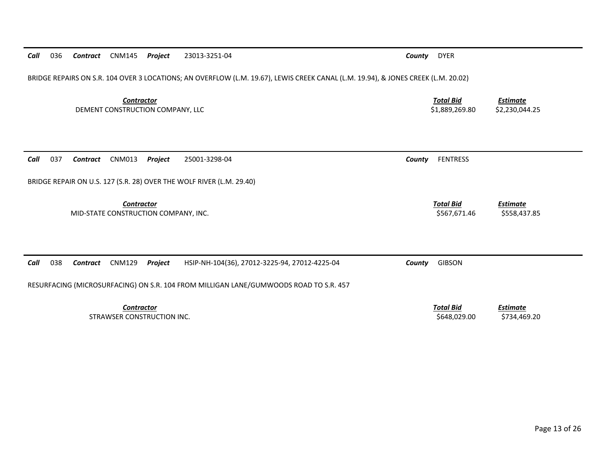| BRIDGE REPAIRS ON S.R. 104 OVER 3 LOCATIONS; AN OVERFLOW (L.M. 19.67), LEWIS CREEK CANAL (L.M. 19.94), & JONES CREEK (L.M. 20.02) |                                    |                                   |
|-----------------------------------------------------------------------------------------------------------------------------------|------------------------------------|-----------------------------------|
| <b>Contractor</b><br>DEMENT CONSTRUCTION COMPANY, LLC                                                                             | <b>Total Bid</b><br>\$1,889,269.80 | <b>Estimate</b><br>\$2,230,044.25 |
| 037<br>Call<br>CNM013<br>Project<br>25001-3298-04<br>Contract<br>County                                                           | <b>FENTRESS</b>                    |                                   |
| BRIDGE REPAIR ON U.S. 127 (S.R. 28) OVER THE WOLF RIVER (L.M. 29.40)                                                              |                                    |                                   |
| <b>Contractor</b><br>MID-STATE CONSTRUCTION COMPANY, INC.                                                                         | <b>Total Bid</b><br>\$567,671.46   | <b>Estimate</b><br>\$558,437.85   |
| Call<br>038<br><b>CNM129</b><br>Contract<br>Project<br>HSIP-NH-104(36), 27012-3225-94, 27012-4225-04<br>County                    | <b>GIBSON</b>                      |                                   |
| RESURFACING (MICROSURFACING) ON S.R. 104 FROM MILLIGAN LANE/GUMWOODS ROAD TO S.R. 457                                             |                                    |                                   |
| <b>Contractor</b><br>STRAWSER CONSTRUCTION INC.                                                                                   | <b>Total Bid</b><br>\$648,029.00   | <b>Estimate</b><br>\$734,469.20   |

036 *Contract* CNM145 *Project* 23013‐3251‐04 *County* DYER

*Call*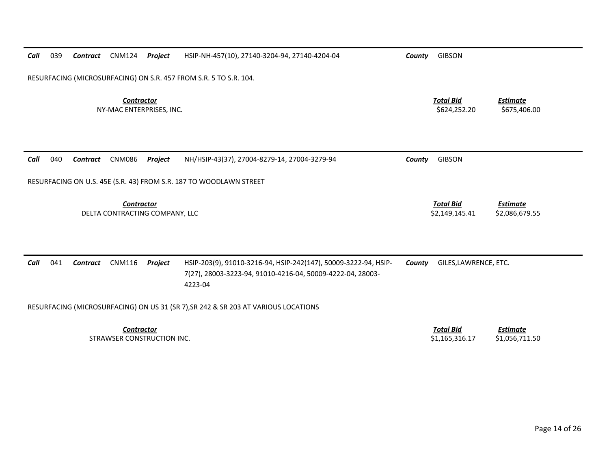| Call | 039 | <b>Contract</b> | <b>CNM124</b>                                   | Project | HSIP-NH-457(10), 27140-3204-94, 27140-4204-04                                                                                            | County                           | <b>GIBSON</b>                      |                                   |
|------|-----|-----------------|-------------------------------------------------|---------|------------------------------------------------------------------------------------------------------------------------------------------|----------------------------------|------------------------------------|-----------------------------------|
|      |     |                 |                                                 |         | RESURFACING (MICROSURFACING) ON S.R. 457 FROM S.R. 5 TO S.R. 104.                                                                        |                                  |                                    |                                   |
|      |     |                 | <b>Contractor</b><br>NY-MAC ENTERPRISES, INC.   |         |                                                                                                                                          | <b>Total Bid</b><br>\$624,252.20 | <b>Estimate</b><br>\$675,406.00    |                                   |
| Call | 040 | <b>Contract</b> | <b>CNM086</b>                                   | Project | NH/HSIP-43(37), 27004-8279-14, 27004-3279-94                                                                                             | County                           | <b>GIBSON</b>                      |                                   |
|      |     |                 |                                                 |         | RESURFACING ON U.S. 45E (S.R. 43) FROM S.R. 187 TO WOODLAWN STREET                                                                       |                                  |                                    |                                   |
|      |     |                 | Contractor<br>DELTA CONTRACTING COMPANY, LLC    |         |                                                                                                                                          |                                  | <b>Total Bid</b><br>\$2,149,145.41 | <b>Estimate</b><br>\$2,086,679.55 |
| Call | 041 | <b>Contract</b> | <b>CNM116</b>                                   | Project | HSIP-203(9), 91010-3216-94, HSIP-242(147), 50009-3222-94, HSIP-<br>7(27), 28003-3223-94, 91010-4216-04, 50009-4222-04, 28003-<br>4223-04 | County                           | GILES, LAWRENCE, ETC.              |                                   |
|      |     |                 |                                                 |         | RESURFACING (MICROSURFACING) ON US 31 (SR 7), SR 242 & SR 203 AT VARIOUS LOCATIONS                                                       |                                  |                                    |                                   |
|      |     |                 | <b>Contractor</b><br>STRAWSER CONSTRUCTION INC. |         |                                                                                                                                          |                                  | <b>Total Bid</b><br>\$1,165,316.17 | Estimate<br>\$1,056,711.50        |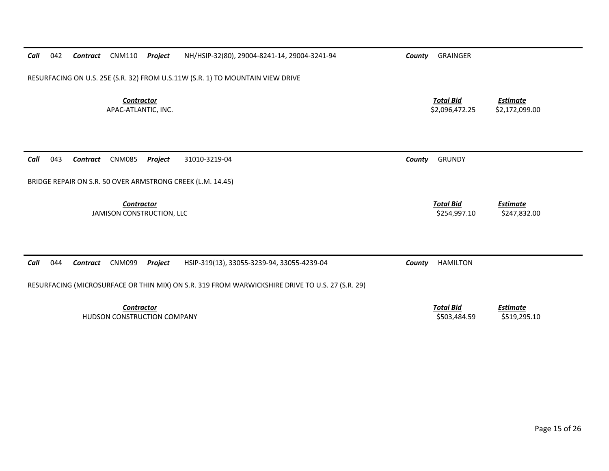| 042<br>CNM110<br>Project<br>Call<br>Contract                                   | NH/HSIP-32(80), 29004-8241-14, 29004-3241-94                                                    | County | <b>GRAINGER</b>                    |                                   |
|--------------------------------------------------------------------------------|-------------------------------------------------------------------------------------------------|--------|------------------------------------|-----------------------------------|
| RESURFACING ON U.S. 25E (S.R. 32) FROM U.S.11W (S.R. 1) TO MOUNTAIN VIEW DRIVE |                                                                                                 |        |                                    |                                   |
| <b>Contractor</b><br>APAC-ATLANTIC, INC.                                       |                                                                                                 |        | <b>Total Bid</b><br>\$2,096,472.25 | <b>Estimate</b><br>\$2,172,099.00 |
|                                                                                |                                                                                                 |        |                                    |                                   |
|                                                                                |                                                                                                 |        |                                    |                                   |
| 043<br>Call<br><b>CNM085</b><br>Project<br>Contract                            | 31010-3219-04                                                                                   | County | <b>GRUNDY</b>                      |                                   |
| BRIDGE REPAIR ON S.R. 50 OVER ARMSTRONG CREEK (L.M. 14.45)                     |                                                                                                 |        |                                    |                                   |
| Contractor<br>JAMISON CONSTRUCTION, LLC                                        |                                                                                                 |        | <b>Total Bid</b><br>\$254,997.10   | <b>Estimate</b><br>\$247,832.00   |
|                                                                                |                                                                                                 |        |                                    |                                   |
|                                                                                |                                                                                                 |        |                                    |                                   |
| Call<br>044<br><b>CNM099</b><br>Project<br>Contract                            | HSIP-319(13), 33055-3239-94, 33055-4239-04                                                      | County | <b>HAMILTON</b>                    |                                   |
|                                                                                | RESURFACING (MICROSURFACE OR THIN MIX) ON S.R. 319 FROM WARWICKSHIRE DRIVE TO U.S. 27 (S.R. 29) |        |                                    |                                   |
| <b>Contractor</b><br>HUDSON CONSTRUCTION COMPANY                               |                                                                                                 |        | <b>Total Bid</b><br>\$503,484.59   | <b>Estimate</b><br>\$519,295.10   |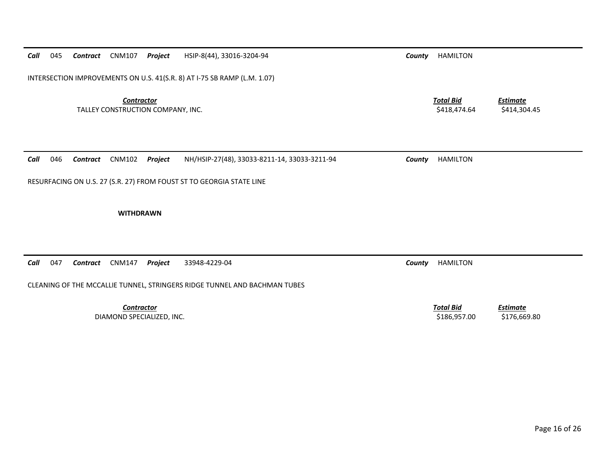*Call* 045*Contract* CNM107 *Project* HSIP‐8(44), 33016‐3204‐94 *County* HAMILTON

INTERSECTION IMPROVEMENTS ON U.S. 41(S.R. 8) AT I‐75 SB RAMP (L.M. 1.07)

*Contractor Total Bid*TALLEY CONSTRUCTION COMPANY, INC. \$418,474.64 \$414,304.45

*Call* 046*Contract* CNM102 *Project* NH/HSIP‐27(48), 33033‐8211‐14, 33033‐3211‐94 *County* HAMILTON

RESURFACING ON U.S. 27 (S.R. 27) FROM FOUST ST TO GEORGIA STATE LINE

**WITHDRAWN**

*Call* 047*Contract* CNM147 *Project* 33948‐4229‐04 *County* HAMILTON

CLEANING OF THE MCCALLIE TUNNEL, STRINGERS RIDGE TUNNEL AND BACHMAN TUBES

*Contractor*DIAMOND SPECIALIZED, INC. \$186,957.00 \$176,669.80

*Estimate*

*Estimate*

*Total Bid*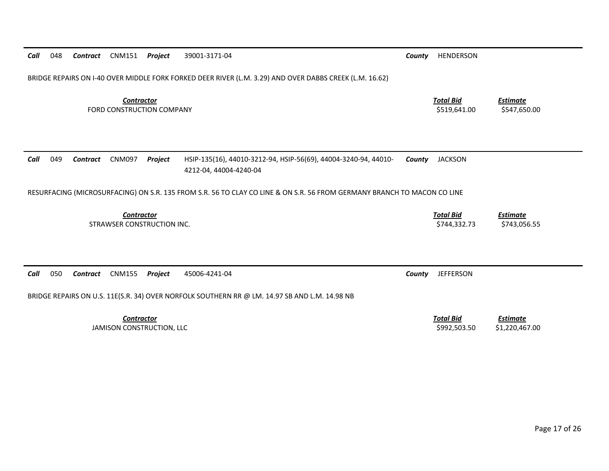| Call | 048 | Contract        | CNM151                                          | Project | 39001-3171-04                                                                                                           | County | HENDERSON                        |                                   |
|------|-----|-----------------|-------------------------------------------------|---------|-------------------------------------------------------------------------------------------------------------------------|--------|----------------------------------|-----------------------------------|
|      |     |                 |                                                 |         | BRIDGE REPAIRS ON I-40 OVER MIDDLE FORK FORKED DEER RIVER (L.M. 3.29) AND OVER DABBS CREEK (L.M. 16.62)                 |        |                                  |                                   |
|      |     |                 | <b>Contractor</b><br>FORD CONSTRUCTION COMPANY  |         |                                                                                                                         |        | <b>Total Bid</b><br>\$519,641.00 | <b>Estimate</b><br>\$547,650.00   |
| Call | 049 | <b>Contract</b> | <b>CNM097</b>                                   | Project | HSIP-135(16), 44010-3212-94, HSIP-56(69), 44004-3240-94, 44010-<br>4212-04, 44004-4240-04                               | County | <b>JACKSON</b>                   |                                   |
|      |     |                 |                                                 |         | RESURFACING (MICROSURFACING) ON S.R. 135 FROM S.R. 56 TO CLAY CO LINE & ON S.R. 56 FROM GERMANY BRANCH TO MACON CO LINE |        |                                  |                                   |
|      |     |                 | <b>Contractor</b><br>STRAWSER CONSTRUCTION INC. |         |                                                                                                                         |        | <b>Total Bid</b><br>\$744,332.73 | <b>Estimate</b><br>\$743,056.55   |
|      |     |                 |                                                 |         |                                                                                                                         |        |                                  |                                   |
| Call | 050 | Contract        | <b>CNM155</b>                                   | Project | 45006-4241-04                                                                                                           | County | <b>JEFFERSON</b>                 |                                   |
|      |     |                 |                                                 |         | BRIDGE REPAIRS ON U.S. 11E(S.R. 34) OVER NORFOLK SOUTHERN RR @ LM. 14.97 SB AND L.M. 14.98 NB                           |        |                                  |                                   |
|      |     |                 | <b>Contractor</b><br>JAMISON CONSTRUCTION, LLC  |         |                                                                                                                         |        | <b>Total Bid</b><br>\$992,503.50 | <b>Estimate</b><br>\$1,220,467.00 |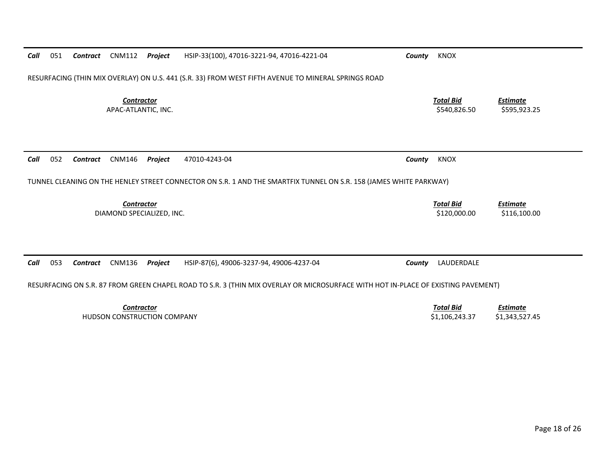| Call | 051 | Contract        | CNM112                                   | Project | HSIP-33(100), 47016-3221-94, 47016-4221-04                                                                                        | County | <b>KNOX</b>                      |                                 |
|------|-----|-----------------|------------------------------------------|---------|-----------------------------------------------------------------------------------------------------------------------------------|--------|----------------------------------|---------------------------------|
|      |     |                 |                                          |         | RESURFACING (THIN MIX OVERLAY) ON U.S. 441 (S.R. 33) FROM WEST FIFTH AVENUE TO MINERAL SPRINGS ROAD                               |        |                                  |                                 |
|      |     |                 | <b>Contractor</b><br>APAC-ATLANTIC. INC. |         |                                                                                                                                   |        | <b>Total Bid</b><br>\$540.826.50 | <b>Estimate</b><br>\$595,923.25 |
| Call | 052 | Contract        | <b>CNM146</b>                            | Project | 47010-4243-04                                                                                                                     | County | KNOX                             |                                 |
|      |     |                 |                                          |         | TUNNEL CLEANING ON THE HENLEY STREET CONNECTOR ON S.R. 1 AND THE SMARTFIX TUNNEL ON S.R. 158 (JAMES WHITE PARKWAY)                |        |                                  |                                 |
|      |     |                 | Contractor<br>DIAMOND SPECIALIZED, INC.  |         |                                                                                                                                   |        | <b>Total Bid</b><br>\$120,000.00 | <b>Estimate</b><br>\$116,100.00 |
|      |     |                 |                                          |         |                                                                                                                                   |        |                                  |                                 |
| Call | 053 | <b>Contract</b> | <b>CNM136</b>                            | Project | HSIP-87(6), 49006-3237-94, 49006-4237-04                                                                                          | County | LAUDERDALE                       |                                 |
|      |     |                 |                                          |         | RESURFACING ON S.R. 87 FROM GREEN CHAPEL ROAD TO S.R. 3 (THIN MIX OVERLAY OR MICROSURFACE WITH HOT IN-PLACE OF EXISTING PAVEMENT) |        |                                  |                                 |
|      |     |                 | <b>Contractor</b>                        |         |                                                                                                                                   |        | <b>Total Bid</b>                 | <b>Estimate</b>                 |

HUDSON CONSTRUCTION COMPANY \$1,106,243.37 \$1,343,527.45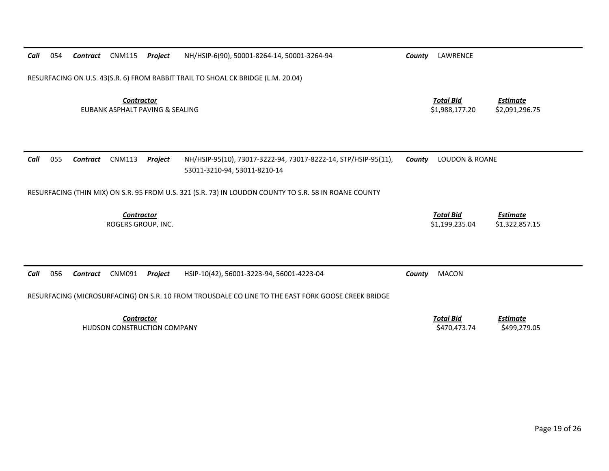| Call | 054 | <b>Contract</b> | <b>CNM115</b>                                        | <b>Project</b> | NH/HSIP-6(90), 50001-8264-14, 50001-3264-94                                                           | County                             | LAWRENCE                           |                                   |
|------|-----|-----------------|------------------------------------------------------|----------------|-------------------------------------------------------------------------------------------------------|------------------------------------|------------------------------------|-----------------------------------|
|      |     |                 |                                                      |                | RESURFACING ON U.S. 43(S.R. 6) FROM RABBIT TRAIL TO SHOAL CK BRIDGE (L.M. 20.04)                      |                                    |                                    |                                   |
|      |     |                 | <b>Contractor</b><br>EUBANK ASPHALT PAVING & SEALING |                |                                                                                                       | <b>Total Bid</b><br>\$1,988,177.20 | <b>Estimate</b><br>\$2,091,296.75  |                                   |
|      |     |                 |                                                      |                |                                                                                                       |                                    |                                    |                                   |
| Call | 055 | <b>Contract</b> | <b>CNM113</b>                                        | Project        | NH/HSIP-95(10), 73017-3222-94, 73017-8222-14, STP/HSIP-95(11),<br>53011-3210-94, 53011-8210-14        | County                             | <b>LOUDON &amp; ROANE</b>          |                                   |
|      |     |                 |                                                      |                | RESURFACING (THIN MIX) ON S.R. 95 FROM U.S. 321 (S.R. 73) IN LOUDON COUNTY TO S.R. 58 IN ROANE COUNTY |                                    |                                    |                                   |
|      |     |                 | <b>Contractor</b><br>ROGERS GROUP, INC.              |                |                                                                                                       |                                    | <b>Total Bid</b><br>\$1,199,235.04 | <b>Estimate</b><br>\$1,322,857.15 |
|      |     |                 |                                                      |                |                                                                                                       |                                    |                                    |                                   |
| Call | 056 | <b>Contract</b> | CNM091                                               | Project        | HSIP-10(42), 56001-3223-94, 56001-4223-04                                                             | County                             | <b>MACON</b>                       |                                   |
|      |     |                 |                                                      |                | RESURFACING (MICROSURFACING) ON S.R. 10 FROM TROUSDALE CO LINE TO THE EAST FORK GOOSE CREEK BRIDGE    |                                    |                                    |                                   |
|      |     |                 | <b>Contractor</b>                                    |                |                                                                                                       |                                    | <b>Total Bid</b>                   | <b>Estimate</b>                   |

HUDSON CONSTRUCTION COMPANY \$470,473.74 \$499,279.05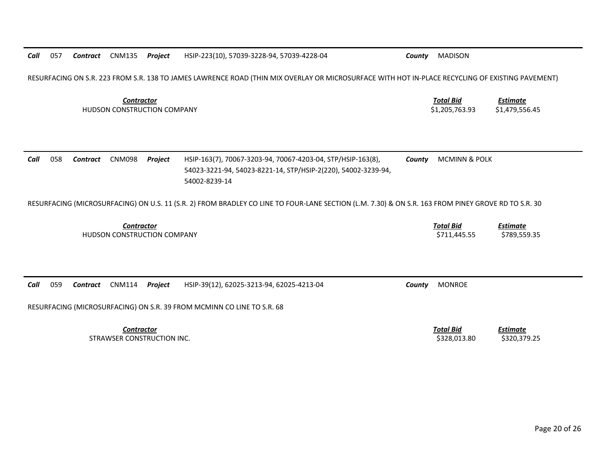RESURFACING ON S.R. 223 FROM S.R. 138 TO JAMES LAWRENCE ROAD (THIN MIX OVERLAY OR MICROSURFACE WITH HOT IN‐PLACE RECYCLING OF EXISTING PAVEMENT)

*Contractor Total Bid*HUDSON CONSTRUCTION COMPANY \$1,205,763.93 \$1,479,556.45

*Estimate*

*Estimate*

| Call | 058 | Contract | CNM098 | Proiect | HSIP-163(7), 70067-3203-94, 70067-4203-04, STP/HSIP-163(8),   | <b>County</b> MCMINN & POLK |
|------|-----|----------|--------|---------|---------------------------------------------------------------|-----------------------------|
|      |     |          |        |         | 54023-3221-94, 54023-8221-14, STP/HSIP-2(220), 54002-3239-94, |                             |
|      |     |          |        |         | 54002-8239-14                                                 |                             |

RESURFACING (MICROSURFACING) ON U.S. 11 (S.R. 2) FROM BRADLEY CO LINE TO FOUR‐LANE SECTION (L.M. 7.30) & ON S.R. 163 FROM PINEY GROVE RD TO S.R. 30

*Contractor Total Bid*HUDSON CONSTRUCTION COMPANY \$711,445.55 \$789,559.35

*Call* 059*Contract* CNM114 *Project* HSIP‐39(12), 62025‐3213‐94, 62025‐4213‐04 *County* MONROE

RESURFACING (MICROSURFACING) ON S.R. 39 FROM MCMINN CO LINE TO S.R. 68

*Contractor Total Bid*STRAWSER CONSTRUCTION

 *Estimate* \$328,013.80 \$320,379.25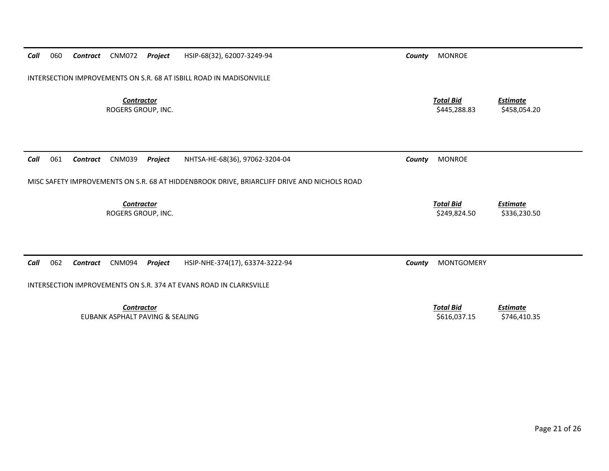| Call | 060 | Contract        | <b>CNM072</b>                                        | Project | HSIP-68(32), 62007-3249-94                                                                  | County | <b>MONROE</b>                    |                                 |
|------|-----|-----------------|------------------------------------------------------|---------|---------------------------------------------------------------------------------------------|--------|----------------------------------|---------------------------------|
|      |     |                 |                                                      |         | INTERSECTION IMPROVEMENTS ON S.R. 68 AT ISBILL ROAD IN MADISONVILLE                         |        |                                  |                                 |
|      |     |                 | <b>Contractor</b><br>ROGERS GROUP, INC.              |         |                                                                                             |        | <b>Total Bid</b><br>\$445,288.83 | <b>Estimate</b><br>\$458,054.20 |
| Call | 061 | <b>Contract</b> | <b>CNM039</b>                                        | Project | NHTSA-HE-68(36), 97062-3204-04                                                              | County | <b>MONROE</b>                    |                                 |
|      |     |                 |                                                      |         | MISC SAFETY IMPROVEMENTS ON S.R. 68 AT HIDDENBROOK DRIVE, BRIARCLIFF DRIVE AND NICHOLS ROAD |        |                                  |                                 |
|      |     |                 | <b>Contractor</b><br>ROGERS GROUP, INC.              |         |                                                                                             |        | <b>Total Bid</b><br>\$249,824.50 | <b>Estimate</b><br>\$336,230.50 |
|      |     |                 |                                                      |         |                                                                                             |        |                                  |                                 |
| Call | 062 | Contract        | CNM094                                               | Project | HSIP-NHE-374(17), 63374-3222-94                                                             | County | <b>MONTGOMERY</b>                |                                 |
|      |     |                 |                                                      |         | INTERSECTION IMPROVEMENTS ON S.R. 374 AT EVANS ROAD IN CLARKSVILLE                          |        |                                  |                                 |
|      |     |                 | <b>Contractor</b><br>EUBANK ASPHALT PAVING & SEALING |         |                                                                                             |        | <b>Total Bid</b><br>\$616,037.15 | <b>Estimate</b><br>\$746,410.35 |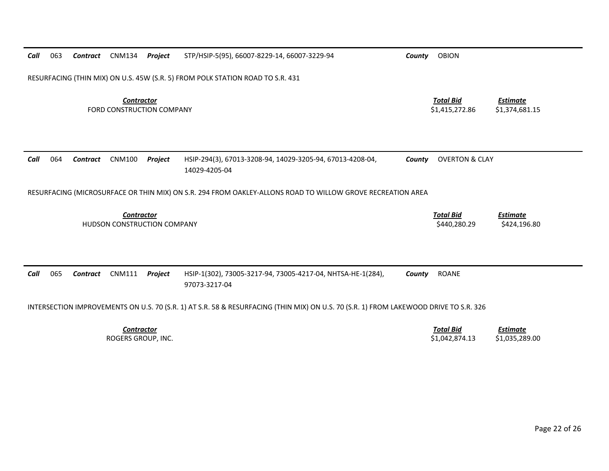| Call | 063 | <b>Contract</b> | <b>CNM134</b>                                    | Project | STP/HSIP-5(95), 66007-8229-14, 66007-3229-94                                                                                          | County | <b>OBION</b>                       |                                   |
|------|-----|-----------------|--------------------------------------------------|---------|---------------------------------------------------------------------------------------------------------------------------------------|--------|------------------------------------|-----------------------------------|
|      |     |                 |                                                  |         | RESURFACING (THIN MIX) ON U.S. 45W (S.R. 5) FROM POLK STATION ROAD TO S.R. 431                                                        |        |                                    |                                   |
|      |     |                 | <b>Contractor</b><br>FORD CONSTRUCTION COMPANY   |         |                                                                                                                                       |        | <b>Total Bid</b><br>\$1,415,272.86 | <b>Estimate</b><br>\$1,374,681.15 |
| Call | 064 | <b>Contract</b> | <b>CNM100</b>                                    | Project | HSIP-294(3), 67013-3208-94, 14029-3205-94, 67013-4208-04,<br>14029-4205-04                                                            | County | <b>OVERTON &amp; CLAY</b>          |                                   |
|      |     |                 |                                                  |         | RESURFACING (MICROSURFACE OR THIN MIX) ON S.R. 294 FROM OAKLEY-ALLONS ROAD TO WILLOW GROVE RECREATION AREA                            |        |                                    |                                   |
|      |     |                 | <b>Contractor</b><br>HUDSON CONSTRUCTION COMPANY |         |                                                                                                                                       |        | <b>Total Bid</b><br>\$440,280.29   | <b>Estimate</b><br>\$424,196.80   |
|      |     |                 |                                                  |         |                                                                                                                                       |        |                                    |                                   |
| Call | 065 | <b>Contract</b> | <b>CNM111</b>                                    | Project | HSIP-1(302), 73005-3217-94, 73005-4217-04, NHTSA-HE-1(284),<br>97073-3217-04                                                          | County | <b>ROANE</b>                       |                                   |
|      |     |                 |                                                  |         | INTERSECTION IMPROVEMENTS ON U.S. 70 (S.R. 1) AT S.R. 58 & RESURFACING (THIN MIX) ON U.S. 70 (S.R. 1) FROM LAKEWOOD DRIVE TO S.R. 326 |        |                                    |                                   |
|      |     |                 | <b>Contractor</b><br>ROGERS GROUP, INC.          |         |                                                                                                                                       |        | <b>Total Bid</b><br>\$1,042,874.13 | <b>Estimate</b><br>\$1,035,289.00 |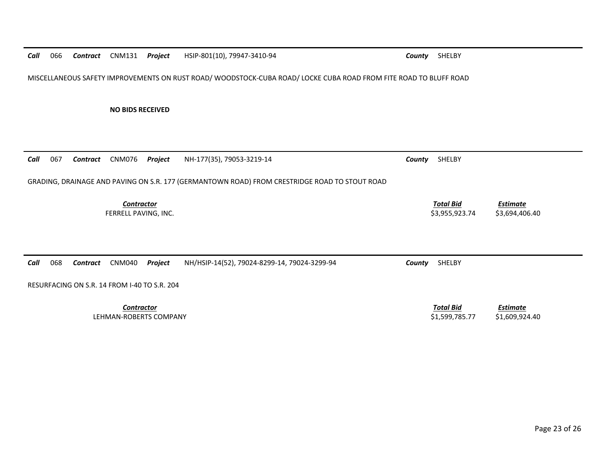*Call*066 *Contract* CNM131 *Project* HSIP‐801(10), 79947‐3410‐94 *County* SHELBY

MISCELLANEOUS SAFETY IMPROVEMENTS ON RUST ROAD/ WOODSTOCK‐CUBA ROAD/ LOCKE CUBA ROAD FROM FITE ROAD TO BLUFF ROAD

**NO BIDS RECEIVED**

| Call | 067 | Contract | CNM076                                       | Project | NH-177(35), 79053-3219-14                                                                     | County | SHELBY                             |                                   |
|------|-----|----------|----------------------------------------------|---------|-----------------------------------------------------------------------------------------------|--------|------------------------------------|-----------------------------------|
|      |     |          |                                              |         | GRADING, DRAINAGE AND PAVING ON S.R. 177 (GERMANTOWN ROAD) FROM CRESTRIDGE ROAD TO STOUT ROAD |        |                                    |                                   |
|      |     |          | <b>Contractor</b><br>FERRELL PAVING, INC.    |         |                                                                                               |        | <b>Total Bid</b><br>\$3,955,923.74 | <b>Estimate</b><br>\$3,694,406.40 |
| Call | 068 | Contract | CNM040                                       | Project | NH/HSIP-14(52), 79024-8299-14, 79024-3299-94                                                  | County | SHELBY                             |                                   |
|      |     |          | RESURFACING ON S.R. 14 FROM I-40 TO S.R. 204 |         |                                                                                               |        |                                    |                                   |
|      |     |          | <b>Contractor</b><br>LEHMAN-ROBERTS COMPANY  |         |                                                                                               |        | <b>Total Bid</b><br>\$1,599,785.77 | <b>Estimate</b><br>\$1,609,924.40 |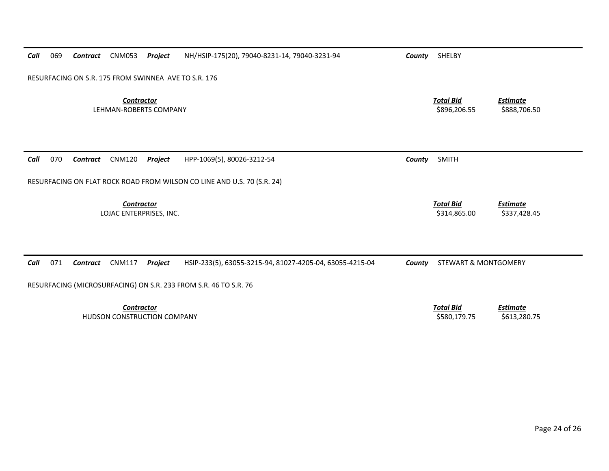| Call | 069 | Contract | CNM053                                           | Project | NH/HSIP-175(20), 79040-8231-14, 79040-3231-94                           | County | SHELBY                           |                                 |
|------|-----|----------|--------------------------------------------------|---------|-------------------------------------------------------------------------|--------|----------------------------------|---------------------------------|
|      |     |          |                                                  |         | RESURFACING ON S.R. 175 FROM SWINNEA AVE TO S.R. 176                    |        |                                  |                                 |
|      |     |          | <b>Contractor</b><br>LEHMAN-ROBERTS COMPANY      |         |                                                                         |        | <b>Total Bid</b><br>\$896,206.55 | <b>Estimate</b><br>\$888,706.50 |
| Call | 070 | Contract | <b>CNM120</b>                                    | Project | HPP-1069(5), 80026-3212-54                                              | County | <b>SMITH</b>                     |                                 |
|      |     |          |                                                  |         | RESURFACING ON FLAT ROCK ROAD FROM WILSON CO LINE AND U.S. 70 (S.R. 24) |        |                                  |                                 |
|      |     |          | <b>Contractor</b><br>LOJAC ENTERPRISES, INC.     |         |                                                                         |        | <b>Total Bid</b><br>\$314,865.00 | <b>Estimate</b><br>\$337,428.45 |
|      |     |          |                                                  |         |                                                                         |        |                                  |                                 |
| Call | 071 | Contract | <b>CNM117</b>                                    | Project | HSIP-233(5), 63055-3215-94, 81027-4205-04, 63055-4215-04                | County | <b>STEWART &amp; MONTGOMERY</b>  |                                 |
|      |     |          |                                                  |         | RESURFACING (MICROSURFACING) ON S.R. 233 FROM S.R. 46 TO S.R. 76        |        |                                  |                                 |
|      |     |          | <b>Contractor</b><br>HUDSON CONSTRUCTION COMPANY |         |                                                                         |        | <b>Total Bid</b><br>\$580,179.75 | <b>Estimate</b><br>\$613,280.75 |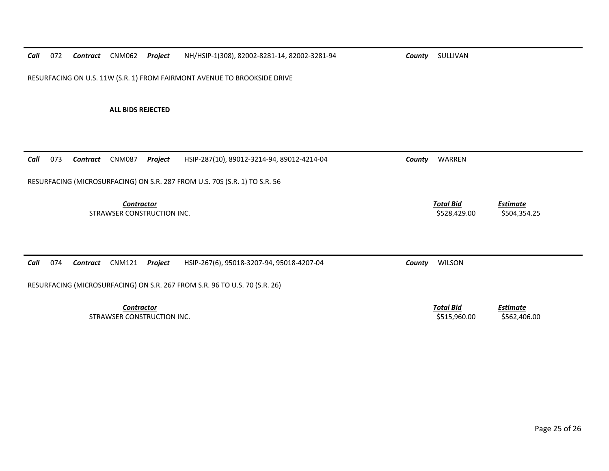*Call*072 *Contract* CNM062 *Project* NH/HSIP‐1(308), 82002‐8281‐14, 82002‐3281‐94 *County* SULLIVAN

RESURFACING ON U.S. 11W (S.R. 1) FROM FAIRMONT AVENUE TO BROOKSIDE DRIVE

**ALL BIDS REJECTED**

| 073<br>Call | <b>CNM087</b><br>Contract  | Project           | HSIP-287(10), 89012-3214-94, 89012-4214-04                                 | County | WARREN                           |                          |
|-------------|----------------------------|-------------------|----------------------------------------------------------------------------|--------|----------------------------------|--------------------------|
|             |                            |                   | RESURFACING (MICROSURFACING) ON S.R. 287 FROM U.S. 70S (S.R. 1) TO S.R. 56 |        |                                  |                          |
|             | STRAWSER CONSTRUCTION INC. | <b>Contractor</b> |                                                                            |        | <b>Total Bid</b><br>\$528,429.00 | Estimate<br>\$504,354.25 |
| Call<br>074 | CNM121<br>Contract         | Project           | HSIP-267(6), 95018-3207-94, 95018-4207-04                                  | County | <b>WILSON</b>                    |                          |
|             |                            |                   | RESURFACING (MICROSURFACING) ON S.R. 267 FROM S.R. 96 TO U.S. 70 (S.R. 26) |        |                                  |                          |
|             |                            |                   |                                                                            |        |                                  |                          |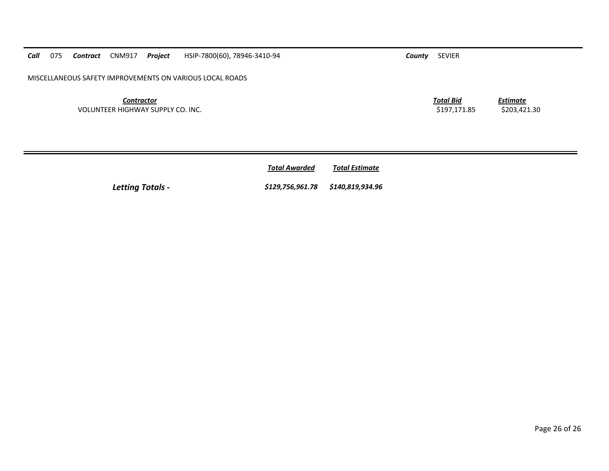*Contractor*VOLUNTEER HIGHWAY SUPPLY CO. INC. \$197,171.85 \$203,421.30

*Call*

*Total AwardedTotal Estimate*

*Letting Totals ‐ \$129,756,961.78 \$140,819,934.96*

075 *Contract* CNM917 *Project* HSIP‐7800(60), 78946‐3410‐94 *County* SEVIER

*Total Bid*

*Estimate*

Page 26 of 26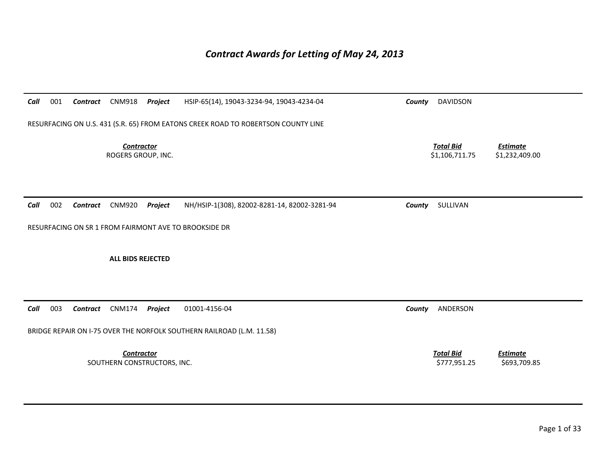## *Contract Awards for Letting of May 24, 2013*

| Call | 001                                                                               | Contract        | <b>CNM918</b>                                    | Project | HSIP-65(14), 19043-3234-94, 19043-4234-04             | County                                                                  | <b>DAVIDSON</b>                  |                                 |  |  |  |
|------|-----------------------------------------------------------------------------------|-----------------|--------------------------------------------------|---------|-------------------------------------------------------|-------------------------------------------------------------------------|----------------------------------|---------------------------------|--|--|--|
|      |                                                                                   |                 |                                                  |         |                                                       |                                                                         |                                  |                                 |  |  |  |
|      | RESURFACING ON U.S. 431 (S.R. 65) FROM EATONS CREEK ROAD TO ROBERTSON COUNTY LINE |                 |                                                  |         |                                                       |                                                                         |                                  |                                 |  |  |  |
|      |                                                                                   |                 | <b>Contractor</b><br>ROGERS GROUP, INC.          |         |                                                       | <b>Total Bid</b><br><b>Estimate</b><br>\$1,106,711.75<br>\$1,232,409.00 |                                  |                                 |  |  |  |
|      |                                                                                   |                 |                                                  |         |                                                       |                                                                         |                                  |                                 |  |  |  |
| Call | 002                                                                               | Contract        | <b>CNM920</b>                                    | Project | NH/HSIP-1(308), 82002-8281-14, 82002-3281-94          | County                                                                  | SULLIVAN                         |                                 |  |  |  |
|      |                                                                                   |                 |                                                  |         | RESURFACING ON SR 1 FROM FAIRMONT AVE TO BROOKSIDE DR |                                                                         |                                  |                                 |  |  |  |
|      |                                                                                   |                 |                                                  |         |                                                       |                                                                         |                                  |                                 |  |  |  |
|      |                                                                                   |                 | <b>ALL BIDS REJECTED</b>                         |         |                                                       |                                                                         |                                  |                                 |  |  |  |
|      |                                                                                   |                 |                                                  |         |                                                       |                                                                         |                                  |                                 |  |  |  |
|      |                                                                                   |                 |                                                  |         |                                                       |                                                                         |                                  |                                 |  |  |  |
| Call | 003                                                                               | <b>Contract</b> | <b>CNM174</b>                                    | Project | 01001-4156-04                                         | County                                                                  | ANDERSON                         |                                 |  |  |  |
|      | BRIDGE REPAIR ON I-75 OVER THE NORFOLK SOUTHERN RAILROAD (L.M. 11.58)             |                 |                                                  |         |                                                       |                                                                         |                                  |                                 |  |  |  |
|      |                                                                                   |                 | <b>Contractor</b><br>SOUTHERN CONSTRUCTORS, INC. |         |                                                       |                                                                         | <b>Total Bid</b><br>\$777,951.25 | <b>Estimate</b><br>\$693,709.85 |  |  |  |
|      |                                                                                   |                 |                                                  |         |                                                       |                                                                         |                                  |                                 |  |  |  |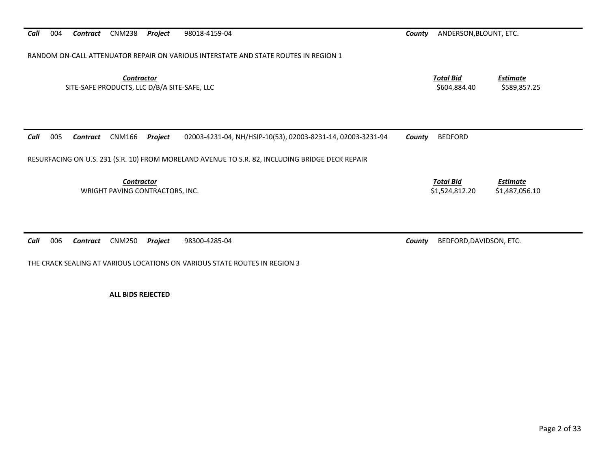RANDOM ON‐CALL ATTENUATOR REPAIR ON VARIOUS INTERSTATE AND STATE ROUTES IN REGION 1

*Contractor*

 *Total Bid*SITE‐SAFE PRODUCTS, LLC D/B/A SITE‐SAFE, LLC \$604,884.40 \$589,857.25

*Estimate*

| Call | 005 | Contract | CNM166                                               | Proiect | 02003-4231-04, NH/HSIP-10(53), 02003-8231-14, 02003-3231-94                                     | County | BEDFORD                            |                            |
|------|-----|----------|------------------------------------------------------|---------|-------------------------------------------------------------------------------------------------|--------|------------------------------------|----------------------------|
|      |     |          |                                                      |         | RESURFACING ON U.S. 231 (S.R. 10) FROM MORELAND AVENUE TO S.R. 82, INCLUDING BRIDGE DECK REPAIR |        |                                    |                            |
|      |     |          | <b>Contractor</b><br>WRIGHT PAVING CONTRACTORS, INC. |         |                                                                                                 |        | <b>Total Bid</b><br>\$1.524.812.20 | Estimate<br>\$1,487,056.10 |
|      |     |          |                                                      |         |                                                                                                 |        |                                    |                            |

*Call* 006*Contract* CNM250 *Project* 98300‐4285‐04 *County* BEDFORD,DAVIDSON, ETC.

THE CRACK SEALING AT VARIOUS LOCATIONS ON VARIOUS STATE ROUTES IN REGION 3

**ALL BIDS REJECTED**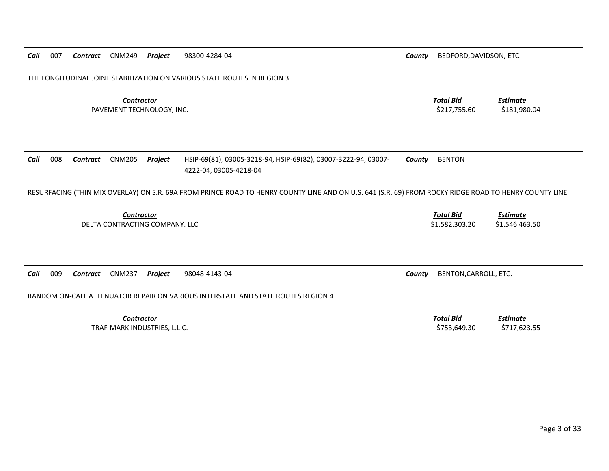THE LONGITUDINAL JOINT STABILIZATION ON VARIOUS STATE ROUTES IN REGION 3 *Contractor Total Bid Estimate* PAVEMENT TECHNOLOGY, INC. \$217,755.60 \$181,980.04

*Call* 008 *Contract* CNM205 *Project* HSIP‐69(81), 03005‐3218‐94, HSIP‐69(82), 03007‐3222‐94, 03007‐ 4222‐04, 03005‐4218‐04 *County* BENTON

RESURFACING (THIN MIX OVERLAY) ON S.R. 69A FROM PRINCE ROAD TO HENRY COUNTY LINE AND ON U.S. 641 (S.R. 69) FROM ROCKY RIDGE ROAD TO HENRY COUNTY LINE

*Contractor Total Bid Estimate* DELTA CONTRACTING COMPANY, LLC \$1,582,303.20 \$1,546,463.50

*Call* 009*Contract* CNM237 *Project* 98048‐4143‐04 *County* BENTON,CARROLL, ETC.

*Call*

007

RANDOM ON‐CALL ATTENUATOR REPAIR ON VARIOUS INTERSTATE AND STATE ROUTES REGION 4

*Contractor Total Bid*TRAF‐MARK INDUSTRIES, L.L.C. \$753,649.30 \$717,623.55

*Contract* CNM249 *Project* 98300‐4284‐04 *County* BEDFORD,DAVIDSON, ETC.

*Estimate*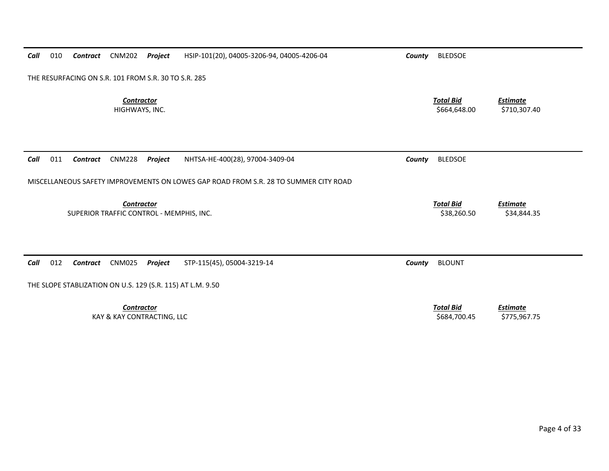| Call | 010                                                        | Contract | <b>CNM202</b>                            | Project | HSIP-101(20), 04005-3206-94, 04005-4206-04                                           | County | <b>BLEDSOE</b>   |                                |  |  |  |
|------|------------------------------------------------------------|----------|------------------------------------------|---------|--------------------------------------------------------------------------------------|--------|------------------|--------------------------------|--|--|--|
|      | THE RESURFACING ON S.R. 101 FROM S.R. 30 TO S.R. 285       |          |                                          |         |                                                                                      |        |                  |                                |  |  |  |
|      |                                                            |          | <b>Contractor</b>                        |         |                                                                                      |        | <b>Total Bid</b> | <b>Estimate</b>                |  |  |  |
|      |                                                            |          | HIGHWAYS, INC.                           |         |                                                                                      |        | \$664,648.00     | \$710,307.40                   |  |  |  |
|      |                                                            |          |                                          |         |                                                                                      |        |                  |                                |  |  |  |
|      |                                                            |          |                                          |         |                                                                                      |        |                  |                                |  |  |  |
| Call | 011                                                        | Contract | <b>CNM228</b>                            | Project | NHTSA-HE-400(28), 97004-3409-04                                                      | County | <b>BLEDSOE</b>   |                                |  |  |  |
|      |                                                            |          |                                          |         | MISCELLANEOUS SAFETY IMPROVEMENTS ON LOWES GAP ROAD FROM S.R. 28 TO SUMMER CITY ROAD |        |                  |                                |  |  |  |
|      |                                                            |          | Contractor                               |         |                                                                                      |        | <b>Total Bid</b> |                                |  |  |  |
|      |                                                            |          | SUPERIOR TRAFFIC CONTROL - MEMPHIS, INC. |         |                                                                                      |        | \$38,260.50      | <b>Estimate</b><br>\$34,844.35 |  |  |  |
|      |                                                            |          |                                          |         |                                                                                      |        |                  |                                |  |  |  |
|      |                                                            |          |                                          |         |                                                                                      |        |                  |                                |  |  |  |
| Call | 012                                                        | Contract | <b>CNM025</b>                            | Project | STP-115(45), 05004-3219-14                                                           | County | <b>BLOUNT</b>    |                                |  |  |  |
|      | THE SLOPE STABLIZATION ON U.S. 129 (S.R. 115) AT L.M. 9.50 |          |                                          |         |                                                                                      |        |                  |                                |  |  |  |
|      |                                                            |          | <b>Contractor</b>                        |         |                                                                                      |        | <b>Total Bid</b> | <b>Estimate</b>                |  |  |  |
|      |                                                            |          | KAY & KAY CONTRACTING, LLC               |         |                                                                                      |        | \$684,700.45     | \$775,967.75                   |  |  |  |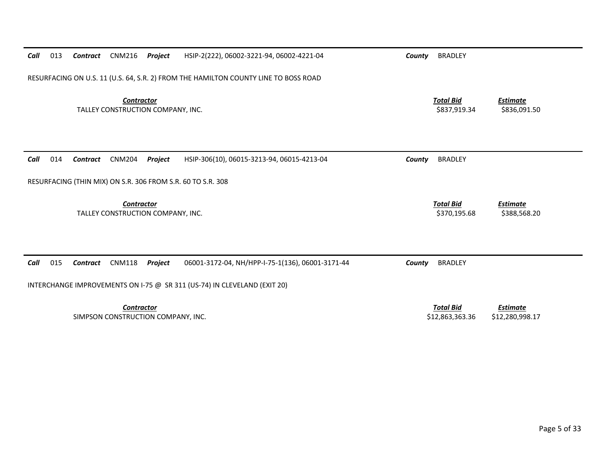| 013<br>Call                                                                         | Contract | CNM216                                                 | Project           | HSIP-2(222), 06002-3221-94, 06002-4221-04                                                                                    | County | <b>BRADLEY</b>                      |                                    |  |  |  |
|-------------------------------------------------------------------------------------|----------|--------------------------------------------------------|-------------------|------------------------------------------------------------------------------------------------------------------------------|--------|-------------------------------------|------------------------------------|--|--|--|
| RESURFACING ON U.S. 11 (U.S. 64, S.R. 2) FROM THE HAMILTON COUNTY LINE TO BOSS ROAD |          |                                                        |                   |                                                                                                                              |        |                                     |                                    |  |  |  |
|                                                                                     |          | TALLEY CONSTRUCTION COMPANY, INC.                      | <b>Contractor</b> |                                                                                                                              |        | <b>Total Bid</b><br>\$837,919.34    | <b>Estimate</b><br>\$836,091.50    |  |  |  |
| Call<br>014                                                                         | Contract | <b>CNM204</b>                                          | Project           | HSIP-306(10), 06015-3213-94, 06015-4213-04                                                                                   | County | <b>BRADLEY</b>                      |                                    |  |  |  |
|                                                                                     |          |                                                        |                   | RESURFACING (THIN MIX) ON S.R. 306 FROM S.R. 60 TO S.R. 308                                                                  |        |                                     |                                    |  |  |  |
|                                                                                     |          | <b>Contractor</b><br>TALLEY CONSTRUCTION COMPANY, INC. |                   |                                                                                                                              |        | <b>Total Bid</b><br>\$370,195.68    | <b>Estimate</b><br>\$388,568.20    |  |  |  |
| Call<br>015                                                                         | Contract | <b>CNM118</b>                                          | Project           | 06001-3172-04, NH/HPP-I-75-1(136), 06001-3171-44<br>INTERCHANGE IMPROVEMENTS ON I-75 @ SR 311 (US-74) IN CLEVELAND (EXIT 20) | County | <b>BRADLEY</b>                      |                                    |  |  |  |
|                                                                                     |          | SIMPSON CONSTRUCTION COMPANY, INC.                     | <b>Contractor</b> |                                                                                                                              |        | <b>Total Bid</b><br>\$12,863,363.36 | <b>Estimate</b><br>\$12,280,998.17 |  |  |  |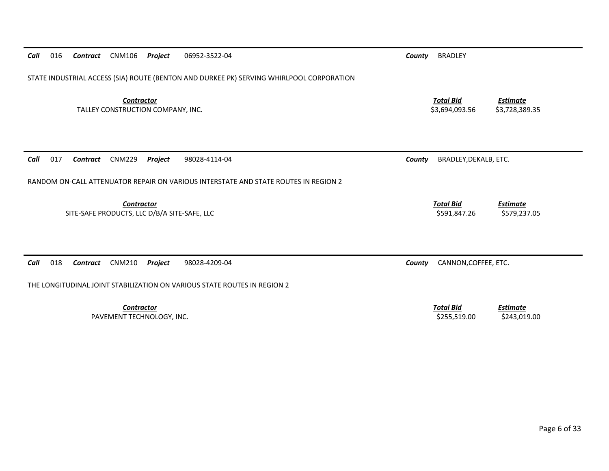| Call | 016                                                                                      | Contract | <b>CNM106</b>                                              | Project | 06952-3522-04                                                                       | County | <b>BRADLEY</b>                     |                                   |  |  |
|------|------------------------------------------------------------------------------------------|----------|------------------------------------------------------------|---------|-------------------------------------------------------------------------------------|--------|------------------------------------|-----------------------------------|--|--|
|      | STATE INDUSTRIAL ACCESS (SIA) ROUTE (BENTON AND DURKEE PK) SERVING WHIRLPOOL CORPORATION |          |                                                            |         |                                                                                     |        |                                    |                                   |  |  |
|      |                                                                                          |          | <b>Contractor</b><br>TALLEY CONSTRUCTION COMPANY, INC.     |         |                                                                                     |        | <b>Total Bid</b><br>\$3,694,093.56 | <b>Estimate</b><br>\$3,728,389.35 |  |  |
| Call | 017                                                                                      | Contract | <b>CNM229</b>                                              | Project | 98028-4114-04                                                                       | County | BRADLEY, DEKALB, ETC.              |                                   |  |  |
|      |                                                                                          |          |                                                            |         | RANDOM ON-CALL ATTENUATOR REPAIR ON VARIOUS INTERSTATE AND STATE ROUTES IN REGION 2 |        |                                    |                                   |  |  |
|      |                                                                                          |          | Contractor<br>SITE-SAFE PRODUCTS, LLC D/B/A SITE-SAFE, LLC |         |                                                                                     |        | <b>Total Bid</b><br>\$591,847.26   | <b>Estimate</b><br>\$579,237.05   |  |  |
| Call | 018                                                                                      | Contract | <b>CNM210</b>                                              | Project | 98028-4209-04                                                                       | County | CANNON, COFFEE, ETC.               |                                   |  |  |
|      | THE LONGITUDINAL JOINT STABILIZATION ON VARIOUS STATE ROUTES IN REGION 2                 |          |                                                            |         |                                                                                     |        |                                    |                                   |  |  |
|      |                                                                                          |          | <b>Contractor</b><br>PAVEMENT TECHNOLOGY, INC.             |         |                                                                                     |        | <b>Total Bid</b><br>\$255,519.00   | <b>Estimate</b><br>\$243,019.00   |  |  |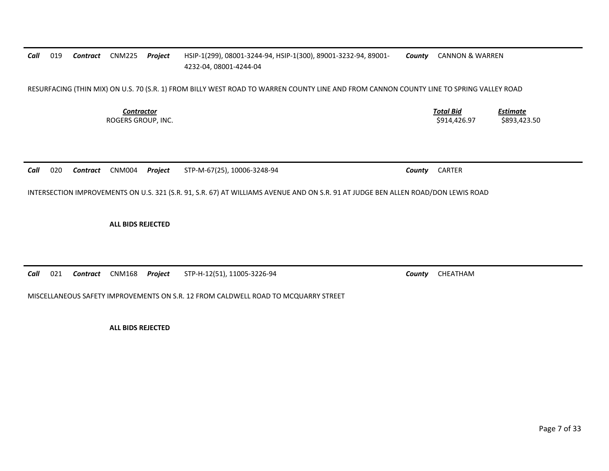#### *Call* 019 *Contract* CNM225 *Project* HSIP‐1(299), 08001‐3244‐94, HSIP‐1(300), 89001‐3232‐94, 89001‐ 4232‐04, 08001‐4244‐04 *County* CANNON & WARREN

RESURFACING (THIN MIX) ON U.S. 70 (S.R. 1) FROM BILLY WEST ROAD TO WARREN COUNTY LINE AND FROM CANNON COUNTY LINE TO SPRING VALLEY ROAD

*Contractor*

 *Total Bid Estimate* ROGERS GROUP, INC. \$914,426.97 \$893,423.50

*Call* 020*Contract* CNM004 *Project* STP‐M‐67(25), 10006‐3248‐94 *County* CARTER

INTERSECTION IMPROVEMENTS ON U.S. 321 (S.R. 91, S.R. 67) AT WILLIAMS AVENUE AND ON S.R. 91 AT JUDGE BEN ALLEN ROAD/DON LEWIS ROAD

**ALL BIDS REJECTED**

*Call* 021*Contract* CNM168 *Project* STP‐H‐12(51), 11005‐3226‐94 *County* CHEATHAM

MISCELLANEOUS SAFETY IMPROVEMENTS ON S.R. 12 FROM CALDWELL ROAD TO MCQUARRY STREET

**ALL BIDS REJECTED**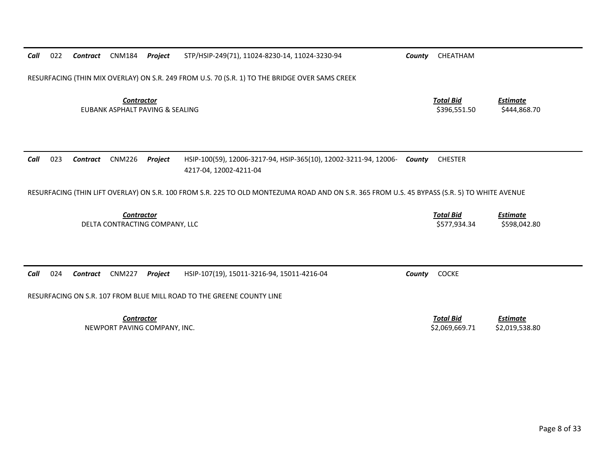| Call                                                | 022 | Contract        | <b>CNM184</b>                                        | Project | STP/HSIP-249(71), 11024-8230-14, 11024-3230-94                                                                                               | County                          | CHEATHAM                         |                                 |
|-----------------------------------------------------|-----|-----------------|------------------------------------------------------|---------|----------------------------------------------------------------------------------------------------------------------------------------------|---------------------------------|----------------------------------|---------------------------------|
|                                                     |     |                 |                                                      |         | RESURFACING (THIN MIX OVERLAY) ON S.R. 249 FROM U.S. 70 (S.R. 1) TO THE BRIDGE OVER SAMS CREEK                                               |                                 |                                  |                                 |
|                                                     |     |                 | <b>Contractor</b><br>EUBANK ASPHALT PAVING & SEALING |         | <b>Total Bid</b><br>\$396,551.50                                                                                                             | <b>Estimate</b><br>\$444,868.70 |                                  |                                 |
| Call                                                | 023 | <b>Contract</b> | <b>CNM226</b>                                        | Project | HSIP-100(59), 12006-3217-94, HSIP-365(10), 12002-3211-94, 12006-<br>4217-04, 12002-4211-04                                                   | Countv                          | <b>CHESTER</b>                   |                                 |
|                                                     |     |                 |                                                      |         | RESURFACING (THIN LIFT OVERLAY) ON S.R. 100 FROM S.R. 225 TO OLD MONTEZUMA ROAD AND ON S.R. 365 FROM U.S. 45 BYPASS (S.R. 5) TO WHITE AVENUE |                                 |                                  |                                 |
| <b>Contractor</b><br>DELTA CONTRACTING COMPANY, LLC |     |                 |                                                      |         |                                                                                                                                              |                                 |                                  |                                 |
|                                                     |     |                 |                                                      |         |                                                                                                                                              |                                 | <b>Total Bid</b><br>\$577,934.34 | <b>Estimate</b><br>\$598,042.80 |
| Call                                                | 024 | Contract        | <b>CNM227</b>                                        | Project | HSIP-107(19), 15011-3216-94, 15011-4216-04                                                                                                   | County                          | <b>COCKE</b>                     |                                 |
|                                                     |     |                 |                                                      |         | RESURFACING ON S.R. 107 FROM BLUE MILL ROAD TO THE GREENE COUNTY LINE                                                                        |                                 |                                  |                                 |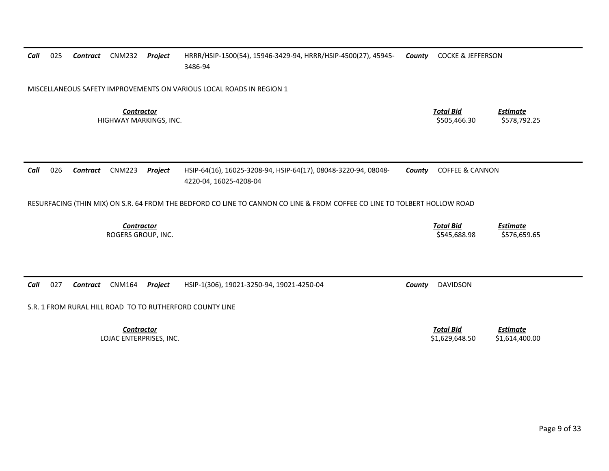| Call | 025                                         | <b>Contract</b> | <b>CNM232</b>                           | Project | HRRR/HSIP-1500(54), 15946-3429-94, HRRR/HSIP-4500(27), 45945-<br>3486-94                                                  | County | <b>COCKE &amp; JEFFERSON</b>     |                                 |
|------|---------------------------------------------|-----------------|-----------------------------------------|---------|---------------------------------------------------------------------------------------------------------------------------|--------|----------------------------------|---------------------------------|
|      |                                             |                 |                                         |         | MISCELLANEOUS SAFETY IMPROVEMENTS ON VARIOUS LOCAL ROADS IN REGION 1                                                      |        |                                  |                                 |
|      | <b>Contractor</b><br>HIGHWAY MARKINGS, INC. |                 |                                         |         |                                                                                                                           |        | <b>Total Bid</b><br>\$505,466.30 | <b>Estimate</b><br>\$578,792.25 |
| Call | 026                                         | Contract        | <b>CNM223</b>                           | Project | HSIP-64(16), 16025-3208-94, HSIP-64(17), 08048-3220-94, 08048-<br>4220-04, 16025-4208-04                                  | County | <b>COFFEE &amp; CANNON</b>       |                                 |
|      |                                             |                 |                                         |         | RESURFACING (THIN MIX) ON S.R. 64 FROM THE BEDFORD CO LINE TO CANNON CO LINE & FROM COFFEE CO LINE TO TOLBERT HOLLOW ROAD |        |                                  |                                 |
|      |                                             |                 | <b>Contractor</b><br>ROGERS GROUP, INC. |         |                                                                                                                           |        | <b>Total Bid</b><br>\$545,688.98 | <b>Estimate</b><br>\$576,659.65 |
|      |                                             |                 |                                         |         |                                                                                                                           |        |                                  |                                 |
|      | 027                                         | Contract        | <b>CNM164</b>                           | Project | HSIP-1(306), 19021-3250-94, 19021-4250-04                                                                                 | County | <b>DAVIDSON</b>                  |                                 |
| Call |                                             |                 |                                         |         | S.R. 1 FROM RURAL HILL ROAD TO TO RUTHERFORD COUNTY LINE                                                                  |        |                                  |                                 |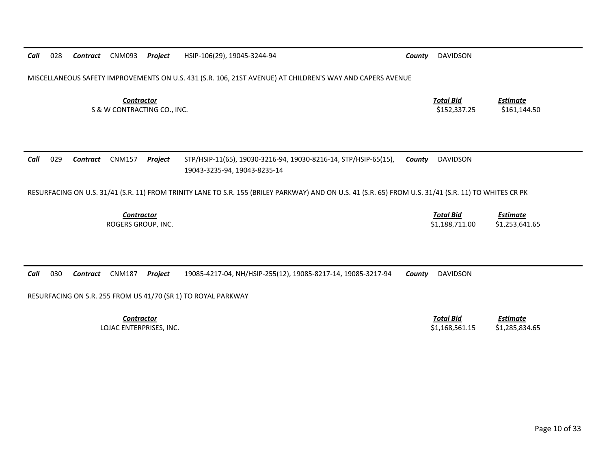MISCELLANEOUS SAFETY IMPROVEMENTS ON U.S. 431 (S.R. 106, 21ST AVENUE) AT CHILDREN'S WAY AND CAPERS AVENUE

*Contractor Total Bid*S & W CONTRACTING CO., INC. \$152,337.25 \$161,144.50

*Estimate*

### *Call* 029 *Contract* CNM157 *Project* STP/HSIP‐11(65), 19030‐3216‐94, 19030‐8216‐14, STP/HSIP‐65(15), 19043‐3235‐94, 19043‐8235‐14 *County* DAVIDSON

RESURFACING ON U.S. 31/41 (S.R. 11) FROM TRINITY LANE TO S.R. 155 (BRILEY PARKWAY) AND ON U.S. 41 (S.R. 65) FROM U.S. 31/41 (S.R. 11) TO WHITES CR PK

*Contractor*

 *Total Bid Estimate* ROGERS GROUP, INC. \$1,188,711.00 \$1,253,641.65

*Call* 030*Contract* CNM187 *Project* 19085‐4217‐04, NH/HSIP‐255(12), 19085‐8217‐14, 19085‐3217‐94 *County* DAVIDSON

RESURFACING ON S.R. 255 FROM US 41/70 (SR 1) TO ROYAL PARKWAY

*Contractor*

 *Total Bid Estimate* LOJAC ENTERPRISES, INC. \$1,168,561.15 \$1,285,834.65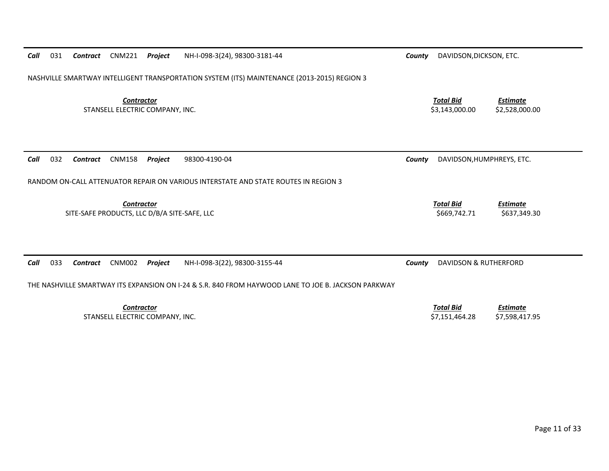| Call | 031                                                                                        | Contract | CNM221            | <b>Project</b> | NH-I-098-3(24), 98300-3181-44                                                                       | DAVIDSON, DICKSON, ETC.<br>County |                                    |                                   |  |  |
|------|--------------------------------------------------------------------------------------------|----------|-------------------|----------------|-----------------------------------------------------------------------------------------------------|-----------------------------------|------------------------------------|-----------------------------------|--|--|
|      |                                                                                            |          |                   |                | NASHVILLE SMARTWAY INTELLIGENT TRANSPORTATION SYSTEM (ITS) MAINTENANCE (2013-2015) REGION 3         |                                   |                                    |                                   |  |  |
|      | <b>Contractor</b><br>STANSELL ELECTRIC COMPANY, INC.                                       |          |                   |                |                                                                                                     |                                   | <b>Total Bid</b><br>\$3,143,000.00 | <b>Estimate</b><br>\$2,528,000.00 |  |  |
| Call | 032                                                                                        | Contract | <b>CNM158</b>     | Project        | 98300-4190-04                                                                                       | County                            | DAVIDSON, HUMPHREYS, ETC.          |                                   |  |  |
|      |                                                                                            |          |                   |                | RANDOM ON-CALL ATTENUATOR REPAIR ON VARIOUS INTERSTATE AND STATE ROUTES IN REGION 3                 |                                   |                                    |                                   |  |  |
|      | <b>Contractor</b><br>SITE-SAFE PRODUCTS, LLC D/B/A SITE-SAFE, LLC                          |          |                   |                |                                                                                                     |                                   | <b>Total Bid</b><br>\$669,742.71   | <b>Estimate</b><br>\$637,349.30   |  |  |
| Call | 033<br><b>CNM002</b><br>NH-I-098-3(22), 98300-3155-44<br><b>Contract</b><br><b>Project</b> |          |                   |                |                                                                                                     | County                            | <b>DAVIDSON &amp; RUTHERFORD</b>   |                                   |  |  |
|      |                                                                                            |          |                   |                | THE NASHVILLE SMARTWAY ITS EXPANSION ON I-24 & S.R. 840 FROM HAYWOOD LANE TO JOE B. JACKSON PARKWAY |                                   |                                    |                                   |  |  |
|      |                                                                                            |          | <b>Contractor</b> |                |                                                                                                     |                                   | <b>Total Bid</b>                   | <b>Estimate</b>                   |  |  |

STANSELL ELECTRIC COMPANY, INC. \$7,151,464.28 \$7,598,417.95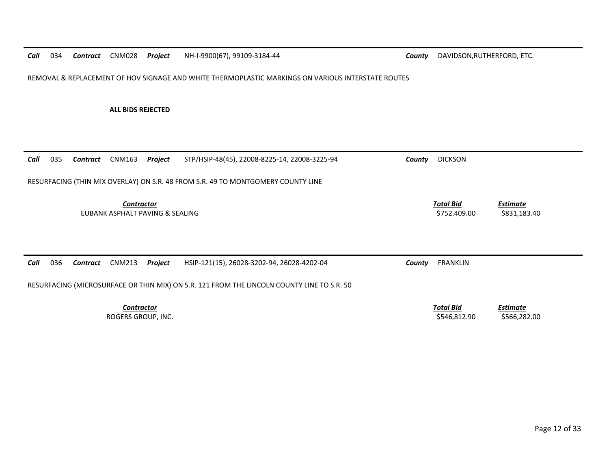*Call*034 Contract CNM028 Project

**Projection County DAVIDSON,RUTHERFORD, ETC. County** DAVIDSON,RUTHERFORD, ETC.

REMOVAL & REPLACEMENT OF HOV SIGNAGE AND WHITE THERMOPLASTIC MARKINGS ON VARIOUS INTERSTATE ROUTES

**ALL BIDS REJECTED**

| 035<br>Call | CNM163<br>Contract                                                                         | Project | STP/HSIP-48(45), 22008-8225-14, 22008-3225-94 | County                           | <b>DICKSON</b>                  |  |  |  |  |  |  |
|-------------|--------------------------------------------------------------------------------------------|---------|-----------------------------------------------|----------------------------------|---------------------------------|--|--|--|--|--|--|
|             | RESURFACING (THIN MIX OVERLAY) ON S.R. 48 FROM S.R. 49 TO MONTGOMERY COUNTY LINE           |         |                                               |                                  |                                 |  |  |  |  |  |  |
|             | <b>Contractor</b><br>EUBANK ASPHALT PAVING & SEALING                                       |         |                                               | <b>Total Bid</b><br>\$752,409.00 | <b>Estimate</b><br>\$831,183.40 |  |  |  |  |  |  |
| 036<br>Call | CNM213<br>Contract                                                                         | Project | HSIP-121(15), 26028-3202-94, 26028-4202-04    | County                           | <b>FRANKLIN</b>                 |  |  |  |  |  |  |
|             | RESURFACING (MICROSURFACE OR THIN MIX) ON S.R. 121 FROM THE LINCOLN COUNTY LINE TO S.R. 50 |         |                                               |                                  |                                 |  |  |  |  |  |  |
|             | <b>Contractor</b><br>ROGERS GROUP, INC.                                                    |         |                                               | <b>Total Bid</b><br>\$546,812.90 | <b>Estimate</b><br>\$566,282.00 |  |  |  |  |  |  |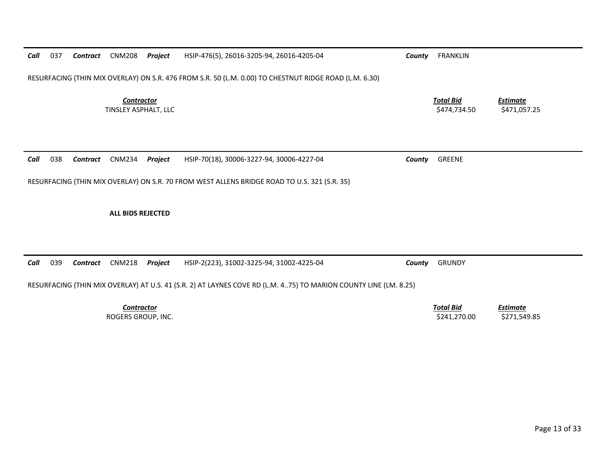| Call                                    | 039                                                                                                              | Contract | CNM218 | Project | HSIP-2(223), 31002-3225-94, 31002-4225-04 | County | <b>GRUNDY</b>                    |                                 |  |  |  |  |
|-----------------------------------------|------------------------------------------------------------------------------------------------------------------|----------|--------|---------|-------------------------------------------|--------|----------------------------------|---------------------------------|--|--|--|--|
|                                         | RESURFACING (THIN MIX OVERLAY) AT U.S. 41 (S.R. 2) AT LAYNES COVE RD (L.M. 475) TO MARION COUNTY LINE (LM. 8.25) |          |        |         |                                           |        |                                  |                                 |  |  |  |  |
| <b>Contractor</b><br>ROGERS GROUP, INC. |                                                                                                                  |          |        |         |                                           |        | <b>Total Bid</b><br>\$241,270.00 | <b>Estimate</b><br>\$271,549.85 |  |  |  |  |

*Total Bid*

*Contract* CNM234 *Project* HSIP‐70(18), 30006‐3227‐94, 30006‐4227‐04 *County* GREENE

RESURFACING (THIN MIX OVERLAY) ON S.R. 70 FROM WEST ALLENS BRIDGE ROAD TO U.S. 321 (S.R. 35)

**ALL BIDS REJECTED**

*Call*

038

*Contractor*

RESURFACING (THIN MIX OVERLAY) ON S.R. 476 FROM S.R. 50 (L.M. 0.00) TO CHESTNUT RIDGE ROAD (L.M. 6.30)

*Call* 037*Contract* CNM208 *Project* HSIP‐476(5), 26016‐3205‐94, 26016‐4205‐04 *County* FRANKLIN

 *Estimate* TINSLEY ASPHALT, LLC \$474,734.50 \$471,057.25

Page 13 of 33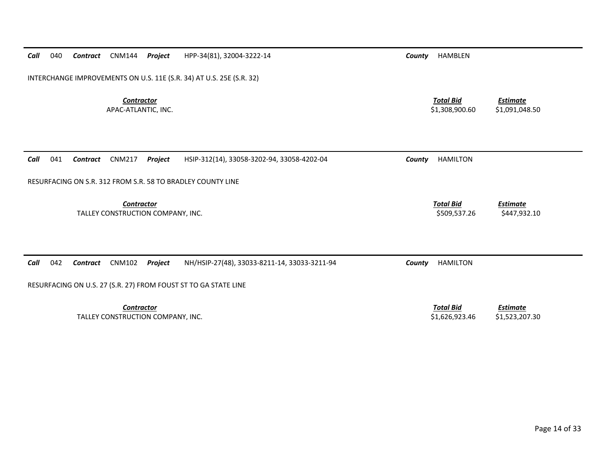| Call<br>040<br><b>CNM144</b><br>Contract<br>Project                  | HPP-34(81), 32004-3222-14                    | <b>HAMBLEN</b><br>County           |                                   |
|----------------------------------------------------------------------|----------------------------------------------|------------------------------------|-----------------------------------|
| INTERCHANGE IMPROVEMENTS ON U.S. 11E (S.R. 34) AT U.S. 25E (S.R. 32) |                                              |                                    |                                   |
| <b>Contractor</b><br>APAC-ATLANTIC, INC.                             |                                              | <b>Total Bid</b><br>\$1,308,900.60 | <b>Estimate</b><br>\$1,091,048.50 |
| 041<br><b>CNM217</b><br>Call<br>Project<br>Contract                  | HSIP-312(14), 33058-3202-94, 33058-4202-04   | <b>HAMILTON</b><br>County          |                                   |
| RESURFACING ON S.R. 312 FROM S.R. 58 TO BRADLEY COUNTY LINE          |                                              |                                    |                                   |
| Contractor<br>TALLEY CONSTRUCTION COMPANY, INC.                      |                                              | <b>Total Bid</b><br>\$509,537.26   | <b>Estimate</b><br>\$447,932.10   |
| Call<br>042<br><b>CNM102</b><br>Contract<br>Project                  | NH/HSIP-27(48), 33033-8211-14, 33033-3211-94 | County<br><b>HAMILTON</b>          |                                   |
| RESURFACING ON U.S. 27 (S.R. 27) FROM FOUST ST TO GA STATE LINE      |                                              |                                    |                                   |
| <b>Contractor</b><br>TALLEY CONSTRUCTION COMPANY, INC.               |                                              | <b>Total Bid</b><br>\$1,626,923.46 | <b>Estimate</b><br>\$1,523,207.30 |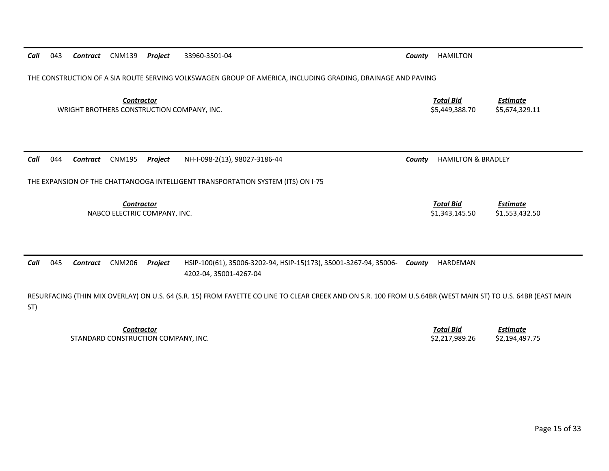| Call | 043                                        | Contract | <b>CNM139</b>                                                                                                                                                | <b>Project</b> | 33960-3501-04                                                                                               | County                             | <b>HAMILTON</b>                    |                                   |  |  |  |  |  |
|------|--------------------------------------------|----------|--------------------------------------------------------------------------------------------------------------------------------------------------------------|----------------|-------------------------------------------------------------------------------------------------------------|------------------------------------|------------------------------------|-----------------------------------|--|--|--|--|--|
|      |                                            |          |                                                                                                                                                              |                | THE CONSTRUCTION OF A SIA ROUTE SERVING VOLKSWAGEN GROUP OF AMERICA, INCLUDING GRADING, DRAINAGE AND PAVING |                                    |                                    |                                   |  |  |  |  |  |
|      |                                            |          | <b>Contractor</b><br>WRIGHT BROTHERS CONSTRUCTION COMPANY, INC.                                                                                              |                |                                                                                                             | <b>Total Bid</b><br>\$5,449,388.70 | <b>Estimate</b><br>\$5,674,329.11  |                                   |  |  |  |  |  |
| Call | 044                                        | Contract | <b>CNM195</b>                                                                                                                                                | Project        | NH-I-098-2(13), 98027-3186-44                                                                               | County                             | <b>HAMILTON &amp; BRADLEY</b>      |                                   |  |  |  |  |  |
|      |                                            |          |                                                                                                                                                              |                | THE EXPANSION OF THE CHATTANOOGA INTELLIGENT TRANSPORTATION SYSTEM (ITS) ON I-75                            |                                    |                                    |                                   |  |  |  |  |  |
|      | Contractor<br>NABCO ELECTRIC COMPANY, INC. |          |                                                                                                                                                              |                |                                                                                                             |                                    | <b>Total Bid</b><br>\$1,343,145.50 | <b>Estimate</b><br>\$1,553,432.50 |  |  |  |  |  |
|      |                                            |          |                                                                                                                                                              |                |                                                                                                             |                                    |                                    |                                   |  |  |  |  |  |
| Call | 045                                        | Contract | <b>CNM206</b>                                                                                                                                                | <b>Project</b> | HSIP-100(61), 35006-3202-94, HSIP-15(173), 35001-3267-94, 35006-<br>4202-04, 35001-4267-04                  | County                             | HARDEMAN                           |                                   |  |  |  |  |  |
|      |                                            |          | RESURFACING (THIN MIX OVERLAY) ON U.S. 64 (S.R. 15) FROM FAYETTE CO LINE TO CLEAR CREEK AND ON S.R. 100 FROM U.S.64BR (WEST MAIN ST) TO U.S. 64BR (EAST MAIN |                |                                                                                                             |                                    |                                    |                                   |  |  |  |  |  |

*Contractor*STANDARD CONSTRUCTION

ST)

 *Total Bid Estimate* COMPANY, INC. \$2,217,989.26 \$2,194,497.75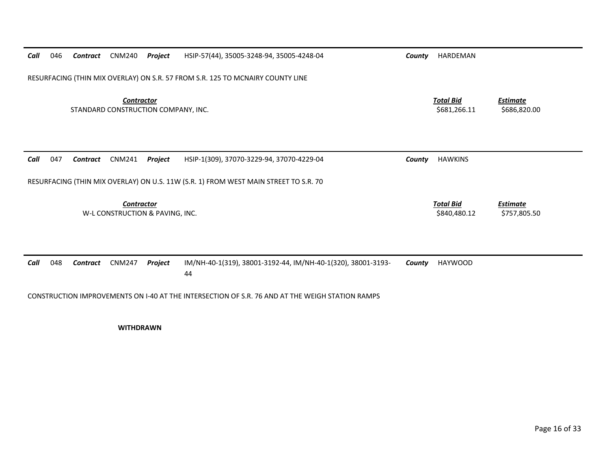| Call | 046                                                                                             | Contract | <b>CNM240</b> | Project | HSIP-57(44), 35005-3248-94, 35005-4248-04                                            | County | HARDEMAN                         |                                 |  |  |
|------|-------------------------------------------------------------------------------------------------|----------|---------------|---------|--------------------------------------------------------------------------------------|--------|----------------------------------|---------------------------------|--|--|
|      |                                                                                                 |          |               |         | RESURFACING (THIN MIX OVERLAY) ON S.R. 57 FROM S.R. 125 TO MCNAIRY COUNTY LINE       |        |                                  |                                 |  |  |
|      | <b>Contractor</b><br>STANDARD CONSTRUCTION COMPANY, INC.                                        |          |               |         |                                                                                      |        |                                  | <b>Estimate</b><br>\$686,820.00 |  |  |
| Call | 047                                                                                             | Contract | <b>CNM241</b> | Project | HSIP-1(309), 37070-3229-94, 37070-4229-04                                            | County | <b>HAWKINS</b>                   |                                 |  |  |
|      |                                                                                                 |          |               |         | RESURFACING (THIN MIX OVERLAY) ON U.S. 11W (S.R. 1) FROM WEST MAIN STREET TO S.R. 70 |        |                                  |                                 |  |  |
|      | <b>Contractor</b><br>W-L CONSTRUCTION & PAVING, INC.                                            |          |               |         |                                                                                      |        | <b>Total Bid</b><br>\$840,480.12 | <b>Estimate</b><br>\$757,805.50 |  |  |
| Call | 048                                                                                             | Contract | <b>CNM247</b> | Project | IM/NH-40-1(319), 38001-3192-44, IM/NH-40-1(320), 38001-3193-<br>44                   | County | <b>HAYWOOD</b>                   |                                 |  |  |
|      | CONSTRUCTION IMPROVEMENTS ON 1-40 AT THE INTERSECTION OF S.R. 76 AND AT THE WEIGH STATION RAMPS |          |               |         |                                                                                      |        |                                  |                                 |  |  |

**WITHDRAWN**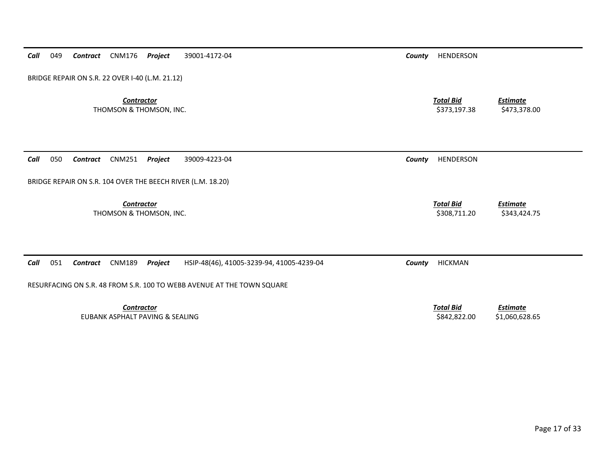| BRIDGE REPAIR ON S.R. 22 OVER I-40 (L.M. 21.12)                                                  |        |                                  |                                   |  |  |  |  |  |  |  |
|--------------------------------------------------------------------------------------------------|--------|----------------------------------|-----------------------------------|--|--|--|--|--|--|--|
| <b>Contractor</b><br>THOMSON & THOMSON, INC.                                                     |        | <b>Total Bid</b><br>\$373,197.38 | <b>Estimate</b><br>\$473,378.00   |  |  |  |  |  |  |  |
| 050<br>Call<br><b>CNM251</b><br>Project<br>39009-4223-04<br><b>Contract</b>                      | County | <b>HENDERSON</b>                 |                                   |  |  |  |  |  |  |  |
| BRIDGE REPAIR ON S.R. 104 OVER THE BEECH RIVER (L.M. 18.20)                                      |        |                                  |                                   |  |  |  |  |  |  |  |
| <b>Contractor</b><br>THOMSON & THOMSON, INC.                                                     |        | <b>Total Bid</b><br>\$308,711.20 | <b>Estimate</b><br>\$343,424.75   |  |  |  |  |  |  |  |
|                                                                                                  |        |                                  |                                   |  |  |  |  |  |  |  |
| 051<br>Call<br><b>CNM189</b><br>HSIP-48(46), 41005-3239-94, 41005-4239-04<br>Contract<br>Project | County | <b>HICKMAN</b>                   |                                   |  |  |  |  |  |  |  |
| RESURFACING ON S.R. 48 FROM S.R. 100 TO WEBB AVENUE AT THE TOWN SQUARE                           |        |                                  |                                   |  |  |  |  |  |  |  |
| <b>Contractor</b><br>EUBANK ASPHALT PAVING & SEALING                                             |        | <b>Total Bid</b><br>\$842,822.00 | <b>Estimate</b><br>\$1,060,628.65 |  |  |  |  |  |  |  |

*Call* 049 *Contract* CNM176 *Project* 39001‐4172‐04 *County* HENDERSON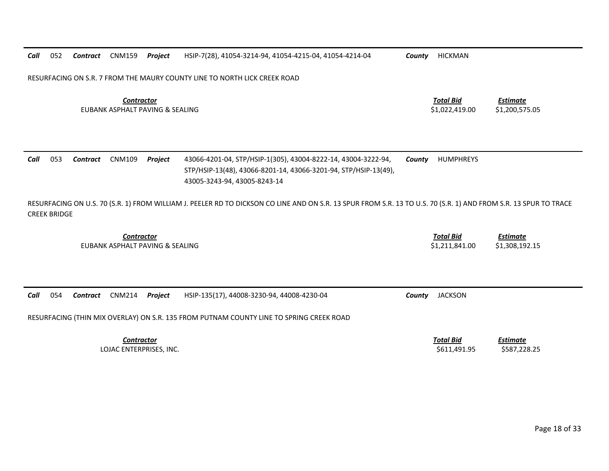|  |  | Call 052 Contract CNM159 Project HSIP-7(28), 41054-3214-94, 41054-4215-04, 41054-4214-04 |
|--|--|------------------------------------------------------------------------------------------|
|  |  |                                                                                          |

*County* **HICKMAN** 

RESURFACING ON S.R. 7 FROM THE MAURY COUNTY LINE TO NORTH LICK CREEK ROAD

*Contractor Total Bid*EUBANK ASPHALT PAVING &

 *Estimate* \$1,022,419.00 \$1,200,575.05

| Call | 053 | <b>Contract</b> CNM109 <b>Project</b> | 43066-4201-04, STP/HSIP-1(305), 43004-8222-14, 43004-3222-94,   | <b>County</b> HUMPHREYS |
|------|-----|---------------------------------------|-----------------------------------------------------------------|-------------------------|
|      |     |                                       | STP/HSIP-13(48), 43066-8201-14, 43066-3201-94, STP/HSIP-13(49), |                         |
|      |     |                                       | 43005-3243-94, 43005-8243-14                                    |                         |

RESURFACING ON U.S. 70 (S.R. 1) FROM WILLIAM J. PEELER RD TO DICKSON CO LINE AND ON S.R. 13 SPUR FROM S.R. 13 TO U.S. 70 (S.R. 1) AND FROM S.R. 13 SPUR TO TRACE CREEK BRIDGE

> *Contractor Total Bid*EUBANK ASPHALT PAVING &

 *Estimate* \$1,211,841.00 \$1,308,192.15

|  |  |  |  |  | Call 054 Contract CNM214 Project HSIP-135(17), 44008-3230-94, 44008-4230-04 |  | <b>County</b> JACKSON |
|--|--|--|--|--|-----------------------------------------------------------------------------|--|-----------------------|
|--|--|--|--|--|-----------------------------------------------------------------------------|--|-----------------------|

RESURFACING (THIN MIX OVERLAY) ON S.R. 135 FROM PUTNAM COUNTY LINE TO SPRING CREEK ROAD

*Contractor*LOJAC ENTERPRISES, INC. \$611,491.95 \$587,228.25

 *Total BidEstimate*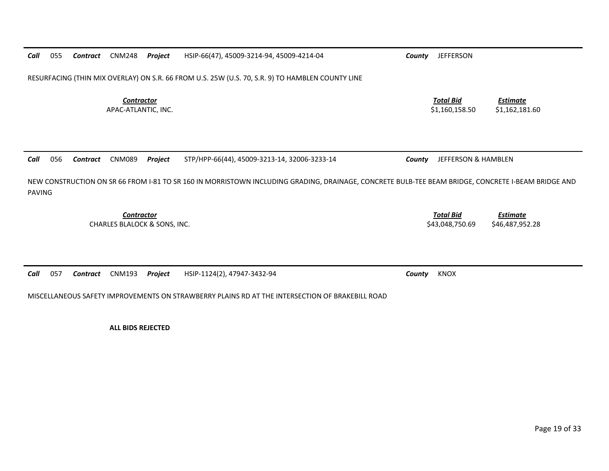RESURFACING (THIN MIX OVERLAY) ON S.R. 66 FROM U.S. 25W (U.S. 70, S.R. 9) TO HAMBLEN COUNTY LINE *Contractor Total Bid Estimate* APAC-ATLANTIC, INC. \$1,162,181.60 \$1,160,158.50 \$1,162,181.60

NEW CONSTRUCTION ON SR 66 FROM I‐81 TO SR 160 IN MORRISTOWN INCLUDING GRADING, DRAINAGE, CONCRETE BULB‐TEE BEAM BRIDGE, CONCRETE I‐BEAM BRIDGE AND PAVING

*Contract* CNM089 *Project* STP/HPP‐66(44), 45009‐3213‐14, 32006‐3233‐14 *County* JEFFERSON & HAMBLEN

*Contractor*CHARLES BLALOCK &

*Call*

*Call*

055

056

*Call* 057*Contract* CNM193 *Project* HSIP‐1124(2), 47947‐3432‐94 *County* KNOX

MISCELLANEOUS SAFETY IMPROVEMENTS ON STRAWBERRY PLAINS RD AT THE INTERSECTION OF BRAKEBILL ROAD

**ALL BIDS REJECTED**

*Total Bid*

*Estimate*

S43,048,750.69 \$46,487,952,28

*Contract* CNM248 *Project* HSIP‐66(47), 45009‐3214‐94, 45009‐4214‐04 *County* JEFFERSON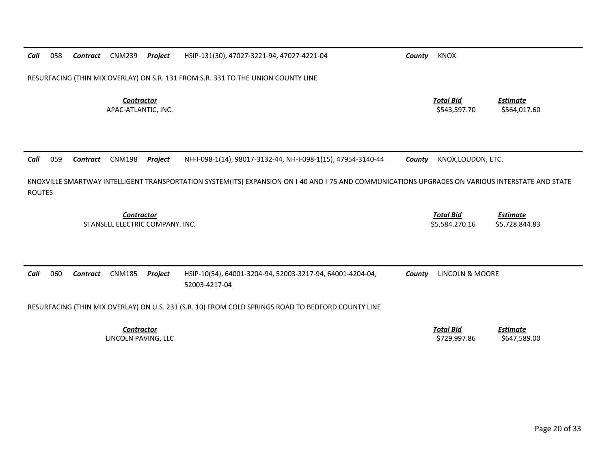| Call                                                 | 058                                                                                                                                                               | Contract | <b>CNM239</b>                            | Project | HSIP-131(30), 47027-3221-94, 47027-4221-04                                 | County                             | <b>KNOX</b>                       |                                 |  |
|------------------------------------------------------|-------------------------------------------------------------------------------------------------------------------------------------------------------------------|----------|------------------------------------------|---------|----------------------------------------------------------------------------|------------------------------------|-----------------------------------|---------------------------------|--|
|                                                      | RESURFACING (THIN MIX OVERLAY) ON S.R. 131 FROM S.R. 331 TO THE UNION COUNTY LINE                                                                                 |          |                                          |         |                                                                            |                                    |                                   |                                 |  |
|                                                      |                                                                                                                                                                   |          | <b>Contractor</b><br>APAC-ATLANTIC, INC. |         |                                                                            |                                    | <b>Total Bid</b><br>\$543,597.70  | <b>Estimate</b><br>\$564,017.60 |  |
| Call                                                 | 059                                                                                                                                                               | Contract | <b>CNM198</b>                            | Project | NH-I-098-1(14), 98017-3132-44, NH-I-098-1(15), 47954-3140-44               | County                             | KNOX, LOUDON, ETC.                |                                 |  |
|                                                      | KNOXVILLE SMARTWAY INTELLIGENT TRANSPORTATION SYSTEM(ITS) EXPANSION ON I-40 AND I-75 AND COMMUNICATIONS UPGRADES ON VARIOUS INTERSTATE AND STATE<br><b>ROUTES</b> |          |                                          |         |                                                                            |                                    |                                   |                                 |  |
| <b>Contractor</b><br>STANSELL ELECTRIC COMPANY, INC. |                                                                                                                                                                   |          |                                          |         |                                                                            | <b>Total Bid</b><br>\$5,584,270.16 | <b>Estimate</b><br>\$5,728,844.83 |                                 |  |
| Call                                                 | 060                                                                                                                                                               | Contract | <b>CNM185</b>                            | Project | HSIP-10(54), 64001-3204-94, 52003-3217-94, 64001-4204-04,<br>52003-4217-04 | County                             | LINCOLN & MOORE                   |                                 |  |
|                                                      | RESURFACING (THIN MIX OVERLAY) ON U.S. 231 (S.R. 10) FROM COLD SPRINGS ROAD TO BEDFORD COUNTY LINE                                                                |          |                                          |         |                                                                            |                                    |                                   |                                 |  |
|                                                      |                                                                                                                                                                   |          | <b>Contractor</b><br>LINCOLN PAVING, LLC |         |                                                                            |                                    | <b>Total Bid</b><br>\$729,997.86  | <b>Estimate</b><br>\$647,589.00 |  |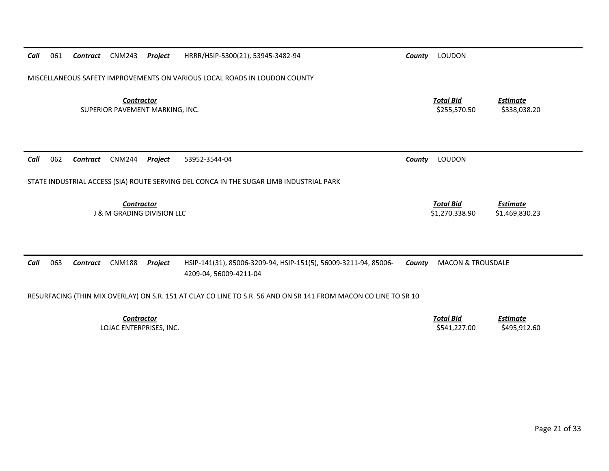| Call | 061                                                                                                             | Contract        | <b>CNM243</b>                                        | Project        | HRRR/HSIP-5300(21), 53945-3482-94                                                         | County | LOUDON                             |                                   |  |
|------|-----------------------------------------------------------------------------------------------------------------|-----------------|------------------------------------------------------|----------------|-------------------------------------------------------------------------------------------|--------|------------------------------------|-----------------------------------|--|
|      | MISCELLANEOUS SAFETY IMPROVEMENTS ON VARIOUS LOCAL ROADS IN LOUDON COUNTY                                       |                 |                                                      |                |                                                                                           |        |                                    |                                   |  |
|      |                                                                                                                 |                 | <b>Contractor</b><br>SUPERIOR PAVEMENT MARKING, INC. |                |                                                                                           |        | <b>Total Bid</b><br>\$255,570.50   | <b>Estimate</b><br>\$338,038.20   |  |
| Call | 062                                                                                                             | <b>Contract</b> | <b>CNM244</b>                                        | Project        | 53952-3544-04                                                                             | County | LOUDON                             |                                   |  |
|      | STATE INDUSTRIAL ACCESS (SIA) ROUTE SERVING DEL CONCA IN THE SUGAR LIMB INDUSTRIAL PARK                         |                 |                                                      |                |                                                                                           |        |                                    |                                   |  |
|      |                                                                                                                 |                 | Contractor<br><b>J &amp; M GRADING DIVISION LLC</b>  |                |                                                                                           |        | <b>Total Bid</b><br>\$1,270,338.90 | <b>Estimate</b><br>\$1,469,830.23 |  |
|      |                                                                                                                 |                 |                                                      |                |                                                                                           |        |                                    |                                   |  |
| Call | 063                                                                                                             | Contract        | <b>CNM188</b>                                        | <b>Project</b> | HSIP-141(31), 85006-3209-94, HSIP-151(5), 56009-3211-94, 85006-<br>4209-04, 56009-4211-04 | County | <b>MACON &amp; TROUSDALE</b>       |                                   |  |
|      | RESURFACING (THIN MIX OVERLAY) ON S.R. 151 AT CLAY CO LINE TO S.R. 56 AND ON SR 141 FROM MACON CO LINE TO SR 10 |                 |                                                      |                |                                                                                           |        |                                    |                                   |  |
|      |                                                                                                                 |                 | <b>Contractor</b><br>LOJAC ENTERPRISES, INC.         |                |                                                                                           |        | <b>Total Bid</b><br>\$541,227.00   | <b>Estimate</b><br>\$495,912.60   |  |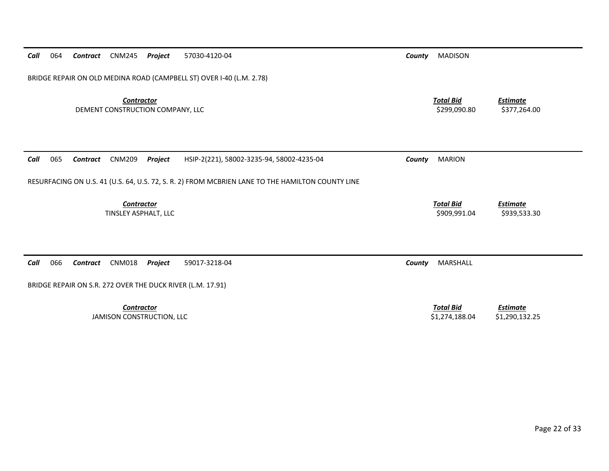| BRIDGE REPAIR ON OLD MEDINA ROAD (CAMPBELL ST) OVER I-40 (L.M. 2.78)                             |                                    |                                   |  |  |  |  |  |  |  |
|--------------------------------------------------------------------------------------------------|------------------------------------|-----------------------------------|--|--|--|--|--|--|--|
| <b>Contractor</b><br>DEMENT CONSTRUCTION COMPANY, LLC                                            | <b>Total Bid</b><br>\$299,090.80   | <b>Estimate</b><br>\$377,264.00   |  |  |  |  |  |  |  |
| 065<br><b>CNM209</b><br>HSIP-2(221), 58002-3235-94, 58002-4235-04<br>Contract<br>Project<br>Call | <b>MARION</b><br>County            |                                   |  |  |  |  |  |  |  |
| RESURFACING ON U.S. 41 (U.S. 64, U.S. 72, S. R. 2) FROM MCBRIEN LANE TO THE HAMILTON COUNTY LINE |                                    |                                   |  |  |  |  |  |  |  |
| Contractor<br>TINSLEY ASPHALT, LLC                                                               | <b>Total Bid</b><br>\$909,991.04   | <b>Estimate</b><br>\$939,533.30   |  |  |  |  |  |  |  |
| 066<br><b>CNM018</b><br>59017-3218-04<br>Call<br><b>Contract</b><br>Project                      | MARSHALL<br>County                 |                                   |  |  |  |  |  |  |  |
| BRIDGE REPAIR ON S.R. 272 OVER THE DUCK RIVER (L.M. 17.91)                                       |                                    |                                   |  |  |  |  |  |  |  |
| <b>Contractor</b><br>JAMISON CONSTRUCTION, LLC                                                   | <b>Total Bid</b><br>\$1,274,188.04 | <b>Estimate</b><br>\$1,290,132.25 |  |  |  |  |  |  |  |

*Call* 064 *Contract* CNM245 *Project* 57030‐4120‐04 *County* MADISON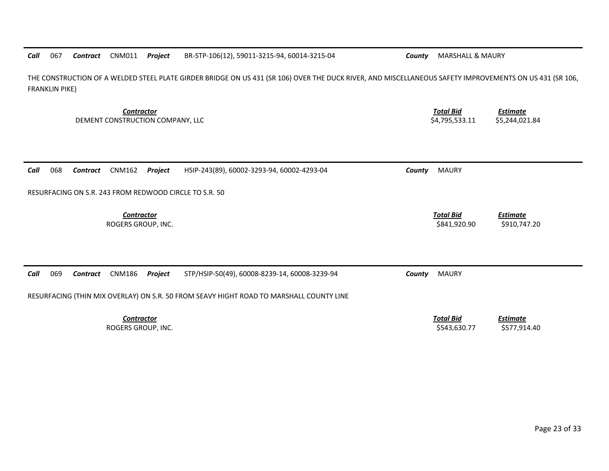| THE CONSTRUCTION OF A WELDED STEEL PLATE GIRDER BRIDGE ON US 431 (SR 106) OVER THE DUCK RIVER, AND MISCELLANEOUS SAFETY IMPROVEMENTS ON US 431 (SR 106,<br><b>FRANKLIN PIKE)</b> |                                                                         |  |  |  |  |  |  |  |
|----------------------------------------------------------------------------------------------------------------------------------------------------------------------------------|-------------------------------------------------------------------------|--|--|--|--|--|--|--|
| <b>Contractor</b><br>DEMENT CONSTRUCTION COMPANY, LLC                                                                                                                            | <b>Total Bid</b><br><b>Estimate</b><br>\$4,795,533.11<br>\$5,244,021.84 |  |  |  |  |  |  |  |
| 068<br><b>CNM162</b><br>HSIP-243(89), 60002-3293-94, 60002-4293-04<br>Call<br>Project<br><b>Contract</b>                                                                         | <b>MAURY</b><br>County                                                  |  |  |  |  |  |  |  |
| RESURFACING ON S.R. 243 FROM REDWOOD CIRCLE TO S.R. 50                                                                                                                           |                                                                         |  |  |  |  |  |  |  |
| <b>Contractor</b><br>ROGERS GROUP, INC.                                                                                                                                          | <b>Total Bid</b><br><b>Estimate</b><br>\$841,920.90<br>\$910,747.20     |  |  |  |  |  |  |  |
| 069<br>Call<br><b>CNM186</b><br>Project<br>STP/HSIP-50(49), 60008-8239-14, 60008-3239-94<br><b>Contract</b>                                                                      | <b>MAURY</b><br>County                                                  |  |  |  |  |  |  |  |
| RESURFACING (THIN MIX OVERLAY) ON S.R. 50 FROM SEAVY HIGHT ROAD TO MARSHALL COUNTY LINE                                                                                          |                                                                         |  |  |  |  |  |  |  |
| <b>Contractor</b><br>ROGERS GROUP, INC.                                                                                                                                          | <b>Total Bid</b><br><b>Estimate</b><br>\$543,630.77<br>\$577,914.40     |  |  |  |  |  |  |  |

**BR-STP-106(12), 59011-3215-94, 60014-3215-04 County** MARSHALL & MAURY

*Call* 067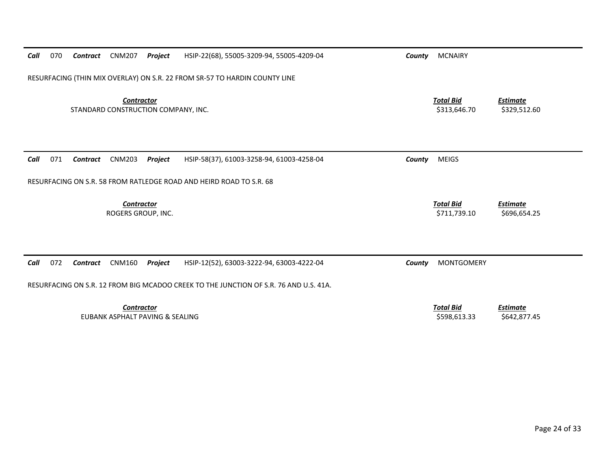| Call                             | 070                                                                                   | Contract        | <b>CNM207</b>                                        | Project | HSIP-22(68), 55005-3209-94, 55005-4209-04                           | County | <b>MCNAIRY</b>                   |                                 |  |  |
|----------------------------------|---------------------------------------------------------------------------------------|-----------------|------------------------------------------------------|---------|---------------------------------------------------------------------|--------|----------------------------------|---------------------------------|--|--|
|                                  | RESURFACING (THIN MIX OVERLAY) ON S.R. 22 FROM SR-57 TO HARDIN COUNTY LINE            |                 |                                                      |         |                                                                     |        |                                  |                                 |  |  |
|                                  | <b>Contractor</b><br>STANDARD CONSTRUCTION COMPANY, INC.                              |                 |                                                      |         |                                                                     |        | <b>Total Bid</b><br>\$313,646.70 | <b>Estimate</b><br>\$329,512.60 |  |  |
| Call                             | 071                                                                                   | Contract        | <b>CNM203</b>                                        | Project | HSIP-58(37), 61003-3258-94, 61003-4258-04                           | County | <b>MEIGS</b>                     |                                 |  |  |
|                                  |                                                                                       |                 |                                                      |         | RESURFACING ON S.R. 58 FROM RATLEDGE ROAD AND HEIRD ROAD TO S.R. 68 |        |                                  |                                 |  |  |
| Contractor<br>ROGERS GROUP, INC. |                                                                                       |                 |                                                      |         |                                                                     |        | <b>Total Bid</b><br>\$711,739.10 | <b>Estimate</b><br>\$696,654.25 |  |  |
| Call                             | 072                                                                                   | <b>Contract</b> | <b>CNM160</b>                                        | Project | HSIP-12(52), 63003-3222-94, 63003-4222-04                           | County | <b>MONTGOMERY</b>                |                                 |  |  |
|                                  | RESURFACING ON S.R. 12 FROM BIG MCADOO CREEK TO THE JUNCTION OF S.R. 76 AND U.S. 41A. |                 |                                                      |         |                                                                     |        |                                  |                                 |  |  |
|                                  |                                                                                       |                 | <b>Contractor</b><br>EUBANK ASPHALT PAVING & SEALING |         |                                                                     |        | <b>Total Bid</b><br>\$598,613.33 | <b>Estimate</b><br>\$642,877.45 |  |  |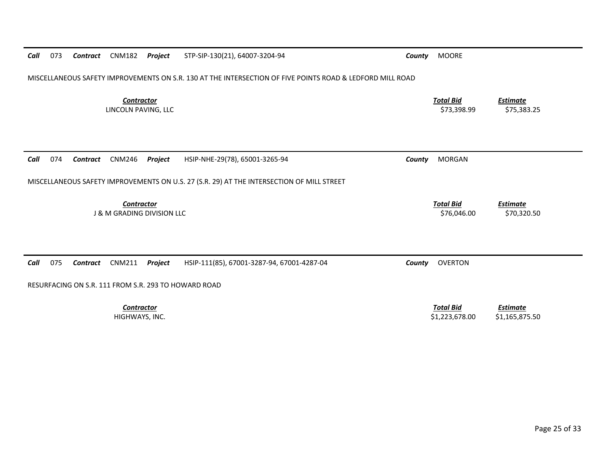| Call | 073                                                                                                       | Contract        | <b>CNM182</b>                            | Project | STP-SIP-130(21), 64007-3204-94                                                            | County                          | <b>MOORE</b>                       |                                   |  |
|------|-----------------------------------------------------------------------------------------------------------|-----------------|------------------------------------------|---------|-------------------------------------------------------------------------------------------|---------------------------------|------------------------------------|-----------------------------------|--|
|      | MISCELLANEOUS SAFETY IMPROVEMENTS ON S.R. 130 AT THE INTERSECTION OF FIVE POINTS ROAD & LEDFORD MILL ROAD |                 |                                          |         |                                                                                           |                                 |                                    |                                   |  |
|      |                                                                                                           |                 | <b>Contractor</b><br>LINCOLN PAVING, LLC |         |                                                                                           |                                 | <b>Total Bid</b><br>\$73,398.99    | <b>Estimate</b><br>\$75,383.25    |  |
| Call | 074                                                                                                       | <b>Contract</b> | <b>CNM246</b>                            | Project | HSIP-NHE-29(78), 65001-3265-94                                                            | County                          | <b>MORGAN</b>                      |                                   |  |
|      |                                                                                                           |                 |                                          |         | MISCELLANEOUS SAFETY IMPROVEMENTS ON U.S. 27 (S.R. 29) AT THE INTERSECTION OF MILL STREET |                                 |                                    |                                   |  |
|      | Contractor<br><b>J &amp; M GRADING DIVISION LLC</b>                                                       |                 |                                          |         |                                                                                           | <b>Total Bid</b><br>\$76,046.00 | <b>Estimate</b><br>\$70,320.50     |                                   |  |
| Call | 075                                                                                                       | Contract        | <b>CNM211</b>                            | Project | HSIP-111(85), 67001-3287-94, 67001-4287-04                                                | County                          | <b>OVERTON</b>                     |                                   |  |
|      | RESURFACING ON S.R. 111 FROM S.R. 293 TO HOWARD ROAD                                                      |                 |                                          |         |                                                                                           |                                 |                                    |                                   |  |
|      |                                                                                                           |                 | <b>Contractor</b><br>HIGHWAYS, INC.      |         |                                                                                           |                                 | <b>Total Bid</b><br>\$1,223,678.00 | <b>Estimate</b><br>\$1,165,875.50 |  |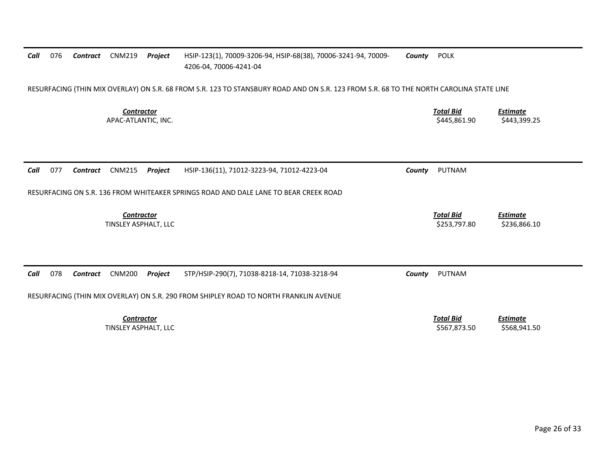| Call | 076                                                                                                                                     | Contract | <b>CNM219</b>                             | Project | HSIP-123(1), 70009-3206-94, HSIP-68(38), 70006-3241-94, 70009-<br>4206-04, 70006-4241-04 | County | <b>POLK</b>                      |                                 |  |  |
|------|-----------------------------------------------------------------------------------------------------------------------------------------|----------|-------------------------------------------|---------|------------------------------------------------------------------------------------------|--------|----------------------------------|---------------------------------|--|--|
|      | RESURFACING (THIN MIX OVERLAY) ON S.R. 68 FROM S.R. 123 TO STANSBURY ROAD AND ON S.R. 123 FROM S.R. 68 TO THE NORTH CAROLINA STATE LINE |          |                                           |         |                                                                                          |        |                                  |                                 |  |  |
|      |                                                                                                                                         |          | <b>Contractor</b><br>APAC-ATLANTIC, INC.  |         |                                                                                          |        | <b>Total Bid</b><br>\$445,861.90 | <b>Estimate</b><br>\$443,399.25 |  |  |
|      |                                                                                                                                         |          |                                           |         |                                                                                          |        |                                  |                                 |  |  |
| Call | 077                                                                                                                                     | Contract | <b>CNM215</b>                             | Project | HSIP-136(11), 71012-3223-94, 71012-4223-04                                               | County | <b>PUTNAM</b>                    |                                 |  |  |
|      |                                                                                                                                         |          |                                           |         | RESURFACING ON S.R. 136 FROM WHITEAKER SPRINGS ROAD AND DALE LANE TO BEAR CREEK ROAD     |        |                                  |                                 |  |  |
|      |                                                                                                                                         |          | <b>Contractor</b><br>TINSLEY ASPHALT, LLC |         |                                                                                          |        | <b>Total Bid</b><br>\$253,797.80 | <b>Estimate</b><br>\$236,866.10 |  |  |
|      |                                                                                                                                         |          |                                           |         |                                                                                          |        |                                  |                                 |  |  |
| Call | 078                                                                                                                                     | Contract | <b>CNM200</b>                             | Project | STP/HSIP-290(7), 71038-8218-14, 71038-3218-94                                            | County | <b>PUTNAM</b>                    |                                 |  |  |
|      | RESURFACING (THIN MIX OVERLAY) ON S.R. 290 FROM SHIPLEY ROAD TO NORTH FRANKLIN AVENUE                                                   |          |                                           |         |                                                                                          |        |                                  |                                 |  |  |
|      |                                                                                                                                         |          | <b>Contractor</b>                         |         |                                                                                          |        | <b>Total Bid</b>                 | <b>Estimate</b>                 |  |  |
|      |                                                                                                                                         |          | TINSLEY ASPHALT, LLC                      |         |                                                                                          |        | \$567,873.50                     | \$568,941.50                    |  |  |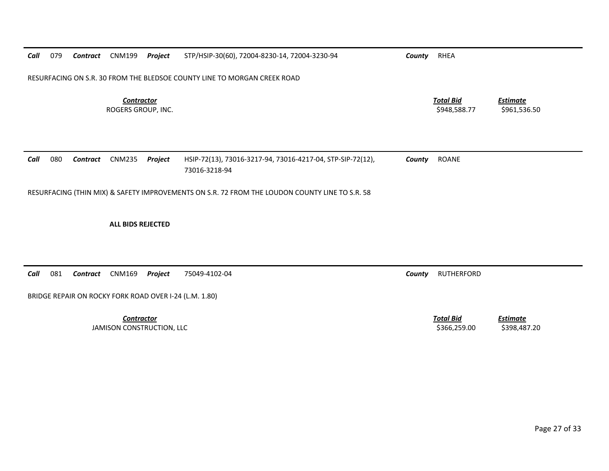| Call | 079                                                                                            | Contract | CNM199                                  | Project | STP/HSIP-30(60), 72004-8230-14, 72004-3230-94                               | County | RHEA                             |                                 |  |  |  |
|------|------------------------------------------------------------------------------------------------|----------|-----------------------------------------|---------|-----------------------------------------------------------------------------|--------|----------------------------------|---------------------------------|--|--|--|
|      | RESURFACING ON S.R. 30 FROM THE BLEDSOE COUNTY LINE TO MORGAN CREEK ROAD                       |          |                                         |         |                                                                             |        |                                  |                                 |  |  |  |
|      |                                                                                                |          | <b>Contractor</b><br>ROGERS GROUP. INC. |         |                                                                             |        | <b>Total Bid</b><br>\$948,588.77 | <b>Estimate</b><br>\$961,536.50 |  |  |  |
| Call | 080                                                                                            | Contract | CNM235                                  | Project | HSIP-72(13), 73016-3217-94, 73016-4217-04, STP-SIP-72(12),<br>73016-3218-94 | County | <b>ROANE</b>                     |                                 |  |  |  |
|      | RESURFACING (THIN MIX) & SAFETY IMPROVEMENTS ON S.R. 72 FROM THE LOUDON COUNTY LINE TO S.R. 58 |          |                                         |         |                                                                             |        |                                  |                                 |  |  |  |

## **ALL BIDS REJECTED**

*Call*081 *Contract* CNM169 *Project* 75049‐4102‐04 *County* RUTHERFORD

BRIDGE REPAIR ON ROCKY FORK ROAD OVER I‐24 (L.M. 1.80)

*Contractor*JAMISON CONSTRUCTION, LLC \$366,259.00 \$398,487.20

 *Total BidEstimate*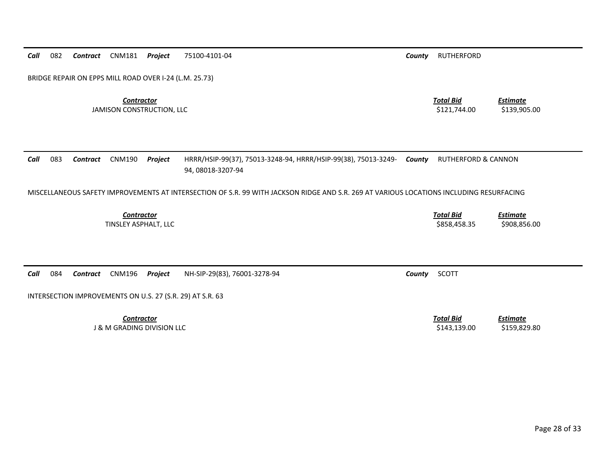*Call* 082*Contract* CNM181 *Project* 75100‐4101‐04 *County* RUTHERFORD

BRIDGE REPAIR ON EPPS MILL ROAD OVER I‐24 (L.M. 25.73)

*Contractor Total Bid*JAMISON CONSTRUCTION, LLC \$121,744.00 \$139,905.00

*Estimate*

*Call* 083 *Contract* CNM190 *Project* HRRR/HSIP‐99(37), 75013‐3248‐94, HRRR/HSIP‐99(38), 75013‐3249‐ 94, 08018‐3207‐94 *County* RUTHERFORD & CANNON

MISCELLANEOUS SAFETY IMPROVEMENTS AT INTERSECTION OF S.R. 99 WITH JACKSON RIDGE AND S.R. 269 AT VARIOUS LOCATIONS INCLUDING RESURFACING

*Contractor Total Bid Estimate* **TINSLEY ASPHALT, LLC** ASPHALT, LLC \$858,458.35 \$908,856.00

*Call* 084*Contract* CNM196 *Project* NH‐SIP‐29(83), 76001‐3278‐94 *County* SCOTT

INTERSECTION IMPROVEMENTS ON U.S. 27 (S.R. 29) AT S.R. 63

*Contractor Total Bid*J & M GRADING DIVISION LLC \$143,139.00 \$159,829.80

*Estimate*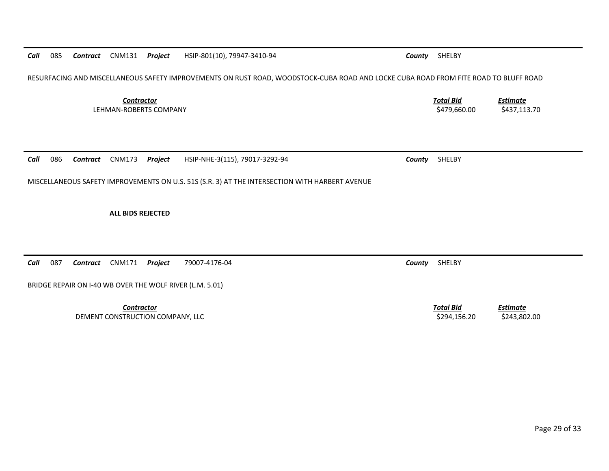Page 29 of 33

*Call* 085*Contract* CNM131 *Project* HSIP‐801(10), 79947‐3410‐94 *County* SHELBY

RESURFACING AND MISCELLANEOUS SAFETY IMPROVEMENTS ON RUST ROAD, WOODSTOCK‐CUBA ROAD AND LOCKE CUBA ROAD FROM FITE ROAD TO BLUFF ROAD

*Contractor Total Bid*LEHMAN‐ROBERTS COMPANY

*Call* 086*Contract* CNM173 *Project* HSIP‐NHE‐3(115), 79017‐3292‐94 *County* SHELBY

MISCELLANEOUS SAFETY IMPROVEMENTS ON U.S. 51S (S.R. 3) AT THE INTERSECTION WITH HARBERT AVENUE

**ALL BIDS REJECTED**

*Call* 087*Contract* CNM171 *Project* 79007‐4176‐04 *County* SHELBY

BRIDGE REPAIR ON I‐40 WB OVER THE WOLF RIVER (L.M. 5.01)

*Contractor Total Bid*DEMENT CONSTRUCTION COMPANY, LLC \$294,156.20 \$243,802.00

*Estimate*

 *Estimate* \$479,660.00 \$437,113.70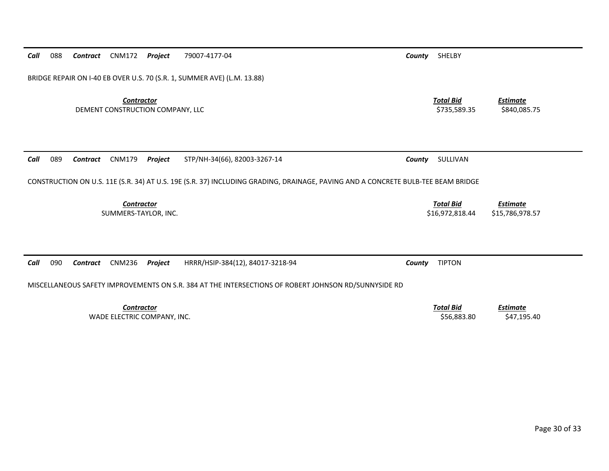| BRIDGE REPAIR ON I-40 EB OVER U.S. 70 (S.R. 1, SUMMER AVE) (L.M. 13.88)                                                          |                                     |                                    |  |  |  |  |  |  |  |
|----------------------------------------------------------------------------------------------------------------------------------|-------------------------------------|------------------------------------|--|--|--|--|--|--|--|
| <b>Contractor</b><br>DEMENT CONSTRUCTION COMPANY, LLC                                                                            | <b>Total Bid</b><br>\$735,589.35    | <u>Estimate</u><br>\$840,085.75    |  |  |  |  |  |  |  |
| 089<br><b>CNM179</b><br>STP/NH-34(66), 82003-3267-14<br>Call<br>Contract<br>Project                                              | SULLIVAN<br>County                  |                                    |  |  |  |  |  |  |  |
| CONSTRUCTION ON U.S. 11E (S.R. 34) AT U.S. 19E (S.R. 37) INCLUDING GRADING, DRAINAGE, PAVING AND A CONCRETE BULB-TEE BEAM BRIDGE |                                     |                                    |  |  |  |  |  |  |  |
| Contractor<br>SUMMERS-TAYLOR, INC.                                                                                               | <b>Total Bid</b><br>\$16,972,818.44 | <b>Estimate</b><br>\$15,786,978.57 |  |  |  |  |  |  |  |
|                                                                                                                                  |                                     |                                    |  |  |  |  |  |  |  |
| 090<br><b>CNM236</b><br>HRRR/HSIP-384(12), 84017-3218-94<br>Call<br>Project<br>Contract                                          | <b>TIPTON</b><br>County             |                                    |  |  |  |  |  |  |  |
| MISCELLANEOUS SAFETY IMPROVEMENTS ON S.R. 384 AT THE INTERSECTIONS OF ROBERT JOHNSON RD/SUNNYSIDE RD                             |                                     |                                    |  |  |  |  |  |  |  |
| <b>Contractor</b><br>WADE ELECTRIC COMPANY, INC.                                                                                 | <u>Total Bid</u><br>\$56,883.80     | <b>Estimate</b><br>\$47,195.40     |  |  |  |  |  |  |  |

088 *Contract* CNM172 *Project* 79007‐4177‐04 *County* SHELBY

*Call*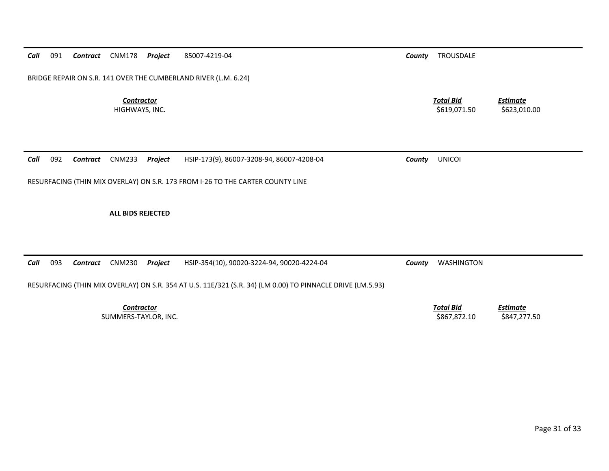|  |  |  |  |  | Call 091 Contract CNM178 Project 85007-4219-04 |  |
|--|--|--|--|--|------------------------------------------------|--|
|--|--|--|--|--|------------------------------------------------|--|

BRIDGE REPAIR ON S.R. 141 OVER THE CUMBERLAND RIVER (L.M. 6.24)

*Contractor*

*County* **TROUSDALE** 

 *Total Bid Estimate* HIGHWAYS, INC. \$623,010.00 \$623,010.00 \$623,010.00 \$623,010.00

|  |  | Call 092 Contract CNM233 Project HSIP-173(9), 86007-3208-94, 86007-4208-04 | County | <b>UNICOI</b> |
|--|--|----------------------------------------------------------------------------|--------|---------------|
|  |  |                                                                            |        |               |

RESURFACING (THIN MIX OVERLAY) ON S.R. 173 FROM I‐26 TO THE CARTER COUNTY LINE

**ALL BIDS REJECTED**

*Call* 093*Contract* CNM230 *Project* HSIP‐354(10), 90020‐3224‐94, 90020‐4224‐04 *County* WASHINGTON

RESURFACING (THIN MIX OVERLAY) ON S.R. 354 AT U.S. 11E/321 (S.R. 34) (LM 0.00) TO PINNACLE DRIVE (LM.5.93)

*Contractor*

 *Total Bid Estimate* SUMMERS-TAYLOR, INC. \$847,277.50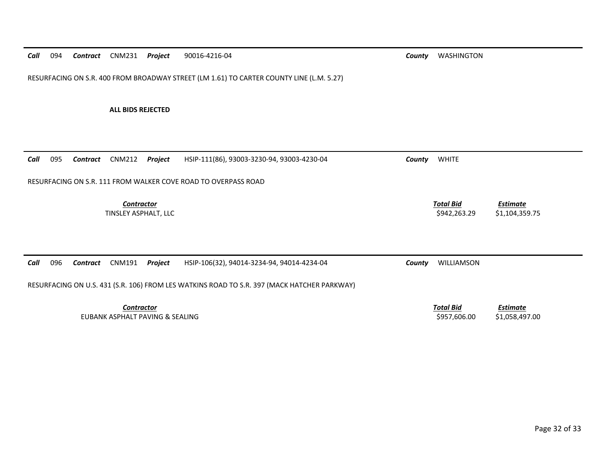*Call*094 *Contract* CNM231 *Project* 90016‐4216‐04 *County* WASHINGTON

RESURFACING ON S.R. 400 FROM BROADWAY STREET (LM 1.61) TO CARTER COUNTY LINE (L.M. 5.27)

**ALL BIDS REJECTED**

| Call<br>095 | CNM212<br>Contract                                                                          | Project                            | HSIP-111(86), 93003-3230-94, 93003-4230-04 | County | <b>WHITE</b>                     |                                   |  |  |  |  |
|-------------|---------------------------------------------------------------------------------------------|------------------------------------|--------------------------------------------|--------|----------------------------------|-----------------------------------|--|--|--|--|
|             | RESURFACING ON S.R. 111 FROM WALKER COVE ROAD TO OVERPASS ROAD                              |                                    |                                            |        |                                  |                                   |  |  |  |  |
|             |                                                                                             | Contractor<br>TINSLEY ASPHALT, LLC |                                            |        | <b>Total Bid</b><br>\$942,263.29 | Estimate<br>\$1,104,359.75        |  |  |  |  |
| Call<br>096 | <b>CNM191</b><br>Contract                                                                   | Project                            | HSIP-106(32), 94014-3234-94, 94014-4234-04 | County | WILLIAMSON                       |                                   |  |  |  |  |
|             | RESURFACING ON U.S. 431 (S.R. 106) FROM LES WATKINS ROAD TO S.R. 397 (MACK HATCHER PARKWAY) |                                    |                                            |        |                                  |                                   |  |  |  |  |
|             | EUBANK ASPHALT PAVING & SEALING                                                             | Contractor                         |                                            |        | <b>Total Bid</b><br>\$957,606.00 | <b>Estimate</b><br>\$1,058,497.00 |  |  |  |  |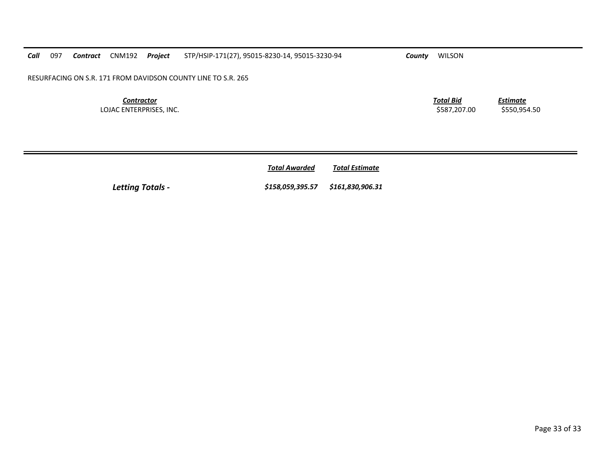*Call* 097*Contract* CNM192 *Project* STP/HSIP‐171(27), 95015‐8230‐14, 95015‐3230‐94 *County* WILSON

RESURFACING ON S.R. 171 FROM DAVIDSON COUNTY LINE TO S.R. 265

*Contractor*LOJAC ENTERPRISES, INC. \$587,207.00 \$550,954.50

*Total Bid*

*Estimate*

*Total AwardedTotal Estimate*

*Letting Totals ‐ \$158,059,395.57 \$161,830,906.31*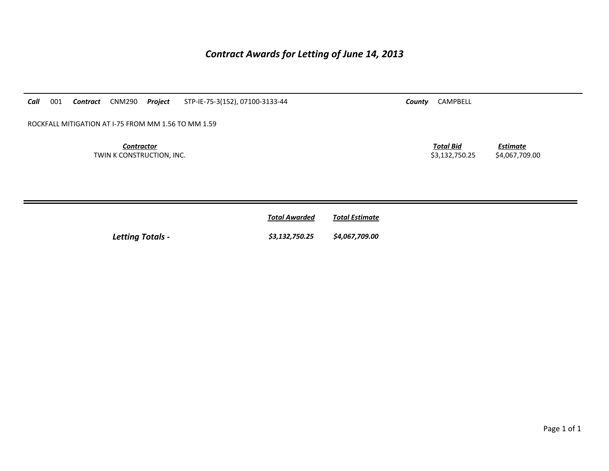## *Contract Awards for Letting of June 14, 2013*

| Call<br>001 | Contract                                            | <b>CNM290</b>                                  | Project | STP-IE-75-3(152), 07100-3133-44 | County | CAMPBELL                           |                                   |  |  |
|-------------|-----------------------------------------------------|------------------------------------------------|---------|---------------------------------|--------|------------------------------------|-----------------------------------|--|--|
|             | ROCKFALL MITIGATION AT I-75 FROM MM 1.56 TO MM 1.59 |                                                |         |                                 |        |                                    |                                   |  |  |
|             |                                                     | <b>Contractor</b><br>TWIN K CONSTRUCTION, INC. |         |                                 |        | <b>Total Bid</b><br>\$3,132,750.25 | <b>Estimate</b><br>\$4,067,709.00 |  |  |
|             |                                                     |                                                |         |                                 |        |                                    |                                   |  |  |

|                         | <b>Total Awarded</b> | <b>Total Estimate</b> |
|-------------------------|----------------------|-----------------------|
| <b>Letting Totals -</b> | \$3,132,750.25       | \$4,067,709.00        |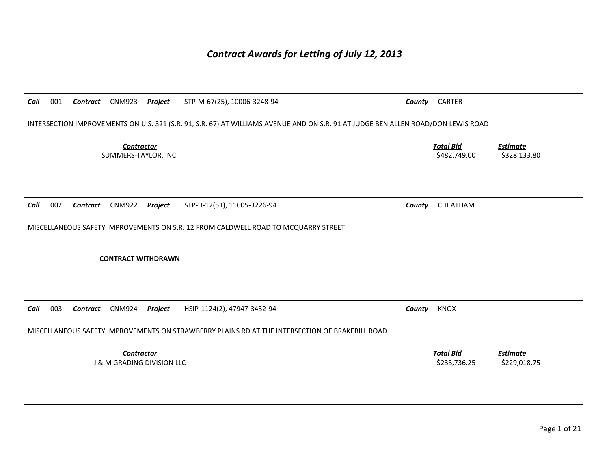# *Contract Awards for Letting of July 12, 2013*

| Call                                                                                            | 001                                                                                                                               | Contract        | <b>CNM923</b>             | Project | STP-M-67(25), 10006-3248-94                                                        | County | <b>CARTER</b>                    |                                 |  |  |
|-------------------------------------------------------------------------------------------------|-----------------------------------------------------------------------------------------------------------------------------------|-----------------|---------------------------|---------|------------------------------------------------------------------------------------|--------|----------------------------------|---------------------------------|--|--|
|                                                                                                 | INTERSECTION IMPROVEMENTS ON U.S. 321 (S.R. 91, S.R. 67) AT WILLIAMS AVENUE AND ON S.R. 91 AT JUDGE BEN ALLEN ROAD/DON LEWIS ROAD |                 |                           |         |                                                                                    |        |                                  |                                 |  |  |
| <b>Contractor</b><br>SUMMERS-TAYLOR, INC.                                                       |                                                                                                                                   |                 |                           |         |                                                                                    |        | <b>Total Bid</b><br>\$482,749.00 | <b>Estimate</b><br>\$328,133.80 |  |  |
|                                                                                                 |                                                                                                                                   |                 |                           |         |                                                                                    |        |                                  |                                 |  |  |
| Call                                                                                            | 002                                                                                                                               | <b>Contract</b> | <b>CNM922</b>             | Project | STP-H-12(51), 11005-3226-94                                                        | County | CHEATHAM                         |                                 |  |  |
|                                                                                                 |                                                                                                                                   |                 |                           |         | MISCELLANEOUS SAFETY IMPROVEMENTS ON S.R. 12 FROM CALDWELL ROAD TO MCQUARRY STREET |        |                                  |                                 |  |  |
|                                                                                                 |                                                                                                                                   |                 |                           |         |                                                                                    |        |                                  |                                 |  |  |
|                                                                                                 |                                                                                                                                   |                 | <b>CONTRACT WITHDRAWN</b> |         |                                                                                    |        |                                  |                                 |  |  |
|                                                                                                 |                                                                                                                                   |                 |                           |         |                                                                                    |        |                                  |                                 |  |  |
|                                                                                                 |                                                                                                                                   |                 |                           |         |                                                                                    |        |                                  |                                 |  |  |
| Call                                                                                            | 003                                                                                                                               | Contract        | <b>CNM924</b>             | Project | HSIP-1124(2), 47947-3432-94                                                        | County | KNOX                             |                                 |  |  |
| MISCELLANEOUS SAFETY IMPROVEMENTS ON STRAWBERRY PLAINS RD AT THE INTERSECTION OF BRAKEBILL ROAD |                                                                                                                                   |                 |                           |         |                                                                                    |        |                                  |                                 |  |  |
| Contractor<br><b>J &amp; M GRADING DIVISION LLC</b>                                             |                                                                                                                                   |                 |                           |         |                                                                                    |        | <b>Total Bid</b><br>\$233,736.25 | <b>Estimate</b><br>\$229,018.75 |  |  |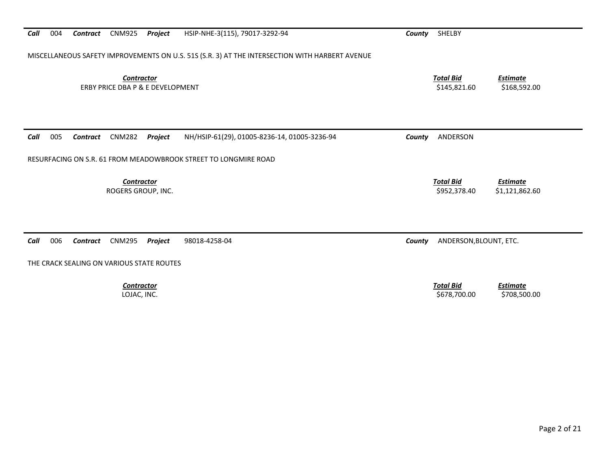| MISCELLANEOUS SAFETY IMPROVEMENTS ON U.S. 51S (S.R. 3) AT THE INTERSECTION WITH HARBERT AVENUE      |                                                                       |  |  |  |  |  |  |  |  |
|-----------------------------------------------------------------------------------------------------|-----------------------------------------------------------------------|--|--|--|--|--|--|--|--|
| Contractor<br>ERBY PRICE DBA P & E DEVELOPMENT                                                      | <b>Total Bid</b><br><b>Estimate</b><br>\$145,821.60<br>\$168,592.00   |  |  |  |  |  |  |  |  |
| 005<br><b>CNM282</b><br>Project<br>NH/HSIP-61(29), 01005-8236-14, 01005-3236-94<br>Call<br>Contract | ANDERSON<br>County                                                    |  |  |  |  |  |  |  |  |
| RESURFACING ON S.R. 61 FROM MEADOWBROOK STREET TO LONGMIRE ROAD                                     |                                                                       |  |  |  |  |  |  |  |  |
| <b>Contractor</b><br>ROGERS GROUP, INC.                                                             | <b>Total Bid</b><br><b>Estimate</b><br>\$952,378.40<br>\$1,121,862.60 |  |  |  |  |  |  |  |  |
|                                                                                                     |                                                                       |  |  |  |  |  |  |  |  |
| 006<br>Call<br><b>CNM295</b><br>Project<br>98018-4258-04<br><b>Contract</b>                         | ANDERSON, BLOUNT, ETC.<br>County                                      |  |  |  |  |  |  |  |  |
| THE CRACK SEALING ON VARIOUS STATE ROUTES                                                           |                                                                       |  |  |  |  |  |  |  |  |
| <b>Contractor</b><br>LOJAC, INC.                                                                    | <b>Total Bid</b><br><b>Estimate</b><br>\$678,700.00<br>\$708,500.00   |  |  |  |  |  |  |  |  |

*Contract* CNM925 *Project* HSIP‐NHE‐3(115), 79017‐3292‐94 *County* SHELBY

*Call*

004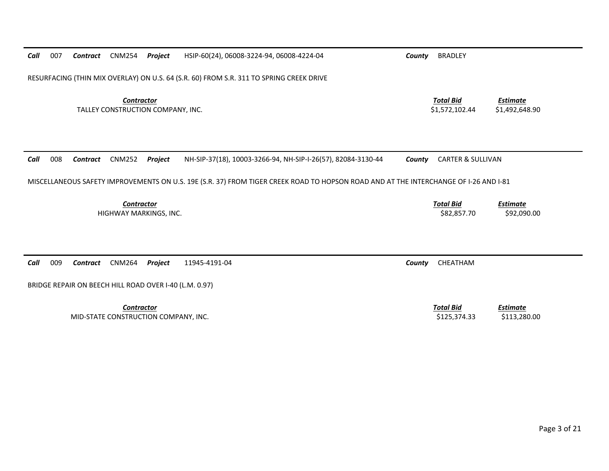| Call                                                   | 007                                                                                     | Contract | <b>CNM254</b>                                                           | Project | HSIP-60(24), 06008-3224-94, 06008-4224-04                                                                                            | County | <b>BRADLEY</b>                     |                                   |  |
|--------------------------------------------------------|-----------------------------------------------------------------------------------------|----------|-------------------------------------------------------------------------|---------|--------------------------------------------------------------------------------------------------------------------------------------|--------|------------------------------------|-----------------------------------|--|
|                                                        | RESURFACING (THIN MIX OVERLAY) ON U.S. 64 (S.R. 60) FROM S.R. 311 TO SPRING CREEK DRIVE |          |                                                                         |         |                                                                                                                                      |        |                                    |                                   |  |
| <b>Contractor</b><br>TALLEY CONSTRUCTION COMPANY, INC. |                                                                                         |          |                                                                         |         |                                                                                                                                      |        | <b>Total Bid</b><br>\$1,572,102.44 | <b>Estimate</b><br>\$1,492,648.90 |  |
| Call                                                   | 008                                                                                     | Contract | <b>CNM252</b>                                                           | Project | NH-SIP-37(18), 10003-3266-94, NH-SIP-I-26(57), 82084-3130-44                                                                         | County | <b>CARTER &amp; SULLIVAN</b>       |                                   |  |
|                                                        |                                                                                         |          |                                                                         |         | MISCELLANEOUS SAFETY IMPROVEMENTS ON U.S. 19E (S.R. 37) FROM TIGER CREEK ROAD TO HOPSON ROAD AND AT THE INTERCHANGE OF I-26 AND I-81 |        |                                    |                                   |  |
| Contractor<br>HIGHWAY MARKINGS, INC.                   |                                                                                         |          |                                                                         |         |                                                                                                                                      |        | <b>Total Bid</b><br>\$82,857.70    | <b>Estimate</b><br>\$92,090.00    |  |
| Call                                                   | 009                                                                                     | Contract | <b>CNM264</b><br>BRIDGE REPAIR ON BEECH HILL ROAD OVER I-40 (L.M. 0.97) | Project | 11945-4191-04                                                                                                                        | County | CHEATHAM                           |                                   |  |
|                                                        |                                                                                         |          | Contractor<br>MID-STATE CONSTRUCTION COMPANY, INC.                      |         |                                                                                                                                      |        | <b>Total Bid</b><br>\$125,374.33   | <b>Estimate</b><br>\$113,280.00   |  |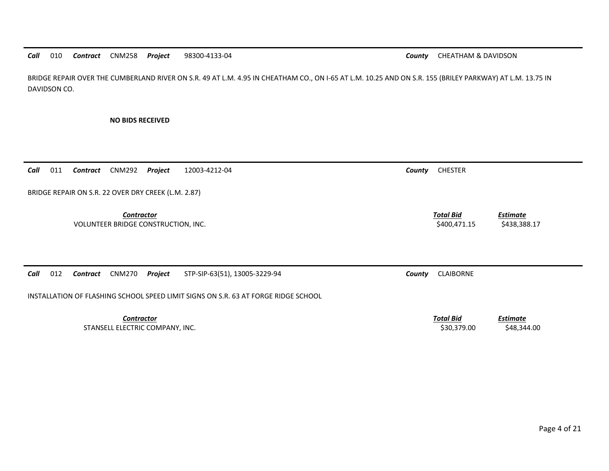*Call* 010*Contract* CNM258 *Project* 98300‐4133‐04 *County* CHEATHAM & DAVIDSON

BRIDGE REPAIR OVER THE CUMBERLAND RIVER ON S.R. 49 AT L.M. 4.95 IN CHEATHAM CO., ON I‐65 AT L.M. 10.25 AND ON S.R. 155 (BRILEY PARKWAY) AT L.M. 13.75 IN DAVIDSON CO.

**NO BIDS RECEIVED**

*Call*011 *Contract* CNM292 *Project* 12003‐4212‐04 *County* CHESTER

BRIDGE REPAIR ON S.R. 22 OVER DRY CREEK (L.M. 2.87)

*Contractor Total Bid*VOLUNTEER BRIDGE CONSTRUCTION, INC. \$400,471.15 \$438,388.17

*Call* 012*Contract* CNM270 *Project* STP‐SIP‐63(51), 13005‐3229‐94 *County* CLAIBORNE

INSTALLATION OF FLASHING SCHOOL SPEED LIMIT SIGNS ON S.R. 63 AT FORGE RIDGE SCHOOL

*Contractor Total Bid*STANSELL ELECTRIC COMPANY, INC. \$30,379.00 \$48,344.00

*Estimate*

*Estimate*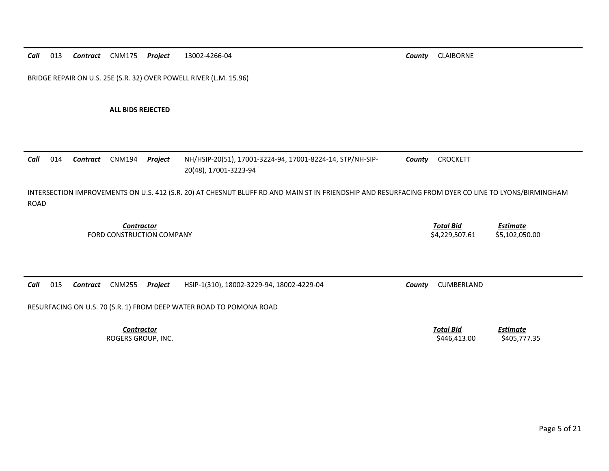BRIDGE REPAIR ON U.S. 25E (S.R. 32) OVER POWELL RIVER (L.M. 15.96)

**ALL BIDS REJECTED**

*Call*

*Call*

015

 014 *Contract* CNM194 *Project* NH/HSIP‐20(51), 17001‐3224‐94, 17001‐8224‐14, STP/NH‐SIP‐ 20(48), 17001‐3223‐94 *County* CROCKETT INTERSECTION IMPROVEMENTS ON U.S. 412 (S.R. 20) AT CHESNUT BLUFF RD AND MAIN ST IN FRIENDSHIP AND RESURFACING FROM DYER CO LINE TO LYONS/BIRMINGHAM ROAD*Estimate*

*Contract* CNM255 *Project* HSIP‐1(310), 18002‐3229‐94, 18002‐4229‐04 *County* CUMBERLAND

*Contractor Total Bid*FORD CONSTRUCTION

RESURFACING ON U.S. 70 (S.R. 1) FROM DEEP WATER ROAD TO POMONA ROAD

*Contractor*ROGERS GROUP, INC. \$446,413.00 \$405,777.35

 *Total BidEstimate*

\$4,229,507.61 \$5,102,050.00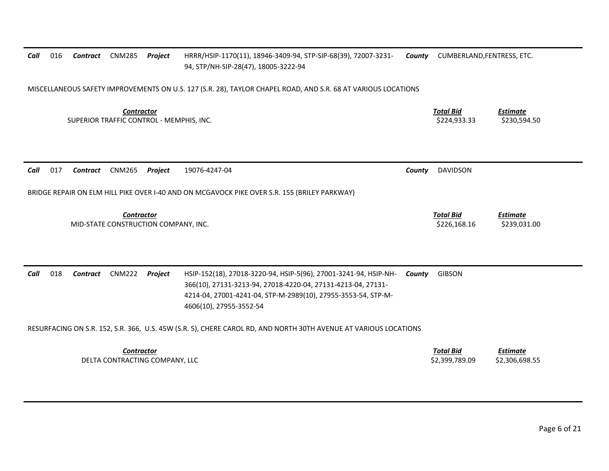| Call                                                                                                             | 016                                                                                                           | Contract | CNM285        | Project | HRRR/HSIP-1170(11), 18946-3409-94, STP-SIP-68(39), 72007-3231-<br>94, STP/NH-SIP-28(47), 18005-3222-94                                                                                                                       | County | CUMBERLAND, FENTRESS, ETC.         |                                   |  |
|------------------------------------------------------------------------------------------------------------------|---------------------------------------------------------------------------------------------------------------|----------|---------------|---------|------------------------------------------------------------------------------------------------------------------------------------------------------------------------------------------------------------------------------|--------|------------------------------------|-----------------------------------|--|
|                                                                                                                  | MISCELLANEOUS SAFETY IMPROVEMENTS ON U.S. 127 (S.R. 28), TAYLOR CHAPEL ROAD, AND S.R. 68 AT VARIOUS LOCATIONS |          |               |         |                                                                                                                                                                                                                              |        |                                    |                                   |  |
| <b>Contractor</b><br>SUPERIOR TRAFFIC CONTROL - MEMPHIS, INC.                                                    |                                                                                                               |          |               |         |                                                                                                                                                                                                                              |        | <b>Total Bid</b><br>\$224,933.33   | <b>Estimate</b><br>\$230,594.50   |  |
| Call                                                                                                             | 017                                                                                                           | Contract | <b>CNM265</b> | Project | 19076-4247-04                                                                                                                                                                                                                | County | <b>DAVIDSON</b>                    |                                   |  |
|                                                                                                                  |                                                                                                               |          |               |         | BRIDGE REPAIR ON ELM HILL PIKE OVER I-40 AND ON MCGAVOCK PIKE OVER S.R. 155 (BRILEY PARKWAY)                                                                                                                                 |        |                                    |                                   |  |
| <b>Contractor</b><br>MID-STATE CONSTRUCTION COMPANY, INC.                                                        |                                                                                                               |          |               |         |                                                                                                                                                                                                                              |        | <b>Total Bid</b><br>\$226,168.16   | <u>Estimate</u><br>\$239,031.00   |  |
| Call                                                                                                             | 018                                                                                                           | Contract | <b>CNM222</b> | Project | HSIP-152(18), 27018-3220-94, HSIP-5(96), 27001-3241-94, HSIP-NH-<br>366(10), 27131-3213-94, 27018-4220-04, 27131-4213-04, 27131-<br>4214-04, 27001-4241-04, STP-M-2989(10), 27955-3553-54, STP-M-<br>4606(10), 27955-3552-54 | County | <b>GIBSON</b>                      |                                   |  |
| RESURFACING ON S.R. 152, S.R. 366, U.S. 45W (S.R. 5), CHERE CAROL RD, AND NORTH 30TH AVENUE AT VARIOUS LOCATIONS |                                                                                                               |          |               |         |                                                                                                                                                                                                                              |        |                                    |                                   |  |
| <b>Contractor</b><br>DELTA CONTRACTING COMPANY, LLC                                                              |                                                                                                               |          |               |         |                                                                                                                                                                                                                              |        | <b>Total Bid</b><br>\$2,399,789.09 | <u>Estimate</u><br>\$2,306,698.55 |  |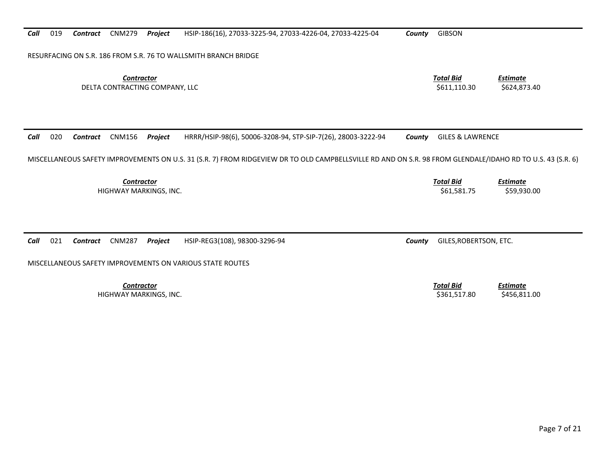*Call* 019*Contract* CNM279 *Project* HSIP‐186(16), 27033‐3225‐94, 27033‐4226‐04, 27033‐4225‐04 *County* GIBSON

RESURFACING ON S.R. 186 FROM S.R. 76 TO WALLSMITH BRANCH BRIDGE

*Contractor Total Bid*DELTA CONTRACTING COMPANY, LLC \$611,110.30 \$624,873.40

*Call* 020 *Contract* CNM156 *Project* HRRR/HSIP‐98(6), 50006‐3208‐94, STP‐SIP‐7(26), 28003‐3222‐94 *County* GILES & LAWRENCE MISCELLANEOUS SAFETY IMPROVEMENTS ON U.S. 31 (S.R. 7) FROM RIDGEVIEW DR TO OLD CAMPBELLSVILLE RD AND ON S.R. 98 FROM GLENDALE/IDAHO RD TO U.S. 43 (S.R. 6) *Contractor Total Bid Estimate* HIGHWAY MARKINGS, INC. \$61,581.75 \$59,930.00 *Call* 021 *Contract* CNM287 *Project* HSIP‐REG3(108), 98300‐3296‐94 *County* GILES,ROBERTSON, ETC. MISCELLANEOUS SAFETY IMPROVEMENTS ON VARIOUS STATE ROUTES *Contractor Total Bid Estimate* HIGHWAY MARKINGS, INC. \$361,517.80 \$456,811.00

*Estimate*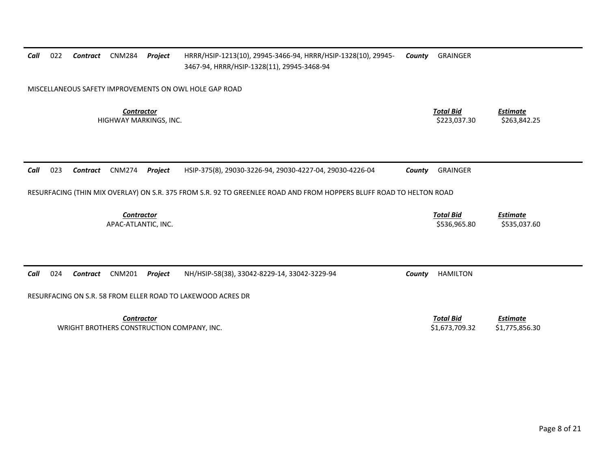| Call                                                   | 022                                                         | Contract        | CNM284                                      | Project | HRRR/HSIP-1213(10), 29945-3466-94, HRRR/HSIP-1328(10), 29945-<br>3467-94, HRRR/HSIP-1328(11), 29945-3468-94         | County | <b>GRAINGER</b>                    |                                   |  |
|--------------------------------------------------------|-------------------------------------------------------------|-----------------|---------------------------------------------|---------|---------------------------------------------------------------------------------------------------------------------|--------|------------------------------------|-----------------------------------|--|
| MISCELLANEOUS SAFETY IMPROVEMENTS ON OWL HOLE GAP ROAD |                                                             |                 |                                             |         |                                                                                                                     |        |                                    |                                   |  |
|                                                        |                                                             |                 | <b>Contractor</b><br>HIGHWAY MARKINGS, INC. |         |                                                                                                                     |        | <b>Total Bid</b><br>\$223,037.30   | <b>Estimate</b><br>\$263,842.25   |  |
| Call                                                   | 023                                                         | Contract        | <b>CNM274</b>                               | Project | HSIP-375(8), 29030-3226-94, 29030-4227-04, 29030-4226-04                                                            | County | <b>GRAINGER</b>                    |                                   |  |
|                                                        |                                                             |                 |                                             |         | RESURFACING (THIN MIX OVERLAY) ON S.R. 375 FROM S.R. 92 TO GREENLEE ROAD AND FROM HOPPERS BLUFF ROAD TO HELTON ROAD |        |                                    |                                   |  |
|                                                        |                                                             |                 | <b>Contractor</b><br>APAC-ATLANTIC, INC.    |         |                                                                                                                     |        | <b>Total Bid</b><br>\$536,965.80   | <b>Estimate</b><br>\$535,037.60   |  |
|                                                        |                                                             |                 |                                             |         |                                                                                                                     |        |                                    |                                   |  |
| Call                                                   | 024                                                         | <b>Contract</b> | <b>CNM201</b>                               | Project | NH/HSIP-58(38), 33042-8229-14, 33042-3229-94                                                                        | County | <b>HAMILTON</b>                    |                                   |  |
|                                                        | RESURFACING ON S.R. 58 FROM ELLER ROAD TO LAKEWOOD ACRES DR |                 |                                             |         |                                                                                                                     |        |                                    |                                   |  |
|                                                        |                                                             |                 | <b>Contractor</b>                           |         | WRIGHT BROTHERS CONSTRUCTION COMPANY, INC.                                                                          |        | <b>Total Bid</b><br>\$1.673.709.32 | <b>Estimate</b><br>\$1,775,856.30 |  |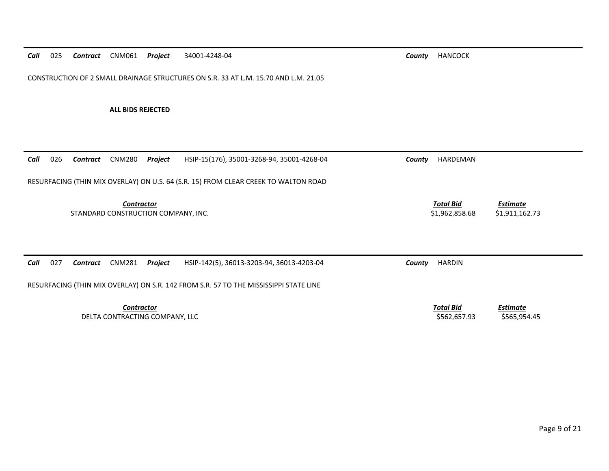*Call* 025 *Contract* CNM061 *Project* 34001‐4248‐04 *County* HANCOCK

CONSTRUCTION OF 2 SMALL DRAINAGE STRUCTURES ON S.R. 33 AT L.M. 15.70 AND L.M. 21.05

**ALL BIDS REJECTED**

| Call | 026                                                                                 | Contract | CNM280                                                   | Project | HSIP-15(176), 35001-3268-94, 35001-4268-04                                            | County | HARDEMAN                           |                                   |  |  |
|------|-------------------------------------------------------------------------------------|----------|----------------------------------------------------------|---------|---------------------------------------------------------------------------------------|--------|------------------------------------|-----------------------------------|--|--|
|      | RESURFACING (THIN MIX OVERLAY) ON U.S. 64 (S.R. 15) FROM CLEAR CREEK TO WALTON ROAD |          |                                                          |         |                                                                                       |        |                                    |                                   |  |  |
|      |                                                                                     |          | <b>Contractor</b><br>STANDARD CONSTRUCTION COMPANY, INC. |         |                                                                                       |        | <b>Total Bid</b><br>\$1,962,858.68 | <b>Estimate</b><br>\$1,911,162.73 |  |  |
| Call | 027                                                                                 | Contract | <b>CNM281</b>                                            | Project | HSIP-142(5), 36013-3203-94, 36013-4203-04                                             | County | <b>HARDIN</b>                      |                                   |  |  |
|      |                                                                                     |          |                                                          |         | RESURFACING (THIN MIX OVERLAY) ON S.R. 142 FROM S.R. 57 TO THE MISSISSIPPI STATE LINE |        |                                    |                                   |  |  |
|      |                                                                                     |          | <b>Contractor</b><br>DELTA CONTRACTING COMPANY, LLC      |         |                                                                                       |        | <b>Total Bid</b><br>\$562,657.93   | Estimate<br>\$565,954.45          |  |  |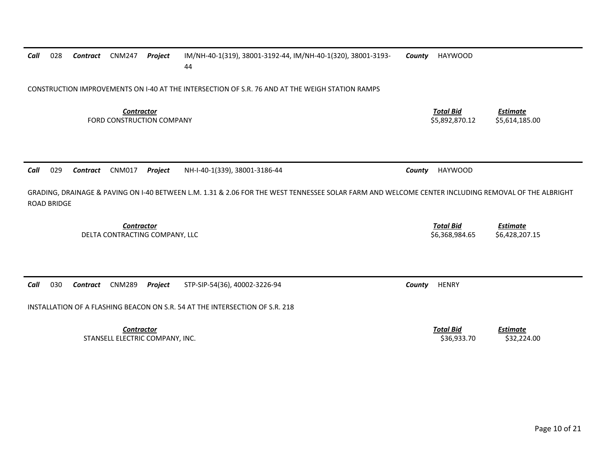| Call | 028                                                                                             | Contract | <b>CNM247</b>                                       | Project | IM/NH-40-1(319), 38001-3192-44, IM/NH-40-1(320), 38001-3193-<br>44                                                                                 | County | <b>HAYWOOD</b>                     |                                   |  |  |  |
|------|-------------------------------------------------------------------------------------------------|----------|-----------------------------------------------------|---------|----------------------------------------------------------------------------------------------------------------------------------------------------|--------|------------------------------------|-----------------------------------|--|--|--|
|      | CONSTRUCTION IMPROVEMENTS ON 1-40 AT THE INTERSECTION OF S.R. 76 AND AT THE WEIGH STATION RAMPS |          |                                                     |         |                                                                                                                                                    |        |                                    |                                   |  |  |  |
|      |                                                                                                 |          | <b>Contractor</b><br>FORD CONSTRUCTION COMPANY      |         |                                                                                                                                                    |        | <b>Total Bid</b><br>\$5,892,870.12 | <b>Estimate</b><br>\$5,614,185.00 |  |  |  |
| Call | 029                                                                                             | Contract | <b>CNM017</b>                                       | Project | NH-I-40-1(339), 38001-3186-44                                                                                                                      | County | <b>HAYWOOD</b>                     |                                   |  |  |  |
|      | <b>ROAD BRIDGE</b>                                                                              |          |                                                     |         | GRADING, DRAINAGE & PAVING ON I-40 BETWEEN L.M. 1.31 & 2.06 FOR THE WEST TENNESSEE SOLAR FARM AND WELCOME CENTER INCLUDING REMOVAL OF THE ALBRIGHT |        |                                    |                                   |  |  |  |
|      |                                                                                                 |          | <b>Contractor</b><br>DELTA CONTRACTING COMPANY, LLC |         |                                                                                                                                                    |        | <b>Total Bid</b><br>\$6,368,984.65 | <b>Estimate</b><br>\$6,428,207.15 |  |  |  |
|      |                                                                                                 |          |                                                     |         |                                                                                                                                                    |        |                                    |                                   |  |  |  |
| Call | 030                                                                                             | Contract | <b>CNM289</b>                                       | Project | STP-SIP-54(36), 40002-3226-94                                                                                                                      | County | <b>HENRY</b>                       |                                   |  |  |  |
|      |                                                                                                 |          |                                                     |         | INSTALLATION OF A FLASHING BEACON ON S.R. 54 AT THE INTERSECTION OF S.R. 218                                                                       |        |                                    |                                   |  |  |  |
|      |                                                                                                 |          | <b>Contractor</b>                                   |         |                                                                                                                                                    |        | <b>Total Bid</b>                   | <b>Estimate</b>                   |  |  |  |

STANSELL ELECTRIC COMPANY, INC. \$36,933.70 \$32,224.00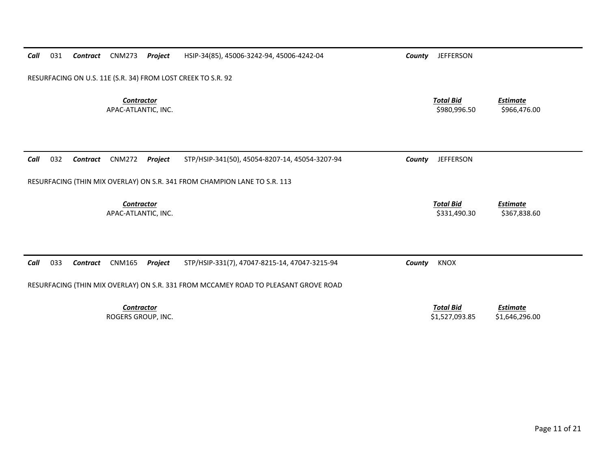| Call                                     | 031 | Contract | <b>CNM273</b>                     | Project | HSIP-34(85), 45006-3242-94, 45006-4242-04                                           | County | <b>JEFFERSON</b>                   |                                   |
|------------------------------------------|-----|----------|-----------------------------------|---------|-------------------------------------------------------------------------------------|--------|------------------------------------|-----------------------------------|
|                                          |     |          |                                   |         | RESURFACING ON U.S. 11E (S.R. 34) FROM LOST CREEK TO S.R. 92                        |        |                                    |                                   |
| <b>Contractor</b><br>APAC-ATLANTIC, INC. |     |          |                                   |         |                                                                                     |        | <b>Total Bid</b><br>\$980,996.50   | <b>Estimate</b><br>\$966,476.00   |
|                                          |     |          |                                   |         |                                                                                     |        |                                    |                                   |
| Call                                     | 032 | Contract | <b>CNM272</b>                     | Project | STP/HSIP-341(50), 45054-8207-14, 45054-3207-94                                      | County | <b>JEFFERSON</b>                   |                                   |
|                                          |     |          |                                   |         | RESURFACING (THIN MIX OVERLAY) ON S.R. 341 FROM CHAMPION LANE TO S.R. 113           |        |                                    |                                   |
|                                          |     |          | Contractor<br>APAC-ATLANTIC, INC. |         |                                                                                     |        | <b>Total Bid</b><br>\$331,490.30   | <b>Estimate</b><br>\$367,838.60   |
|                                          |     |          |                                   |         |                                                                                     |        |                                    |                                   |
| Call                                     | 033 | Contract | <b>CNM165</b>                     | Project | STP/HSIP-331(7), 47047-8215-14, 47047-3215-94                                       | County | <b>KNOX</b>                        |                                   |
|                                          |     |          |                                   |         | RESURFACING (THIN MIX OVERLAY) ON S.R. 331 FROM MCCAMEY ROAD TO PLEASANT GROVE ROAD |        |                                    |                                   |
|                                          |     |          | Contractor<br>ROGERS GROUP, INC.  |         |                                                                                     |        | <b>Total Bid</b><br>\$1,527,093.85 | <b>Estimate</b><br>\$1,646,296.00 |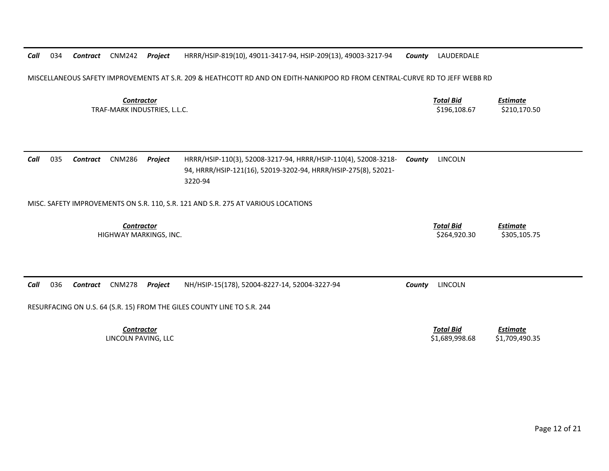*Call* 034*Contract* CNM242 *Project* HRRR/HSIP‐819(10), 49011‐3417‐94, HSIP‐209(13), 49003‐3217‐94 *County* LAUDERDALE

MISCELLANEOUS SAFETY IMPROVEMENTS AT S.R. 209 & HEATHCOTT RD AND ON EDITH‐NANKIPOO RD FROM CENTRAL‐CURVE RD TO JEFF WEBB RD

*ContractorTotal Bid*

 *Estimate* TRAF‐MARK INDUSTRIES, L.L.C. \$196,108.67 \$210,170.50

| Call | 035 | Contract | CNM286 | Proiect | HRRR/HSIP-110(3), 52008-3217-94, HRRR/HSIP-110(4), 52008-3218- | Countv | LINCOLN |
|------|-----|----------|--------|---------|----------------------------------------------------------------|--------|---------|
|      |     |          |        |         | 94, HRRR/HSIP-121(16), 52019-3202-94, HRRR/HSIP-275(8), 52021- |        |         |
|      |     |          |        |         | 3220-94                                                        |        |         |

MISC. SAFETY IMPROVEMENTS ON S.R. 110, S.R. 121 AND S.R. 275 AT VARIOUS LOCATIONS

*Contractor*

 *Total Bid Estimate* HIGHWAY MARKINGS, INC. \$264,920.30 \$305,105.75

*Call* 036*Contract* CNM278 *Project* NH/HSIP‐15(178), 52004‐8227‐14, 52004‐3227‐94 *County* LINCOLN

RESURFACING ON U.S. 64 (S.R. 15) FROM THE GILES COUNTY LINE TO S.R. 244

*Contractor*LINCOLN PAVING, LLC

 *Total Bid Estimate* \$1,689,998.68 \$1,709,490.35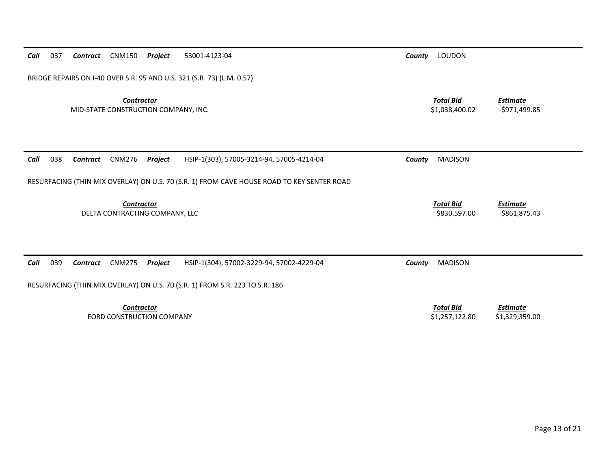| BRIDGE REPAIRS ON I-40 OVER S.R. 95 AND U.S. 321 (S.R. 73) (L.M. 0.57)                           |                                    |                                   |  |  |  |  |  |  |  |
|--------------------------------------------------------------------------------------------------|------------------------------------|-----------------------------------|--|--|--|--|--|--|--|
| <b>Contractor</b><br>MID-STATE CONSTRUCTION COMPANY, INC.                                        | <b>Total Bid</b><br>\$1,038,400.02 | <b>Estimate</b><br>\$971,499.85   |  |  |  |  |  |  |  |
|                                                                                                  |                                    |                                   |  |  |  |  |  |  |  |
| 038<br><b>CNM276</b><br>HSIP-1(303), 57005-3214-94, 57005-4214-04<br>Call<br>Contract<br>Project | <b>MADISON</b><br>County           |                                   |  |  |  |  |  |  |  |
| RESURFACING (THIN MIX OVERLAY) ON U.S. 70 (S.R. 1) FROM CAVE HOUSE ROAD TO KEY SENTER ROAD       |                                    |                                   |  |  |  |  |  |  |  |
| <b>Contractor</b><br>DELTA CONTRACTING COMPANY, LLC                                              | <b>Total Bid</b><br>\$830,597.00   | <b>Estimate</b><br>\$861,875.43   |  |  |  |  |  |  |  |
|                                                                                                  |                                    |                                   |  |  |  |  |  |  |  |
| Call<br>039<br><b>CNM275</b><br>HSIP-1(304), 57002-3229-94, 57002-4229-04<br>Contract<br>Project | <b>MADISON</b><br>County           |                                   |  |  |  |  |  |  |  |
| RESURFACING (THIN MIX OVERLAY) ON U.S. 70 (S.R. 1) FROM S.R. 223 TO S.R. 186                     |                                    |                                   |  |  |  |  |  |  |  |
| <b>Contractor</b><br>FORD CONSTRUCTION COMPANY                                                   | <b>Total Bid</b><br>\$1,257,122.80 | <b>Estimate</b><br>\$1,329,359.00 |  |  |  |  |  |  |  |

*Call* 037 *Contract* CNM150 *Project* 53001‐4123‐04 *County* LOUDON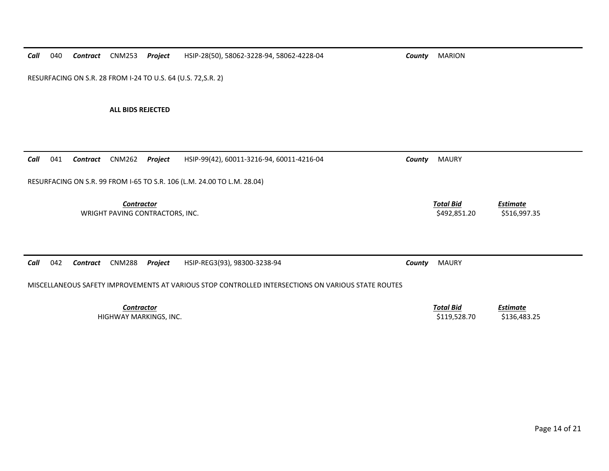*Call* 040*Contract* CNM253 *Project* HSIP‐28(50), 58062‐3228‐94, 58062‐4228‐04 *County* MARION

RESURFACING ON S.R. 28 FROM I‐24 TO U.S. 64 (U.S. 72,S.R. 2)

**ALL BIDS REJECTED**

| 041<br>Call                                                             | CNM262<br>Contract              | Project           | HSIP-99(42), 60011-3216-94, 60011-4216-04                                                          | County | <b>MAURY</b>                     |                                 |  |  |  |
|-------------------------------------------------------------------------|---------------------------------|-------------------|----------------------------------------------------------------------------------------------------|--------|----------------------------------|---------------------------------|--|--|--|
| RESURFACING ON S.R. 99 FROM I-65 TO S.R. 106 (L.M. 24.00 TO L.M. 28.04) |                                 |                   |                                                                                                    |        |                                  |                                 |  |  |  |
|                                                                         | WRIGHT PAVING CONTRACTORS, INC. | <b>Contractor</b> |                                                                                                    |        | <b>Total Bid</b><br>\$492,851.20 | <b>Estimate</b><br>\$516,997.35 |  |  |  |
| Call<br>042                                                             | <b>CNM288</b><br>Contract       | Project           | HSIP-REG3(93), 98300-3238-94                                                                       | County | <b>MAURY</b>                     |                                 |  |  |  |
|                                                                         |                                 |                   | MISCELLANEOUS SAFETY IMPROVEMENTS AT VARIOUS STOP CONTROLLED INTERSECTIONS ON VARIOUS STATE ROUTES |        |                                  |                                 |  |  |  |
|                                                                         | HIGHWAY MARKINGS, INC.          | <b>Contractor</b> |                                                                                                    |        | <b>Total Bid</b><br>\$119,528.70 | <b>Estimate</b><br>\$136,483.25 |  |  |  |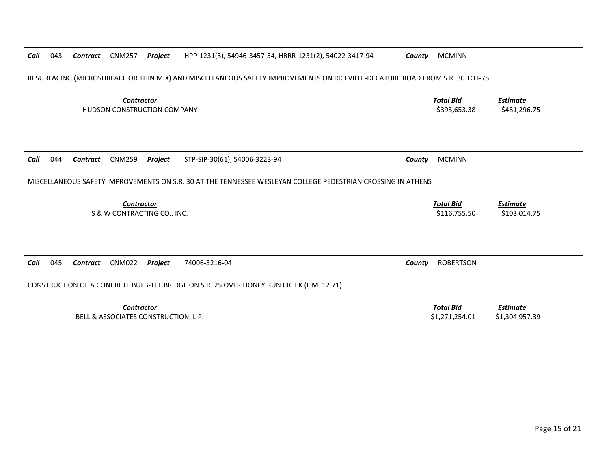| Call | 043                                                                                                                          | Contract | <b>CNM257</b>                                           | Project | HPP-1231(3), 54946-3457-54, HRRR-1231(2), 54022-3417-94                                                      | County                           | <b>MCMINN</b>                    |                                 |  |  |  |
|------|------------------------------------------------------------------------------------------------------------------------------|----------|---------------------------------------------------------|---------|--------------------------------------------------------------------------------------------------------------|----------------------------------|----------------------------------|---------------------------------|--|--|--|
|      | RESURFACING (MICROSURFACE OR THIN MIX) AND MISCELLANEOUS SAFETY IMPROVEMENTS ON RICEVILLE-DECATURE ROAD FROM S.R. 30 TO I-75 |          |                                                         |         |                                                                                                              |                                  |                                  |                                 |  |  |  |
|      |                                                                                                                              |          | <b>Contractor</b><br><b>HUDSON CONSTRUCTION COMPANY</b> |         |                                                                                                              | <b>Total Bid</b><br>\$393,653.38 | <b>Estimate</b><br>\$481,296.75  |                                 |  |  |  |
| Call | 044                                                                                                                          | Contract | <b>CNM259</b>                                           | Project | STP-SIP-30(61), 54006-3223-94                                                                                | County                           | <b>MCMINN</b>                    |                                 |  |  |  |
|      |                                                                                                                              |          |                                                         |         |                                                                                                              |                                  |                                  |                                 |  |  |  |
|      |                                                                                                                              |          |                                                         |         | MISCELLANEOUS SAFETY IMPROVEMENTS ON S.R. 30 AT THE TENNESSEE WESLEYAN COLLEGE PEDESTRIAN CROSSING IN ATHENS |                                  |                                  |                                 |  |  |  |
|      |                                                                                                                              |          | <b>Contractor</b><br>S & W CONTRACTING CO., INC.        |         |                                                                                                              |                                  | <b>Total Bid</b><br>\$116,755.50 | <b>Estimate</b><br>\$103,014.75 |  |  |  |
|      |                                                                                                                              |          |                                                         |         |                                                                                                              |                                  |                                  |                                 |  |  |  |
| Call | 045                                                                                                                          | Contract | <b>CNM022</b>                                           | Project | 74006-3216-04                                                                                                | County                           | <b>ROBERTSON</b>                 |                                 |  |  |  |
|      | CONSTRUCTION OF A CONCRETE BULB-TEE BRIDGE ON S.R. 25 OVER HONEY RUN CREEK (L.M. 12.71)                                      |          |                                                         |         |                                                                                                              |                                  |                                  |                                 |  |  |  |
|      |                                                                                                                              |          | Contractor                                              |         |                                                                                                              |                                  | <b>Total Bid</b>                 | <b>Estimate</b>                 |  |  |  |
|      |                                                                                                                              |          | <b>BELL &amp; ASSOCIATES CONSTRUCTION, L.P.</b>         |         |                                                                                                              |                                  | \$1,271,254.01                   | \$1,304,957.39                  |  |  |  |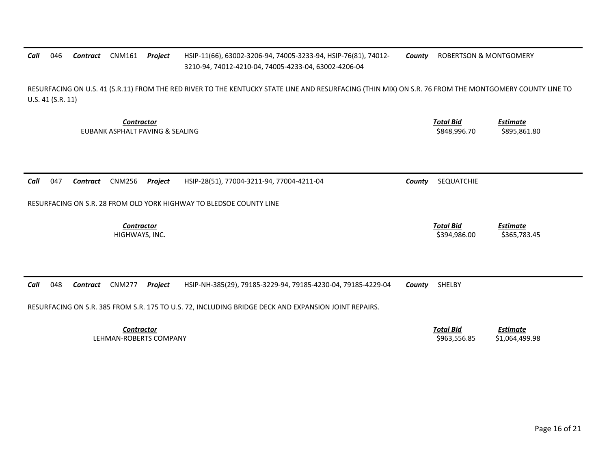## *Call* 046 *Contract* CNM161 *Project* HSIP‐11(66), 63002‐3206‐94, 74005‐3233‐94, HSIP‐76(81), 74012‐ 3210‐94, 74012‐4210‐04, 74005‐4233‐04, 63002‐4206‐04 *County* ROBERTSON & MONTGOMERY

RESURFACING ON U.S. 41 (S.R.11) FROM THE RED RIVER TO THE KENTUCKY STATE LINE AND RESURFACING (THIN MIX) ON S.R. 76 FROM THE MONTGOMERY COUNTY LINE TO U.S. 41 (S.R. 11)

> *Contractor Total Bid*EUBANK ASPHALT PAVING &

 *Estimate* SEALING \$848,996.70 \$895,861.80

*Call* 047*Contract* CNM256 *Project* HSIP‐28(51), 77004‐3211‐94, 77004‐4211‐04 *County* SEQUATCHIE

RESURFACING ON S.R. 28 FROM OLD YORK HIGHWAY TO BLEDSOE COUNTY LINE

*Contractor*

 *Total Bid Estimate* HIGHWAYS, INC. \$394,986.00 \$365,783.45

*Call* 048*Contract* CNM277 *Project* HSIP‐NH‐385(29), 79185‐3229‐94, 79185‐4230‐04, 79185‐4229‐04 *County* SHELBY

RESURFACING ON S.R. 385 FROM S.R. 175 TO U.S. 72, INCLUDING BRIDGE DECK AND EXPANSION JOINT REPAIRS.

*Contractor Total Bid*LEHMAN‐ROBERTS COMPANY

 *Estimate* \$963,556.85 \$1,064,499.98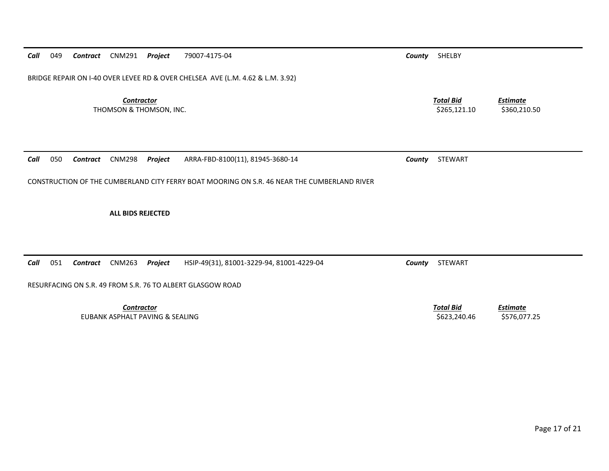*Call* 049*Contract* CNM291 *Project* 79007‐4175‐04 *County* SHELBY

BRIDGE REPAIR ON I‐40 OVER LEVEE RD & OVER CHELSEA AVE (L.M. 4.62 & L.M. 3.92)

*Contractor Total Bid*THOMSON & THOMSON, INC. \$265,121.10 \$360,210.50

*Call* 050*Contract* CNM298 *Project* ARRA‐FBD‐8100(11), 81945‐3680‐14 *County* STEWART

CONSTRUCTION OF THE CUMBERLAND CITY FERRY BOAT MOORING ON S.R. 46 NEAR THE CUMBERLAND RIVER

**ALL BIDS REJECTED**

*Call* 051*Contract* CNM263 *Project* HSIP‐49(31), 81001‐3229‐94, 81001‐4229‐04 *County* STEWART

RESURFACING ON S.R. 49 FROM S.R. 76 TO ALBERT GLASGOW ROAD

*Contractor Total Bid*EUBANK ASPHALT PAVING &

*Estimate*

 *Estimate* SEALING \$623,240.46 \$576,077.25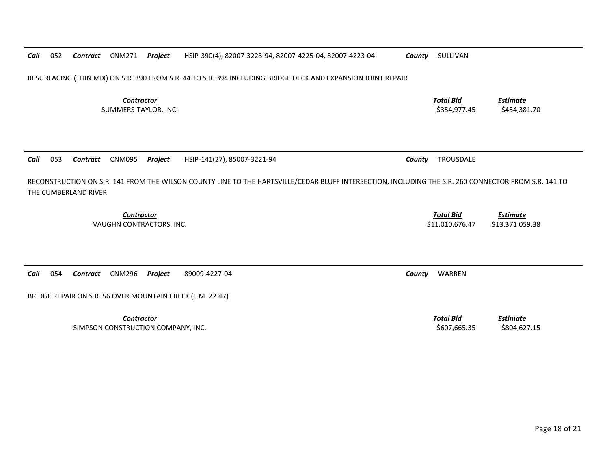*Contractor Total Bid Estimate* SUMMERS-TAYLOR, INC. \$354,977.45 \$454,381.70 053 *Contract* CNM095 *Project* HSIP‐141(27), 85007‐3221‐94 *County* TROUSDALE *Contractor Total Bid Estimate* VAUGHN CONTRACTORS, INC. \$11,010,676.47 \$13,371,059.38 054 *Contract* CNM296 *Project* 89009‐4227‐04 *County* WARREN *Contractor Total Bid Estimate* SIMPSON CONSTRUCTION COMPANY, INC. \$607,665.35 \$804,627.15

RESURFACING (THIN MIX) ON S.R. 390 FROM S.R. 44 TO S.R. 394 INCLUDING BRIDGE DECK AND EXPANSION JOINT REPAIR

*Call*

*Call*

052

RECONSTRUCTION ON S.R. 141 FROM THE WILSON COUNTY LINE TO THE HARTSVILLE/CEDAR BLUFF INTERSECTION, INCLUDING THE S.R. 260 CONNECTOR FROM S.R. 141 TO THE CUMBERLAND RIVER

*Call*

BRIDGE REPAIR ON S.R. 56 OVER MOUNTAIN CREEK (L.M. 22.47)

*Contract* CNM271 *Project* HSIP‐390(4), 82007‐3223‐94, 82007‐4225‐04, 82007‐4223‐04 *County* SULLIVAN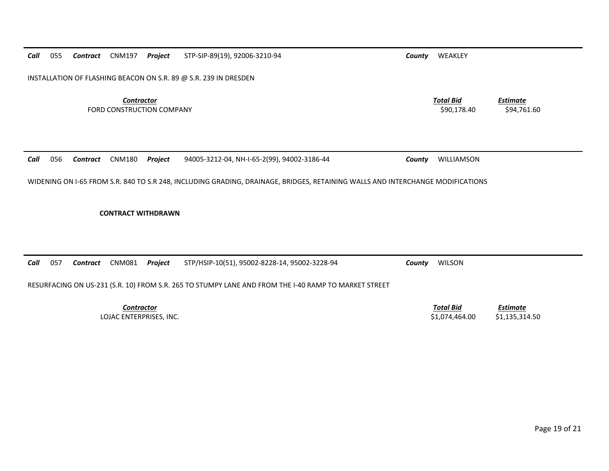*Call* 055*Contract* CNM197 *Project* STP‐SIP‐89(19), 92006‐3210‐94 *County* WEAKLEY

INSTALLATION OF FLASHING BEACON ON S.R. 89 @ S.R. 239 IN DRESDEN

*Contractor Total Bid*FORD CONSTRUCTION

*Call* 056*Contract* CNM180 *Project* 94005‐3212‐04, NH‐I‐65‐2(99), 94002‐3186‐44 *County* WILLIAMSON

WIDENING ON I‐65 FROM S.R. 840 TO S.R 248, INCLUDING GRADING, DRAINAGE, BRIDGES, RETAINING WALLS AND INTERCHANGE MODIFICATIONS

**CONTRACT WITHDRAWN**

*Call* 057*Contract* CNM081 *Project* STP/HSIP‐10(51), 95002‐8228‐14, 95002‐3228‐94 *County* WILSON

RESURFACING ON US‐231 (S.R. 10) FROM S.R. 265 TO STUMPY LANE AND FROM THE I‐40 RAMP TO MARKET STREET

*Contractor*

 *Total Bid Estimate* LOJAC ENTERPRISES, INC. \$1,074,464.00 \$1,135,314.50

 *Estimate* COMPANY \$90,178.40 \$94,761.60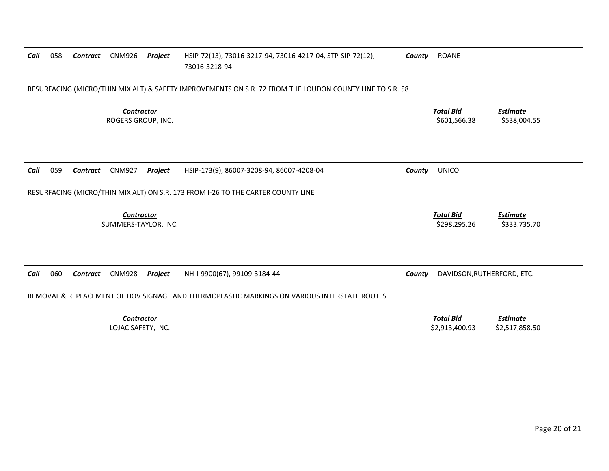| Call | 058                                                                                                      | Contract | CNM926                                  | Project | HSIP-72(13), 73016-3217-94, 73016-4217-04, STP-SIP-72(12),<br>73016-3218-94                  | County | <b>ROANE</b>                       |                                   |  |  |  |
|------|----------------------------------------------------------------------------------------------------------|----------|-----------------------------------------|---------|----------------------------------------------------------------------------------------------|--------|------------------------------------|-----------------------------------|--|--|--|
|      | RESURFACING (MICRO/THIN MIX ALT) & SAFETY IMPROVEMENTS ON S.R. 72 FROM THE LOUDON COUNTY LINE TO S.R. 58 |          |                                         |         |                                                                                              |        |                                    |                                   |  |  |  |
|      |                                                                                                          |          | <b>Contractor</b><br>ROGERS GROUP, INC. |         |                                                                                              |        | <b>Total Bid</b><br>\$601,566.38   | <b>Estimate</b><br>\$538,004.55   |  |  |  |
| Call | 059                                                                                                      | Contract | <b>CNM927</b>                           | Project | HSIP-173(9), 86007-3208-94, 86007-4208-04                                                    | County | <b>UNICOI</b>                      |                                   |  |  |  |
|      |                                                                                                          |          |                                         |         | RESURFACING (MICRO/THIN MIX ALT) ON S.R. 173 FROM I-26 TO THE CARTER COUNTY LINE             |        |                                    |                                   |  |  |  |
|      |                                                                                                          |          | Contractor<br>SUMMERS-TAYLOR, INC.      |         |                                                                                              |        | <b>Total Bid</b><br>\$298,295.26   | <b>Estimate</b><br>\$333,735.70   |  |  |  |
| Call | 060                                                                                                      | Contract | <b>CNM928</b>                           | Project | NH-I-9900(67), 99109-3184-44                                                                 | County | DAVIDSON, RUTHERFORD, ETC.         |                                   |  |  |  |
|      |                                                                                                          |          |                                         |         | REMOVAL & REPLACEMENT OF HOV SIGNAGE AND THERMOPLASTIC MARKINGS ON VARIOUS INTERSTATE ROUTES |        |                                    |                                   |  |  |  |
|      |                                                                                                          |          | Contractor<br>LOJAC SAFETY, INC.        |         |                                                                                              |        | <b>Total Bid</b><br>\$2,913,400.93 | <b>Estimate</b><br>\$2,517,858.50 |  |  |  |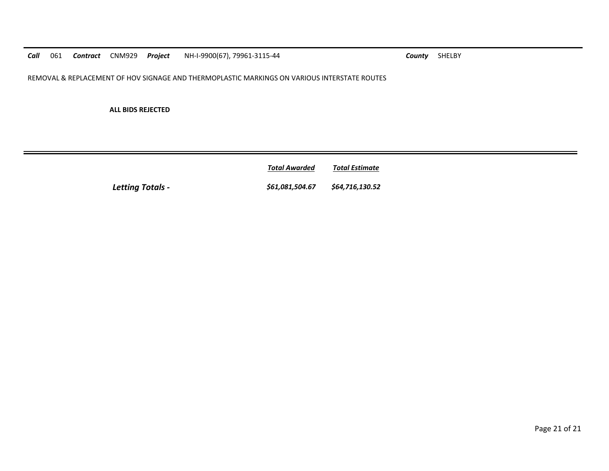*Call*061 **Contract** CNM929 **Project** NH-I-9900(67), 79961‐3115‐44 **County** SHELBY

REMOVAL & REPLACEMENT OF HOV SIGNAGE AND THERMOPLASTIC MARKINGS ON VARIOUS INTERSTATE ROUTES

**ALL BIDS REJECTED**

*Total AwardedTotal Estimate*

*Letting Totals ‐ \$61,081,504.67 \$64,716,130.52*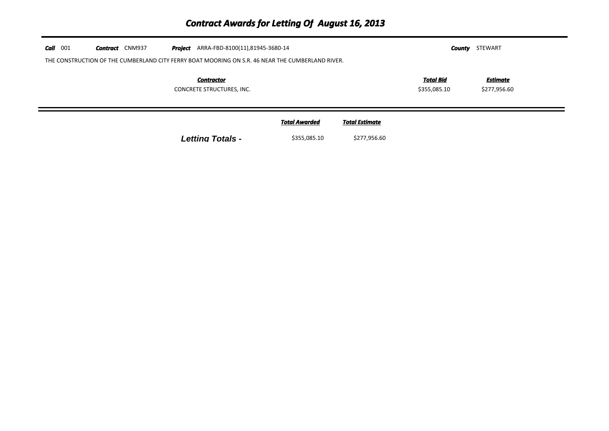| $Call$ 001 | <b>Contract</b> CNM937<br>THE CONSTRUCTION OF THE CUMBERLAND CITY FERRY BOAT MOORING ON S.R. 46 NEAR THE CUMBERLAND RIVER. | STEWART<br>County                              |                                      |                                       |                                  |                          |  |
|------------|----------------------------------------------------------------------------------------------------------------------------|------------------------------------------------|--------------------------------------|---------------------------------------|----------------------------------|--------------------------|--|
|            |                                                                                                                            | <b>Contractor</b><br>CONCRETE STRUCTURES, INC. |                                      |                                       | <u>Total Bid</u><br>\$355,085.10 | Estimate<br>\$277,956.60 |  |
|            |                                                                                                                            | <b>Letting Totals -</b>                        | <b>Total Awarded</b><br>\$355,085.10 | <b>Total Estimate</b><br>\$277,956.60 |                                  |                          |  |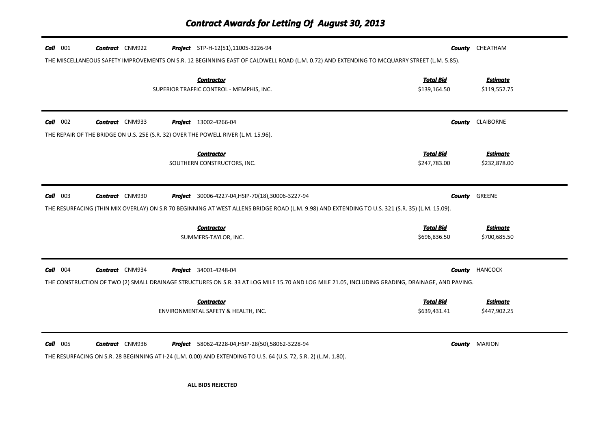| $Call$ 001 | <b>Contract</b> CNM922 | <b>Project</b> STP-H-12(51),11005-3226-94<br>THE MISCELLANEOUS SAFETY IMPROVEMENTS ON S.R. 12 BEGINNING EAST OF CALDWELL ROAD (L.M. 0.72) AND EXTENDING TO MCQUARRY STREET (L.M. 5.85).                     |                                  | <b>County</b> CHEATHAM          |
|------------|------------------------|-------------------------------------------------------------------------------------------------------------------------------------------------------------------------------------------------------------|----------------------------------|---------------------------------|
|            |                        | <b>Contractor</b><br>SUPERIOR TRAFFIC CONTROL - MEMPHIS, INC.                                                                                                                                               | <b>Total Bid</b><br>\$139,164.50 | <b>Estimate</b><br>\$119,552.75 |
| $Call$ 002 | <b>Contract</b> CNM933 | <b>Project</b> 13002-4266-04<br>THE REPAIR OF THE BRIDGE ON U.S. 25E (S.R. 32) OVER THE POWELL RIVER (L.M. 15.96).                                                                                          | County                           | CLAIBORNE                       |
|            |                        | <b>Contractor</b><br>SOUTHERN CONSTRUCTORS, INC.                                                                                                                                                            | <b>Total Bid</b><br>\$247,783.00 | <b>Estimate</b><br>\$232,878.00 |
| $Call$ 003 | <b>Contract</b> CNM930 | <b>Project</b> 30006-4227-04, HSIP-70(18), 30006-3227-94<br>THE RESURFACING (THIN MIX OVERLAY) ON S.R 70 BEGINNING AT WEST ALLENS BRIDGE ROAD (L.M. 9.98) AND EXTENDING TO U.S. 321 (S.R. 35) (L.M. 15.09). | County                           | GREENE                          |
|            |                        | <b>Contractor</b><br>SUMMERS-TAYLOR, INC.                                                                                                                                                                   | <b>Total Bid</b><br>\$696,836.50 | <b>Estimate</b><br>\$700,685.50 |
| $Call$ 004 | <b>Contract</b> CNM934 | <b>Project</b> 34001-4248-04<br>THE CONSTRUCTION OF TWO (2) SMALL DRAINAGE STRUCTURES ON S.R. 33 AT LOG MILE 15.70 AND LOG MILE 21.05, INCLUDING GRADING, DRAINAGE, AND PAVING.                             |                                  | <b>County HANCOCK</b>           |
|            |                        | <b>Contractor</b><br>ENVIRONMENTAL SAFETY & HEALTH, INC.                                                                                                                                                    | <b>Total Bid</b><br>\$639,431.41 | <b>Estimate</b><br>\$447,902.25 |
| $Call$ 005 | <b>Contract</b> CNM936 | <b>Project</b> 58062-4228-04, HSIP-28(50), 58062-3228-94<br>THE RESURFACING ON S.R. 28 BEGINNING AT I-24 (L.M. 0.00) AND EXTENDING TO U.S. 64 (U.S. 72, S.R. 2) (L.M. 1.80).                                |                                  | <b>County</b> MARION            |

**ALL BIDS REJECTED**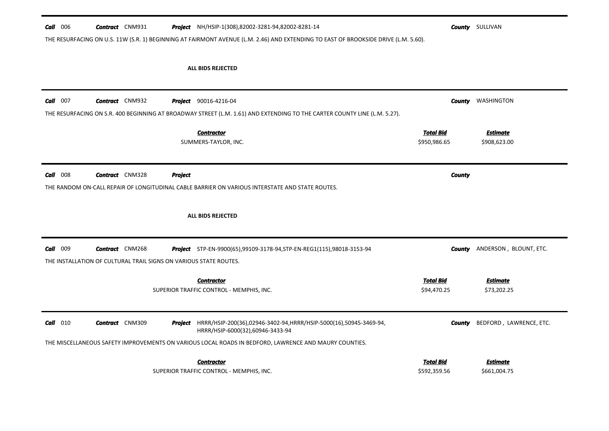| $Call$ 006 | <b>Contract</b> CNM931 |                                                                   |         | <b>Project</b> NH/HSIP-1(308),82002-3281-94,82002-8281-14                                                                           |                                  | <b>County</b> SULLIVAN          |
|------------|------------------------|-------------------------------------------------------------------|---------|-------------------------------------------------------------------------------------------------------------------------------------|----------------------------------|---------------------------------|
|            |                        |                                                                   |         | THE RESURFACING ON U.S. 11W (S.R. 1) BEGINNING AT FAIRMONT AVENUE (L.M. 2.46) AND EXTENDING TO EAST OF BROOKSIDE DRIVE (L.M. 5.60). |                                  |                                 |
|            |                        |                                                                   |         |                                                                                                                                     |                                  |                                 |
|            |                        |                                                                   |         |                                                                                                                                     |                                  |                                 |
|            |                        |                                                                   |         | <b>ALL BIDS REJECTED</b>                                                                                                            |                                  |                                 |
|            |                        |                                                                   |         |                                                                                                                                     |                                  |                                 |
|            |                        |                                                                   |         |                                                                                                                                     |                                  |                                 |
| $Call$ 007 | <b>Contract</b> CNM932 |                                                                   |         | <b>Project</b> 90016-4216-04                                                                                                        |                                  | <b>County</b> WASHINGTON        |
|            |                        |                                                                   |         | THE RESURFACING ON S.R. 400 BEGINNING AT BROADWAY STREET (L.M. 1.61) AND EXTENDING TO THE CARTER COUNTY LINE (L.M. 5.27).           |                                  |                                 |
|            |                        |                                                                   |         | <b>Contractor</b>                                                                                                                   | <b>Total Bid</b>                 | <b>Estimate</b>                 |
|            |                        |                                                                   |         | SUMMERS-TAYLOR, INC.                                                                                                                | \$950,986.65                     | \$908,623.00                    |
|            |                        |                                                                   |         |                                                                                                                                     |                                  |                                 |
|            |                        |                                                                   |         |                                                                                                                                     |                                  |                                 |
| $Call$ 008 | <b>Contract</b> CNM328 |                                                                   | Project |                                                                                                                                     | <b>County</b>                    |                                 |
|            |                        |                                                                   |         | THE RANDOM ON-CALL REPAIR OF LONGITUDINAL CABLE BARRIER ON VARIOUS INTERSTATE AND STATE ROUTES.                                     |                                  |                                 |
|            |                        |                                                                   |         |                                                                                                                                     |                                  |                                 |
|            |                        |                                                                   |         |                                                                                                                                     |                                  |                                 |
|            |                        |                                                                   |         |                                                                                                                                     |                                  |                                 |
|            |                        |                                                                   |         | ALL BIDS REJECTED                                                                                                                   |                                  |                                 |
|            |                        |                                                                   |         |                                                                                                                                     |                                  |                                 |
|            |                        |                                                                   |         |                                                                                                                                     |                                  |                                 |
| Call 009   | <b>Contract</b> CNM268 |                                                                   |         | Project STP-EN-9900(65),99109-3178-94, STP-EN-REG1(115),98018-3153-94                                                               | County                           | ANDERSON, BLOUNT, ETC.          |
|            |                        | THE INSTALLATION OF CULTURAL TRAIL SIGNS ON VARIOUS STATE ROUTES. |         |                                                                                                                                     |                                  |                                 |
|            |                        |                                                                   |         |                                                                                                                                     |                                  |                                 |
|            |                        |                                                                   |         | <b>Contractor</b><br>SUPERIOR TRAFFIC CONTROL - MEMPHIS, INC.                                                                       | <b>Total Bid</b><br>\$94,470.25  | <b>Estimate</b><br>\$73,202.25  |
|            |                        |                                                                   |         |                                                                                                                                     |                                  |                                 |
|            |                        |                                                                   |         |                                                                                                                                     |                                  |                                 |
| $Call$ 010 | <b>Contract</b> CNM309 |                                                                   |         | <b>Project</b> HRRR/HSIP-200(36),02946-3402-94,HRRR/HSIP-5000(16),50945-3469-94,<br>HRRR/HSIP-6000(32),60946-3433-94                | County                           | BEDFORD, LAWRENCE, ETC.         |
|            |                        |                                                                   |         | THE MISCELLANEOUS SAFETY IMPROVEMENTS ON VARIOUS LOCAL ROADS IN BEDFORD, LAWRENCE AND MAURY COUNTIES.                               |                                  |                                 |
|            |                        |                                                                   |         |                                                                                                                                     |                                  |                                 |
|            |                        |                                                                   |         | <b>Contractor</b><br>SUPERIOR TRAFFIC CONTROL - MEMPHIS, INC.                                                                       | <b>Total Bid</b><br>\$592,359.56 | <b>Estimate</b><br>\$661,004.75 |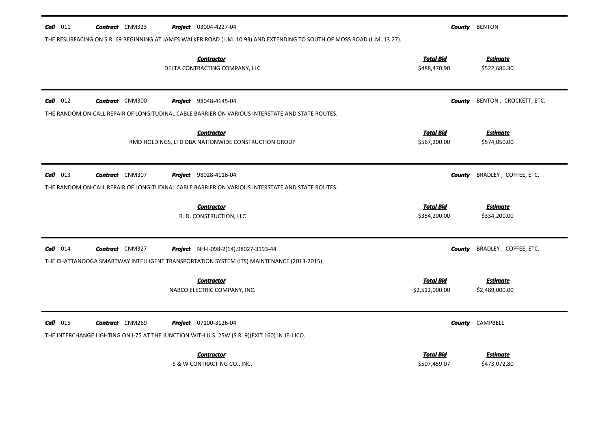| $Call$ 011 | <b>Contract</b> CNM323 | <b>Project</b> 03004-4227-04                                                                                             | County                           | <b>BENTON</b>                   |
|------------|------------------------|--------------------------------------------------------------------------------------------------------------------------|----------------------------------|---------------------------------|
|            |                        | THE RESURFACING ON S.R. 69 BEGINNING AT JAMES WALKER ROAD (L.M. 10.93) AND EXTENDING TO SOUTH OF MOSS ROAD (L.M. 13.27). |                                  |                                 |
|            |                        | <b>Contractor</b><br>DELTA CONTRACTING COMPANY, LLC                                                                      | <b>Total Bid</b><br>\$488,470.90 | <b>Estimate</b><br>\$522,686.30 |
| $Call$ 012 | <b>Contract</b> CNM300 | <b>Project</b> 98048-4145-04                                                                                             | <b>County</b>                    | BENTON, CROCKETT, ETC.          |
|            |                        | THE RANDOM ON-CALL REPAIR OF LONGITUDINAL CABLE BARRIER ON VARIOUS INTERSTATE AND STATE ROUTES.                          |                                  |                                 |
|            |                        | <b>Contractor</b>                                                                                                        | <b>Total Bid</b>                 | <b>Estimate</b>                 |
|            |                        | RMD HOLDINGS, LTD DBA NATIONWIDE CONSTRUCTION GROUP                                                                      | \$567,200.00                     | \$574,050.00                    |
|            |                        |                                                                                                                          |                                  |                                 |
| $Call$ 013 | <b>Contract</b> CNM307 | <b>Project</b> 98028-4116-04                                                                                             | <b>County</b>                    | BRADLEY, COFFEE, ETC.           |
|            |                        | THE RANDOM ON-CALL REPAIR OF LONGITUDINAL CABLE BARRIER ON VARIOUS INTERSTATE AND STATE ROUTES.                          |                                  |                                 |
|            |                        | <b>Contractor</b>                                                                                                        | <b>Total Bid</b>                 | <b>Estimate</b>                 |
|            |                        | R. D. CONSTRUCTION, LLC                                                                                                  | \$354,200.00                     | \$334,200.00                    |
| $Call$ 014 | <b>Contract</b> CNM327 | Project NH-I-098-2(14),98027-3193-44                                                                                     | County                           | BRADLEY, COFFEE, ETC.           |
|            |                        | THE CHATTANOOGA SMARTWAY INTELLIGENT TRANSPORTATION SYSTEM (ITS) MAINTENANCE (2013-2015).                                |                                  |                                 |
|            |                        | <b>Contractor</b>                                                                                                        | <b>Total Bid</b>                 | <b>Estimate</b>                 |
|            |                        | NABCO ELECTRIC COMPANY, INC.                                                                                             | \$2,512,000.00                   | \$2,489,000.00                  |
|            |                        |                                                                                                                          |                                  |                                 |
| $Call$ 015 | <b>Contract</b> CNM269 | Project 07100-3126-04                                                                                                    | County                           | CAMPBELL                        |
|            |                        | THE INTERCHANGE LIGHTING ON I-75 AT THE JUNCTION WITH U.S. 25W (S.R. 9)(EXIT 160) IN JELLICO.                            |                                  |                                 |
|            |                        | <b>Contractor</b>                                                                                                        | <b>Total Bid</b>                 | <b>Estimate</b>                 |
|            |                        | S & W CONTRACTING CO., INC.                                                                                              | \$507,459.07                     | \$473,072.80                    |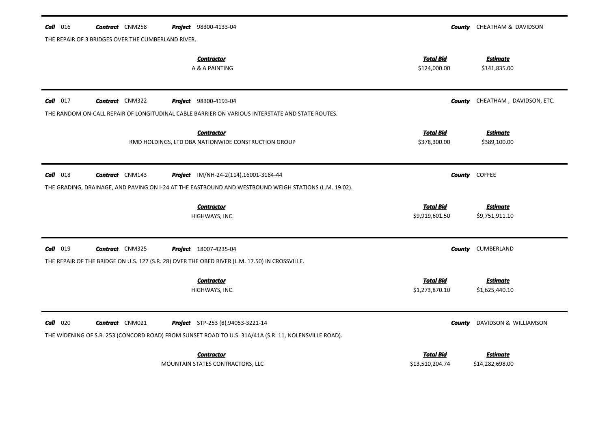| $Call$ 016                                         | <b>Contract</b> CNM258 |  | <b>Project</b> 98300-4133-04                                                                          |                                  | <b>County</b> CHEATHAM & DAVIDSON |
|----------------------------------------------------|------------------------|--|-------------------------------------------------------------------------------------------------------|----------------------------------|-----------------------------------|
| THE REPAIR OF 3 BRIDGES OVER THE CUMBERLAND RIVER. |                        |  |                                                                                                       |                                  |                                   |
|                                                    |                        |  | <b>Contractor</b><br>A & A PAINTING                                                                   | <b>Total Bid</b><br>\$124,000.00 | <b>Estimate</b><br>\$141,835.00   |
| $Call$ 017                                         | <b>Contract</b> CNM322 |  | <b>Project</b> 98300-4193-04                                                                          | County                           | CHEATHAM, DAVIDSON, ETC.          |
|                                                    |                        |  | THE RANDOM ON-CALL REPAIR OF LONGITUDINAL CABLE BARRIER ON VARIOUS INTERSTATE AND STATE ROUTES.       |                                  |                                   |
|                                                    |                        |  | <b>Contractor</b>                                                                                     | <b>Total Bid</b>                 | <b>Estimate</b>                   |
|                                                    |                        |  | RMD HOLDINGS, LTD DBA NATIONWIDE CONSTRUCTION GROUP                                                   | \$378,300.00                     | \$389,100.00                      |
| $Call$ 018                                         | <b>Contract</b> CNM143 |  | <b>Project</b> IM/NH-24-2(114),16001-3164-44                                                          | County                           | <b>COFFEE</b>                     |
|                                                    |                        |  | THE GRADING, DRAINAGE, AND PAVING ON I-24 AT THE EASTBOUND AND WESTBOUND WEIGH STATIONS (L.M. 19.02). |                                  |                                   |
|                                                    |                        |  |                                                                                                       | <b>Total Bid</b>                 |                                   |
|                                                    |                        |  | <b>Contractor</b><br>HIGHWAYS, INC.                                                                   | \$9,919,601.50                   | <b>Estimate</b><br>\$9,751,911.10 |
| <b>Call</b> 019                                    | <b>Contract</b> CNM325 |  | Project 18007-4235-04                                                                                 | County                           | CUMBERLAND                        |
|                                                    |                        |  | THE REPAIR OF THE BRIDGE ON U.S. 127 (S.R. 28) OVER THE OBED RIVER (L.M. 17.50) IN CROSSVILLE.        |                                  |                                   |
|                                                    |                        |  | <b>Contractor</b>                                                                                     | <b>Total Bid</b>                 | <b>Estimate</b>                   |
|                                                    |                        |  | HIGHWAYS, INC.                                                                                        | \$1,273,870.10                   | \$1,625,440.10                    |
| $Call$ 020                                         | <b>Contract</b> CNM021 |  | <b>Project</b> STP-253 (8),94053-3221-14                                                              | <b>County</b>                    | DAVIDSON & WILLIAMSON             |
|                                                    |                        |  | THE WIDENING OF S.R. 253 (CONCORD ROAD) FROM SUNSET ROAD TO U.S. 31A/41A (S.R. 11, NOLENSVILLE ROAD). |                                  |                                   |
|                                                    |                        |  | <b>Contractor</b>                                                                                     | <b>Total Bid</b>                 | Estimate                          |
|                                                    |                        |  | MOUNTAIN STATES CONTRACTORS, LLC                                                                      | \$13,510,204.74                  | \$14,282,698.00                   |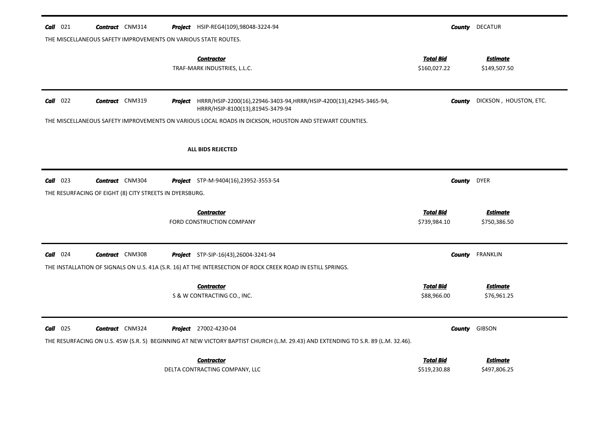| $Call$ 021 | <b>Contract</b> CNM314                                         | <b>Project</b> HSIP-REG4(109),98048-3224-94                                                                                                                      |                                  |                    | <b>County</b> DECATUR           |
|------------|----------------------------------------------------------------|------------------------------------------------------------------------------------------------------------------------------------------------------------------|----------------------------------|--------------------|---------------------------------|
|            | THE MISCELLANEOUS SAFETY IMPROVEMENTS ON VARIOUS STATE ROUTES. |                                                                                                                                                                  |                                  |                    |                                 |
|            |                                                                | <b>Contractor</b><br>TRAF-MARK INDUSTRIES, L.L.C.                                                                                                                | <b>Total Bid</b><br>\$160,027.22 |                    | <b>Estimate</b><br>\$149,507.50 |
| $Call$ 022 | <b>Contract</b> CNM319                                         | <b>Project</b> HRRR/HSIP-2200(16),22946-3403-94,HRRR/HSIP-4200(13),42945-3465-94,<br>HRRR/HSIP-8100(13),81945-3479-94                                            |                                  | County             | DICKSON, HOUSTON, ETC.          |
|            |                                                                | THE MISCELLANEOUS SAFETY IMPROVEMENTS ON VARIOUS LOCAL ROADS IN DICKSON, HOUSTON AND STEWART COUNTIES.                                                           |                                  |                    |                                 |
|            |                                                                | <b>ALL BIDS REJECTED</b>                                                                                                                                         |                                  |                    |                                 |
| $Call$ 023 | <b>Contract</b> CNM304                                         | Project STP-M-9404(16),23952-3553-54                                                                                                                             |                                  | <b>County</b> DYER |                                 |
|            | THE RESURFACING OF EIGHT (8) CITY STREETS IN DYERSBURG.        |                                                                                                                                                                  |                                  |                    |                                 |
|            |                                                                | <b>Contractor</b><br>FORD CONSTRUCTION COMPANY                                                                                                                   | <b>Total Bid</b><br>\$739,984.10 |                    | <b>Estimate</b><br>\$750,386.50 |
| $Call$ 024 | <b>Contract</b> CNM308                                         | <b>Project</b> STP-SIP-16(43), 26004-3241-94                                                                                                                     |                                  | County             | FRANKLIN                        |
|            |                                                                | THE INSTALLATION OF SIGNALS ON U.S. 41A (S.R. 16) AT THE INTERSECTION OF ROCK CREEK ROAD IN ESTILL SPRINGS.                                                      |                                  |                    |                                 |
|            |                                                                | <b>Contractor</b><br>S & W CONTRACTING CO., INC.                                                                                                                 | <b>Total Bid</b><br>\$88,966.00  |                    | <b>Estimate</b><br>\$76,961.25  |
| $Call$ 025 | <b>Contract</b> CNM324                                         | <b>Project</b> 27002-4230-04<br>THE RESURFACING ON U.S. 45W (S.R. 5) BEGINNING AT NEW VICTORY BAPTIST CHURCH (L.M. 29.43) AND EXTENDING TO S.R. 89 (L.M. 32.46). |                                  |                    | <b>County</b> GIBSON            |
|            |                                                                |                                                                                                                                                                  |                                  |                    |                                 |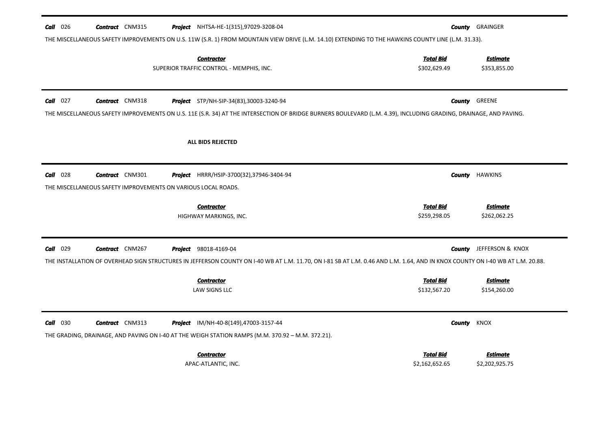| Call 026   | <b>Contract</b> CNM315                                        | <b>Project</b> NHTSA-HE-1(315),97029-3208-04<br>THE MISCELLANEOUS SAFETY IMPROVEMENTS ON U.S. 11W (S.R. 1) FROM MOUNTAIN VIEW DRIVE (L.M. 14.10) EXTENDING TO THE HAWKINS COUNTY LINE (L.M. 31.33). |                                  | <b>County GRAINGER</b>          |
|------------|---------------------------------------------------------------|-----------------------------------------------------------------------------------------------------------------------------------------------------------------------------------------------------|----------------------------------|---------------------------------|
|            |                                                               | <b>Contractor</b><br>SUPERIOR TRAFFIC CONTROL - MEMPHIS, INC.                                                                                                                                       | <b>Total Bid</b><br>\$302,629.49 | <b>Estimate</b><br>\$353,855.00 |
|            |                                                               |                                                                                                                                                                                                     |                                  |                                 |
| $Call$ 027 | <b>Contract</b> CNM318                                        | Project STP/NH-SIP-34(83),30003-3240-94                                                                                                                                                             | County                           | GREENE                          |
|            |                                                               | THE MISCELLANEOUS SAFETY IMPROVEMENTS ON U.S. 11E (S.R. 34) AT THE INTERSECTION OF BRIDGE BURNERS BOULEVARD (L.M. 4.39), INCLUDING GRADING, DRAINAGE, AND PAVING.                                   |                                  |                                 |
|            |                                                               | <b>ALL BIDS REJECTED</b>                                                                                                                                                                            |                                  |                                 |
|            |                                                               |                                                                                                                                                                                                     |                                  |                                 |
| $Call$ 028 | <b>Contract</b> CNM301                                        | Project HRRR/HSIP-3700(32),37946-3404-94                                                                                                                                                            |                                  | <b>County</b> HAWKINS           |
|            | THE MISCELLANEOUS SAFETY IMPROVEMENTS ON VARIOUS LOCAL ROADS. |                                                                                                                                                                                                     |                                  |                                 |
|            |                                                               | <b>Contractor</b>                                                                                                                                                                                   | <b>Total Bid</b>                 | <b>Estimate</b>                 |
|            |                                                               | HIGHWAY MARKINGS, INC.                                                                                                                                                                              | \$259,298.05                     | \$262,062.25                    |
| $Call$ 029 | <b>Contract</b> CNM267                                        | <b>Project</b> 98018-4169-04                                                                                                                                                                        |                                  | <b>County</b> JEFFERSON & KNOX  |
|            |                                                               | THE INSTALLATION OF OVERHEAD SIGN STRUCTURES IN JEFFERSON COUNTY ON 1-40 WB AT L.M. 11.70, ON 1-81 SB AT L.M. 0.46 AND L.M. 1.64, AND IN KNOX COUNTY ON 1-40 WB AT L.M. 20.88.                      |                                  |                                 |
|            |                                                               | <b>Contractor</b>                                                                                                                                                                                   | <b>Total Bid</b>                 | <b>Estimate</b>                 |
|            |                                                               | <b>LAW SIGNS LLC</b>                                                                                                                                                                                | \$132,567.20                     | \$154,260.00                    |
|            |                                                               |                                                                                                                                                                                                     |                                  |                                 |
| $Call$ 030 | <b>Contract</b> CNM313                                        | <b>Project</b> IM/NH-40-8(149),47003-3157-44                                                                                                                                                        | <b>County KNOX</b>               |                                 |
|            |                                                               | THE GRADING, DRAINAGE, AND PAVING ON I-40 AT THE WEIGH STATION RAMPS (M.M. 370.92 - M.M. 372.21).                                                                                                   |                                  |                                 |
|            |                                                               | <b>Contractor</b>                                                                                                                                                                                   | <b>Total Bid</b>                 | <b>Estimate</b>                 |
|            |                                                               | APAC-ATLANTIC, INC.                                                                                                                                                                                 | \$2,162,652.65                   | \$2,202,925.75                  |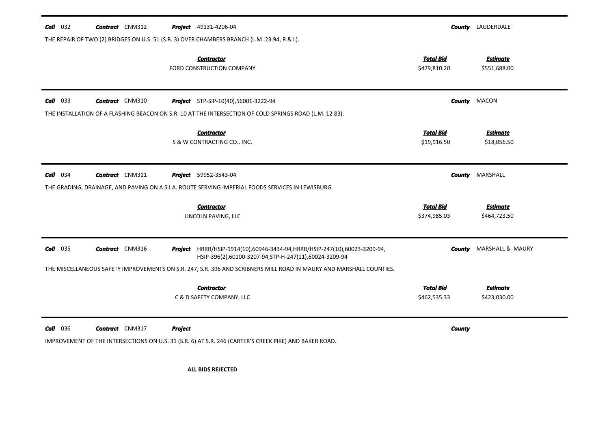| $Call$ 032 | <b>Contract</b> CNM312 |                | <b>Project</b> 49131-4206-04                                                                                                        |                                  | <b>County</b> LAUDERDALE        |
|------------|------------------------|----------------|-------------------------------------------------------------------------------------------------------------------------------------|----------------------------------|---------------------------------|
|            |                        |                | THE REPAIR OF TWO (2) BRIDGES ON U.S. 51 (S.R. 3) OVER CHAMBERS BRANCH (L.M. 23.94, R & L).                                         |                                  |                                 |
|            |                        |                | <b>Contractor</b><br>FORD CONSTRUCTION COMPANY                                                                                      | <b>Total Bid</b><br>\$479,810.20 | <b>Estimate</b><br>\$551,688.00 |
| $Call$ 033 | <b>Contract</b> CNM310 |                | <b>Project</b> STP-SIP-10(40),56001-3222-94                                                                                         | County                           | MACON                           |
|            |                        |                | THE INSTALLATION OF A FLASHING BEACON ON S.R. 10 AT THE INTERSECTION OF COLD SPRINGS ROAD (L.M. 12.83).                             |                                  |                                 |
|            |                        |                | <b>Contractor</b><br>S & W CONTRACTING CO., INC.                                                                                    | <b>Total Bid</b><br>\$19,916.50  | <b>Estimate</b><br>\$18,056.50  |
| $Call$ 034 | <b>Contract</b> CNM311 |                | <b>Project</b> 59952-3543-04<br>THE GRADING, DRAINAGE, AND PAVING ON A S.I.A. ROUTE SERVING IMPERIAL FOODS SERVICES IN LEWISBURG.   | County                           | MARSHALL                        |
|            |                        |                | <b>Contractor</b><br>LINCOLN PAVING, LLC                                                                                            | <b>Total Bid</b><br>\$374,985.03 | <b>Estimate</b><br>\$464,723.50 |
| $Call$ 035 | <b>Contract</b> CNM316 |                | Project HRRR/HSIP-1914(10),60946-3434-94, HRRR/HSIP-247(10),60023-3209-94,<br>HSIP-396(2),60100-3207-94,STP-H-247(11),60024-3209-94 | County                           | MARSHALL & MAURY                |
|            |                        |                | THE MISCELLANEOUS SAFETY IMPROVEMENTS ON S.R. 247, S.R. 396 AND SCRIBNERS MILL ROAD IN MAURY AND MARSHALL COUNTIES.                 |                                  |                                 |
|            |                        |                | <b>Contractor</b><br>C & D SAFETY COMPANY, LLC                                                                                      | <b>Total Bid</b><br>\$462,535.33 | <b>Estimate</b><br>\$423,030.00 |
| $Call$ 036 | <b>Contract</b> CNM317 | <b>Project</b> | IMPROVEMENT OF THE INTERSECTIONS ON U.S. 31 (S.R. 6) AT S.R. 246 (CARTER'S CREEK PIKE) AND BAKER ROAD.                              | <b>County</b>                    |                                 |
|            |                        |                | <b>ALL BIDS REJECTED</b>                                                                                                            |                                  |                                 |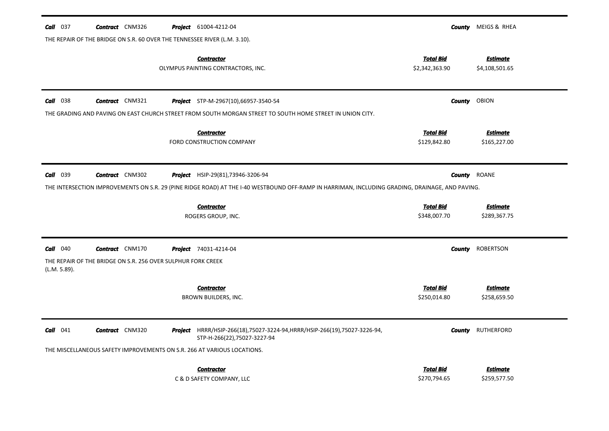| <b>Call</b> 037                                                                                                                                 | <b>Contract</b> CNM326<br>THE REPAIR OF THE BRIDGE ON S.R. 60 OVER THE TENNESSEE RIVER (L.M. 3.10). |  | <b>Project</b> 61004-4212-04                                                                                    | County                             | MEIGS & RHEA                      |  |
|-------------------------------------------------------------------------------------------------------------------------------------------------|-----------------------------------------------------------------------------------------------------|--|-----------------------------------------------------------------------------------------------------------------|------------------------------------|-----------------------------------|--|
|                                                                                                                                                 |                                                                                                     |  | <b>Contractor</b><br>OLYMPUS PAINTING CONTRACTORS, INC.                                                         | <b>Total Bid</b><br>\$2,342,363.90 | <b>Estimate</b><br>\$4,108,501.65 |  |
| <b>Call</b> 038                                                                                                                                 | <b>Contract</b> CNM321                                                                              |  | Project STP-M-2967(10),66957-3540-54                                                                            | <b>County</b>                      | OBION                             |  |
|                                                                                                                                                 |                                                                                                     |  | THE GRADING AND PAVING ON EAST CHURCH STREET FROM SOUTH MORGAN STREET TO SOUTH HOME STREET IN UNION CITY.       |                                    |                                   |  |
|                                                                                                                                                 |                                                                                                     |  | <b>Contractor</b><br>FORD CONSTRUCTION COMPANY                                                                  | <b>Total Bid</b><br>\$129,842.80   | <b>Estimate</b><br>\$165,227.00   |  |
| <b>Call</b> 039                                                                                                                                 | <b>Contract</b> CNM302                                                                              |  | <b>Project</b> HSIP-29(81),73946-3206-94                                                                        | <b>County</b>                      | ROANE                             |  |
| THE INTERSECTION IMPROVEMENTS ON S.R. 29 (PINE RIDGE ROAD) AT THE I-40 WESTBOUND OFF-RAMP IN HARRIMAN, INCLUDING GRADING, DRAINAGE, AND PAVING. |                                                                                                     |  |                                                                                                                 |                                    |                                   |  |
|                                                                                                                                                 |                                                                                                     |  | <b>Contractor</b><br>ROGERS GROUP, INC.                                                                         | <b>Total Bid</b><br>\$348,007.70   | <b>Estimate</b><br>\$289,367.75   |  |
| <b>Call</b> 040                                                                                                                                 | <b>Contract</b> CNM170                                                                              |  | <b>Project</b> 74031-4214-04                                                                                    | <b>County</b>                      | <b>ROBERTSON</b>                  |  |
| (L.M. 5.89).                                                                                                                                    | THE REPAIR OF THE BRIDGE ON S.R. 256 OVER SULPHUR FORK CREEK                                        |  |                                                                                                                 |                                    |                                   |  |
|                                                                                                                                                 |                                                                                                     |  | <b>Contractor</b><br>BROWN BUILDERS, INC.                                                                       | <b>Total Bid</b><br>\$250,014.80   | <b>Estimate</b><br>\$258,659.50   |  |
| <b>Call</b> 041                                                                                                                                 | <b>Contract</b> CNM320                                                                              |  | <b>Project</b> HRRR/HSIP-266(18),75027-3224-94, HRRR/HSIP-266(19),75027-3226-94,<br>STP-H-266(22),75027-3227-94 | County                             | RUTHERFORD                        |  |
|                                                                                                                                                 |                                                                                                     |  | THE MISCELLANEOUS SAFETY IMPROVEMENTS ON S.R. 266 AT VARIOUS LOCATIONS.                                         |                                    |                                   |  |
|                                                                                                                                                 |                                                                                                     |  | <b>Contractor</b><br>C & D SAFETY COMPANY, LLC                                                                  | <b>Total Bid</b><br>\$270,794.65   | <b>Estimate</b><br>\$259,577.50   |  |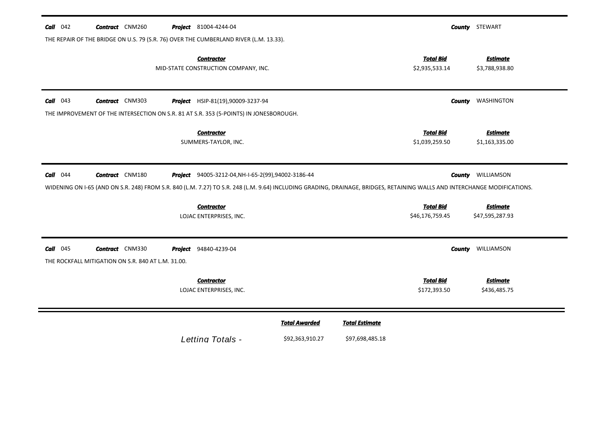| <b>Call</b> $042$                                                | <b>Contract</b> CNM260 |         | <b>Project</b> 81004-4244-04                                                           |                                                                                                                                                                           |                       |                                     | <b>County</b> STEWART              |  |
|------------------------------------------------------------------|------------------------|---------|----------------------------------------------------------------------------------------|---------------------------------------------------------------------------------------------------------------------------------------------------------------------------|-----------------------|-------------------------------------|------------------------------------|--|
|                                                                  |                        |         | THE REPAIR OF THE BRIDGE ON U.S. 79 (S.R. 76) OVER THE CUMBERLAND RIVER (L.M. 13.33).  |                                                                                                                                                                           |                       |                                     |                                    |  |
|                                                                  |                        |         | <b>Contractor</b><br>MID-STATE CONSTRUCTION COMPANY, INC.                              |                                                                                                                                                                           |                       | <b>Total Bid</b><br>\$2,935,533.14  | <b>Estimate</b><br>\$3,788,938.80  |  |
| $Call$ 043                                                       | <b>Contract</b> CNM303 |         | Project HSIP-81(19),90009-3237-94                                                      |                                                                                                                                                                           |                       | <b>County</b>                       | WASHINGTON                         |  |
|                                                                  |                        |         | THE IMPROVEMENT OF THE INTERSECTION ON S.R. 81 AT S.R. 353 (5-POINTS) IN JONESBOROUGH. |                                                                                                                                                                           |                       |                                     |                                    |  |
|                                                                  |                        |         | <b>Contractor</b><br>SUMMERS-TAYLOR, INC.                                              |                                                                                                                                                                           |                       | <b>Total Bid</b><br>\$1,039,259.50  | <b>Estimate</b><br>\$1,163,335.00  |  |
| $Call$ 044                                                       | <b>Contract</b> CNM180 |         | Project 94005-3212-04, NH-I-65-2(99), 94002-3186-44                                    | WIDENING ON I-65 (AND ON S.R. 248) FROM S.R. 840 (L.M. 7.27) TO S.R. 248 (L.M. 9.64) INCLUDING GRADING, DRAINAGE, BRIDGES, RETAINING WALLS AND INTERCHANGE MODIFICATIONS. |                       | County                              | WILLIAMSON                         |  |
|                                                                  |                        |         | <b>Contractor</b><br>LOJAC ENTERPRISES, INC.                                           |                                                                                                                                                                           |                       | <b>Total Bid</b><br>\$46,176,759.45 | <b>Estimate</b><br>\$47,595,287.93 |  |
| $Call$ 045<br>THE ROCKFALL MITIGATION ON S.R. 840 AT L.M. 31.00. | <b>Contract</b> CNM330 | Project | 94840-4239-04                                                                          |                                                                                                                                                                           |                       | <b>County</b>                       | WILLIAMSON                         |  |
|                                                                  |                        |         | Contractor<br>LOJAC ENTERPRISES, INC.                                                  |                                                                                                                                                                           |                       | <b>Total Bid</b><br>\$172,393.50    | <b>Estimate</b><br>\$436,485.75    |  |
|                                                                  |                        |         |                                                                                        | <b>Total Awarded</b>                                                                                                                                                      | <b>Total Estimate</b> |                                     |                                    |  |
|                                                                  |                        |         |                                                                                        |                                                                                                                                                                           |                       |                                     |                                    |  |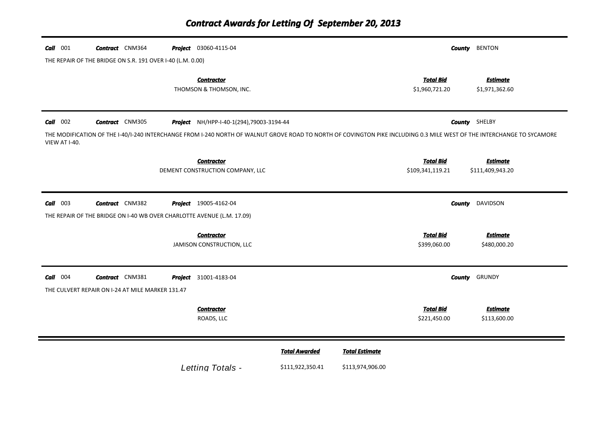| $Call$ 001    | <b>Contract</b> CNM364<br>THE REPAIR OF THE BRIDGE ON S.R. 191 OVER I-40 (L.M. 0.00) | <b>Project</b> 03060-4115-04                                                                                                                                           |                      |                       |                                      | <b>County</b> BENTON                |
|---------------|--------------------------------------------------------------------------------------|------------------------------------------------------------------------------------------------------------------------------------------------------------------------|----------------------|-----------------------|--------------------------------------|-------------------------------------|
|               |                                                                                      | <b>Contractor</b><br>THOMSON & THOMSON, INC.                                                                                                                           |                      |                       | <b>Total Bid</b><br>\$1,960,721.20   | <b>Estimate</b><br>\$1,971,362.60   |
| $Call$ 002    | <b>Contract</b> CNM305                                                               | Project NH/HPP-I-40-1(294),79003-3194-44                                                                                                                               |                      |                       |                                      | <b>County</b> SHELBY                |
| VIEW AT I-40. |                                                                                      | THE MODIFICATION OF THE I-40/I-240 INTERCHANGE FROM I-240 NORTH OF WALNUT GROVE ROAD TO NORTH OF COVINGTON PIKE INCLUDING 0.3 MILE WEST OF THE INTERCHANGE TO SYCAMORE |                      |                       |                                      |                                     |
|               |                                                                                      | <b>Contractor</b><br>DEMENT CONSTRUCTION COMPANY, LLC                                                                                                                  |                      |                       | <b>Total Bid</b><br>\$109,341,119.21 | <b>Estimate</b><br>\$111,409,943.20 |
| $Call$ 003    | <b>Contract</b> CNM382                                                               | <b>Project</b> 19005-4162-04<br>THE REPAIR OF THE BRIDGE ON I-40 WB OVER CHARLOTTE AVENUE (L.M. 17.09)                                                                 |                      |                       |                                      | <b>County</b> DAVIDSON              |
|               |                                                                                      | <b>Contractor</b><br>JAMISON CONSTRUCTION, LLC                                                                                                                         |                      |                       | <b>Total Bid</b><br>\$399,060.00     | <b>Estimate</b><br>\$480,000.20     |
| $Call$ 004    | <b>Contract</b> CNM381<br>THE CULVERT REPAIR ON I-24 AT MILE MARKER 131.47           | <b>Project</b> 31001-4183-04                                                                                                                                           |                      |                       |                                      | <b>County</b> GRUNDY                |
|               |                                                                                      | <b>Contractor</b><br>ROADS, LLC                                                                                                                                        |                      |                       | <b>Total Bid</b><br>\$221,450.00     | <b>Estimate</b><br>\$113,600.00     |
|               |                                                                                      |                                                                                                                                                                        | <b>Total Awarded</b> | <b>Total Estimate</b> |                                      |                                     |
|               |                                                                                      | Letting Totals -                                                                                                                                                       | \$111,922,350.41     | \$113,974,906.00      |                                      |                                     |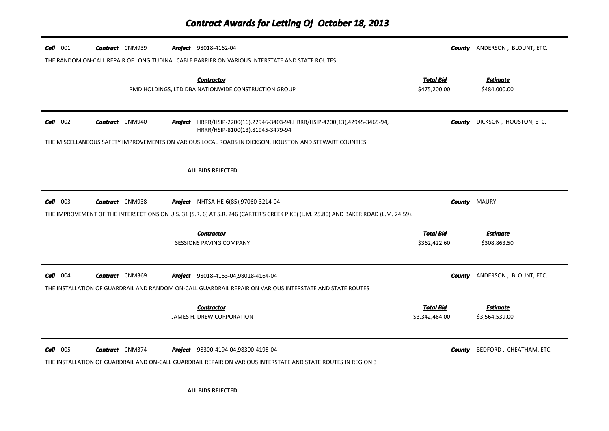| 001<br>Call | <b>Contract</b> CNM939 | <b>Project</b> 98018-4162-04                                                                                                                                |                                    | <b>County</b> ANDERSON, BLOUNT, ETC. |
|-------------|------------------------|-------------------------------------------------------------------------------------------------------------------------------------------------------------|------------------------------------|--------------------------------------|
|             |                        | THE RANDOM ON-CALL REPAIR OF LONGITUDINAL CABLE BARRIER ON VARIOUS INTERSTATE AND STATE ROUTES.                                                             |                                    |                                      |
|             |                        | <b>Contractor</b><br>RMD HOLDINGS, LTD DBA NATIONWIDE CONSTRUCTION GROUP                                                                                    | <b>Total Bid</b><br>\$475,200.00   | <b>Estimate</b><br>\$484,000.00      |
| $Call$ 002  | <b>Contract</b> CNM940 | <b>Project</b> HRRR/HSIP-2200(16),22946-3403-94, HRRR/HSIP-4200(13),42945-3465-94,<br>HRRR/HSIP-8100(13),81945-3479-94                                      | County                             | DICKSON, HOUSTON, ETC.               |
|             |                        | THE MISCELLANEOUS SAFETY IMPROVEMENTS ON VARIOUS LOCAL ROADS IN DICKSON, HOUSTON AND STEWART COUNTIES.                                                      |                                    |                                      |
|             |                        | <b>ALL BIDS REJECTED</b>                                                                                                                                    |                                    |                                      |
| $Call$ 003  | <b>Contract</b> CNM938 | <b>Project</b> NHTSA-HE-6(85),97060-3214-04                                                                                                                 | County                             | MAURY                                |
|             |                        | THE IMPROVEMENT OF THE INTERSECTIONS ON U.S. 31 (S.R. 6) AT S.R. 246 (CARTER'S CREEK PIKE) (L.M. 25.80) AND BAKER ROAD (L.M. 24.59).                        |                                    |                                      |
|             |                        | <b>Contractor</b><br><b>SESSIONS PAVING COMPANY</b>                                                                                                         | <b>Total Bid</b><br>\$362,422.60   | <b>Estimate</b><br>\$308,863.50      |
| 004<br>Call | <b>Contract</b> CNM369 | <b>Project</b> 98018-4163-04,98018-4164-04<br>THE INSTALLATION OF GUARDRAIL AND RANDOM ON-CALL GUARDRAIL REPAIR ON VARIOUS INTERSTATE AND STATE ROUTES      | County                             | ANDERSON, BLOUNT, ETC.               |
|             |                        | <b>Contractor</b><br>JAMES H. DREW CORPORATION                                                                                                              | <b>Total Bid</b><br>\$3,342,464.00 | <b>Estimate</b><br>\$3,564,539.00    |
| $Call$ 005  | <b>Contract</b> CNM374 | <b>Project</b> 98300-4194-04,98300-4195-04<br>THE INSTALLATION OF GUARDRAIL AND ON-CALL GUARDRAIL REPAIR ON VARIOUS INTERSTATE AND STATE ROUTES IN REGION 3 | County                             | BEDFORD, CHEATHAM, ETC.              |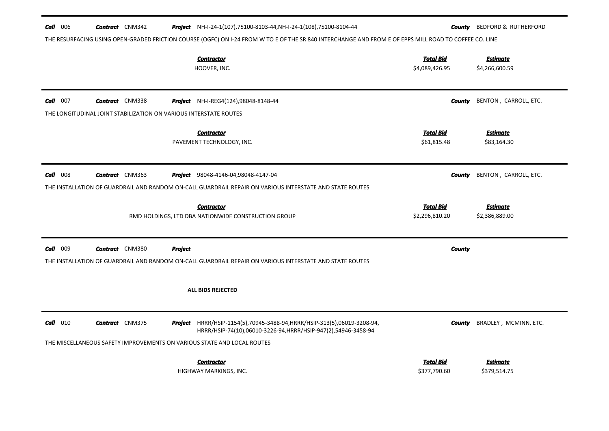| $Call$ 006 |  | <b>Contract</b> CNM342 |         | Project NH-I-24-1(107), 75100-8103-44, NH-I-24-1(108), 75100-8104-44                                                                                   |                                    | <b>County</b> BEDFORD & RUTHERFORD |
|------------|--|------------------------|---------|--------------------------------------------------------------------------------------------------------------------------------------------------------|------------------------------------|------------------------------------|
|            |  |                        |         | THE RESURFACING USING OPEN-GRADED FRICTION COURSE (OGFC) ON I-24 FROM W TO E OF THE SR 840 INTERCHANGE AND FROM E OF EPPS MILL ROAD TO COFFEE CO. LINE |                                    |                                    |
|            |  |                        |         | <b>Contractor</b><br>HOOVER, INC.                                                                                                                      | <b>Total Bid</b><br>\$4,089,426.95 | <b>Estimate</b><br>\$4,266,600.59  |
| $Call$ 007 |  | <b>Contract</b> CNM338 |         | <b>Project</b> NH-I-REG4(124),98048-8148-44                                                                                                            | <b>County</b>                      | BENTON, CARROLL, ETC.              |
|            |  |                        |         | THE LONGITUDINAL JOINT STABILIZATION ON VARIOUS INTERSTATE ROUTES                                                                                      |                                    |                                    |
|            |  |                        |         | <b>Contractor</b><br>PAVEMENT TECHNOLOGY, INC.                                                                                                         | <b>Total Bid</b><br>\$61,815.48    | <b>Estimate</b><br>\$83,164.30     |
| $Call$ 008 |  | <b>Contract</b> CNM363 |         | <b>Project</b> 98048-4146-04,98048-4147-04                                                                                                             | County                             | BENTON, CARROLL, ETC.              |
|            |  |                        |         | THE INSTALLATION OF GUARDRAIL AND RANDOM ON-CALL GUARDRAIL REPAIR ON VARIOUS INTERSTATE AND STATE ROUTES                                               |                                    |                                    |
|            |  |                        |         |                                                                                                                                                        |                                    |                                    |
|            |  |                        |         | <b>Contractor</b><br>RMD HOLDINGS, LTD DBA NATIONWIDE CONSTRUCTION GROUP                                                                               | <b>Total Bid</b><br>\$2,296,810.20 | <b>Estimate</b><br>\$2,386,889.00  |
| Call 009   |  | <b>Contract</b> CNM380 | Project |                                                                                                                                                        | <b>County</b>                      |                                    |
|            |  |                        |         | THE INSTALLATION OF GUARDRAIL AND RANDOM ON-CALL GUARDRAIL REPAIR ON VARIOUS INTERSTATE AND STATE ROUTES                                               |                                    |                                    |
|            |  |                        |         | ALL BIDS REJECTED                                                                                                                                      |                                    |                                    |
| $Call$ 010 |  | <b>Contract</b> CNM375 |         | <b>Project</b> HRRR/HSIP-1154(5),70945-3488-94, HRRR/HSIP-313(5),06019-3208-94,<br>HRRR/HSIP-74(10),06010-3226-94,HRRR/HSIP-947(2),54946-3458-94       | <b>County</b>                      | BRADLEY, MCMINN, ETC.              |
|            |  |                        |         | THE MISCELLANEOUS SAFETY IMPROVEMENTS ON VARIOUS STATE AND LOCAL ROUTES                                                                                |                                    |                                    |
|            |  |                        |         | <b>Contractor</b>                                                                                                                                      | Total Bid                          | Estimate                           |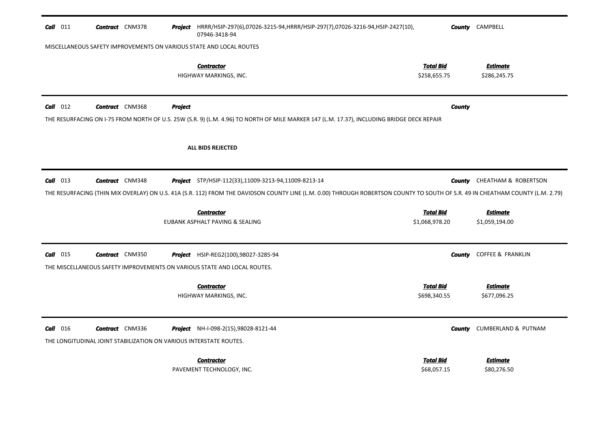| $Call$ 011 | <b>Contract</b> CNM378                                              |                | Project HRRR/HSIP-297(6),07026-3215-94,HRRR/HSIP-297(7),07026-3216-94,HSIP-2427(10),<br>07946-3418-94                                                                           |                                  | <b>County</b> CAMPBELL          |  |  |  |  |
|------------|---------------------------------------------------------------------|----------------|---------------------------------------------------------------------------------------------------------------------------------------------------------------------------------|----------------------------------|---------------------------------|--|--|--|--|
|            | MISCELLANEOUS SAFETY IMPROVEMENTS ON VARIOUS STATE AND LOCAL ROUTES |                |                                                                                                                                                                                 |                                  |                                 |  |  |  |  |
|            |                                                                     |                | <b>Contractor</b><br>HIGHWAY MARKINGS, INC.                                                                                                                                     | <b>Total Bid</b><br>\$258,655.75 | <b>Estimate</b><br>\$286,245.75 |  |  |  |  |
| $Call$ 012 | <b>Contract</b> CNM368                                              | <b>Project</b> |                                                                                                                                                                                 | <b>County</b>                    |                                 |  |  |  |  |
|            |                                                                     |                | THE RESURFACING ON I-75 FROM NORTH OF U.S. 25W (S.R. 9) (L.M. 4.96) TO NORTH OF MILE MARKER 147 (L.M. 17.37), INCLUDING BRIDGE DECK REPAIR                                      |                                  |                                 |  |  |  |  |
|            |                                                                     |                | <b>ALL BIDS REJECTED</b>                                                                                                                                                        |                                  |                                 |  |  |  |  |
| $Call$ 013 | <b>Contract</b> CNM348                                              |                | <b>Project</b> STP/HSIP-112(33),11009-3213-94,11009-8213-14                                                                                                                     | County                           | <b>CHEATHAM &amp; ROBERTSON</b> |  |  |  |  |
|            |                                                                     |                | THE RESURFACING (THIN MIX OVERLAY) ON U.S. 41A (S.R. 112) FROM THE DAVIDSON COUNTY LINE (L.M. 0.00) THROUGH ROBERTSON COUNTY TO SOUTH OF S.R. 49 IN CHEATHAM COUNTY (L.M. 2.79) |                                  |                                 |  |  |  |  |
|            |                                                                     |                | <b>Contractor</b>                                                                                                                                                               | <b>Total Bid</b>                 | <b>Estimate</b>                 |  |  |  |  |
|            |                                                                     |                | EUBANK ASPHALT PAVING & SEALING                                                                                                                                                 | \$1,068,978.20                   | \$1,059,194.00                  |  |  |  |  |
| $Call$ 015 | <b>Contract</b> CNM350                                              |                | Project HSIP-REG2(100),98027-3285-94                                                                                                                                            | County                           | <b>COFFEE &amp; FRANKLIN</b>    |  |  |  |  |
|            |                                                                     |                | THE MISCELLANEOUS SAFETY IMPROVEMENTS ON VARIOUS STATE AND LOCAL ROUTES.                                                                                                        |                                  |                                 |  |  |  |  |
|            |                                                                     |                | <b>Contractor</b>                                                                                                                                                               | <b>Total Bid</b>                 | <b>Estimate</b>                 |  |  |  |  |
|            |                                                                     |                | HIGHWAY MARKINGS, INC.                                                                                                                                                          | \$698,340.55                     | \$677,096.25                    |  |  |  |  |
| $Call$ 016 | <b>Contract</b> CNM336                                              |                | <b>Project</b> NH-I-098-2(15),98028-8121-44                                                                                                                                     | County                           | <b>CUMBERLAND &amp; PUTNAM</b>  |  |  |  |  |
|            | THE LONGITUDINAL JOINT STABILIZATION ON VARIOUS INTERSTATE ROUTES.  |                |                                                                                                                                                                                 |                                  |                                 |  |  |  |  |
|            |                                                                     |                | <b>Contractor</b>                                                                                                                                                               | Total Bid                        | <b>Estimate</b>                 |  |  |  |  |
|            |                                                                     |                | PAVEMENT TECHNOLOGY, INC.                                                                                                                                                       | \$68,057.15                      | \$80,276.50                     |  |  |  |  |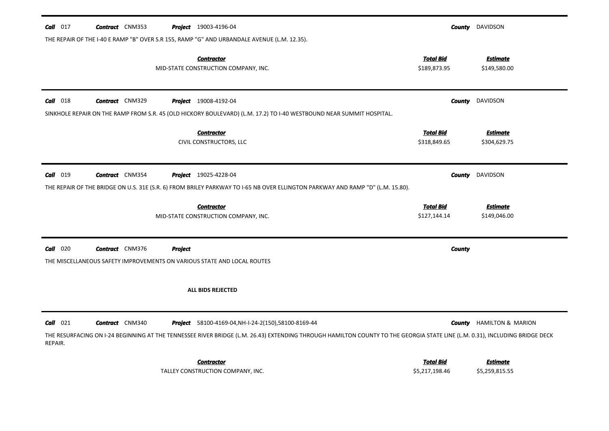| $Call$ 017 | <b>Contract</b> CNM353 |                | <b>Project</b> 19003-4196-04                                                                                                                                                |                                  | <b>County</b> DAVIDSON              |
|------------|------------------------|----------------|-----------------------------------------------------------------------------------------------------------------------------------------------------------------------------|----------------------------------|-------------------------------------|
|            |                        |                | THE REPAIR OF THE I-40 E RAMP "B" OVER S.R 155, RAMP "G" AND URBANDALE AVENUE (L.M. 12.35).                                                                                 |                                  |                                     |
|            |                        |                | <b>Contractor</b><br>MID-STATE CONSTRUCTION COMPANY, INC.                                                                                                                   | <b>Total Bid</b><br>\$189,873.95 | <b>Estimate</b><br>\$149,580.00     |
| $Call$ 018 | <b>Contract</b> CNM329 |                | <b>Project</b> 19008-4192-04                                                                                                                                                | County                           | DAVIDSON                            |
|            |                        |                | SINKHOLE REPAIR ON THE RAMP FROM S.R. 45 (OLD HICKORY BOULEVARD) (L.M. 17.2) TO I-40 WESTBOUND NEAR SUMMIT HOSPITAL.                                                        |                                  |                                     |
|            |                        |                | <b>Contractor</b><br>CIVIL CONSTRUCTORS, LLC                                                                                                                                | <b>Total Bid</b><br>\$318,849.65 | <b>Estimate</b><br>\$304,629.75     |
| Call 019   | <b>Contract</b> CNM354 |                | <b>Project</b> 19025-4228-04<br>THE REPAIR OF THE BRIDGE ON U.S. 31E (S.R. 6) FROM BRILEY PARKWAY TO I-65 NB OVER ELLINGTON PARKWAY AND RAMP "D" (L.M. 15.80).              | County                           | <b>DAVIDSON</b>                     |
|            |                        |                |                                                                                                                                                                             |                                  |                                     |
|            |                        |                | <b>Contractor</b><br>MID-STATE CONSTRUCTION COMPANY, INC.                                                                                                                   | <b>Total Bid</b><br>\$127,144.14 | <b>Estimate</b><br>\$149,046.00     |
| $Call$ 020 | <b>Contract</b> CNM376 | <b>Project</b> |                                                                                                                                                                             | <b>County</b>                    |                                     |
|            |                        |                | THE MISCELLANEOUS SAFETY IMPROVEMENTS ON VARIOUS STATE AND LOCAL ROUTES                                                                                                     |                                  |                                     |
|            |                        |                | <b>ALL BIDS REJECTED</b>                                                                                                                                                    |                                  |                                     |
| $Call$ 021 | <b>Contract</b> CNM340 |                | Project 58100-4169-04, NH-I-24-2(150), 58100-8169-44                                                                                                                        |                                  | <b>County HAMILTON &amp; MARION</b> |
| REPAIR.    |                        |                | THE RESURFACING ON I-24 BEGINNING AT THE TENNESSEE RIVER BRIDGE (L.M. 26.43) EXTENDING THROUGH HAMILTON COUNTY TO THE GEORGIA STATE LINE (L.M. 0.31), INCLUDING BRIDGE DECK |                                  |                                     |
|            |                        |                | <b>Contractor</b>                                                                                                                                                           | <b>Total Bid</b>                 | <u>Estimate</u>                     |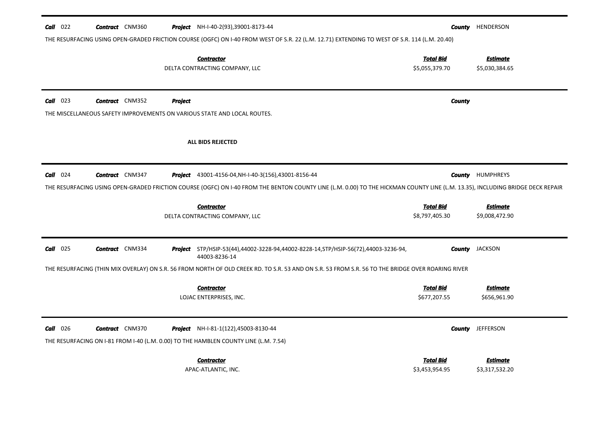| $Call$ 022 | <b>Contract</b> CNM360 |                | <b>Project</b> NH-I-40-2(93),39001-8173-44<br>THE RESURFACING USING OPEN-GRADED FRICTION COURSE (OGFC) ON 1-40 FROM WEST OF S.R. 22 (L.M. 12.71) EXTENDING TO WEST OF S.R. 114 (L.M. 20.40)                                                   | County                             | HENDERSON                         |
|------------|------------------------|----------------|-----------------------------------------------------------------------------------------------------------------------------------------------------------------------------------------------------------------------------------------------|------------------------------------|-----------------------------------|
|            |                        |                | <b>Contractor</b><br>DELTA CONTRACTING COMPANY, LLC                                                                                                                                                                                           | <b>Total Bid</b><br>\$5,055,379.70 | <b>Estimate</b><br>\$5,030,384.65 |
| $Call$ 023 | <b>Contract</b> CNM352 | <b>Project</b> | THE MISCELLANEOUS SAFETY IMPROVEMENTS ON VARIOUS STATE AND LOCAL ROUTES.                                                                                                                                                                      | <b>County</b>                      |                                   |
|            |                        |                | <b>ALL BIDS REJECTED</b>                                                                                                                                                                                                                      |                                    |                                   |
| $Call$ 024 | <b>Contract</b> CNM347 |                | <b>Project</b> 43001-4156-04, NH-I-40-3(156), 43001-8156-44<br>THE RESURFACING USING OPEN-GRADED FRICTION COURSE (OGFC) ON 1-40 FROM THE BENTON COUNTY LINE (L.M. 0.00) TO THE HICKMAN COUNTY LINE (L.M. 13.35), INCLUDING BRIDGE DECK REPAIR | County                             | <b>HUMPHREYS</b>                  |
|            |                        |                | <b>Contractor</b><br>DELTA CONTRACTING COMPANY, LLC                                                                                                                                                                                           | <b>Total Bid</b><br>\$8,797,405.30 | <b>Estimate</b><br>\$9,008,472.90 |
| $Call$ 025 | <b>Contract</b> CNM334 |                | Project STP/HSIP-53(44),44002-3228-94,44002-8228-14,STP/HSIP-56(72),44003-3236-94,<br>44003-8236-14                                                                                                                                           |                                    | <b>County</b> JACKSON             |
|            |                        |                | THE RESURFACING (THIN MIX OVERLAY) ON S.R. 56 FROM NORTH OF OLD CREEK RD. TO S.R. 53 AND ON S.R. 53 FROM S.R. 56 TO THE BRIDGE OVER ROARING RIVER                                                                                             |                                    |                                   |
|            |                        |                | <b>Contractor</b><br>LOJAC ENTERPRISES, INC.                                                                                                                                                                                                  | <b>Total Bid</b><br>\$677,207.55   | <b>Estimate</b><br>\$656,961.90   |
| $Call$ 026 | <b>Contract</b> CNM370 |                | <b>Project</b> NH-I-81-1(122),45003-8130-44<br>THE RESURFACING ON I-81 FROM I-40 (L.M. 0.00) TO THE HAMBLEN COUNTY LINE (L.M. 7.54)                                                                                                           |                                    | <b>County</b> JEFFERSON           |
|            |                        |                | <b>Contractor</b><br>APAC-ATLANTIC, INC.                                                                                                                                                                                                      | <b>Total Bid</b><br>\$3,453,954.95 | <b>Estimate</b><br>\$3,317,532.20 |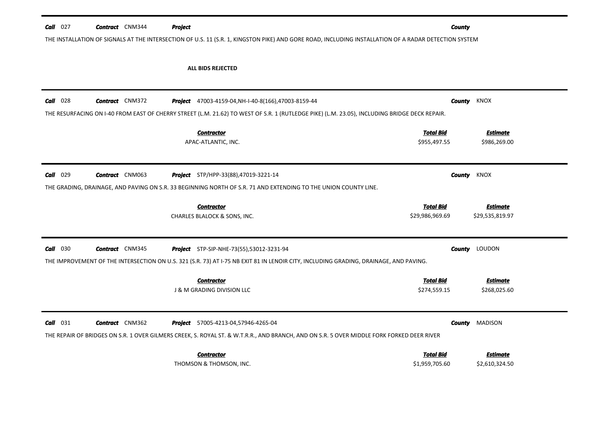| $Call$ 027<br><b>Contract</b> CNM344<br><b>Project</b><br>THE INSTALLATION OF SIGNALS AT THE INTERSECTION OF U.S. 11 (S.R. 1, KINGSTON PIKE) AND GORE ROAD, INCLUDING INSTALLATION OF A RADAR DETECTION SYSTEM |                        |                                                             | <b>County</b>                                                                                                                                                  |                                    |  |
|----------------------------------------------------------------------------------------------------------------------------------------------------------------------------------------------------------------|------------------------|-------------------------------------------------------------|----------------------------------------------------------------------------------------------------------------------------------------------------------------|------------------------------------|--|
|                                                                                                                                                                                                                |                        | <b>ALL BIDS REJECTED</b>                                    |                                                                                                                                                                |                                    |  |
| $Call$ 028                                                                                                                                                                                                     | <b>Contract</b> CNM372 | <b>Project</b> 47003-4159-04, NH-I-40-8(166), 47003-8159-44 | <b>County</b><br>THE RESURFACING ON I-40 FROM EAST OF CHERRY STREET (L.M. 21.62) TO WEST OF S.R. 1 (RUTLEDGE PIKE) (L.M. 23.05), INCLUDING BRIDGE DECK REPAIR. | KNOX                               |  |
|                                                                                                                                                                                                                |                        | <b>Contractor</b><br>APAC-ATLANTIC, INC.                    | <b>Total Bid</b><br>\$955,497.55                                                                                                                               | <b>Estimate</b><br>\$986,269.00    |  |
| $Call$ 029<br><b>Contract</b> CNM063<br>THE GRADING, DRAINAGE, AND PAVING ON S.R. 33 BEGINNING NORTH OF S.R. 71 AND EXTENDING TO THE UNION COUNTY LINE.                                                        |                        | <b>Project</b> STP/HPP-33(88),47019-3221-14                 |                                                                                                                                                                | KNOX<br>County                     |  |
|                                                                                                                                                                                                                |                        | <b>Contractor</b><br>CHARLES BLALOCK & SONS, INC.           | <b>Total Bid</b><br>\$29,986,969.69                                                                                                                            | <b>Estimate</b><br>\$29,535,819.97 |  |
| $Call$ 030<br><b>Contract</b> CNM345                                                                                                                                                                           |                        | <b>Project</b> STP-SIP-NHE-73(55),53012-3231-94             | THE IMPROVEMENT OF THE INTERSECTION ON U.S. 321 (S.R. 73) AT I-75 NB EXIT 81 IN LENOIR CITY, INCLUDING GRADING, DRAINAGE, AND PAVING.                          | <b>County</b> LOUDON               |  |
|                                                                                                                                                                                                                |                        | <b>Contractor</b><br><b>J &amp; M GRADING DIVISION LLC</b>  | <b>Total Bid</b><br>\$274,559.15                                                                                                                               | <b>Estimate</b><br>\$268,025.60    |  |
| $Call$ 031                                                                                                                                                                                                     | <b>Contract</b> CNM362 | <b>Project</b> 57005-4213-04,57946-4265-04                  | <b>County</b><br>THE REPAIR OF BRIDGES ON S.R. 1 OVER GILMERS CREEK, S. ROYAL ST. & W.T.R.R., AND BRANCH, AND ON S.R. 5 OVER MIDDLE FORK FORKED DEER RIVER     | <b>MADISON</b>                     |  |
|                                                                                                                                                                                                                |                        | <b>Contractor</b><br>THOMSON & THOMSON, INC.                | <b>Total Bid</b><br>\$1,959,705.60                                                                                                                             | <b>Estimate</b><br>\$2,610,324.50  |  |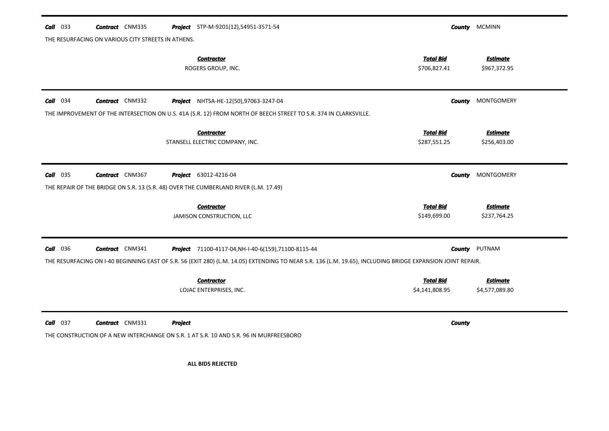| <b>Call</b> 033                                                                                                                                             | <b>Contract</b> CNM335                             |                | <b>Project</b> STP-M-9201(12),54951-3571-54                                                                      |                                    | <b>County MCMINN</b>              |  |
|-------------------------------------------------------------------------------------------------------------------------------------------------------------|----------------------------------------------------|----------------|------------------------------------------------------------------------------------------------------------------|------------------------------------|-----------------------------------|--|
|                                                                                                                                                             | THE RESURFACING ON VARIOUS CITY STREETS IN ATHENS. |                |                                                                                                                  |                                    |                                   |  |
|                                                                                                                                                             |                                                    |                | <b>Contractor</b><br>ROGERS GROUP, INC.                                                                          | <b>Total Bid</b><br>\$706,827.41   | <b>Estimate</b><br>\$967,372.95   |  |
| $Call$ 034                                                                                                                                                  | <b>Contract</b> CNM332                             |                | Project NHTSA-HE-12(50),97063-3247-04                                                                            |                                    | <b>County</b> MONTGOMERY          |  |
|                                                                                                                                                             |                                                    |                | THE IMPROVEMENT OF THE INTERSECTION ON U.S. 41A (S.R. 12) FROM NORTH OF BEECH STREET TO S.R. 374 IN CLARKSVILLE. |                                    |                                   |  |
|                                                                                                                                                             |                                                    |                | <b>Contractor</b><br>STANSELL ELECTRIC COMPANY, INC.                                                             | <b>Total Bid</b><br>\$287,551.25   | <b>Estimate</b><br>\$256,403.00   |  |
| $Call$ 035                                                                                                                                                  | <b>Contract</b> CNM367                             |                | <b>Project</b> 63012-4216-04                                                                                     | County                             | MONTGOMERY                        |  |
| THE REPAIR OF THE BRIDGE ON S.R. 13 (S.R. 48) OVER THE CUMBERLAND RIVER (L.M. 17.49)                                                                        |                                                    |                |                                                                                                                  |                                    |                                   |  |
|                                                                                                                                                             |                                                    |                | <b>Contractor</b><br>JAMISON CONSTRUCTION, LLC                                                                   | <b>Total Bid</b><br>\$149,699.00   | <b>Estimate</b><br>\$237,764.25   |  |
| <b>Call</b> 036                                                                                                                                             | <b>Contract</b> CNM341                             |                | Project 71100-4117-04, NH-I-40-6(159), 71100-8115-44                                                             | <b>County</b>                      | PUTNAM                            |  |
| THE RESURFACING ON I-40 BEGINNING EAST OF S.R. 56 (EXIT 280) (L.M. 14.05) EXTENDING TO NEAR S.R. 136 (L.M. 19.65), INCLUDING BRIDGE EXPANSION JOINT REPAIR. |                                                    |                |                                                                                                                  |                                    |                                   |  |
|                                                                                                                                                             |                                                    |                | <b>Contractor</b><br>LOJAC ENTERPRISES, INC.                                                                     | <b>Total Bid</b><br>\$4,141,808.95 | <b>Estimate</b><br>\$4,577,089.80 |  |
| $Call$ 037                                                                                                                                                  | <b>Contract</b> CNM331                             | <b>Project</b> |                                                                                                                  | <b>County</b>                      |                                   |  |
| THE CONSTRUCTION OF A NEW INTERCHANGE ON S.R. 1 AT S.R. 10 AND S.R. 96 IN MURFREESBORO                                                                      |                                                    |                |                                                                                                                  |                                    |                                   |  |
|                                                                                                                                                             |                                                    |                | <b>ALL BIDS REJECTED</b>                                                                                         |                                    |                                   |  |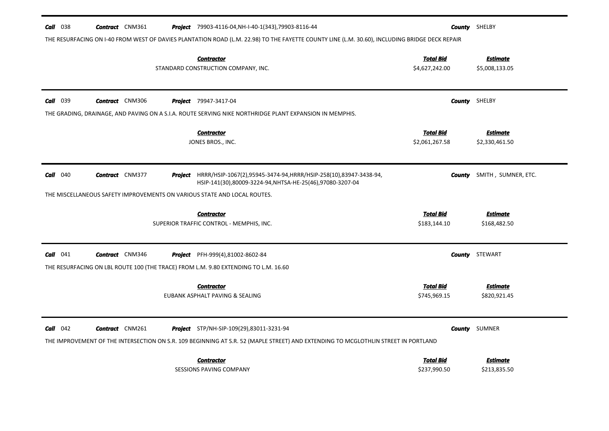| $Call$ 038                                                                                                                                     | <b>Contract</b> CNM361                                                   |  |  | <b>Project</b> 79903-4116-04, NH-I-40-1(343), 79903-8116-44                                                                                                                           |                                    | <b>County</b> SHELBY              |  |  |
|------------------------------------------------------------------------------------------------------------------------------------------------|--------------------------------------------------------------------------|--|--|---------------------------------------------------------------------------------------------------------------------------------------------------------------------------------------|------------------------------------|-----------------------------------|--|--|
| THE RESURFACING ON I-40 FROM WEST OF DAVIES PLANTATION ROAD (L.M. 22.98) TO THE FAYETTE COUNTY LINE (L.M. 30.60), INCLUDING BRIDGE DECK REPAIR |                                                                          |  |  |                                                                                                                                                                                       |                                    |                                   |  |  |
|                                                                                                                                                |                                                                          |  |  | <b>Contractor</b><br>STANDARD CONSTRUCTION COMPANY, INC.                                                                                                                              | Total Bid<br>\$4,627,242.00        | <b>Estimate</b><br>\$5,008,133.05 |  |  |
| <b>Call</b> 039                                                                                                                                | <b>Contract</b> CNM306                                                   |  |  | <b>Project</b> 79947-3417-04                                                                                                                                                          |                                    | <b>County</b> SHELBY              |  |  |
|                                                                                                                                                |                                                                          |  |  | THE GRADING, DRAINAGE, AND PAVING ON A S.I.A. ROUTE SERVING NIKE NORTHRIDGE PLANT EXPANSION IN MEMPHIS.                                                                               |                                    |                                   |  |  |
|                                                                                                                                                |                                                                          |  |  | <b>Contractor</b><br>JONES BROS., INC.                                                                                                                                                | <b>Total Bid</b><br>\$2,061,267.58 | <b>Estimate</b><br>\$2,330,461.50 |  |  |
| $Call$ 040                                                                                                                                     | <b>Contract</b> CNM377                                                   |  |  | <b>Project</b> HRRR/HSIP-1067(2),95945-3474-94, HRRR/HSIP-258(10),83947-3438-94,<br>HSIP-141(30),80009-3224-94,NHTSA-HE-25(46),97080-3207-04                                          | County                             | SMITH, SUMNER, ETC.               |  |  |
|                                                                                                                                                | THE MISCELLANEOUS SAFETY IMPROVEMENTS ON VARIOUS STATE AND LOCAL ROUTES. |  |  |                                                                                                                                                                                       |                                    |                                   |  |  |
|                                                                                                                                                |                                                                          |  |  | <b>Contractor</b><br>SUPERIOR TRAFFIC CONTROL - MEMPHIS, INC.                                                                                                                         | <b>Total Bid</b><br>\$183,144.10   | <b>Estimate</b><br>\$168,482.50   |  |  |
| $Call$ 041                                                                                                                                     | <b>Contract</b> CNM346                                                   |  |  | <b>Project</b> PFH-999(4),81002-8602-84<br>THE RESURFACING ON LBL ROUTE 100 (THE TRACE) FROM L.M. 9.80 EXTENDING TO L.M. 16.60                                                        |                                    | <b>County</b> STEWART             |  |  |
|                                                                                                                                                |                                                                          |  |  | <b>Contractor</b><br>EUBANK ASPHALT PAVING & SEALING                                                                                                                                  | <b>Total Bid</b><br>\$745,969.15   | <b>Estimate</b><br>\$820,921.45   |  |  |
| $Call$ 042                                                                                                                                     | <b>Contract</b> CNM261                                                   |  |  | <b>Project</b> STP/NH-SIP-109(29),83011-3231-94<br>THE IMPROVEMENT OF THE INTERSECTION ON S.R. 109 BEGINNING AT S.R. 52 (MAPLE STREET) AND EXTENDING TO MCGLOTHLIN STREET IN PORTLAND |                                    | <b>County</b> SUMNER              |  |  |
|                                                                                                                                                |                                                                          |  |  | <b>Contractor</b><br><b>SESSIONS PAVING COMPANY</b>                                                                                                                                   | <b>Total Bid</b><br>\$237,990.50   | <b>Estimate</b><br>\$213,835.50   |  |  |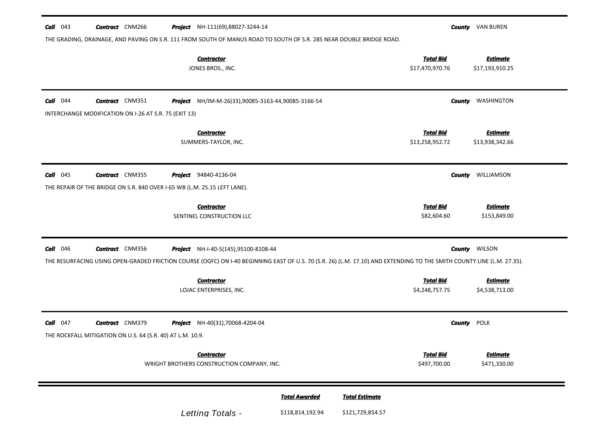| <b>Total Bid</b><br><b>Estimate</b><br><b>Contractor</b><br>JONES BROS., INC.<br>\$17,470,970.76<br>\$17,193,910.25<br><b>Call</b> 044<br><b>Contract</b> CNM351<br>NH/IM-M-26(33),90085-3163-44,90085-3166-54<br>WASHINGTON<br>Project<br>County<br>INTERCHANGE MODIFICATION ON I-26 AT S.R. 75 (EXIT 13)<br><b>Total Bid</b><br><b>Contractor</b><br><b>Estimate</b><br>SUMMERS-TAYLOR, INC.<br>\$13,258,952.72<br>\$13,938,342.66<br>$Call$ 045<br><b>Contract</b> CNM355<br><b>Project</b> 94840-4136-04<br>WILLIAMSON<br><b>County</b><br>THE REPAIR OF THE BRIDGE ON S.R. 840 OVER I-65 WB (L.M. 25.15 LEFT LANE).<br><b>Total Bid</b><br><b>Estimate</b><br><b>Contractor</b><br>\$82,604.60<br>SENTINEL CONSTRUCTION LLC<br>\$153,849.00<br><b>Call</b> 046<br><b>Contract</b> CNM356<br><b>County</b> WILSON<br><b>Project</b> NH-I-40-5(145),95100-8108-44<br>THE RESURFACING USING OPEN-GRADED FRICTION COURSE (OGFC) ON I-40 BEGINNING EAST OF U.S. 70 (S.R. 26) (L.M. 17.10) AND EXTENDING TO THE SMITH COUNTY LINE (L.M. 27.35).<br><b>Total Bid</b><br><b>Estimate</b><br><b>Contractor</b><br>\$4,538,713.00<br>\$4,248,757.75<br>LOJAC ENTERPRISES, INC.<br><b>Contract</b> CNM379<br><b>County</b> POLK<br>$Call$ 047<br>NH-40(31),70068-4204-04<br>Project<br>THE ROCKFALL MITIGATION ON U.S. 64 (S.R. 40) AT L.M. 10.9.<br><b>Total Bid</b><br><b>Estimate</b><br><b>Contractor</b> | $Call$ 043<br><b>Contract</b> CNM266<br>THE GRADING, DRAINAGE, AND PAVING ON S.R. 111 FROM SOUTH OF MANUS ROAD TO SOUTH OF S.R. 285 NEAR DOUBLE BRIDGE ROAD. | <b>Project</b> NH-111(69),88027-3244-14 |              | <b>County VAN BUREN</b> |
|---------------------------------------------------------------------------------------------------------------------------------------------------------------------------------------------------------------------------------------------------------------------------------------------------------------------------------------------------------------------------------------------------------------------------------------------------------------------------------------------------------------------------------------------------------------------------------------------------------------------------------------------------------------------------------------------------------------------------------------------------------------------------------------------------------------------------------------------------------------------------------------------------------------------------------------------------------------------------------------------------------------------------------------------------------------------------------------------------------------------------------------------------------------------------------------------------------------------------------------------------------------------------------------------------------------------------------------------------------------------------------------------------------|--------------------------------------------------------------------------------------------------------------------------------------------------------------|-----------------------------------------|--------------|-------------------------|
|                                                                                                                                                                                                                                                                                                                                                                                                                                                                                                                                                                                                                                                                                                                                                                                                                                                                                                                                                                                                                                                                                                                                                                                                                                                                                                                                                                                                         |                                                                                                                                                              |                                         |              |                         |
|                                                                                                                                                                                                                                                                                                                                                                                                                                                                                                                                                                                                                                                                                                                                                                                                                                                                                                                                                                                                                                                                                                                                                                                                                                                                                                                                                                                                         |                                                                                                                                                              |                                         |              |                         |
|                                                                                                                                                                                                                                                                                                                                                                                                                                                                                                                                                                                                                                                                                                                                                                                                                                                                                                                                                                                                                                                                                                                                                                                                                                                                                                                                                                                                         |                                                                                                                                                              |                                         |              |                         |
|                                                                                                                                                                                                                                                                                                                                                                                                                                                                                                                                                                                                                                                                                                                                                                                                                                                                                                                                                                                                                                                                                                                                                                                                                                                                                                                                                                                                         |                                                                                                                                                              |                                         |              |                         |
|                                                                                                                                                                                                                                                                                                                                                                                                                                                                                                                                                                                                                                                                                                                                                                                                                                                                                                                                                                                                                                                                                                                                                                                                                                                                                                                                                                                                         |                                                                                                                                                              |                                         |              |                         |
|                                                                                                                                                                                                                                                                                                                                                                                                                                                                                                                                                                                                                                                                                                                                                                                                                                                                                                                                                                                                                                                                                                                                                                                                                                                                                                                                                                                                         |                                                                                                                                                              |                                         |              |                         |
|                                                                                                                                                                                                                                                                                                                                                                                                                                                                                                                                                                                                                                                                                                                                                                                                                                                                                                                                                                                                                                                                                                                                                                                                                                                                                                                                                                                                         |                                                                                                                                                              |                                         |              |                         |
|                                                                                                                                                                                                                                                                                                                                                                                                                                                                                                                                                                                                                                                                                                                                                                                                                                                                                                                                                                                                                                                                                                                                                                                                                                                                                                                                                                                                         |                                                                                                                                                              |                                         |              |                         |
| WRIGHT BROTHERS CONSTRUCTION COMPANY, INC.                                                                                                                                                                                                                                                                                                                                                                                                                                                                                                                                                                                                                                                                                                                                                                                                                                                                                                                                                                                                                                                                                                                                                                                                                                                                                                                                                              |                                                                                                                                                              |                                         | \$497,700.00 | \$471,330.00            |
| <b>Total Awarded</b><br><b>Total Estimate</b><br>Letting Totals -<br>\$118,814,192.94<br>\$121,729,854.57                                                                                                                                                                                                                                                                                                                                                                                                                                                                                                                                                                                                                                                                                                                                                                                                                                                                                                                                                                                                                                                                                                                                                                                                                                                                                               |                                                                                                                                                              |                                         |              |                         |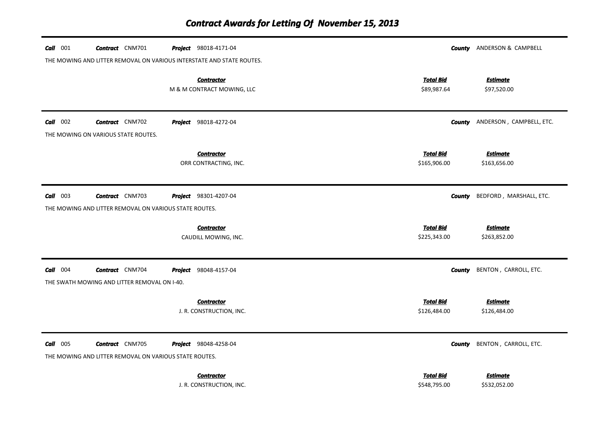| $Call$ 001                                                            | <b>Contract</b> CNM701                                                           |  | <b>Project</b> 98018-4171-04                    |                                  | <b>County</b> ANDERSON & CAMPBELL      |  |
|-----------------------------------------------------------------------|----------------------------------------------------------------------------------|--|-------------------------------------------------|----------------------------------|----------------------------------------|--|
| THE MOWING AND LITTER REMOVAL ON VARIOUS INTERSTATE AND STATE ROUTES. |                                                                                  |  |                                                 |                                  |                                        |  |
|                                                                       |                                                                                  |  | <b>Contractor</b><br>M & M CONTRACT MOWING, LLC | <b>Total Bid</b><br>\$89,987.64  | <b>Estimate</b><br>\$97,520.00         |  |
| $Call$ 002                                                            | <b>Contract</b> CNM702<br>THE MOWING ON VARIOUS STATE ROUTES.                    |  | <b>Project</b> 98018-4272-04                    |                                  | <b>County</b> ANDERSON, CAMPBELL, ETC. |  |
|                                                                       |                                                                                  |  | <b>Contractor</b>                               | <b>Total Bid</b>                 | <b>Estimate</b>                        |  |
|                                                                       |                                                                                  |  | ORR CONTRACTING, INC.                           | \$165,906.00                     | \$163,656.00                           |  |
| $Call$ 003                                                            | <b>Contract</b> CNM703                                                           |  | Project 98301-4207-04                           | County                           | BEDFORD, MARSHALL, ETC.                |  |
|                                                                       | THE MOWING AND LITTER REMOVAL ON VARIOUS STATE ROUTES.                           |  |                                                 |                                  |                                        |  |
|                                                                       |                                                                                  |  | <b>Contractor</b><br>CAUDILL MOWING, INC.       | <b>Total Bid</b><br>\$225,343.00 | <b>Estimate</b><br>\$263,852.00        |  |
| $Call$ 004                                                            | <b>Contract</b> CNM704                                                           |  | <b>Project</b> 98048-4157-04                    |                                  | <b>County</b> BENTON, CARROLL, ETC.    |  |
| THE SWATH MOWING AND LITTER REMOVAL ON I-40.                          |                                                                                  |  |                                                 |                                  |                                        |  |
|                                                                       |                                                                                  |  | <b>Contractor</b><br>J. R. CONSTRUCTION, INC.   | <b>Total Bid</b><br>\$126,484.00 | <u>Estimate</u><br>\$126,484.00        |  |
| $Call$ 005                                                            | <b>Contract</b> CNM705<br>THE MOWING AND LITTER REMOVAL ON VARIOUS STATE ROUTES. |  | Project 98048-4258-04                           |                                  | <b>County</b> BENTON, CARROLL, ETC.    |  |
|                                                                       |                                                                                  |  | <b>Contractor</b><br>J. R. CONSTRUCTION, INC.   | <b>Total Bid</b><br>\$548,795.00 | <b>Estimate</b><br>\$532,052.00        |  |

J. R. CONSTRUCTION, INC.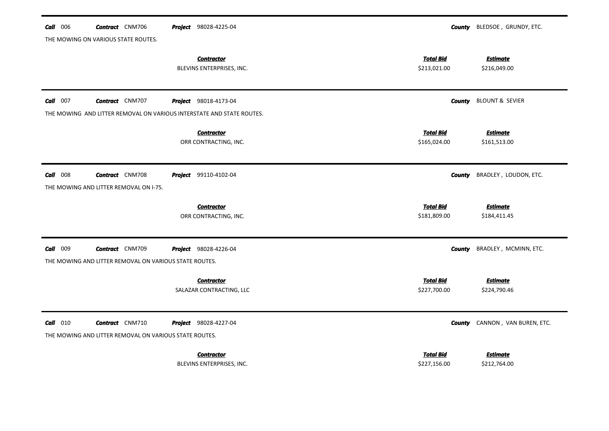| $Call$ 006      | <b>Contract</b> CNM706                                                           | Project 98028-4225-04                          | County                           | BLEDSOE, GRUNDY, ETC.           |  |  |  |
|-----------------|----------------------------------------------------------------------------------|------------------------------------------------|----------------------------------|---------------------------------|--|--|--|
|                 | THE MOWING ON VARIOUS STATE ROUTES.                                              |                                                |                                  |                                 |  |  |  |
|                 |                                                                                  | <b>Contractor</b><br>BLEVINS ENTERPRISES, INC. | <b>Total Bid</b><br>\$213,021.00 | <b>Estimate</b><br>\$216,049.00 |  |  |  |
| <b>Call</b> 007 | <b>Contract</b> CNM707                                                           | <b>Project</b> 98018-4173-04                   | <b>County</b>                    | <b>BLOUNT &amp; SEVIER</b>      |  |  |  |
|                 | THE MOWING AND LITTER REMOVAL ON VARIOUS INTERSTATE AND STATE ROUTES.            |                                                |                                  |                                 |  |  |  |
|                 |                                                                                  | <b>Contractor</b><br>ORR CONTRACTING, INC.     | <b>Total Bid</b><br>\$165,024.00 | <b>Estimate</b><br>\$161,513.00 |  |  |  |
| $Call$ 008      | <b>Contract</b> CNM708                                                           | <b>Project</b> 99110-4102-04                   | <b>County</b>                    | BRADLEY, LOUDON, ETC.           |  |  |  |
|                 | THE MOWING AND LITTER REMOVAL ON I-75.                                           |                                                |                                  |                                 |  |  |  |
|                 |                                                                                  | <b>Contractor</b>                              | <b>Total Bid</b>                 | <b>Estimate</b>                 |  |  |  |
|                 |                                                                                  | ORR CONTRACTING, INC.                          | \$181,809.00                     | \$184,411.45                    |  |  |  |
| Call 009        | <b>Contract</b> CNM709                                                           | Project 98028-4226-04                          | County                           | BRADLEY, MCMINN, ETC.           |  |  |  |
|                 | THE MOWING AND LITTER REMOVAL ON VARIOUS STATE ROUTES.                           |                                                |                                  |                                 |  |  |  |
|                 |                                                                                  | <b>Contractor</b><br>SALAZAR CONTRACTING, LLC  | <b>Total Bid</b><br>\$227,700.00 | <b>Estimate</b><br>\$224,790.46 |  |  |  |
| <b>Call</b> 010 | <b>Contract</b> CNM710<br>THE MOWING AND LITTER REMOVAL ON VARIOUS STATE ROUTES. | Project 98028-4227-04                          | <b>County</b>                    | CANNON, VAN BUREN, ETC.         |  |  |  |
|                 |                                                                                  |                                                |                                  |                                 |  |  |  |
|                 |                                                                                  | <b>Contractor</b><br>BLEVINS ENTERPRISES, INC. | <b>Total Bid</b><br>\$227,156.00 | <b>Estimate</b><br>\$212,764.00 |  |  |  |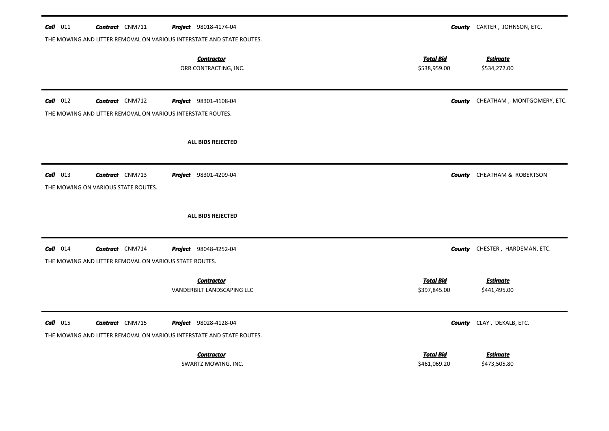| $Call$ 011<br><b>Contract</b> CNM711                                                           | <b>Project</b> 98018-4174-04<br>THE MOWING AND LITTER REMOVAL ON VARIOUS INTERSTATE AND STATE ROUTES. |                                  | <b>County</b> CARTER, JOHNSON, ETC.      |
|------------------------------------------------------------------------------------------------|-------------------------------------------------------------------------------------------------------|----------------------------------|------------------------------------------|
|                                                                                                | <b>Contractor</b><br>ORR CONTRACTING, INC.                                                            | <b>Total Bid</b><br>\$538,959.00 | <b>Estimate</b><br>\$534,272.00          |
| $Call$ 012<br><b>Contract</b> CNM712                                                           | <b>Project</b> 98301-4108-04<br>THE MOWING AND LITTER REMOVAL ON VARIOUS INTERSTATE ROUTES.           |                                  | <b>County</b> CHEATHAM, MONTGOMERY, ETC. |
|                                                                                                | <b>ALL BIDS REJECTED</b>                                                                              |                                  |                                          |
| $Call$ 013<br><b>Contract</b> CNM713<br>THE MOWING ON VARIOUS STATE ROUTES.                    | <b>Project</b> 98301-4209-04                                                                          |                                  | <b>County</b> CHEATHAM & ROBERTSON       |
|                                                                                                | ALL BIDS REJECTED                                                                                     |                                  |                                          |
| $Call$ 014<br><b>Contract</b> CNM714<br>THE MOWING AND LITTER REMOVAL ON VARIOUS STATE ROUTES. | <b>Project</b> 98048-4252-04                                                                          |                                  | <b>County</b> CHESTER, HARDEMAN, ETC.    |
|                                                                                                | <b>Contractor</b><br>VANDERBILT LANDSCAPING LLC                                                       | <b>Total Bid</b><br>\$397,845.00 | <b>Estimate</b><br>\$441,495.00          |
| $Call$ 015<br><b>Contract</b> CNM715                                                           | Project 98028-4128-04<br>THE MOWING AND LITTER REMOVAL ON VARIOUS INTERSTATE AND STATE ROUTES.        |                                  | <b>County</b> CLAY, DEKALB, ETC.         |
|                                                                                                | <b>Contractor</b><br>SWARTZ MOWING, INC.                                                              | <b>Total Bid</b><br>\$461,069.20 | <u>Estimate</u><br>\$473,505.80          |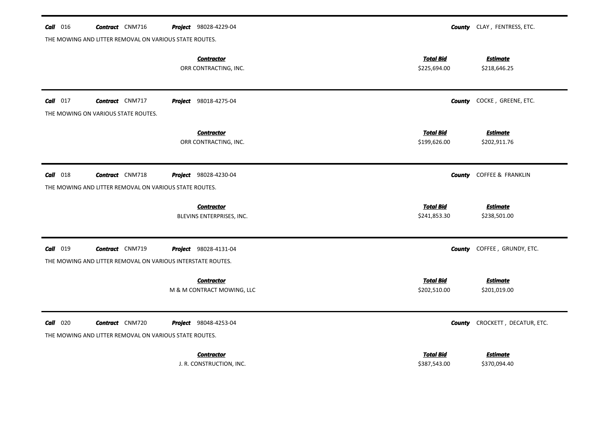| $\textit{Call}$ 016 | <b>Contract</b> CNM716                                      | <b>Project</b> 98028-4229-04                    |                                  | <b>County</b> CLAY, FENTRESS, ETC. |
|---------------------|-------------------------------------------------------------|-------------------------------------------------|----------------------------------|------------------------------------|
|                     | THE MOWING AND LITTER REMOVAL ON VARIOUS STATE ROUTES.      |                                                 |                                  |                                    |
|                     |                                                             | <b>Contractor</b><br>ORR CONTRACTING, INC.      | <b>Total Bid</b><br>\$225,694.00 | <b>Estimate</b><br>\$218,646.25    |
| $Call$ 017          | <b>Contract</b> CNM717                                      | <b>Project</b> 98018-4275-04                    | <b>County</b>                    | COCKE, GREENE, ETC.                |
|                     | THE MOWING ON VARIOUS STATE ROUTES.                         |                                                 |                                  |                                    |
|                     |                                                             | <b>Contractor</b><br>ORR CONTRACTING, INC.      | <b>Total Bid</b><br>\$199,626.00 | <b>Estimate</b><br>\$202,911.76    |
| $Call$ 018          | <b>Contract</b> CNM718                                      | <b>Project</b> 98028-4230-04                    | County                           | <b>COFFEE &amp; FRANKLIN</b>       |
|                     | THE MOWING AND LITTER REMOVAL ON VARIOUS STATE ROUTES.      |                                                 |                                  |                                    |
|                     |                                                             |                                                 |                                  |                                    |
|                     |                                                             | <b>Contractor</b>                               | <b>Total Bid</b>                 | <b>Estimate</b>                    |
|                     |                                                             | BLEVINS ENTERPRISES, INC.                       | \$241,853.30                     | \$238,501.00                       |
| Call 019            | <b>Contract</b> CNM719                                      | <b>Project</b> 98028-4131-04                    |                                  | <b>County</b> COFFEE, GRUNDY, ETC. |
|                     | THE MOWING AND LITTER REMOVAL ON VARIOUS INTERSTATE ROUTES. |                                                 |                                  |                                    |
|                     |                                                             |                                                 | <b>Total Bid</b>                 |                                    |
|                     |                                                             | <b>Contractor</b><br>M & M CONTRACT MOWING, LLC | \$202,510.00                     | <b>Estimate</b><br>\$201,019.00    |
|                     |                                                             |                                                 |                                  |                                    |
| $Call$ 020          | <b>Contract</b> CNM720                                      | Project 98048-4253-04                           | County                           | CROCKETT, DECATUR, ETC.            |
|                     | THE MOWING AND LITTER REMOVAL ON VARIOUS STATE ROUTES.      |                                                 |                                  |                                    |
|                     |                                                             | <b>Contractor</b><br>J. R. CONSTRUCTION, INC.   | <b>Total Bid</b><br>\$387,543.00 | <b>Estimate</b><br>\$370,094.40    |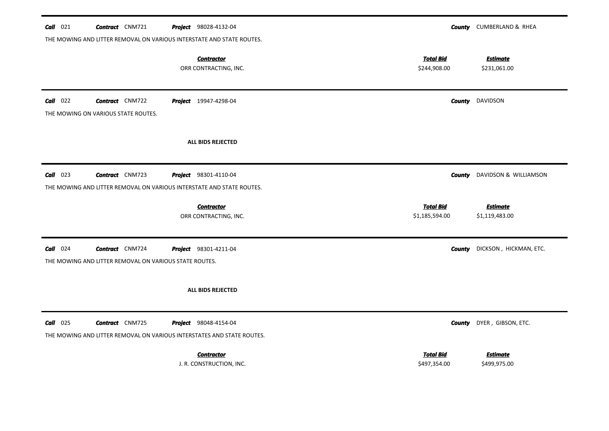| $Call$ 021      | <b>Contract</b> CNM721                                                | <b>Project</b> 98028-4132-04                                                                           |                                  | <b>County</b> CUMBERLAND & RHEA   |  |  |  |
|-----------------|-----------------------------------------------------------------------|--------------------------------------------------------------------------------------------------------|----------------------------------|-----------------------------------|--|--|--|
|                 |                                                                       | THE MOWING AND LITTER REMOVAL ON VARIOUS INTERSTATE AND STATE ROUTES.                                  |                                  |                                   |  |  |  |
|                 |                                                                       | <b>Contractor</b><br>ORR CONTRACTING, INC.                                                             | <b>Total Bid</b><br>\$244,908.00 | <b>Estimate</b><br>\$231,061.00   |  |  |  |
| $Call$ 022      | <b>Contract</b> CNM722<br>THE MOWING ON VARIOUS STATE ROUTES.         | <b>Project</b> 19947-4298-04                                                                           | County                           | <b>DAVIDSON</b>                   |  |  |  |
|                 |                                                                       | ALL BIDS REJECTED                                                                                      |                                  |                                   |  |  |  |
| $Call$ 023      | <b>Contract</b> CNM723                                                | <b>Project</b> 98301-4110-04                                                                           | County                           | DAVIDSON & WILLIAMSON             |  |  |  |
|                 | THE MOWING AND LITTER REMOVAL ON VARIOUS INTERSTATE AND STATE ROUTES. |                                                                                                        |                                  |                                   |  |  |  |
|                 |                                                                       |                                                                                                        | <b>Total Bid</b>                 |                                   |  |  |  |
|                 |                                                                       | <b>Contractor</b><br>ORR CONTRACTING, INC.                                                             | \$1,185,594.00                   | <b>Estimate</b><br>\$1,119,483.00 |  |  |  |
| $Call$ 024      | <b>Contract</b> CNM724                                                | <b>Project</b> 98301-4211-04                                                                           | <b>County</b>                    | DICKSON, HICKMAN, ETC.            |  |  |  |
|                 | THE MOWING AND LITTER REMOVAL ON VARIOUS STATE ROUTES.                |                                                                                                        |                                  |                                   |  |  |  |
|                 |                                                                       | ALL BIDS REJECTED                                                                                      |                                  |                                   |  |  |  |
| <b>Call</b> 025 | <b>Contract</b> CNM725                                                | <b>Project</b> 98048-4154-04<br>THE MOWING AND LITTER REMOVAL ON VARIOUS INTERSTATES AND STATE ROUTES. | <b>County</b>                    | DYER, GIBSON, ETC.                |  |  |  |
|                 |                                                                       |                                                                                                        |                                  |                                   |  |  |  |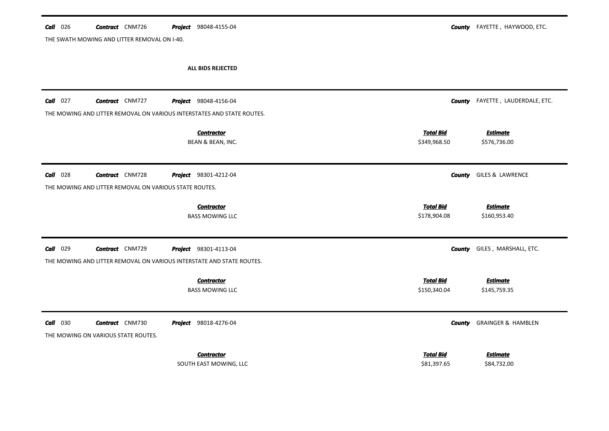THE SWATH MOWING AND LITTER REMOVAL ON I-40.

**County** FAYETTE, HAYWOOD, ETC.

ALL BIDS REJECTED

| $Call$ 027  | <b>Contract</b> CNM727<br>THE MOWING AND LITTER REMOVAL ON VARIOUS INTERSTATES AND STATE ROUTES. | <b>Project</b> 98048-4156-04                |                                  | <b>County</b> FAYETTE, LAUDERDALE, ETC. |
|-------------|--------------------------------------------------------------------------------------------------|---------------------------------------------|----------------------------------|-----------------------------------------|
|             |                                                                                                  | <b>Contractor</b><br>BEAN & BEAN, INC.      | <b>Total Bid</b><br>\$349,968.50 | <b>Estimate</b><br>\$576,736.00         |
| 028<br>Call | <b>Contract</b> CNM728<br>THE MOWING AND LITTER REMOVAL ON VARIOUS STATE ROUTES.                 | <b>Project</b> 98301-4212-04                | <b>County</b>                    | GILES & LAWRENCE                        |
|             |                                                                                                  | <b>Contractor</b><br><b>BASS MOWING LLC</b> | <b>Total Bid</b><br>\$178,904.08 | <b>Estimate</b><br>\$160,953.40         |
| 029<br>Call | <b>Contract</b> CNM729<br>THE MOWING AND LITTER REMOVAL ON VARIOUS INTERSTATE AND STATE ROUTES.  | Project 98301-4113-04                       | <b>County</b>                    | GILES, MARSHALL, ETC.                   |
|             |                                                                                                  | <b>Contractor</b><br><b>BASS MOWING LLC</b> | <b>Total Bid</b><br>\$150,340.04 | <b>Estimate</b><br>\$145,759.35         |
| Call<br>030 | <b>Contract</b> CNM730<br>THE MOWING ON VARIOUS STATE ROUTES.                                    | <b>Project</b> 98018-4276-04                | <b>County</b>                    | <b>GRAINGER &amp; HAMBLEN</b>           |
|             |                                                                                                  | <b>Contractor</b><br>SOUTH EAST MOWING, LLC | <b>Total Bid</b><br>\$81,397.65  | <u>Estimate</u><br>\$84,732.00          |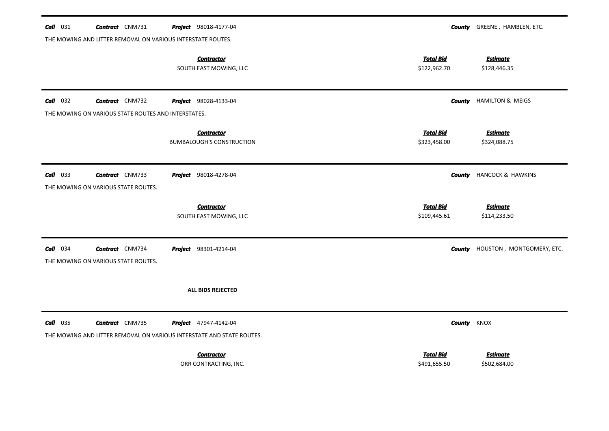| $Call$ 031      | <b>Contract</b> CNM731<br>THE MOWING AND LITTER REMOVAL ON VARIOUS INTERSTATE ROUTES.           |  | Project 98018-4177-04                                 |                                  | <b>County</b> GREENE, HAMBLEN, ETC.     |  |  |  |
|-----------------|-------------------------------------------------------------------------------------------------|--|-------------------------------------------------------|----------------------------------|-----------------------------------------|--|--|--|
|                 |                                                                                                 |  | <b>Contractor</b><br>SOUTH EAST MOWING, LLC           | <b>Total Bid</b><br>\$122,962.70 | <b>Estimate</b><br>\$128,446.35         |  |  |  |
| <b>Call</b> 032 | <b>Contract</b> CNM732                                                                          |  | <b>Project</b> 98028-4133-04                          |                                  | <b>County</b> HAMILTON & MEIGS          |  |  |  |
|                 | THE MOWING ON VARIOUS STATE ROUTES AND INTERSTATES.                                             |  |                                                       |                                  |                                         |  |  |  |
|                 |                                                                                                 |  | <b>Contractor</b><br><b>BUMBALOUGH'S CONSTRUCTION</b> | <b>Total Bid</b><br>\$323,458.00 | <b>Estimate</b><br>\$324,088.75         |  |  |  |
| $Call$ 033      | <b>Contract</b> CNM733<br>THE MOWING ON VARIOUS STATE ROUTES.                                   |  | <b>Project</b> 98018-4278-04                          |                                  | <b>County</b> HANCOCK & HAWKINS         |  |  |  |
|                 |                                                                                                 |  | <b>Contractor</b><br>SOUTH EAST MOWING, LLC           | <b>Total Bid</b><br>\$109,445.61 | <b>Estimate</b><br>\$114,233.50         |  |  |  |
| $Call$ 034      | <b>Contract</b> CNM734<br>THE MOWING ON VARIOUS STATE ROUTES.                                   |  | <b>Project</b> 98301-4214-04                          |                                  | <b>County</b> HOUSTON, MONTGOMERY, ETC. |  |  |  |
|                 |                                                                                                 |  | <b>ALL BIDS REJECTED</b>                              |                                  |                                         |  |  |  |
| <b>Call</b> 035 | <b>Contract</b> CNM735<br>THE MOWING AND LITTER REMOVAL ON VARIOUS INTERSTATE AND STATE ROUTES. |  | Project 47947-4142-04                                 |                                  | <b>County KNOX</b>                      |  |  |  |
|                 |                                                                                                 |  | <b>Contractor</b><br>ORR CONTRACTING, INC.            | <b>Total Bid</b><br>\$491,655.50 | <b>Estimate</b><br>\$502,684.00         |  |  |  |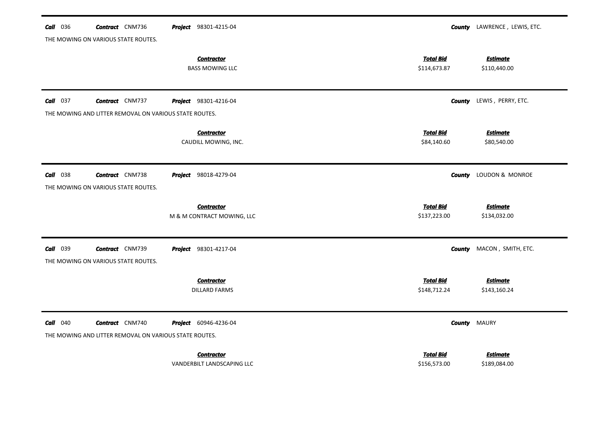| <b>Call</b> 036<br><b>Contract</b> CNM736<br><b>Project</b> 98301-4215-04<br><b>County</b> LAWRENCE, LEWIS, ETC.<br>THE MOWING ON VARIOUS STATE ROUTES. |  |
|---------------------------------------------------------------------------------------------------------------------------------------------------------|--|
| <b>Total Bid</b><br><b>Estimate</b><br><b>Contractor</b><br><b>BASS MOWING LLC</b><br>\$114,673.87<br>\$110,440.00                                      |  |
| $Call$ 037<br><b>Contract</b> CNM737<br>Project 98301-4216-04<br>LEWIS, PERRY, ETC.<br>County                                                           |  |
| THE MOWING AND LITTER REMOVAL ON VARIOUS STATE ROUTES.                                                                                                  |  |
| <b>Total Bid</b><br><b>Estimate</b><br><b>Contractor</b><br>CAUDILL MOWING, INC.<br>\$84,140.60<br>\$80,540.00                                          |  |
| LOUDON & MONROE<br><b>Call</b> 038<br><b>Contract</b> CNM738<br>Project 98018-4279-04<br>County<br>THE MOWING ON VARIOUS STATE ROUTES.                  |  |
| <b>Total Bid</b><br><b>Estimate</b><br><b>Contractor</b>                                                                                                |  |
| M & M CONTRACT MOWING, LLC<br>\$137,223.00<br>\$134,032.00                                                                                              |  |
| <b>Call</b> 039<br><b>Contract</b> CNM739<br>Project 98301-4217-04<br>MACON, SMITH, ETC.<br><b>County</b><br>THE MOWING ON VARIOUS STATE ROUTES.        |  |
| <b>Total Bid</b><br><b>Estimate</b><br><b>Contractor</b><br>\$148,712.24<br>\$143,160.24<br><b>DILLARD FARMS</b>                                        |  |
| <b>Call</b> 040<br><b>Contract</b> CNM740<br>Project 60946-4236-04<br><b>MAURY</b><br>County                                                            |  |
| THE MOWING AND LITTER REMOVAL ON VARIOUS STATE ROUTES.                                                                                                  |  |
|                                                                                                                                                         |  |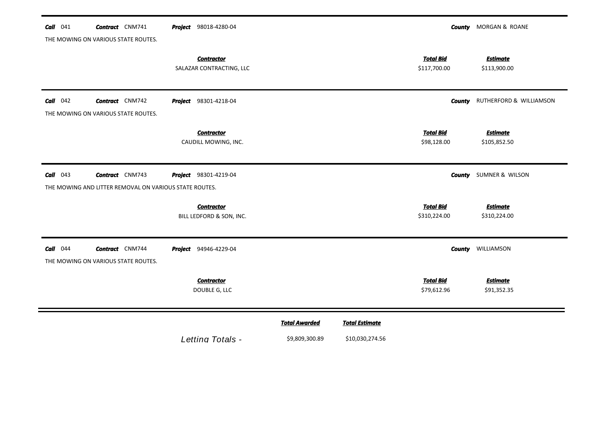| Call<br>041 | <b>Contract</b> CNM741<br>THE MOWING ON VARIOUS STATE ROUTES.                    | Project 98018-4280-04                         |                                        |                                          |                                  | <b>County</b> MORGAN & ROANE    |
|-------------|----------------------------------------------------------------------------------|-----------------------------------------------|----------------------------------------|------------------------------------------|----------------------------------|---------------------------------|
|             |                                                                                  | <b>Contractor</b><br>SALAZAR CONTRACTING, LLC |                                        |                                          | <b>Total Bid</b><br>\$117,700.00 | <b>Estimate</b><br>\$113,900.00 |
| Call<br>042 | <b>Contract</b> CNM742<br>THE MOWING ON VARIOUS STATE ROUTES.                    | <b>Project</b> 98301-4218-04                  |                                        |                                          | <b>County</b>                    | RUTHERFORD & WILLIAMSON         |
|             |                                                                                  | <b>Contractor</b><br>CAUDILL MOWING, INC.     |                                        |                                          | <b>Total Bid</b><br>\$98,128.00  | <b>Estimate</b><br>\$105,852.50 |
| $Call$ 043  | <b>Contract</b> CNM743<br>THE MOWING AND LITTER REMOVAL ON VARIOUS STATE ROUTES. | Project 98301-4219-04                         |                                        |                                          |                                  | <b>County</b> SUMNER & WILSON   |
|             |                                                                                  | <b>Contractor</b><br>BILL LEDFORD & SON, INC. |                                        |                                          | <b>Total Bid</b><br>\$310,224.00 | <b>Estimate</b><br>\$310,224.00 |
| $Call$ 044  | <b>Contract</b> CNM744<br>THE MOWING ON VARIOUS STATE ROUTES.                    | <b>Project</b> 94946-4229-04                  |                                        |                                          |                                  | <b>County WILLIAMSON</b>        |
|             |                                                                                  | <b>Contractor</b><br>DOUBLE G, LLC            |                                        |                                          | <b>Total Bid</b><br>\$79,612.96  | <b>Estimate</b><br>\$91,352.35  |
|             |                                                                                  | Letting Totals -                              | <b>Total Awarded</b><br>\$9,809,300.89 | <b>Total Estimate</b><br>\$10,030,274.56 |                                  |                                 |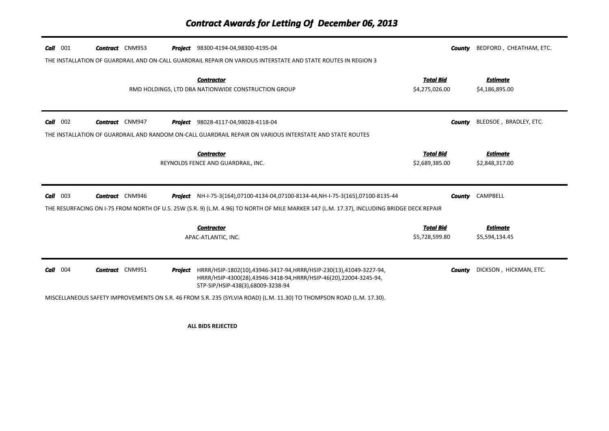| 001<br>Call | <b>Contract</b> CNM953 | <b>Project</b> 98300-4194-04,98300-4195-04                                                                                                                                                 | <b>County</b>                      | BEDFORD, CHEATHAM, ETC.           |
|-------------|------------------------|--------------------------------------------------------------------------------------------------------------------------------------------------------------------------------------------|------------------------------------|-----------------------------------|
|             |                        | THE INSTALLATION OF GUARDRAIL AND ON-CALL GUARDRAIL REPAIR ON VARIOUS INTERSTATE AND STATE ROUTES IN REGION 3                                                                              |                                    |                                   |
|             |                        | <b>Contractor</b><br>RMD HOLDINGS, LTD DBA NATIONWIDE CONSTRUCTION GROUP                                                                                                                   | <b>Total Bid</b><br>\$4,275,026.00 | <b>Estimate</b><br>\$4,186,895.00 |
| Call<br>002 | <b>Contract</b> CNM947 | <b>Project</b> 98028-4117-04,98028-4118-04                                                                                                                                                 | <b>County</b>                      | BLEDSOE, BRADLEY, ETC.            |
|             |                        | THE INSTALLATION OF GUARDRAIL AND RANDOM ON-CALL GUARDRAIL REPAIR ON VARIOUS INTERSTATE AND STATE ROUTES                                                                                   |                                    |                                   |
|             |                        | <b>Contractor</b><br>REYNOLDS FENCE AND GUARDRAIL, INC.                                                                                                                                    | <b>Total Bid</b><br>\$2,689,385.00 | <b>Estimate</b><br>\$2,848,317.00 |
|             |                        |                                                                                                                                                                                            |                                    |                                   |
| 003<br>Call | <b>Contract</b> CNM946 | <b>Project</b> NH-I-75-3(164),07100-4134-04,07100-8134-44,NH-I-75-3(165),07100-8135-44                                                                                                     | County                             | CAMPBELL                          |
|             |                        | THE RESURFACING ON 1-75 FROM NORTH OF U.S. 25W (S.R. 9) (L.M. 4.96) TO NORTH OF MILE MARKER 147 (L.M. 17.37), INCLUDING BRIDGE DECK REPAIR                                                 |                                    |                                   |
|             |                        | <b>Contractor</b><br>APAC-ATLANTIC, INC.                                                                                                                                                   | <b>Total Bid</b><br>\$5,728,599.80 | <b>Estimate</b><br>\$5,594,134.45 |
| 004<br>Call | <b>Contract</b> CNM951 | <b>Project</b> HRRR/HSIP-1802(10),43946-3417-94, HRRR/HSIP-230(13),41049-3227-94,<br>HRRR/HSIP-4300(28),43946-3418-94,HRRR/HSIP-46(20),22004-3245-94,<br>STP-SIP/HSIP-438(3),68009-3238-94 | County                             | DICKSON, HICKMAN, ETC.            |

**ALL BIDS REJECTED**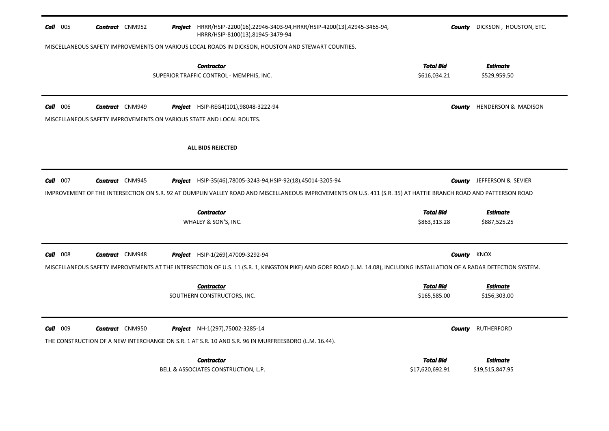| Call 005        | <b>Contract</b> CNM952 |  | Project HRRR/HSIP-2200(16),22946-3403-94, HRRR/HSIP-4200(13),42945-3465-94,<br>HRRR/HSIP-8100(13),81945-3479-94                                                          | County                           | DICKSON, HOUSTON, ETC.           |
|-----------------|------------------------|--|--------------------------------------------------------------------------------------------------------------------------------------------------------------------------|----------------------------------|----------------------------------|
|                 |                        |  | MISCELLANEOUS SAFETY IMPROVEMENTS ON VARIOUS LOCAL ROADS IN DICKSON, HOUSTON AND STEWART COUNTIES.                                                                       |                                  |                                  |
|                 |                        |  | <b>Contractor</b><br>SUPERIOR TRAFFIC CONTROL - MEMPHIS, INC.                                                                                                            | Total Bid<br>\$616,034.21        | <b>Estimate</b><br>\$529,959.50  |
| <b>Call</b> 006 | <b>Contract</b> CNM949 |  | Project HSIP-REG4(101),98048-3222-94<br>MISCELLANEOUS SAFETY IMPROVEMENTS ON VARIOUS STATE AND LOCAL ROUTES.                                                             | County                           | HENDERSON & MADISON              |
|                 |                        |  | <b>ALL BIDS REJECTED</b>                                                                                                                                                 |                                  |                                  |
| Call $007$      | <b>Contract</b> CNM945 |  | Project HSIP-35(46),78005-3243-94, HSIP-92(18),45014-3205-94                                                                                                             |                                  | <b>County</b> JEFFERSON & SEVIER |
|                 |                        |  | IMPROVEMENT OF THE INTERSECTION ON S.R. 92 AT DUMPLIN VALLEY ROAD AND MISCELLANEOUS IMPROVEMENTS ON U.S. 411 (S.R. 35) AT HATTIE BRANCH ROAD AND PATTERSON ROAD          |                                  |                                  |
|                 |                        |  | <b>Contractor</b><br>WHALEY & SON'S, INC.                                                                                                                                | <b>Total Bid</b><br>\$863,313.28 | <b>Estimate</b><br>\$887,525.25  |
| $Call$ 008      | <b>Contract</b> CNM948 |  | <b>Project</b> HSIP-1(269),47009-3292-94                                                                                                                                 | <b>County</b> KNOX               |                                  |
|                 |                        |  | MISCELLANEOUS SAFETY IMPROVEMENTS AT THE INTERSECTION OF U.S. 11 (S.R. 1, KINGSTON PIKE) AND GORE ROAD (L.M. 14.08), INCLUDING INSTALLATION OF A RADAR DETECTION SYSTEM. |                                  |                                  |
|                 |                        |  | <b>Contractor</b><br>SOUTHERN CONSTRUCTORS, INC.                                                                                                                         | <u>Total Bid</u><br>\$165,585.00 | <b>Estimate</b><br>\$156,303.00  |
| Call 009        | <b>Contract</b> CNM950 |  | Project NH-1(297),75002-3285-14                                                                                                                                          | County                           | RUTHERFORD                       |
|                 |                        |  | THE CONSTRUCTION OF A NEW INTERCHANGE ON S.R. 1 AT S.R. 10 AND S.R. 96 IN MURFREESBORO (L.M. 16.44).                                                                     |                                  |                                  |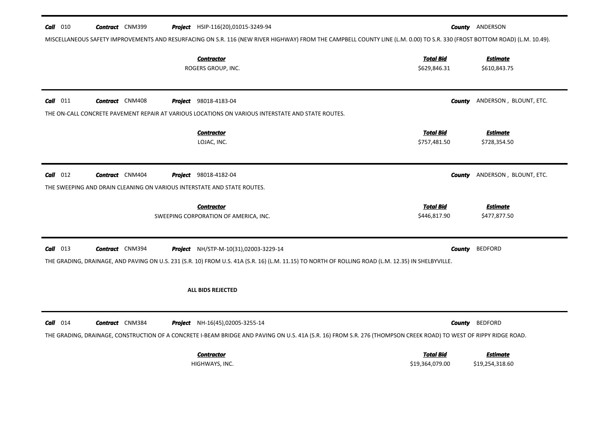| $Call$ 010<br><b>Contract</b> CNM399                                                                            | <b>Project</b> HSIP-116(20),01015-3249-94                                                                                                                                                          | <b>County ANDERSON</b>                                                                                                                                                                                                                           |
|-----------------------------------------------------------------------------------------------------------------|----------------------------------------------------------------------------------------------------------------------------------------------------------------------------------------------------|--------------------------------------------------------------------------------------------------------------------------------------------------------------------------------------------------------------------------------------------------|
|                                                                                                                 | <b>Contractor</b><br>ROGERS GROUP, INC.                                                                                                                                                            | MISCELLANEOUS SAFETY IMPROVEMENTS AND RESURFACING ON S.R. 116 (NEW RIVER HIGHWAY) FROM THE CAMPBELL COUNTY LINE (L.M. 0.00) TO S.R. 330 (FROST BOTTOM ROAD) (L.M. 10.49).<br><b>Total Bid</b><br><b>Estimate</b><br>\$629,846.31<br>\$610,843.75 |
| $Call$ 011<br><b>Contract</b> CNM408                                                                            | <b>Project</b> 98018-4183-04<br>THE ON-CALL CONCRETE PAVEMENT REPAIR AT VARIOUS LOCATIONS ON VARIOUS INTERSTATE AND STATE ROUTES.                                                                  | ANDERSON, BLOUNT, ETC.<br><b>County</b>                                                                                                                                                                                                          |
|                                                                                                                 | <b>Contractor</b><br>LOJAC, INC.                                                                                                                                                                   | <b>Total Bid</b><br><b>Estimate</b><br>\$757,481.50<br>\$728,354.50                                                                                                                                                                              |
| $Call$ 012<br><b>Contract</b> CNM404<br>THE SWEEPING AND DRAIN CLEANING ON VARIOUS INTERSTATE AND STATE ROUTES. | <b>Project</b> 98018-4182-04<br><b>Contractor</b><br>SWEEPING CORPORATION OF AMERICA, INC.                                                                                                         | ANDERSON, BLOUNT, ETC.<br>County<br><b>Total Bid</b><br><b>Estimate</b><br>\$446,817.90<br>\$477,877.50                                                                                                                                          |
| $Call$ 013<br><b>Contract</b> CNM394                                                                            | <b>Project</b> NH/STP-M-10(31),02003-3229-14<br>THE GRADING, DRAINAGE, AND PAVING ON U.S. 231 (S.R. 10) FROM U.S. 41A (S.R. 16) (L.M. 11.15) TO NORTH OF ROLLING ROAD (L.M. 12.35) IN SHELBYVILLE. | <b>BEDFORD</b><br>County                                                                                                                                                                                                                         |
|                                                                                                                 | <b>ALL BIDS REJECTED</b>                                                                                                                                                                           |                                                                                                                                                                                                                                                  |
| $Call$ 014<br><b>Contract</b> CNM384                                                                            | <b>Project</b> NH-16(45),02005-3255-14                                                                                                                                                             | <b>BEDFORD</b><br>County<br>THE GRADING, DRAINAGE, CONSTRUCTION OF A CONCRETE I-BEAM BRIDGE AND PAVING ON U.S. 41A (S.R. 16) FROM S.R. 276 (THOMPSON CREEK ROAD) TO WEST OF RIPPY RIDGE ROAD.                                                    |
|                                                                                                                 | <b>Contractor</b><br>HIGHWAYS, INC.                                                                                                                                                                | <b>Total Bid</b><br><b>Estimate</b><br>\$19,364,079.00<br>\$19,254,318.60                                                                                                                                                                        |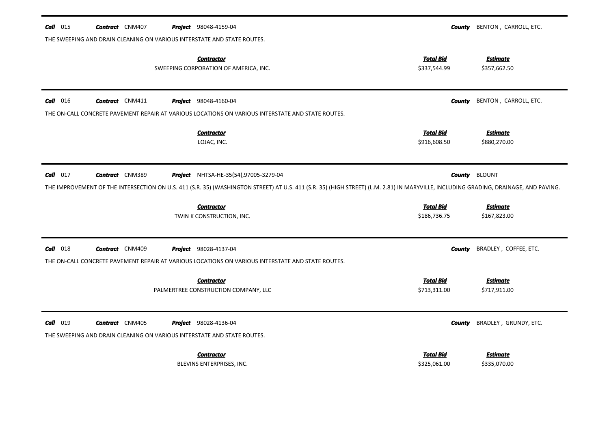| <b>Call</b> 015 | <b>Contract</b> CNM407 | <b>Project</b> 98048-4159-04                                                                                                                                                         | County                           | BENTON, CARROLL, ETC.           |
|-----------------|------------------------|--------------------------------------------------------------------------------------------------------------------------------------------------------------------------------------|----------------------------------|---------------------------------|
|                 |                        | THE SWEEPING AND DRAIN CLEANING ON VARIOUS INTERSTATE AND STATE ROUTES.                                                                                                              |                                  |                                 |
|                 |                        | <b>Contractor</b><br>SWEEPING CORPORATION OF AMERICA, INC.                                                                                                                           | <b>Total Bid</b><br>\$337,544.99 | <b>Estimate</b><br>\$357,662.50 |
| $Call$ 016      | <b>Contract</b> CNM411 | <b>Project</b> 98048-4160-04                                                                                                                                                         | <b>County</b>                    | BENTON, CARROLL, ETC.           |
|                 |                        | THE ON-CALL CONCRETE PAVEMENT REPAIR AT VARIOUS LOCATIONS ON VARIOUS INTERSTATE AND STATE ROUTES.                                                                                    |                                  |                                 |
|                 |                        | <b>Contractor</b><br>LOJAC, INC.                                                                                                                                                     | <b>Total Bid</b><br>\$916,608.50 | <b>Estimate</b><br>\$880,270.00 |
| $Call$ 017      | <b>Contract</b> CNM389 | <b>Project</b> NHTSA-HE-35(54),97005-3279-04                                                                                                                                         | County                           | <b>BLOUNT</b>                   |
|                 |                        | THE IMPROVEMENT OF THE INTERSECTION ON U.S. 411 (S.R. 35) (WASHINGTON STREET) AT U.S. 411 (S.R. 35) (HIGH STREET) (L.M. 2.81) IN MARYVILLE, INCLUDING GRADING, DRAINAGE, AND PAVING. |                                  |                                 |
|                 |                        | <b>Contractor</b>                                                                                                                                                                    | <b>Total Bid</b>                 | <b>Estimate</b>                 |
|                 |                        | TWIN K CONSTRUCTION, INC.                                                                                                                                                            | \$186,736.75                     | \$167,823.00                    |
| $Call$ 018      | <b>Contract</b> CNM409 | <b>Project</b> 98028-4137-04                                                                                                                                                         | County                           | BRADLEY, COFFEE, ETC.           |
|                 |                        | THE ON-CALL CONCRETE PAVEMENT REPAIR AT VARIOUS LOCATIONS ON VARIOUS INTERSTATE AND STATE ROUTES.                                                                                    |                                  |                                 |
|                 |                        | <b>Contractor</b>                                                                                                                                                                    | <b>Total Bid</b>                 | Estimate                        |
|                 |                        | PALMERTREE CONSTRUCTION COMPANY, LLC                                                                                                                                                 | \$713,311.00                     | \$717,911.00                    |
| Call 019        | <b>Contract</b> CNM405 | <b>Project</b> 98028-4136-04                                                                                                                                                         | <b>County</b>                    | BRADLEY, GRUNDY, ETC.           |
|                 |                        | THE SWEEPING AND DRAIN CLEANING ON VARIOUS INTERSTATE AND STATE ROUTES.                                                                                                              |                                  |                                 |
|                 |                        | <b>Contractor</b>                                                                                                                                                                    | <b>Total Bid</b>                 | Estimate                        |
|                 |                        | BLEVINS ENTERPRISES, INC.                                                                                                                                                            | \$325,061.00                     | \$335,070.00                    |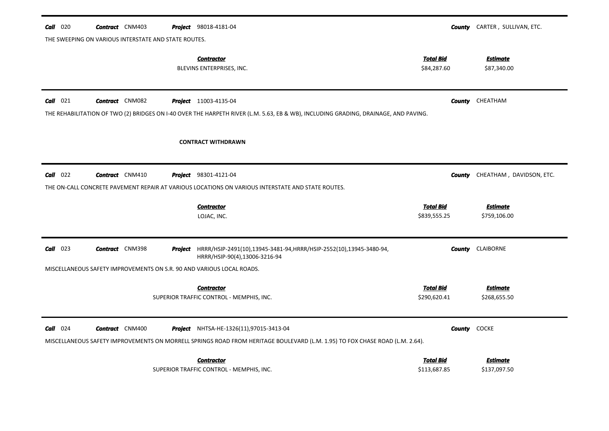| $Call$ 020 | <b>Contract</b> CNM403                                                | <b>Project</b> 98018-4181-04                                                                                                                                                   |                                  | <b>County</b> CARTER, SULLIVAN, ETC. |
|------------|-----------------------------------------------------------------------|--------------------------------------------------------------------------------------------------------------------------------------------------------------------------------|----------------------------------|--------------------------------------|
|            | THE SWEEPING ON VARIOUS INTERSTATE AND STATE ROUTES.                  |                                                                                                                                                                                |                                  |                                      |
|            |                                                                       | <b>Contractor</b><br>BLEVINS ENTERPRISES, INC.                                                                                                                                 | <b>Total Bid</b><br>\$84,287.60  | <u>Estimate</u><br>\$87,340.00       |
| $Call$ 021 | <b>Contract</b> CNM082                                                | <b>Project</b> 11003-4135-04<br>THE REHABILITATION OF TWO (2) BRIDGES ON I-40 OVER THE HARPETH RIVER (L.M. 5.63, EB & WB), INCLUDING GRADING, DRAINAGE, AND PAVING.            | County                           | CHEATHAM                             |
|            |                                                                       | <b>CONTRACT WITHDRAWN</b>                                                                                                                                                      |                                  |                                      |
| Call 022   | <b>Contract</b> CNM410                                                | <b>Project</b> 98301-4121-04                                                                                                                                                   | County                           | CHEATHAM, DAVIDSON, ETC.             |
|            |                                                                       | THE ON-CALL CONCRETE PAVEMENT REPAIR AT VARIOUS LOCATIONS ON VARIOUS INTERSTATE AND STATE ROUTES.                                                                              |                                  |                                      |
|            |                                                                       | <b>Contractor</b><br>LOJAC, INC.                                                                                                                                               | <b>Total Bid</b><br>\$839,555.25 | <b>Estimate</b><br>\$759,106.00      |
| $Call$ 023 | <b>Contract</b> CNM398                                                | Project HRRR/HSIP-2491(10),13945-3481-94, HRRR/HSIP-2552(10),13945-3480-94,<br>HRRR/HSIP-90(4),13006-3216-94                                                                   | County                           | <b>CLAIBORNE</b>                     |
|            | MISCELLANEOUS SAFETY IMPROVEMENTS ON S.R. 90 AND VARIOUS LOCAL ROADS. |                                                                                                                                                                                |                                  |                                      |
|            |                                                                       | <b>Contractor</b><br>SUPERIOR TRAFFIC CONTROL - MEMPHIS, INC.                                                                                                                  | <b>Total Bid</b><br>\$290,620.41 | <u>Estimate</u><br>\$268,655.50      |
| $Call$ 024 | <b>Contract</b> CNM400                                                | <b>Project</b> NHTSA-HE-1326(11),97015-3413-04<br>MISCELLANEOUS SAFETY IMPROVEMENTS ON MORRELL SPRINGS ROAD FROM HERITAGE BOULEVARD (L.M. 1.95) TO FOX CHASE ROAD (L.M. 2.64). |                                  | <b>County</b> COCKE                  |
|            |                                                                       | <b>Contractor</b><br>SUPERIOR TRAFFIC CONTROL - MEMPHIS, INC.                                                                                                                  | <b>Total Bid</b><br>\$113,687.85 | <b>Estimate</b><br>\$137,097.50      |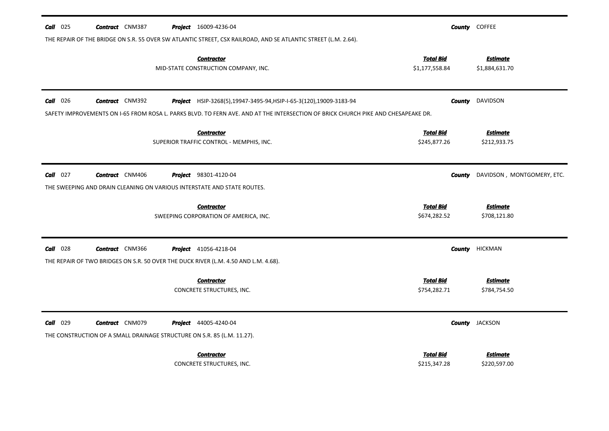| $Call$ 025      | <b>Contract</b> CNM387                                                  | <b>Project</b> 16009-4236-04                                                                                                      |                                    | <b>County</b> COFFEE              |
|-----------------|-------------------------------------------------------------------------|-----------------------------------------------------------------------------------------------------------------------------------|------------------------------------|-----------------------------------|
|                 |                                                                         | THE REPAIR OF THE BRIDGE ON S.R. 55 OVER SW ATLANTIC STREET, CSX RAILROAD, AND SE ATLANTIC STREET (L.M. 2.64).                    |                                    |                                   |
|                 |                                                                         | <b>Contractor</b><br>MID-STATE CONSTRUCTION COMPANY, INC.                                                                         | <b>Total Bid</b><br>\$1,177,558.84 | <b>Estimate</b><br>\$1,884,631.70 |
| <b>Call</b> 026 | <b>Contract</b> CNM392                                                  | Project HSIP-3268(5),19947-3495-94, HSIP-I-65-3(120),19009-3183-94                                                                |                                    | <b>County</b> DAVIDSON            |
|                 |                                                                         | SAFETY IMPROVEMENTS ON I-65 FROM ROSA L. PARKS BLVD. TO FERN AVE. AND AT THE INTERSECTION OF BRICK CHURCH PIKE AND CHESAPEAKE DR. |                                    |                                   |
|                 |                                                                         | <b>Contractor</b>                                                                                                                 | <b>Total Bid</b>                   | <b>Estimate</b>                   |
|                 |                                                                         | SUPERIOR TRAFFIC CONTROL - MEMPHIS, INC.                                                                                          | \$245,877.26                       | \$212,933.75                      |
| $Call$ 027      | <b>Contract</b> CNM406                                                  | <b>Project</b> 98301-4120-04                                                                                                      | County                             | DAVIDSON, MONTGOMERY, ETC.        |
|                 |                                                                         | THE SWEEPING AND DRAIN CLEANING ON VARIOUS INTERSTATE AND STATE ROUTES.                                                           |                                    |                                   |
|                 |                                                                         | <b>Contractor</b>                                                                                                                 | <b>Total Bid</b>                   | <b>Estimate</b>                   |
|                 |                                                                         | SWEEPING CORPORATION OF AMERICA, INC.                                                                                             | \$674,282.52                       | \$708,121.80                      |
| $Call$ 028      | <b>Contract</b> CNM366                                                  | <b>Project</b> 41056-4218-04                                                                                                      |                                    | <b>County HICKMAN</b>             |
|                 |                                                                         | THE REPAIR OF TWO BRIDGES ON S.R. 50 OVER THE DUCK RIVER (L.M. 4.50 AND L.M. 4.68).                                               |                                    |                                   |
|                 |                                                                         | <b>Contractor</b>                                                                                                                 | <b>Total Bid</b>                   | <b>Estimate</b>                   |
|                 |                                                                         | CONCRETE STRUCTURES, INC.                                                                                                         | \$754,282.71                       | \$784,754.50                      |
| $Call$ 029      | <b>Contract</b> CNM079                                                  | <b>Project</b> 44005-4240-04                                                                                                      |                                    | <b>County</b> JACKSON             |
|                 | THE CONSTRUCTION OF A SMALL DRAINAGE STRUCTURE ON S.R. 85 (L.M. 11.27). |                                                                                                                                   |                                    |                                   |
|                 |                                                                         | <b>Contractor</b>                                                                                                                 | <b>Total Bid</b>                   | <b>Estimate</b>                   |
|                 |                                                                         | CONCRETE STRUCTURES, INC.                                                                                                         | \$215,347.28                       | \$220,597.00                      |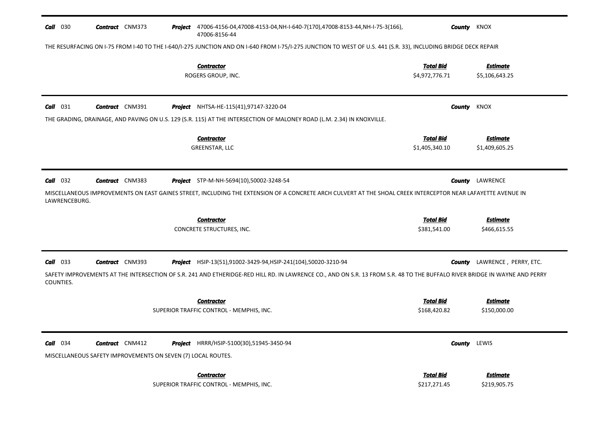| $Call$ 030                  | <b>Contract</b> CNM373                                                                 |         | Project 47006-4156-04,47008-4153-04, NH-I-640-7(170), 47008-8153-44, NH-I-75-3(166),<br>47006-8156-44                                                                                                                                              |                                    | <b>County</b> KNOX                |
|-----------------------------|----------------------------------------------------------------------------------------|---------|----------------------------------------------------------------------------------------------------------------------------------------------------------------------------------------------------------------------------------------------------|------------------------------------|-----------------------------------|
|                             |                                                                                        |         | THE RESURFACING ON I-75 FROM I-40 TO THE I-640/I-275 JUNCTION AND ON I-640 FROM I-75/I-275 JUNCTION TO WEST OF U.S. 441 (S.R. 33), INCLUDING BRIDGE DECK REPAIR                                                                                    |                                    |                                   |
|                             |                                                                                        |         | <b>Contractor</b><br>ROGERS GROUP, INC.                                                                                                                                                                                                            | <b>Total Bid</b><br>\$4,972,776.71 | <b>Estimate</b><br>\$5,106,643.25 |
| Call 031                    | <b>Contract</b> CNM391                                                                 | Project | NHTSA-HE-115(41),97147-3220-04                                                                                                                                                                                                                     | <b>County</b>                      | KNOX                              |
|                             |                                                                                        |         | THE GRADING, DRAINAGE, AND PAVING ON U.S. 129 (S.R. 115) AT THE INTERSECTION OF MALONEY ROAD (L.M. 2.34) IN KNOXVILLE.<br><b>Contractor</b><br>GREENSTAR, LLC                                                                                      | <b>Total Bid</b><br>\$1,405,340.10 | <b>Estimate</b><br>\$1,409,605.25 |
| $Call$ 032<br>LAWRENCEBURG. | <b>Contract</b> CNM383                                                                 |         | <b>Project</b> STP-M-NH-5694(10),50002-3248-54<br>MISCELLANEOUS IMPROVEMENTS ON EAST GAINES STREET, INCLUDING THE EXTENSION OF A CONCRETE ARCH CULVERT AT THE SHOAL CREEK INTERCEPTOR NEAR LAFAYETTE AVENUE IN                                     | County                             | LAWRENCE                          |
|                             |                                                                                        |         | <b>Contractor</b><br>CONCRETE STRUCTURES, INC.                                                                                                                                                                                                     | <b>Total Bid</b><br>\$381,541.00   | Estimate<br>\$466,615.55          |
| $Call$ 033<br>COUNTIES.     | <b>Contract</b> CNM393                                                                 |         | <b>Project</b> HSIP-13(51),91002-3429-94,HSIP-241(104),50020-3210-94<br>SAFETY IMPROVEMENTS AT THE INTERSECTION OF S.R. 241 AND ETHERIDGE-RED HILL RD. IN LAWRENCE CO., AND ON S.R. 13 FROM S.R. 48 TO THE BUFFALO RIVER BRIDGE IN WAYNE AND PERRY | County                             | LAWRENCE, PERRY, ETC.             |
|                             |                                                                                        |         | <b>Contractor</b><br>SUPERIOR TRAFFIC CONTROL - MEMPHIS, INC.                                                                                                                                                                                      | <b>Total Bid</b><br>\$168,420.82   | <b>Estimate</b><br>\$150,000.00   |
| $Call$ 034                  | <b>Contract</b> CNM412<br>MISCELLANEOUS SAFETY IMPROVEMENTS ON SEVEN (7) LOCAL ROUTES. |         | <b>Project</b> HRRR/HSIP-5100(30),51945-3450-94                                                                                                                                                                                                    |                                    | <b>County</b> LEWIS               |
|                             |                                                                                        |         | <b>Contractor</b><br>SUPERIOR TRAFFIC CONTROL - MEMPHIS, INC.                                                                                                                                                                                      | <b>Total Bid</b><br>\$217,271.45   | <b>Estimate</b><br>\$219,905.75   |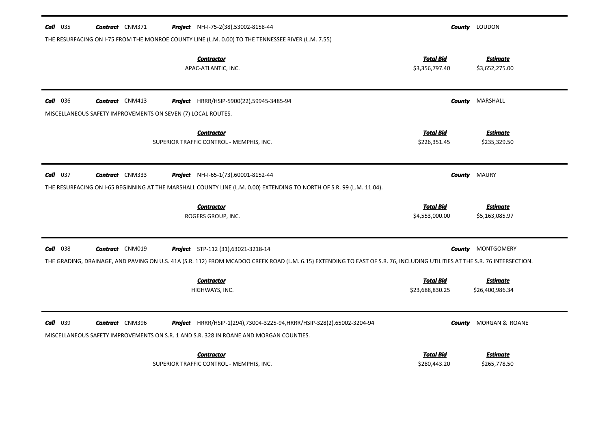| $Call$ 035<br><b>Contract</b> CNM371<br>Project NH-I-75-2(38),53002-8158-44                                                                                                                                                                                     |                                     | <b>County</b> LOUDON               |
|-----------------------------------------------------------------------------------------------------------------------------------------------------------------------------------------------------------------------------------------------------------------|-------------------------------------|------------------------------------|
| THE RESURFACING ON I-75 FROM THE MONROE COUNTY LINE (L.M. 0.00) TO THE TENNESSEE RIVER (L.M. 7.55)<br><b>Contractor</b><br>APAC-ATLANTIC, INC.                                                                                                                  | <b>Total Bid</b><br>\$3,356,797.40  | <b>Estimate</b><br>\$3,652,275.00  |
| <b>Call</b> 036<br><b>Contract</b> CNM413<br>Project HRRR/HSIP-5900(22),59945-3485-94                                                                                                                                                                           | County                              | MARSHALL                           |
| MISCELLANEOUS SAFETY IMPROVEMENTS ON SEVEN (7) LOCAL ROUTES.                                                                                                                                                                                                    |                                     |                                    |
| <b>Contractor</b><br>SUPERIOR TRAFFIC CONTROL - MEMPHIS, INC.                                                                                                                                                                                                   | <b>Total Bid</b><br>\$226,351.45    | <b>Estimate</b><br>\$235,329.50    |
|                                                                                                                                                                                                                                                                 |                                     |                                    |
| $Call$ 037<br><b>Contract</b> CNM333<br><b>Project</b> NH-I-65-1(73),60001-8152-44                                                                                                                                                                              | County                              | <b>MAURY</b>                       |
| THE RESURFACING ON I-65 BEGINNING AT THE MARSHALL COUNTY LINE (L.M. 0.00) EXTENDING TO NORTH OF S.R. 99 (L.M. 11.04).                                                                                                                                           |                                     |                                    |
| <b>Contractor</b><br>ROGERS GROUP, INC.                                                                                                                                                                                                                         | <b>Total Bid</b><br>\$4,553,000.00  | <b>Estimate</b><br>\$5,163,085.97  |
| $Call$ 038<br><b>Contract</b> CNM019<br><b>Project</b> STP-112 (31),63021-3218-14<br>THE GRADING, DRAINAGE, AND PAVING ON U.S. 41A (S.R. 112) FROM MCADOO CREEK ROAD (L.M. 6.15) EXTENDING TO EAST OF S.R. 76, INCLUDING UTILITIES AT THE S.R. 76 INTERSECTION. | County                              | MONTGOMERY                         |
| <b>Contractor</b><br>HIGHWAYS, INC.                                                                                                                                                                                                                             | <b>Total Bid</b><br>\$23,688,830.25 | <b>Estimate</b><br>\$26,400,986.34 |
| <b>Call</b> 039<br><b>Contract</b> CNM396<br><b>Project</b> HRRR/HSIP-1(294),73004-3225-94, HRRR/HSIP-328(2),65002-3204-94<br>MISCELLANEOUS SAFETY IMPROVEMENTS ON S.R. 1 AND S.R. 328 IN ROANE AND MORGAN COUNTIES.                                            | <b>County</b>                       | MORGAN & ROANE                     |
| <b>Contractor</b><br>SUPERIOR TRAFFIC CONTROL - MEMPHIS, INC.                                                                                                                                                                                                   | <b>Total Bid</b><br>\$280,443.20    | <b>Estimate</b><br>\$265,778.50    |